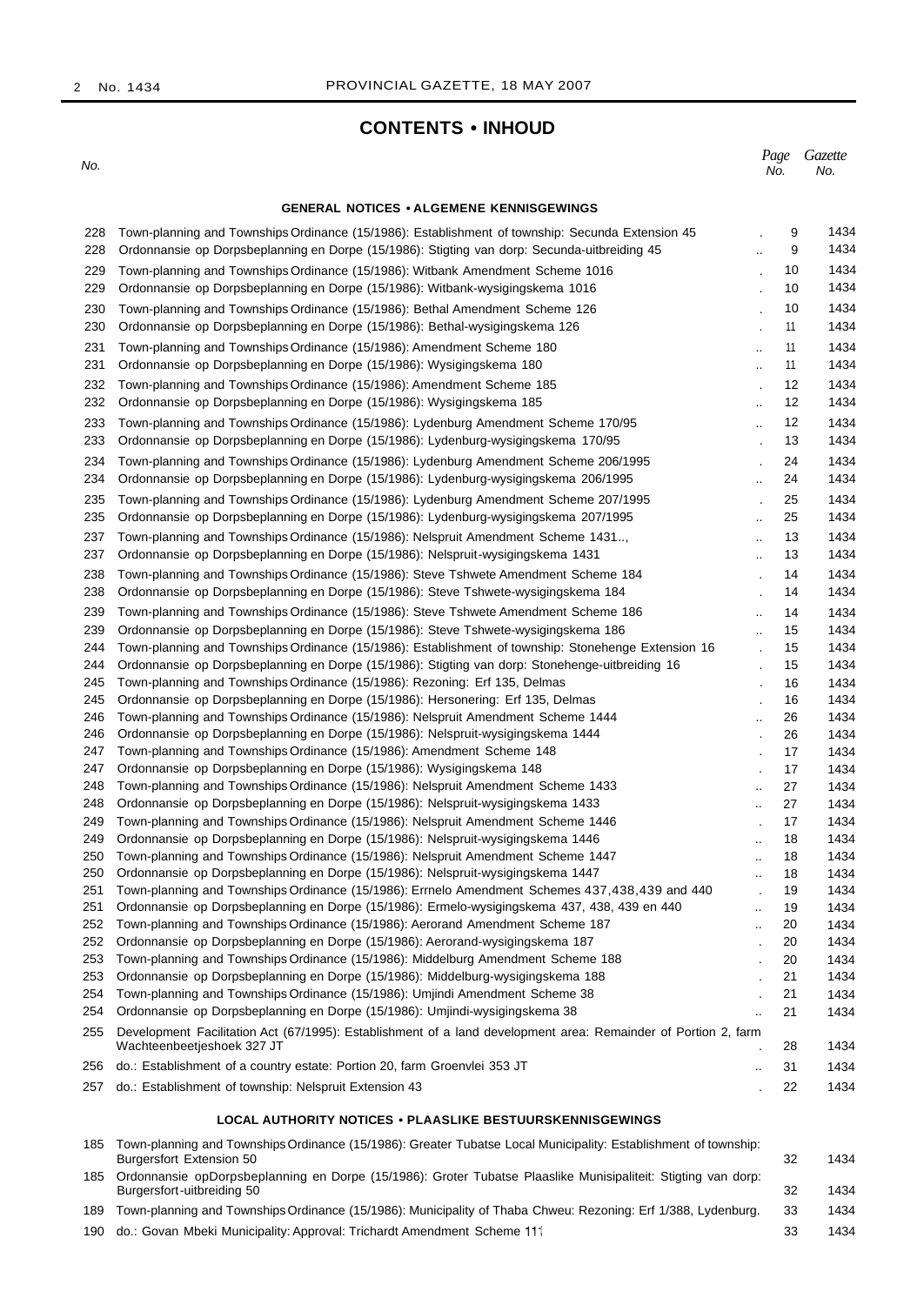2 No. 1434

## **CONTENTS • INHOUD**

No.

*Page Gazette* No. No.

## **GENERAL NOTICES • ALGEMENE KENNISGEWINGS**

| 228<br>228 | Town-planning and Townships Ordinance (15/1986): Establishment of township: Secunda Extension 45<br>Ordonnansie op Dorpsbeplanning en Dorpe (15/1986): Stigting van dorp: Secunda-uitbreiding 45 |                                      | 9<br>1434<br>1434<br>9   |
|------------|--------------------------------------------------------------------------------------------------------------------------------------------------------------------------------------------------|--------------------------------------|--------------------------|
|            |                                                                                                                                                                                                  |                                      |                          |
| 229<br>229 | Town-planning and Townships Ordinance (15/1986): Witbank Amendment Scheme 1016<br>Ordonnansie op Dorpsbeplanning en Dorpe (15/1986): Witbank-wysigingskema 1016                                  |                                      | 1434<br>10<br>1434<br>10 |
| 230        | Town-planning and Townships Ordinance (15/1986): Bethal Amendment Scheme 126                                                                                                                     |                                      | 1434<br>10               |
| 230        | Ordonnansie op Dorpsbeplanning en Dorpe (15/1986): Bethal-wysigingskema 126                                                                                                                      | 11                                   | 1434                     |
| 231        | Town-planning and Townships Ordinance (15/1986): Amendment Scheme 180                                                                                                                            | 11<br>$\ddot{\phantom{a}}$           | 1434                     |
| 231        | Ordonnansie op Dorpsbeplanning en Dorpe (15/1986): Wysigingskema 180<br>$\ddot{\phantom{a}}$                                                                                                     | 11                                   | 1434                     |
| 232        | Town-planning and Townships Ordinance (15/1986): Amendment Scheme 185                                                                                                                            |                                      | 1434<br>12               |
| 232        | Ordonnansie op Dorpsbeplanning en Dorpe (15/1986): Wysigingskema 185                                                                                                                             | $\ddot{\phantom{a}}$                 | 1434<br>12               |
| 233        | Town-planning and Townships Ordinance (15/1986): Lydenburg Amendment Scheme 170/95                                                                                                               | $\ddotsc$                            | 12<br>1434               |
| 233        | Ordonnansie op Dorpsbeplanning en Dorpe (15/1986): Lydenburg-wysigingskema 170/95                                                                                                                |                                      | 1434<br>13               |
| 234        | Town-planning and Townships Ordinance (15/1986): Lydenburg Amendment Scheme 206/1995                                                                                                             |                                      | 1434<br>24               |
| 234        | Ordonnansie op Dorpsbeplanning en Dorpe (15/1986): Lydenburg-wysigingskema 206/1995                                                                                                              | ă.                                   | 1434<br>24               |
| 235        | Town-planning and Townships Ordinance (15/1986): Lydenburg Amendment Scheme 207/1995                                                                                                             | 25                                   | 1434                     |
| 235        | Ordonnansie op Dorpsbeplanning en Dorpe (15/1986): Lydenburg-wysigingskema 207/1995                                                                                                              | 25<br>٠.                             | 1434                     |
| 237        | Town-planning and Townships Ordinance (15/1986): Nelspruit Amendment Scheme 1431                                                                                                                 | $\ddot{\phantom{a}}$                 | 13<br>1434               |
| 237        | Ordonnansie op Dorpsbeplanning en Dorpe (15/1986): Nelspruit-wysigingskema 1431                                                                                                                  |                                      | 1434<br>13               |
| 238        | Town-planning and Townships Ordinance (15/1986): Steve Tshwete Amendment Scheme 184                                                                                                              | $\ddot{\phantom{0}}$                 | 14<br>1434               |
| 238        | Ordonnansie op Dorpsbeplanning en Dorpe (15/1986): Steve Tshwete-wysigingskema 184                                                                                                               | $\ddot{\phantom{a}}$                 | 1434<br>14               |
| 239        | Town-planning and Townships Ordinance (15/1986): Steve Tshwete Amendment Scheme 186                                                                                                              | $\ddot{\phantom{a}}$                 | 1434<br>14               |
| 239        | Ordonnansie op Dorpsbeplanning en Dorpe (15/1986): Steve Tshwete-wysigingskema 186                                                                                                               | $\ddot{\phantom{a}}$                 | 1434<br>15               |
| 244        | Town-planning and Townships Ordinance (15/1986): Establishment of township: Stonehenge Extension 16                                                                                              | $\cdot$                              | 15<br>1434               |
| 244        | Ordonnansie op Dorpsbeplanning en Dorpe (15/1986): Stigting van dorp: Stonehenge-uitbreiding 16                                                                                                  | $\ddot{\phantom{a}}$                 | 1434<br>15               |
| 245        | Town-planning and Townships Ordinance (15/1986): Rezoning: Erf 135, Delmas                                                                                                                       |                                      | 16<br>1434               |
| 245        | Ordonnansie op Dorpsbeplanning en Dorpe (15/1986): Hersonering: Erf 135, Delmas                                                                                                                  |                                      | 1434<br>16               |
| 246        | Town-planning and Townships Ordinance (15/1986): Nelspruit Amendment Scheme 1444                                                                                                                 | 26<br>٠.                             | 1434                     |
| 246        | Ordonnansie op Dorpsbeplanning en Dorpe (15/1986): Nelspruit-wysigingskema 1444                                                                                                                  | 26                                   | 1434                     |
| 247        | Town-planning and Townships Ordinance (15/1986): Amendment Scheme 148                                                                                                                            | 17                                   | 1434                     |
| 247        | Ordonnansie op Dorpsbeplanning en Dorpe (15/1986): Wysigingskema 148                                                                                                                             |                                      | 17<br>1434               |
| 248        | Town-planning and Townships Ordinance (15/1986): Nelspruit Amendment Scheme 1433<br>$\ddot{\phantom{a}}$                                                                                         | 27                                   | 1434                     |
| 248        | Ordonnansie op Dorpsbeplanning en Dorpe (15/1986): Nelspruit-wysigingskema 1433<br>$\ddotsc$                                                                                                     | 27                                   | 1434                     |
| 249        | Town-planning and Townships Ordinance (15/1986): Nelspruit Amendment Scheme 1446                                                                                                                 | 17<br>$\cdot$                        | 1434                     |
| 249        | Ordonnansie op Dorpsbeplanning en Dorpe (15/1986): Nelspruit-wysigingskema 1446<br>٠.                                                                                                            | 18                                   | 1434                     |
| 250        | Town-planning and Townships Ordinance (15/1986): Nelspruit Amendment Scheme 1447<br>$\ddot{\phantom{a}}$                                                                                         | 18                                   | 1434                     |
| 250<br>251 | Ordonnansie op Dorpsbeplanning en Dorpe (15/1986): Nelspruit-wysigingskema 1447<br>Town-planning and Townships Ordinance (15/1986): Errnelo Amendment Schemes 437,438,439 and 440                | 18<br><br>19<br>$\ddot{\phantom{a}}$ | 1434<br>1434             |
| 251        | Ordonnansie op Dorpsbeplanning en Dorpe (15/1986): Ermelo-wysigingskema 437, 438, 439 en 440<br>$\ddotsc$                                                                                        | 19                                   | 1434                     |
| 252        | Town-planning and Townships Ordinance (15/1986): Aerorand Amendment Scheme 187                                                                                                                   | 20                                   | 1434                     |
| 252        | Ordonnansie op Dorpsbeplanning en Dorpe (15/1986): Aerorand-wysigingskema 187                                                                                                                    | 20                                   | 1434                     |
| 253        | Town-planning and Townships Ordinance (15/1986): Middelburg Amendment Scheme 188                                                                                                                 | 20                                   | 1434                     |
| 253        | Ordonnansie op Dorpsbeplanning en Dorpe (15/1986): Middelburg-wysigingskema 188                                                                                                                  | 21                                   | 1434                     |
| 254        | Town-planning and Townships Ordinance (15/1986): Umjindi Amendment Scheme 38                                                                                                                     | 21                                   | 1434                     |
| 254        | Ordonnansie op Dorpsbeplanning en Dorpe (15/1986): Umjindi-wysigingskema 38<br>                                                                                                                  | 21                                   | 1434                     |
| 255        | Development Facilitation Act (67/1995): Establishment of a land development area: Remainder of Portion 2, farm<br>Wachteenbeetjeshoek 327 JT                                                     | 28                                   | 1434                     |
| 256        | do.: Establishment of a country estate: Portion 20, farm Groenvlei 353 JT<br>٠.                                                                                                                  | 31                                   | 1434                     |
| 257        | do.: Establishment of township: Nelspruit Extension 43                                                                                                                                           | 22                                   | 1434                     |
|            | <b>LOCAL AUTHORITY NOTICES • PLAASLIKE BESTUURSKENNISGEWINGS</b>                                                                                                                                 |                                      |                          |
|            |                                                                                                                                                                                                  |                                      |                          |
| 185        | Town-planning and Townships Ordinance (15/1986): Greater Tubatse Local Municipality: Establishment of township:<br>Burgersfort Extension 50                                                      | 32                                   | 1434                     |
| 185        | Ordonnansie opDorpsbeplanning en Dorpe (15/1986): Groter Tubatse Plaaslike Munisipaliteit: Stigting van dorp:<br>Burgersfort-uitbreiding 50                                                      | 32                                   | 1434                     |
| 189        | Town-planning and Townships Ordinance (15/1986): Municipality of Thaba Chweu: Rezoning: Erf 1/388, Lydenburg.                                                                                    | 33                                   | 1434                     |

190 do.: Govan Mbeki Municipality: Approval: Trichardt Amendment Scheme 111 33 1434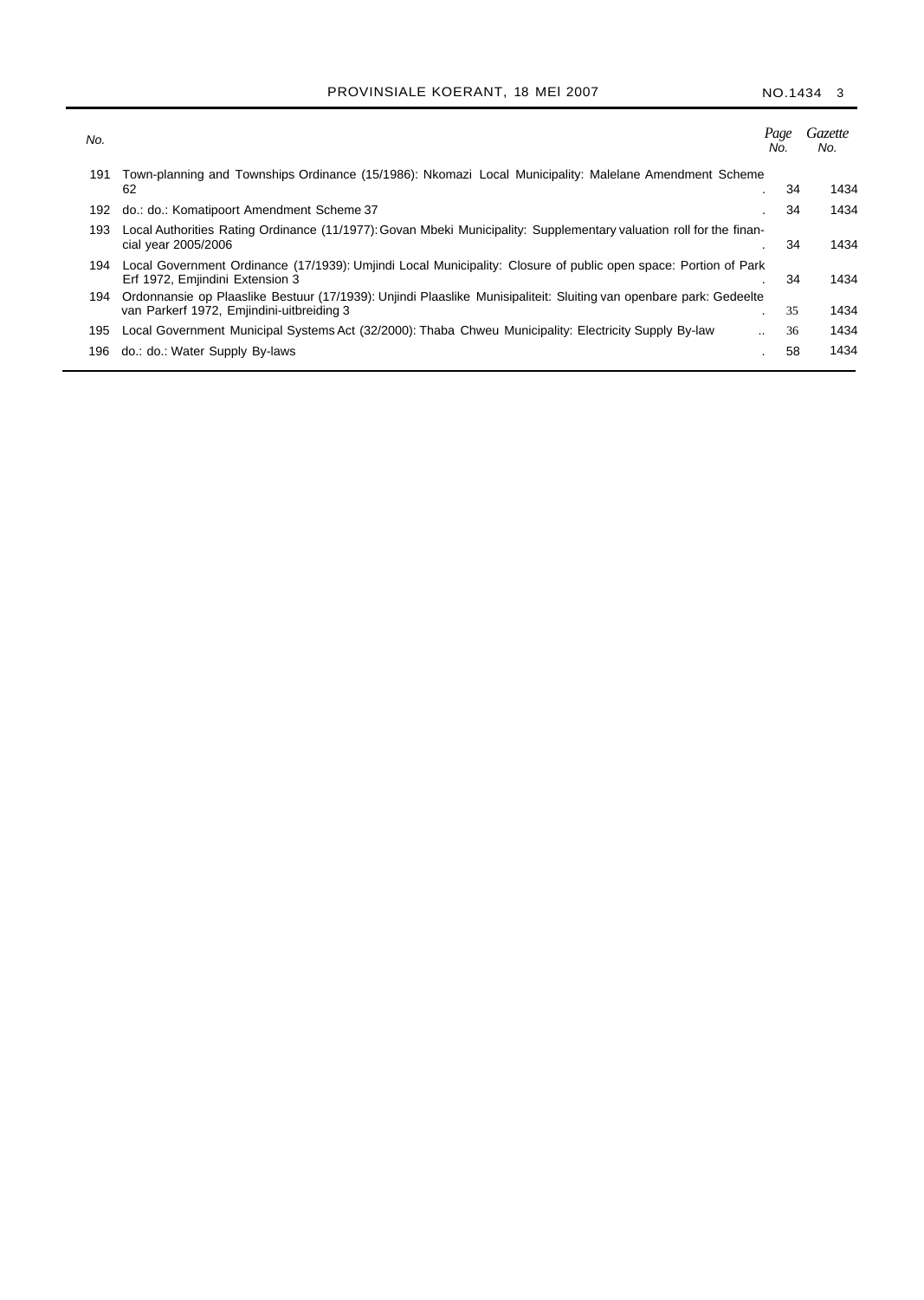## PROVINSIALE KOERANT, 18 MEI 2007 NO.1434 3

| No. |                                                                                                                                                                 | Page<br>No.          | <i>Gazette</i><br>No. |
|-----|-----------------------------------------------------------------------------------------------------------------------------------------------------------------|----------------------|-----------------------|
| 191 | Town-planning and Townships Ordinance (15/1986): Nkomazi Local Municipality: Malelane Amendment Scheme                                                          |                      |                       |
|     | 62                                                                                                                                                              | 34<br>$\blacksquare$ | 1434                  |
| 192 | do.: do.: Komatipoort Amendment Scheme 37                                                                                                                       | 34                   | 1434                  |
| 193 | Local Authorities Rating Ordinance (11/1977): Govan Mbeki Municipality: Supplementary valuation roll for the finan-<br>cial year 2005/2006                      | 34                   | 1434                  |
| 194 | Local Government Ordinance (17/1939): Umjindi Local Municipality: Closure of public open space: Portion of Park<br>Erf 1972, Emjindini Extension 3              | 34                   | 1434                  |
| 194 | Ordonnansie op Plaaslike Bestuur (17/1939): Unjindi Plaaslike Munisipaliteit: Sluiting van openbare park: Gedeelte<br>van Parkerf 1972, Emjindini-uitbreiding 3 | 35                   | 1434                  |
| 195 | Local Government Municipal Systems Act (32/2000): Thaba Chweu Municipality: Electricity Supply By-law                                                           | 36<br>               | 1434                  |
| 196 | do.: do.: Water Supply By-laws                                                                                                                                  | 58                   | 1434                  |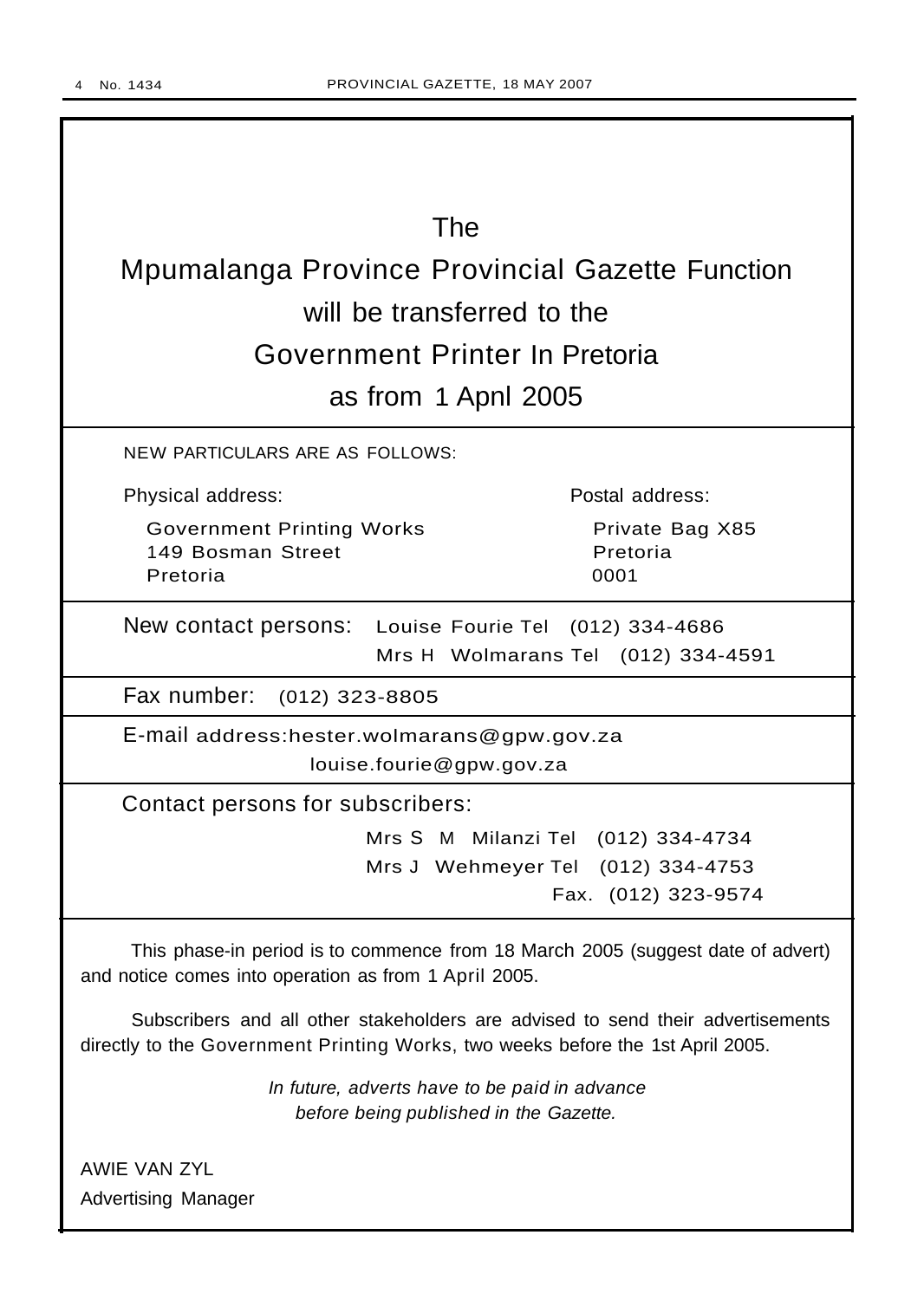I

| The                                                                                                                                                                |                                    |
|--------------------------------------------------------------------------------------------------------------------------------------------------------------------|------------------------------------|
| <b>Mpumalanga Province Provincial Gazette Function</b>                                                                                                             |                                    |
|                                                                                                                                                                    |                                    |
| will be transferred to the                                                                                                                                         |                                    |
| Government Printer In Pretoria                                                                                                                                     |                                    |
| as from 1 Apnl 2005                                                                                                                                                |                                    |
| <b>NEW PARTICULARS ARE AS FOLLOWS:</b>                                                                                                                             |                                    |
| Physical address:                                                                                                                                                  | Postal address:                    |
| <b>Government Printing Works</b><br>149 Bosman Street                                                                                                              | Private Bag X85<br>Pretoria        |
| Pretoria                                                                                                                                                           | 0001                               |
| New contact persons: Louise Fourie Tel (012) 334-4686                                                                                                              |                                    |
|                                                                                                                                                                    | Mrs H Wolmarans Tel (012) 334-4591 |
| Fax number: (012) 323-8805                                                                                                                                         |                                    |
| E-mail address:hester.wolmarans@gpw.gov.za                                                                                                                         |                                    |
| louise.fourie@gpw.gov.za                                                                                                                                           |                                    |
| Contact persons for subscribers:                                                                                                                                   |                                    |
|                                                                                                                                                                    | Mrs S M Milanzi Tel (012) 334-4734 |
|                                                                                                                                                                    | Mrs J Wehmeyer Tel (012) 334-4753  |
|                                                                                                                                                                    | Fax. (012) 323-9574                |
| This phase-in period is to commence from 18 March 2005 (suggest date of advert)<br>and notice comes into operation as from 1 April 2005.                           |                                    |
| Subscribers and all other stakeholders are advised to send their advertisements<br>directly to the Government Printing Works, two weeks before the 1st April 2005. |                                    |
| In future, adverts have to be paid in advance<br>before being published in the Gazette.                                                                            |                                    |
| <b>AWIE VAN ZYL</b>                                                                                                                                                |                                    |
| <b>Advertising Manager</b>                                                                                                                                         |                                    |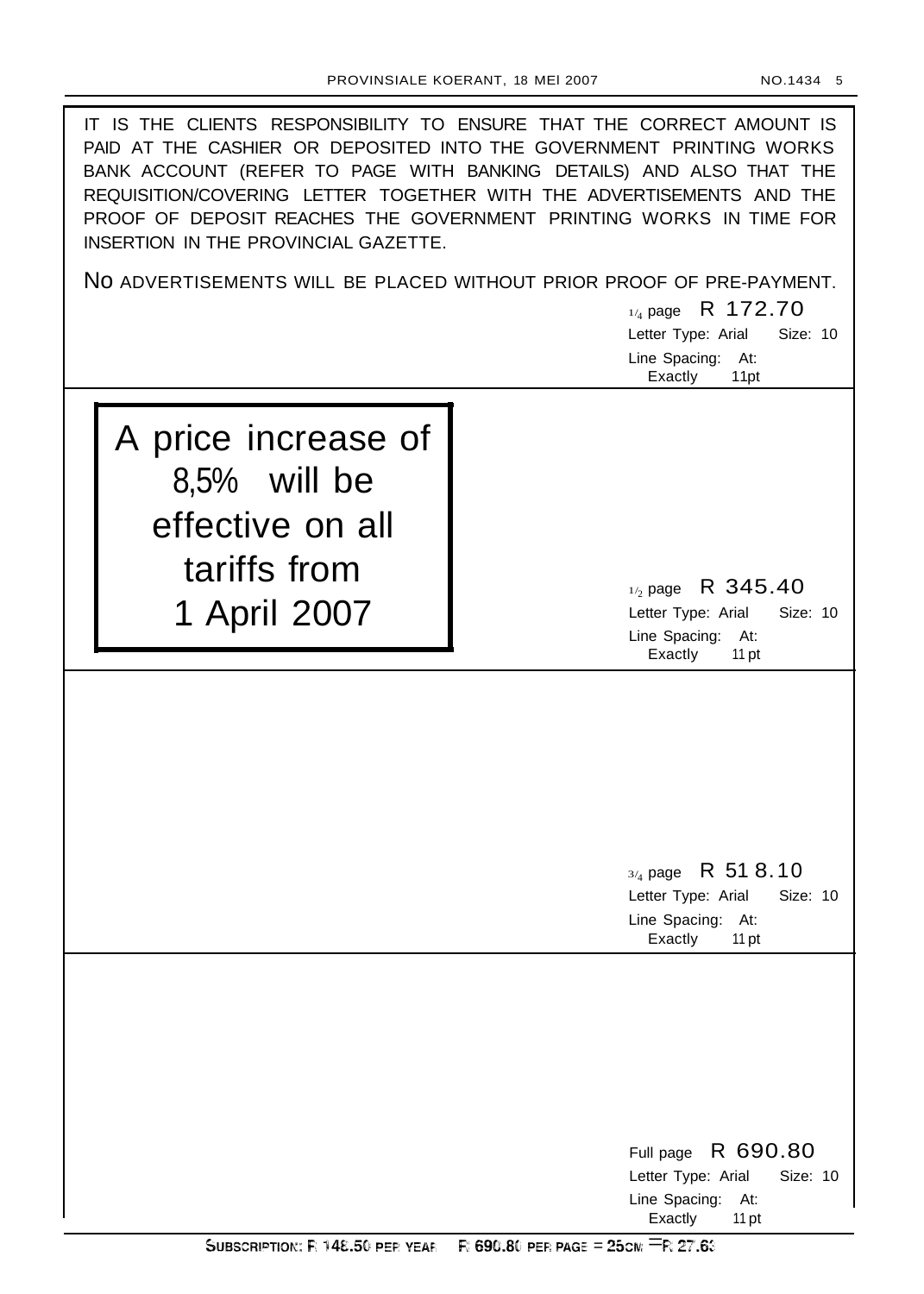| IT IS THE CLIENTS RESPONSIBILITY TO ENSURE THAT THE CORRECT AMOUNT IS<br>PAID AT THE CASHIER OR DEPOSITED INTO THE GOVERNMENT PRINTING WORKS<br>BANK ACCOUNT (REFER TO PAGE WITH BANKING DETAILS) AND ALSO THAT THE<br>REQUISITION/COVERING LETTER TOGETHER WITH THE ADVERTISEMENTS AND THE<br>PROOF OF DEPOSIT REACHES THE GOVERNMENT PRINTING WORKS IN TIME FOR<br>INSERTION IN THE PROVINCIAL GAZETTE. |                                                                                                     |  |  |
|-----------------------------------------------------------------------------------------------------------------------------------------------------------------------------------------------------------------------------------------------------------------------------------------------------------------------------------------------------------------------------------------------------------|-----------------------------------------------------------------------------------------------------|--|--|
|                                                                                                                                                                                                                                                                                                                                                                                                           | NO ADVERTISEMENTS WILL BE PLACED WITHOUT PRIOR PROOF OF PRE-PAYMENT.                                |  |  |
|                                                                                                                                                                                                                                                                                                                                                                                                           | $_{1/4}$ page R 172.70                                                                              |  |  |
|                                                                                                                                                                                                                                                                                                                                                                                                           | Letter Type: Arial<br>Size: 10<br>Line Spacing:<br>At:                                              |  |  |
|                                                                                                                                                                                                                                                                                                                                                                                                           | Exactly<br>11pt                                                                                     |  |  |
| A price increase of<br>8,5% will be<br>effective on all<br>tariffs from                                                                                                                                                                                                                                                                                                                                   |                                                                                                     |  |  |
|                                                                                                                                                                                                                                                                                                                                                                                                           | $_{1/2}$ page R 345.40<br>Size: 10<br>Letter Type: Arial                                            |  |  |
| 1 April 2007                                                                                                                                                                                                                                                                                                                                                                                              | Line Spacing: At:<br>Exactly<br>11 pt                                                               |  |  |
|                                                                                                                                                                                                                                                                                                                                                                                                           | $3/4$ page R 51 8.10<br>Letter Type: Arial<br>Size: 10<br>Line Spacing: At:<br>Exactly<br>11 pt     |  |  |
|                                                                                                                                                                                                                                                                                                                                                                                                           | R 690.80<br>Full page<br>Letter Type: Arial<br>Size: 10<br>Line Spacing:<br>At:<br>Exactly<br>11 pt |  |  |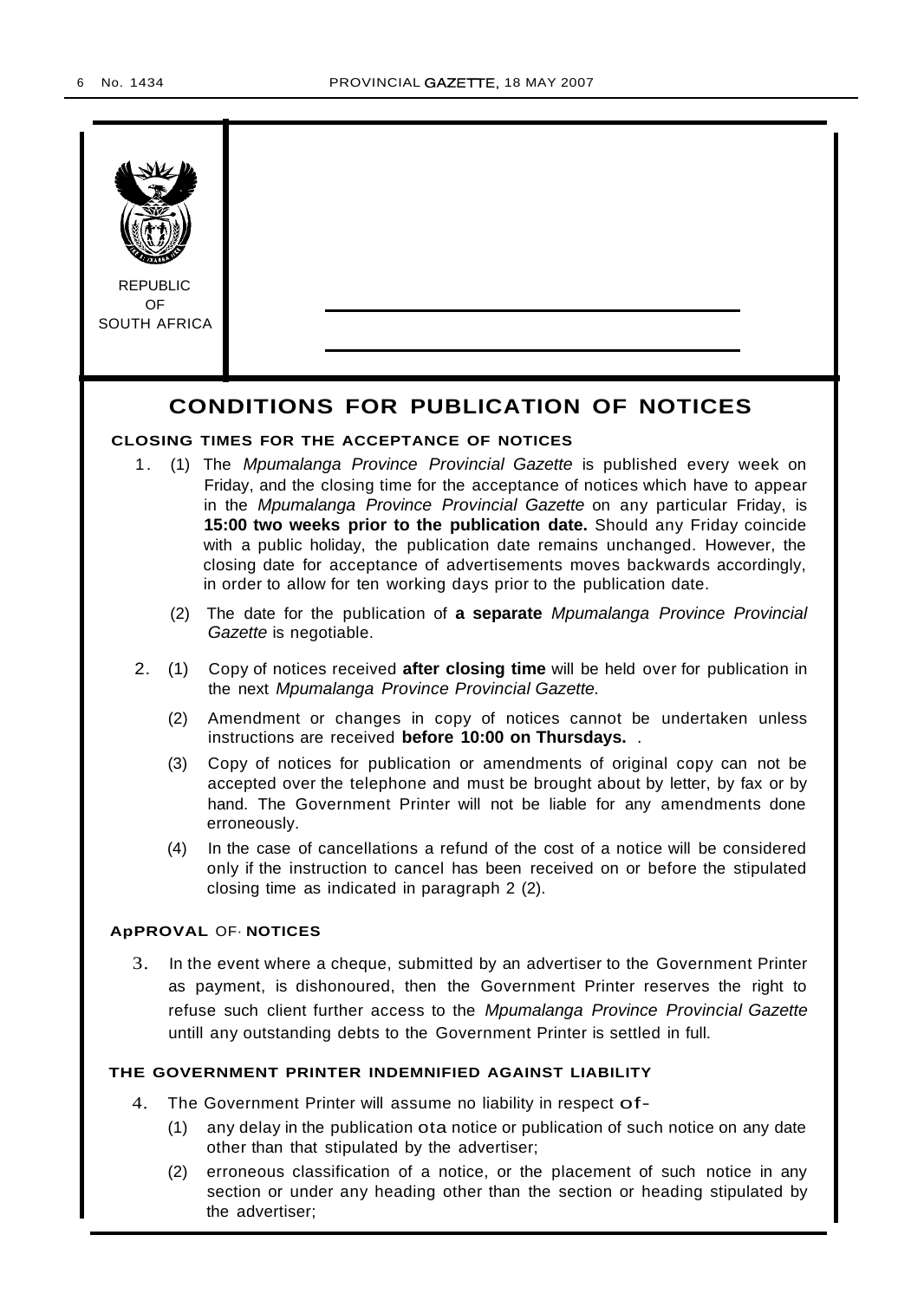

the advertiser;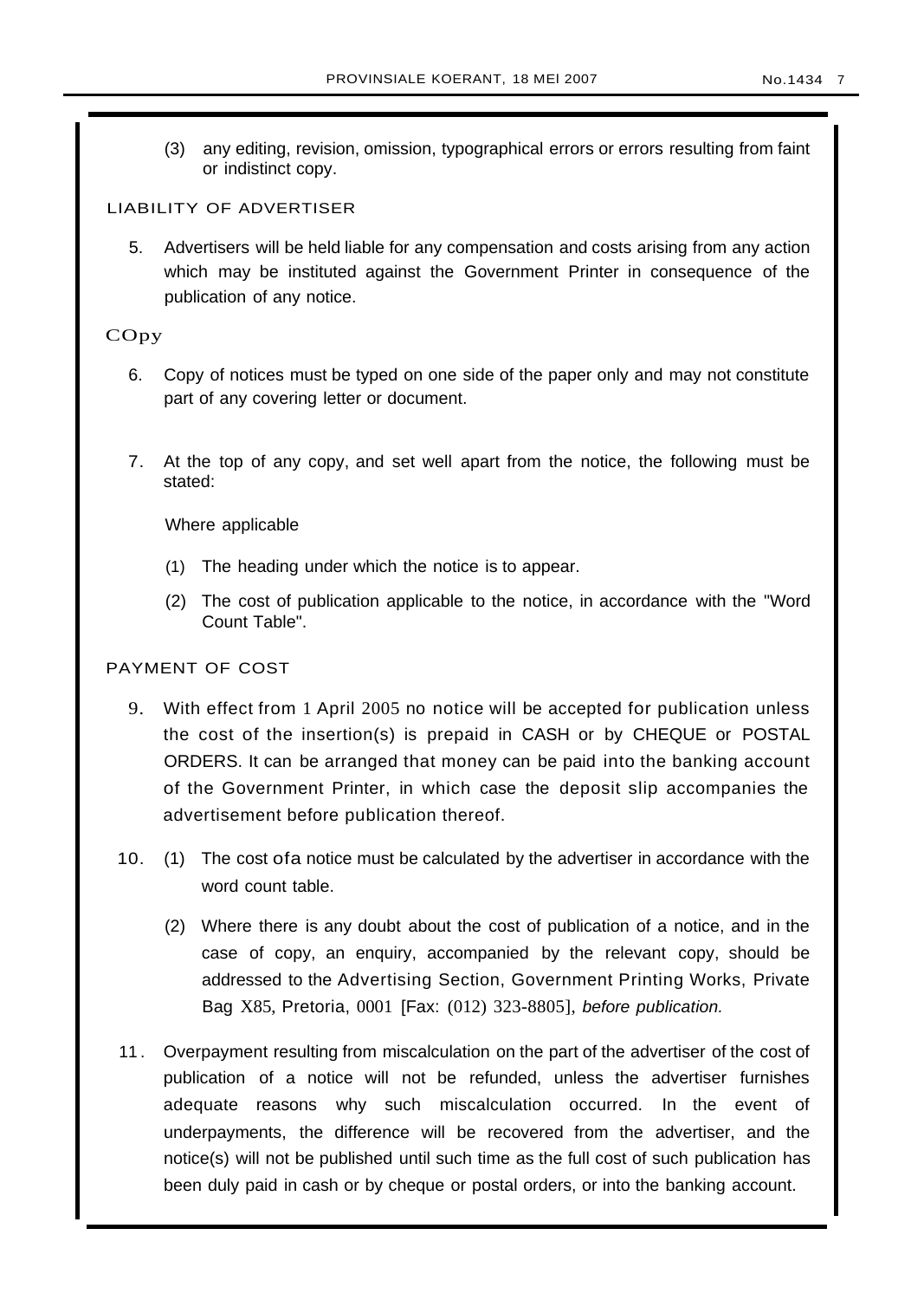(3) any editing, revision, omission, typographical errors or errors resulting from faint or indistinct copy.

## LIABILITY OF ADVERTISER

5. Advertisers will be held liable for any compensation and costs arising from any action which may be instituted against the Government Printer in consequence of the publication of any notice.

## COpy

- 6. Copy of notices must be typed on one side of the paper only and may not constitute part of any covering letter or document.
- 7. At the top of any copy, and set well apart from the notice, the following must be stated:

Where applicable

- (1) The heading under which the notice is to appear.
- (2) The cost of publication applicable to the notice, in accordance with the "Word Count Table".

## PAYMENT OF COST

- 9. With effect from 1 April 2005 no notice will be accepted for publication unless the cost of the insertion(s) is prepaid in CASH or by CHEQUE or POSTAL ORDERS. It can be arranged that money can be paid into the banking account of the Government Printer, in which case the deposit slip accompanies the advertisement before publication thereof.
- 10. (1) The cost ofa notice must be calculated by the advertiser in accordance with the word count table.
	- (2) Where there is any doubt about the cost of publication of a notice, and in the case of copy, an enquiry, accompanied by the relevant copy, should be addressed to the Advertising Section, Government Printing Works, Private Bag X85, Pretoria, 0001 [Fax: (012) 323-8805], before publication.
- 11 . Overpayment resulting from miscalculation on the part of the advertiser of the cost of publication of a notice will not be refunded, unless the advertiser furnishes adequate reasons why such miscalculation occurred. In the event of underpayments, the difference will be recovered from the advertiser, and the notice(s) will not be published until such time as the full cost of such publication has been duly paid in cash or by cheque or postal orders, or into the banking account.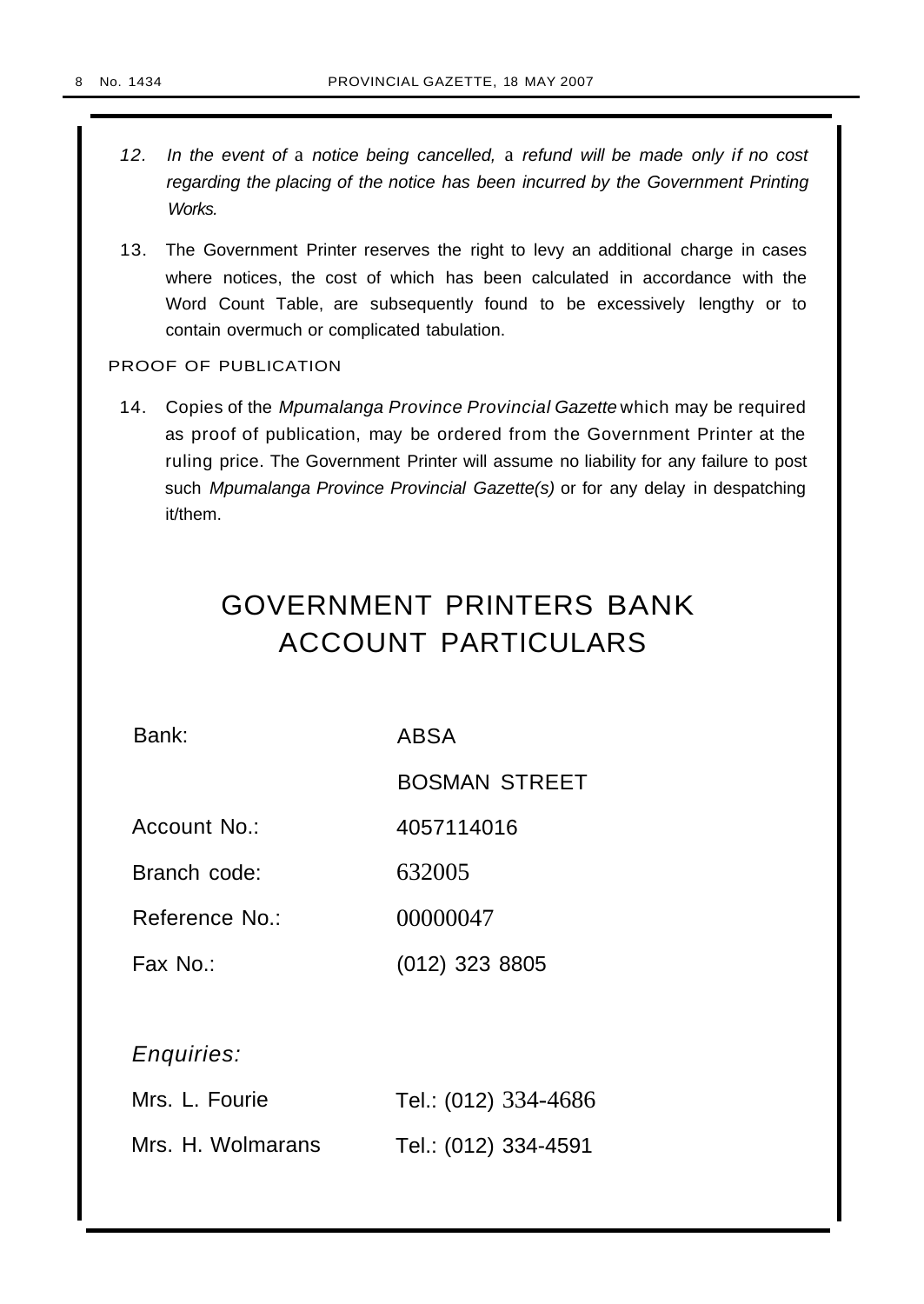- 12. In the event of a notice being cancelled, a refund will be made only if no cost regarding the placing of the notice has been incurred by the Government Printing Works.
- 13. The Government Printer reserves the right to levy an additional charge in cases where notices, the cost of which has been calculated in accordance with the Word Count Table, are subsequently found to be excessively lengthy or to contain overmuch or complicated tabulation.

PROOF OF PUBLICATION

14. Copies of the Mpumalanga Province Provincial Gazette which may be required as proof of publication, may be ordered from the Government Printer at the ruling price. The Government Printer will assume no liability for any failure to post such Mpumalanga Province Provincial Gazette(s) or for any delay in despatching it/them.

# GOVERNMENT PRINTERS BANK ACCOUNT PARTICULARS

Bank: ABSA

BOSMAN STREET

Account No.: 4057114016

Branch code: 632005

Reference No.: 00000047

Fax No.: (012) 323 8805

Enquiries:

| Mrs. L. Fourie    | Tel.: (012) 334-4686 |
|-------------------|----------------------|
| Mrs. H. Wolmarans | Tel.: (012) 334-4591 |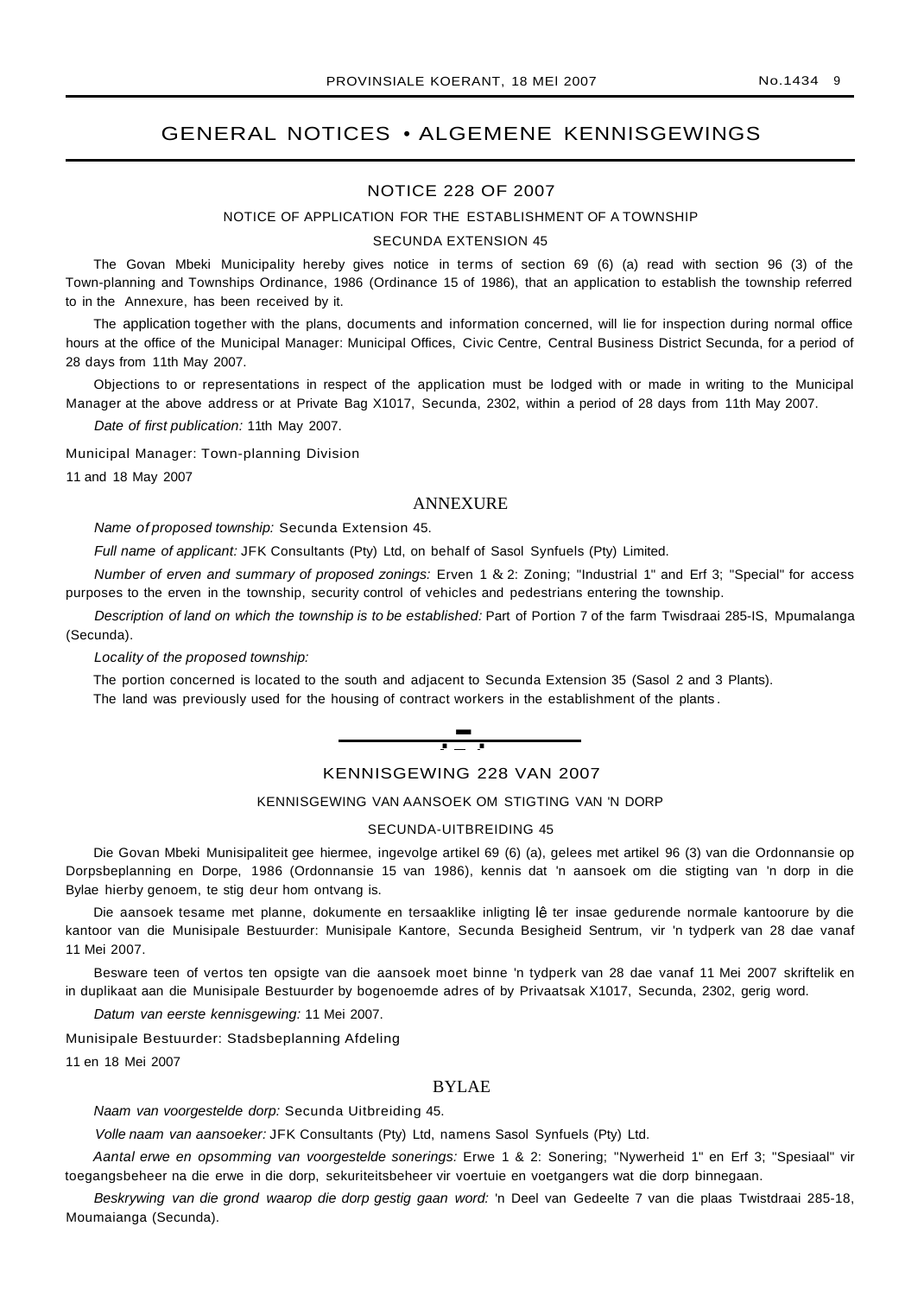## GENERAL NOTICES • ALGEMENE KENNISGEWINGS

#### NOTICE 228 OF 2007

#### NOTICE OF APPLICATION FOR THE ESTABLISHMENT OF A TOWNSHIP

#### SECUNDA EXTENSION 45

The Govan Mbeki Municipality hereby gives notice in terms of section 69 (6) (a) read with section 96 (3) of the Town-planning and Townships Ordinance, 1986 (Ordinance 15 of 1986), that an application to establish the township referred to in the Annexure, has been received by it.

The application together with the plans, documents and information concerned, will lie for inspection during normal office hours at the office of the Municipal Manager: Municipal Offices, Civic Centre, Central Business District Secunda, for a period of 28 days from 11th May 2007.

Objections to or representations in respect of the application must be lodged with or made in writing to the Municipal Manager at the above address or at Private Bag X1017, Secunda, 2302, within a period of 28 days from 11th May 2007.

Date of first publication: 11th May 2007.

Municipal Manager: Town-planning Division

11 and 18 May 2007

## ANNEXURE

Name of proposed township: Secunda Extension 45.

Full name of applicant: JFK Consultants (Pty) Ltd, on behalf of Sasol Synfuels (Pty) Limited.

Number of erven and summary of proposed zonings: Erven 1 & 2: Zoning; "Industrial 1" and Erf 3; "Special" for access purposes to the erven in the township, security control of vehicles and pedestrians entering the township.

Description of land on which the township is to be established: Part of Portion 7 of the farm Twisdraai 285-IS, Mpumalanga (Secunda).

Locality of the proposed township:

The portion concerned is located to the south and adjacent to Secunda Extension 35 (Sasol 2 and 3 Plants). The land was previously used for the housing of contract workers in the establishment of the plants .



#### KENNISGEWING 228 VAN 2007

## KENNISGEWING VAN AANSOEK OM STIGTING VAN 'N DORP

#### SECUNDA-UITBREIDING 45

Die Govan Mbeki Munisipaliteit gee hiermee, ingevolge artikel 69 (6) (a), gelees met artikel 96 (3) van die Ordonnansie op Dorpsbeplanning en Dorpe, 1986 (Ordonnansie 15 van 1986), kennis dat 'n aansoek om die stigting van 'n dorp in die Bylae hierby genoem, te stig deur hom ontvang is.

Die aansoek tesame met planne, dokumente en tersaaklike inligting lê ter insae gedurende normale kantoorure by die kantoor van die Munisipale Bestuurder: Munisipale Kantore, Secunda Besigheid Sentrum, vir 'n tydperk van 28 dae vanaf 11 Mei 2007.

Besware teen of vertos ten opsigte van die aansoek moet binne 'n tydperk van 28 dae vanaf 11 Mei 2007 skriftelik en in duplikaat aan die Munisipale Bestuurder by bogenoemde adres of by Privaatsak X1017, Secunda, 2302, gerig word.

Datum van eerste kennisgewing: 11 Mei 2007.

Munisipale Bestuurder: Stadsbeplanning Afdeling

11 en 18 Mei 2007

#### BYLAE

Naam van voorgestelde dorp: Secunda Uitbreiding 45.

Volle naam van aansoeker: JFK Consultants (Pty) Ltd, namens Sasol Synfuels (Pty) Ltd.

Aantal erwe en opsomming van voorgestelde sonerings: Erwe 1 & 2: Sonering; "Nywerheid 1" en Erf 3; "Spesiaal" vir toegangsbeheer na die erwe in die dorp, sekuriteitsbeheer vir voertuie en voetgangers wat die dorp binnegaan.

Beskrywing van die grond waarop die dorp gestig gaan word: 'n Deel van Gedeelte 7 van die plaas Twistdraai 285-18, Moumaianga (Secunda).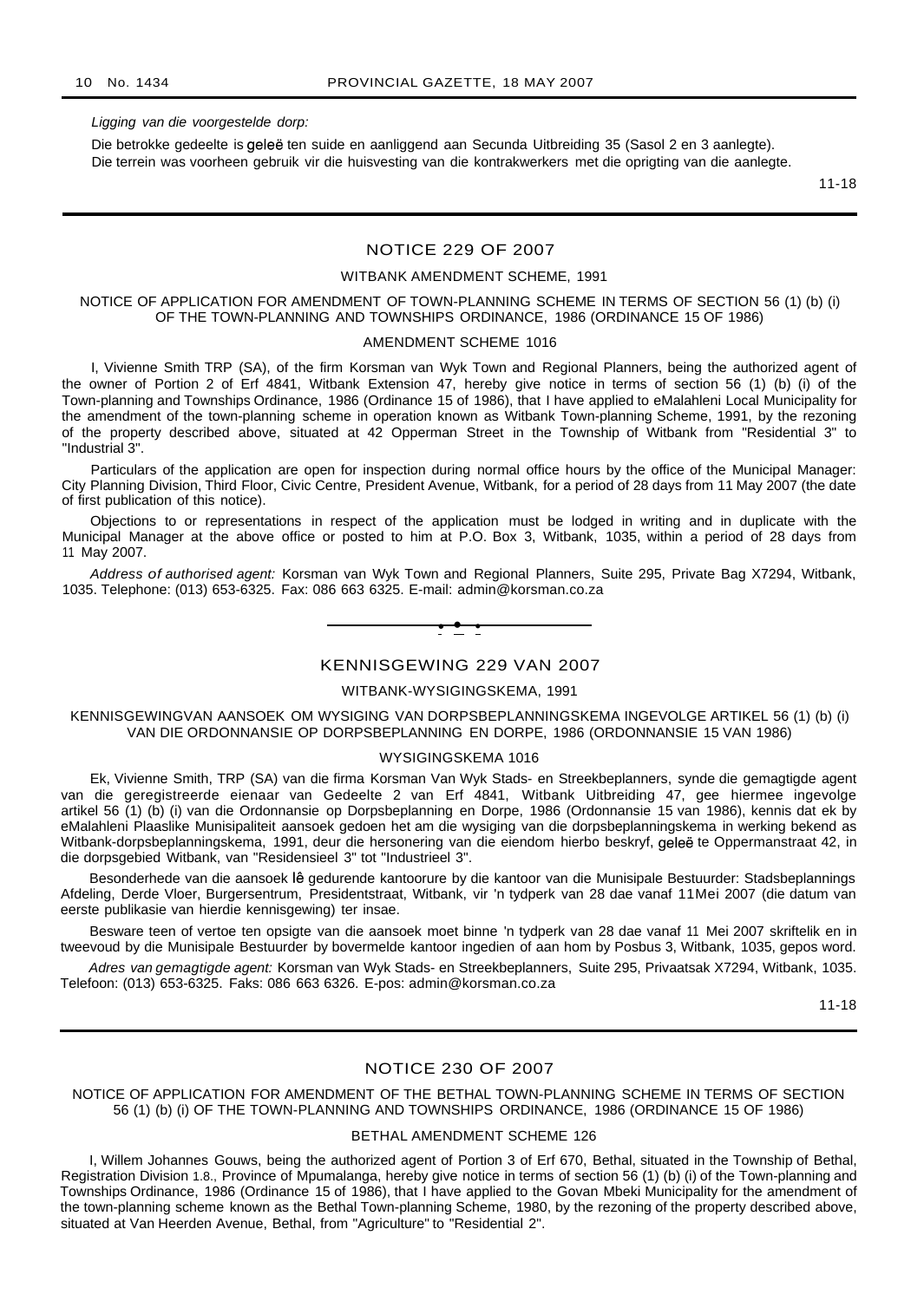#### Ligging van die voorgestelde dorp:

Die betrokke gedeelte is geleë ten suide en aanliggend aan Secunda Uitbreiding 35 (Sasol 2 en 3 aanlegte). Die terrein was voorheen gebruik vir die huisvesting van die kontrakwerkers met die oprigting van die aanlegte.

11-18

#### NOTICE 229 OF 2007

#### WITBANK AMENDMENT SCHEME, 1991

NOTICE OF APPLICATION FOR AMENDMENT OF TOWN-PLANNING SCHEME IN TERMS OF SECTION 56 (1) (b) (i) OF THE TOWN-PLANNING AND TOWNSHIPS ORDINANCE, 1986 (ORDINANCE 15 OF 1986)

#### AMENDMENT SCHEME 1016

I, Vivienne Smith TRP (SA), of the firm Korsman van Wyk Town and Regional Planners, being the authorized agent of the owner of Portion 2 of Erf 4841, Witbank Extension 47, hereby give notice in terms of section 56 (1) (b) (i) of the Town-planning and Townships Ordinance, 1986 (Ordinance 15 of 1986), that I have applied to eMalahleni Local Municipality for the amendment of the town-planning scheme in operation known as Witbank Town-planning Scheme, 1991, by the rezoning of the property described above, situated at 42 Opperman Street in the Township of Witbank from "Residential 3" to "Industrial 3".

Particulars of the application are open for inspection during normal office hours by the office of the Municipal Manager: City Planning Division, Third Floor, Civic Centre, President Avenue, Witbank, for a period of 28 days from 11 May 2007 (the date of first publication of this notice).

Objections to or representations in respect of the application must be lodged in writing and in duplicate with the Municipal Manager at the above office or posted to him at P.O. Box 3, Witbank, 1035, within a period of 28 days from 11 May 2007.

Address of authorised agent: Korsman van Wyk Town and Regional Planners, Suite 295, Private Bag X7294, Witbank, 1035. Telephone: (013) 653-6325. Fax: 086 663 6325. E-mail: admin@korsman.co.za



## KENNISGEWING 229 VAN 2007

## WITBANK-WYSIGINGSKEMA, 1991

KENNISGEWINGVAN AANSOEK OM WYSIGING VAN DORPSBEPLANNINGSKEMA INGEVOLGE ARTIKEL 56 (1) (b) (i) VAN DIE ORDONNANSIE OP DORPSBEPLANNING EN DORPE, 1986 (ORDONNANSIE 15 VAN 1986)

#### WYSIGINGSKEMA 1016

Ek, Vivienne Smith, TRP (SA) van die firma Korsman Van Wyk Stads- en Streekbeplanners, synde die gemagtigde agent van die geregistreerde eienaar van Gedeelte 2 van Erf 4841, Witbank Uitbreiding 47, gee hiermee ingevolge artikel 56 (1) (b) (i) van die Ordonnansie op Dorpsbeplanning en Dorpe, 1986 (Ordonnansie 15 van 1986), kennis dat ek by eMalahleni Plaaslike Munisipaliteit aansoek gedoen het am die wysiging van die dorpsbeplanningskema in werking bekend as Witbank-dorpsbeplanningskema, 1991, deur die hersonering van die eiendom hierbo beskryf, gelee te Oppermanstraat 42, in die dorpsgebied Witbank, van "Residensieel 3" tot "Industrieel 3".

Besonderhede van die aansoek lê gedurende kantoorure by die kantoor van die Munisipale Bestuurder: Stadsbeplannings Afdeling, Derde Vloer, Burgersentrum, Presidentstraat, Witbank, vir 'n tydperk van 28 dae vanaf 11Mei 2007 (die datum van eerste publikasie van hierdie kennisgewing) ter insae.

Besware teen of vertoe ten opsigte van die aansoek moet binne 'n tydperk van 28 dae vanaf 11 Mei 2007 skriftelik en in tweevoud by die Munisipale Bestuurder by bovermelde kantoor ingedien of aan hom by Posbus 3, Witbank, 1035, gepos word.

Adres van gemagtigde agent: Korsman van Wyk Stads- en Streekbeplanners, Suite 295, Privaatsak X7294, Witbank, 1035. Telefoon: (013) 653-6325. Faks: 086 663 6326. E-pos: admin@korsman.co.za

11-18

#### NOTICE 230 OF 2007

#### NOTICE OF APPLICATION FOR AMENDMENT OF THE BETHAL TOWN-PLANNING SCHEME IN TERMS OF SECTION 56 (1) (b) (i) OF THE TOWN-PLANNING AND TOWNSHIPS ORDINANCE, 1986 (ORDINANCE 15 OF 1986)

#### BETHAL AMENDMENT SCHEME 126

I, Willem Johannes Gouws, being the authorized agent of Portion 3 of Erf 670, Bethal, situated in the Township of Bethal, Registration Division 1.8., Province of Mpumalanga, hereby give notice in terms of section 56 (1) (b) (i) of the Town-planning and Townships Ordinance, 1986 (Ordinance 15 of 1986), that I have applied to the Govan Mbeki Municipality for the amendment of the town-planning scheme known as the Bethal Town-planning Scheme, 1980, by the rezoning of the property described above, situated at Van Heerden Avenue, Bethal, from "Agriculture" to "Residential 2".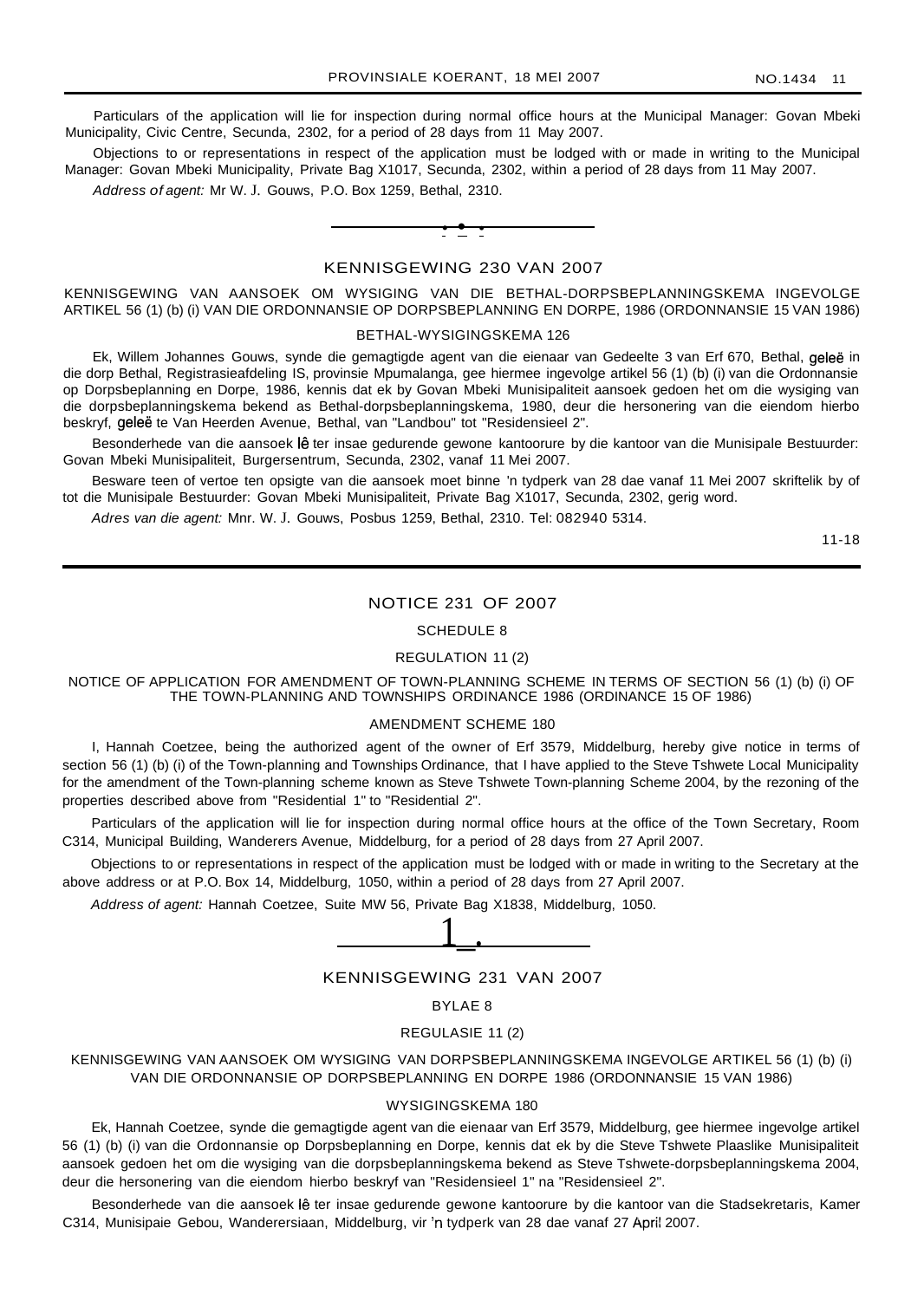Particulars of the application will lie for inspection during normal office hours at the Municipal Manager: Govan Mbeki Municipality, Civic Centre, Secunda, 2302, for a period of 28 days from 11 May 2007.

Objections to or representations in respect of the application must be lodged with or made in writing to the Municipal Manager: Govan Mbeki Municipality, Private Bag X1017, Secunda, 2302, within a period of 28 days from 11 May 2007.

Address of agent: Mr W. J. Gouws, P.O. Box 1259, Bethal, 2310.



## KENNISGEWING 230 VAN 2007

KENNISGEWING VAN AANSOEK OM WYSIGING VAN DIE BETHAL-DORPSBEPLANNINGSKEMA INGEVOLGE ARTIKEL 56 (1) (b) (i) VAN DIE ORDONNANSIE OP DORPSBEPLANNING EN DORPE, 1986 (ORDONNANSIE 15 VAN 1986)

#### BETHAL-WYSIGINGSKEMA 126

Ek, Willem Johannes Gouws, synde die gemagtigde agent van die eienaar van Gedeelte 3 van Erf 670, Bethal, geleë in die dorp Bethal, Registrasieafdeling IS, provinsie Mpumalanga, gee hiermee ingevolge artikel 56 (1) (b) (i) van die Ordonnansie op Dorpsbeplanning en Dorpe, 1986, kennis dat ek by Govan Mbeki Munisipaliteit aansoek gedoen het om die wysiging van die dorpsbeplanningskema bekend as Bethal-dorpsbeplanningskema, 1980, deur die hersonering van die eiendom hierbo beskryf, geleë te Van Heerden Avenue, Bethal, van "Landbou" tot "Residensieel 2".

Besonderhede van die aansoek lê ter insae gedurende gewone kantoorure by die kantoor van die Munisipale Bestuurder: Govan Mbeki Munisipaliteit, Burgersentrum, Secunda, 2302, vanaf 11 Mei 2007.

Besware teen of vertoe ten opsigte van die aansoek moet binne 'n tydperk van 28 dae vanaf 11 Mei 2007 skriftelik by of tot die Munisipale Bestuurder: Govan Mbeki Munisipaliteit, Private Bag X1017, Secunda, 2302, gerig word.

Adres van die agent: Mnr. W. J. Gouws, Posbus 1259, Bethal, 2310. Tel: 082940 5314.

11-18

## NOTICE 231 OF 2007

#### SCHEDULE 8

#### REGULATION 11 (2)

NOTICE OF APPLICATION FOR AMENDMENT OF TOWN-PLANNING SCHEME IN TERMS OF SECTION 56 (1) (b) (i) OF THE TOWN-PLANNING AND TOWNSHIPS ORDINANCE 1986 (ORDINANCE 15 OF 1986)

#### AMENDMENT SCHEME 180

I, Hannah Coetzee, being the authorized agent of the owner of Erf 3579, Middelburg, hereby give notice in terms of section 56 (1) (b) (i) of the Town-planning and Townships Ordinance, that I have applied to the Steve Tshwete Local Municipality for the amendment of the Town-planning scheme known as Steve Tshwete Town-planning Scheme 2004, by the rezoning of the properties described above from "Residential 1" to "Residential 2".

Particulars of the application will lie for inspection during normal office hours at the office of the Town Secretary, Room C314, Municipal Building, Wanderers Avenue, Middelburg, for a period of 28 days from 27 April 2007.

Objections to or representations in respect of the application must be lodged with or made in writing to the Secretary at the above address or at P.O. Box 14, Middelburg, 1050, within a period of 28 days from 27 April 2007.

Address of agent: Hannah Coetzee, Suite MW 56, Private Bag X1838, Middelburg, 1050.



## KENNISGEWING 231 VAN 2007

#### BYLAE 8

#### REGULASIE 11 (2)

KENNISGEWING VAN AANSOEK OM WYSIGING VAN DORPSBEPLANNINGSKEMA INGEVOLGE ARTIKEL 56 (1) (b) (i) VAN DIE ORDONNANSIE OP DORPSBEPLANNING EN DORPE 1986 (ORDONNANSIE 15 VAN 1986)

#### WYSIGINGSKEMA 180

Ek, Hannah Coetzee, synde die gemagtigde agent van die eienaar van Erf 3579, Middelburg, gee hiermee ingevolge artikel 56 (1) (b) (i) van die Ordonnansie op Dorpsbeplanning en Dorpe, kennis dat ek by die Steve Tshwete Plaaslike Munisipaliteit aansoek gedoen het om die wysiging van die dorpsbeplanningskema bekend as Steve Tshwete-dorpsbeplanningskema 2004, deur die hersonering van die eiendom hierbo beskryf van "Residensieel 1" na "Residensieel 2".

Besonderhede van die aansoek lê ter insae gedurende gewone kantoorure by die kantoor van die Stadsekretaris, Kamer C314, Munisipaie Gebou, Wanderersiaan, Middelburg, vir in tydperk van 28 dae vanaf 27 April 2007.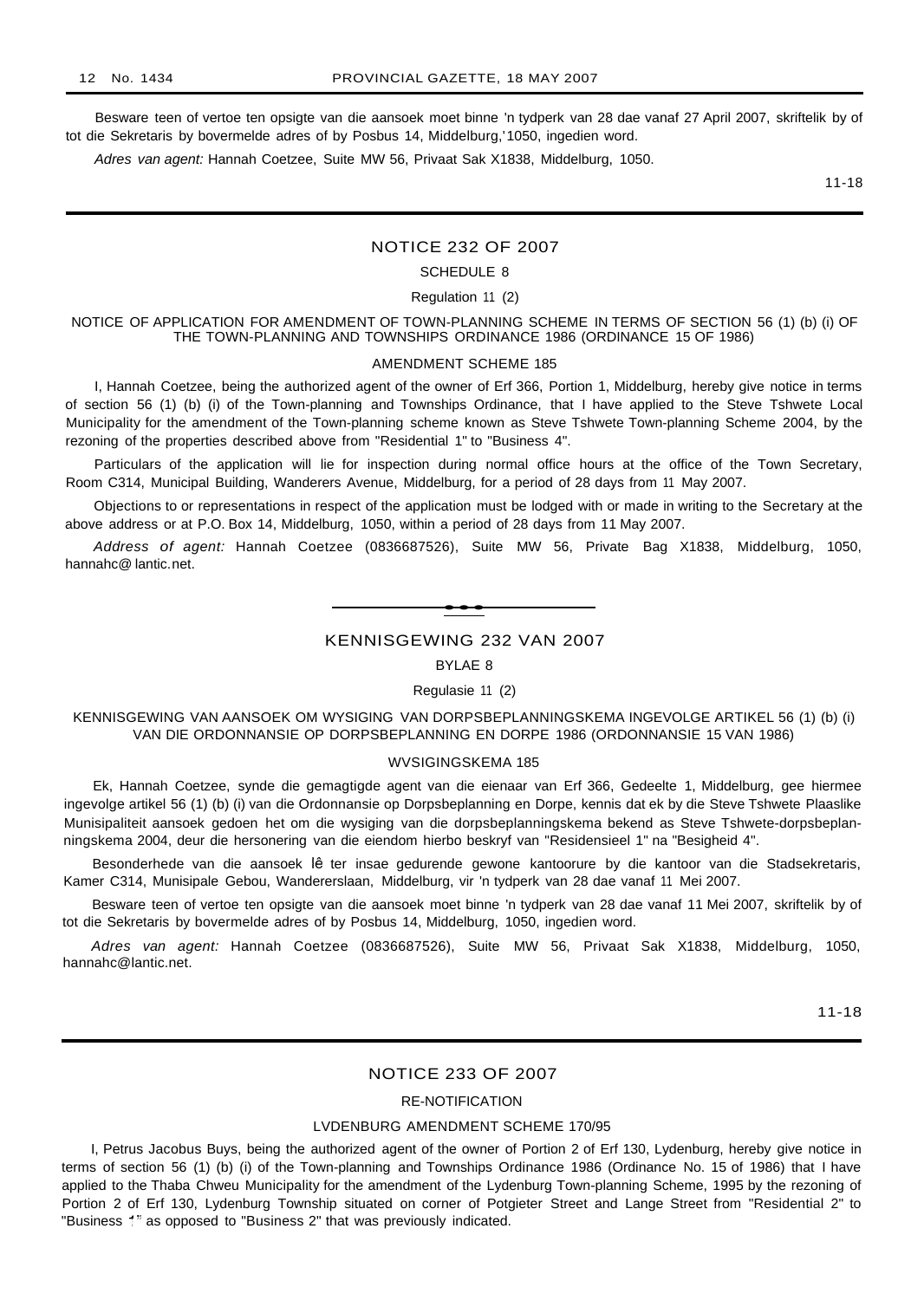Besware teen of vertoe ten opsigte van die aansoek moet binne 'n tydperk van 28 dae vanaf 27 April 2007, skriftelik by of tot die Sekretaris by bovermelde adres of by Posbus 14, Middelburg,'1050, ingedien word.

Adres van agent: Hannah Coetzee, Suite MW 56, Privaat Sak X1838, Middelburg, 1050.

11-18

#### NOTICE 232 OF 2007

#### SCHEDULE 8

Regulation 11 (2)

NOTICE OF APPLICATION FOR AMENDMENT OF TOWN-PLANNING SCHEME IN TERMS OF SECTION 56 (1) (b) (i) OF THE TOWN-PLANNING AND TOWNSHIPS ORDINANCE 1986 (ORDINANCE 15 OF 1986)

#### AMENDMENT SCHEME 185

I, Hannah Coetzee, being the authorized agent of the owner of Erf 366, Portion 1, Middelburg, hereby give notice in terms of section 56 (1) (b) (i) of the Town-planning and Townships Ordinance, that I have applied to the Steve Tshwete Local Municipality for the amendment of the Town-planning scheme known as Steve Tshwete Town-planning Scheme 2004, by the rezoning of the properties described above from "Residential 1" to "Business 4".

Particulars of the application will lie for inspection during normal office hours at the office of the Town Secretary, Room C314, Municipal Building, Wanderers Avenue, Middelburg, for a period of 28 days from 11 May 2007.

Objections to or representations in respect of the application must be lodged with or made in writing to the Secretary at the above address or at P.O. Box 14, Middelburg, 1050, within a period of 28 days from 11 May 2007.

Address of agent: Hannah Coetzee (0836687526), Suite MW 56, Private Bag X1838, Middelburg, 1050, hannahc@ lantic.net.



## KENNISGEWING 232 VAN 2007

BYLAE 8

#### Regulasie 11 (2)

KENNISGEWING VAN AANSOEK OM WYSIGING VAN DORPSBEPLANNINGSKEMA INGEVOLGE ARTIKEL 56 (1) (b) (i) VAN DIE ORDONNANSIE OP DORPSBEPLANNING EN DORPE 1986 (ORDONNANSIE 15 VAN 1986)

#### WVSIGINGSKEMA 185

Ek, Hannah Coetzee, synde die gemagtigde agent van die eienaar van Erf 366, Gedeelte 1, Middelburg, gee hiermee ingevolge artikel 56 (1) (b) (i) van die Ordonnansie op Dorpsbeplanning en Dorpe, kennis dat ek by die Steve Tshwete Plaaslike Munisipaliteit aansoek gedoen het om die wysiging van die dorpsbeplanningskema bekend as Steve Tshwete-dorpsbeplanningskema 2004, deur die hersonering van die eiendom hierbo beskryf van "Residensieel 1" na "Besigheid 4".

Besonderhede van die aansoek lê ter insae gedurende gewone kantoorure by die kantoor van die Stadsekretaris, Kamer C314, Munisipale Gebou, Wandererslaan, Middelburg, vir 'n tydperk van 28 dae vanaf 11 Mei 2007.

Besware teen of vertoe ten opsigte van die aansoek moet binne 'n tydperk van 28 dae vanaf 11 Mei 2007, skriftelik by of tot die Sekretaris by bovermelde adres of by Posbus 14, Middelburg, 1050, ingedien word.

Adres van agent: Hannah Coetzee (0836687526), Suite MW 56, Privaat Sak X1838, Middelburg, 1050, hannahc@lantic.net.

11-18

#### NOTICE 233 OF 2007

#### RE-NOTIFICATION

#### LVDENBURG AMENDMENT SCHEME 170/95

I, Petrus Jacobus Buys, being the authorized agent of the owner of Portion 2 of Erf 130, Lydenburg, hereby give notice in terms of section 56 (1) (b) (i) of the Town-planning and Townships Ordinance 1986 (Ordinance No. 15 of 1986) that I have applied to the Thaba Chweu Municipality for the amendment of the Lydenburg Town-planning Scheme, 1995 by the rezoning of Portion 2 of Erf 130, Lydenburg Township situated on corner of Potgieter Street and Lange Street from "Residential 2" to "Business 1" as opposed to "Business 2" that was previously indicated.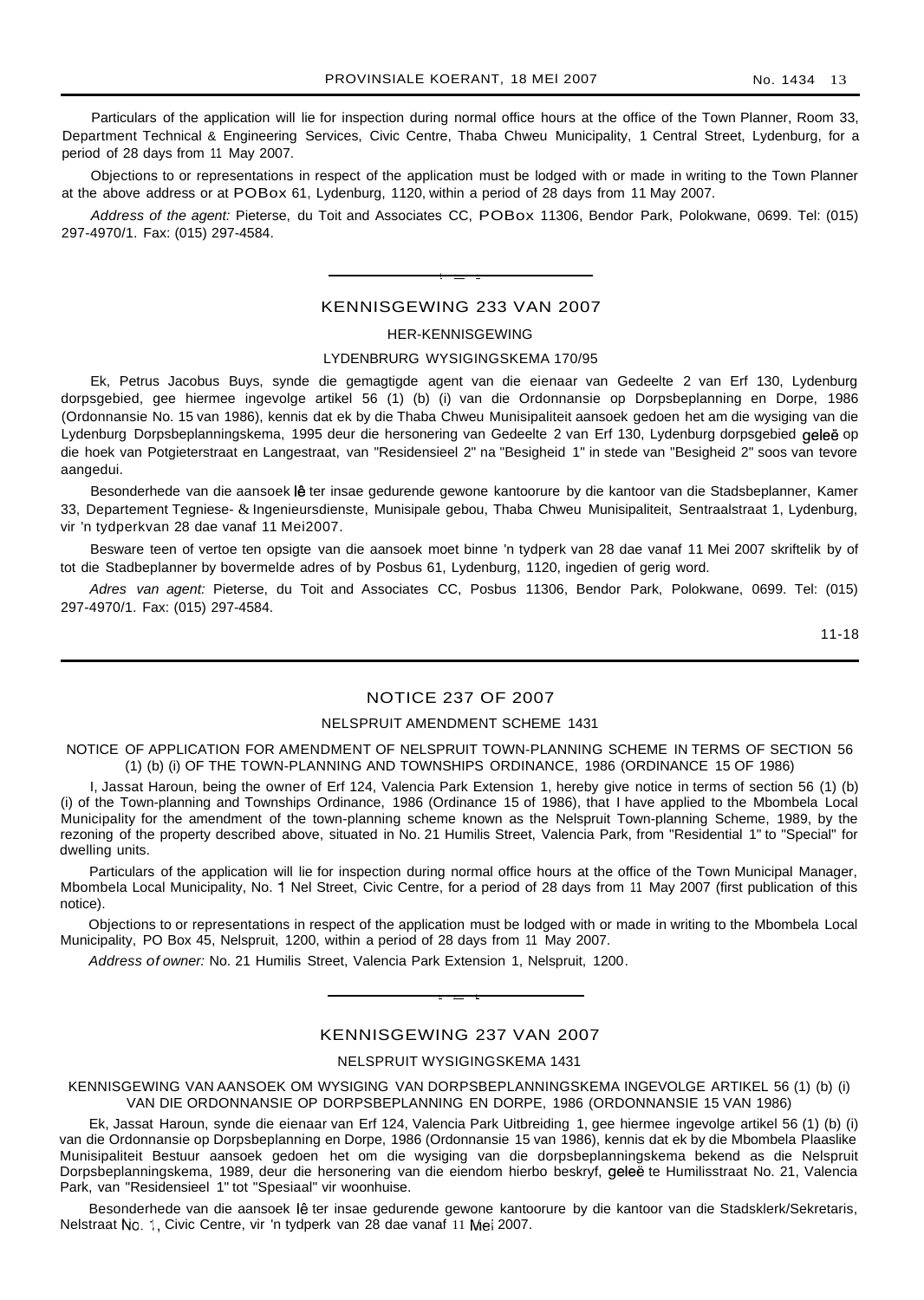Particulars of the application will lie for inspection during normal office hours at the office of the Town Planner, Room 33, Department Technical & Engineering Services, Civic Centre, Thaba Chweu Municipality, 1 Central Street, Lydenburg, for a period of 28 days from 11 May 2007.

Objections to or representations in respect of the application must be lodged with or made in writing to the Town Planner at the above address or at POBox 61, Lydenburg, 1120, within a period of 28 days from 11 May 2007.

Address of the agent: Pieterse, du Toit and Associates CC, POBox 11306, Bendor Park, Polokwane, 0699. Tel: (015) 297-4970/1. Fax: (015) 297-4584.

## KENNISGEWING 233 VAN 2007

I • •

#### HER-KENNISGEWING

#### LYDENBRURG WYSIGINGSKEMA 170/95

Ek, Petrus Jacobus Buys, synde die gemagtigde agent van die eienaar van Gedeelte 2 van Erf 130, Lydenburg dorpsgebied, gee hiermee ingevolge artikel 56 (1) (b) (i) van die Ordonnansie op Dorpsbeplanning en Dorpe, 1986 (Ordonnansie No. 15 van 1986), kennis dat ek by die Thaba Chweu Munisipaliteit aansoek gedoen het am die wysiging van die Lydenburg Dorpsbeplanningskema, 1995 deur die hersonering van Gedeelte 2 van Erf 130, Lydenburg dorpsgebied geleë op die hoek van Potgieterstraat en Langestraat, van "Residensieel 2" na "Besigheid 1" in stede van "Besigheid 2" soos van tevore aangedui.

Besonderhede van die aansoek lê ter insae gedurende gewone kantoorure by die kantoor van die Stadsbeplanner, Kamer 33, Departement Tegniese- & Ingenieursdienste, Munisipale gebou, Thaba Chweu Munisipaliteit, Sentraalstraat 1, Lydenburg, vir 'n tydperkvan 28 dae vanaf 11 Mei2007.

Besware teen of vertoe ten opsigte van die aansoek moet binne 'n tydperk van 28 dae vanaf 11 Mei 2007 skriftelik by of tot die Stadbeplanner by bovermelde adres of by Posbus 61, Lydenburg, 1120, ingedien of gerig word.

Adres van agent: Pieterse, du Toit and Associates CC, Posbus 11306, Bendor Park, Polokwane, 0699. Tel: (015) 297-4970/1. Fax: (015) 297-4584.

11-18

## NOTICE 237 OF 2007

#### NELSPRUIT AMENDMENT SCHEME 1431

NOTICE OF APPLICATION FOR AMENDMENT OF NELSPRUIT TOWN-PLANNING SCHEME IN TERMS OF SECTION 56 (1) (b) (i) OF THE TOWN-PLANNING AND TOWNSHIPS ORDINANCE, 1986 (ORDINANCE 15 OF 1986)

I, Jassat Haroun, being the owner of Erf 124, Valencia Park Extension 1, hereby give notice in terms of section 56 (1) (b) (i) of the Town-planning and Townships Ordinance, 1986 (Ordinance 15 of 1986), that I have applied to the Mbombela Local Municipality for the amendment of the town-planning scheme known as the Nelspruit Town-planning Scheme, 1989, by the rezoning of the property described above, situated in No. 21 Humilis Street, Valencia Park, from "Residential 1" to "Special" for dwelling units.

Particulars of the application will lie for inspection during normal office hours at the office of the Town Municipal Manager, Mbombela Local Municipality, No. 1 Nel Street, Civic Centre, for a period of 28 days from 11 May 2007 (first publication of this notice).

Objections to or representations in respect of the application must be lodged with or made in writing to the Mbombela Local Municipality, PO Box 45, Nelspruit, 1200, within a period of 28 days from 11 May 2007.

Address of owner: No. 21 Humilis Street, Valencia Park Extension 1, Nelspruit, 1200.

## KENNISGEWING 237 VAN 2007

• • L

#### NELSPRUIT WYSIGINGSKEMA 1431

KENNISGEWING VAN AANSOEK OM WYSIGING VAN DORPSBEPLANNINGSKEMA INGEVOLGE ARTIKEL 56 (1) (b) (i) VAN DIE ORDONNANSIE OP DORPSBEPLANNING EN DORPE, 1986 (ORDONNANSIE 15 VAN 1986)

Ek, Jassat Haroun, synde die eienaar van Erf 124, Valencia Park Uitbreiding 1, gee hiermee ingevolge artikel 56 (1) (b) (i) van die Ordonnansie op Dorpsbeplanning en Dorpe, 1986 (Ordonnansie 15 van 1986), kennis dat ek by die Mbombela Plaaslike Munisipaliteit Bestuur aansoek gedoen het om die wysiging van die dorpsbeplanningskema bekend as die Nelspruit Dorpsbeplanningskema, 1989, deur die hersonering van die eiendom hierbo beskryf, geleë te Humilisstraat No. 21, Valencia Park, van "Residensieel 1" tot "Spesiaal" vir woonhuise.

Besonderhede van die aansoek lê ter insae gedurende gewone kantoorure by die kantoor van die Stadsklerk/Sekretaris, Nelstraat No.1, Civic Centre, vir 'n tydperk van 28 dae vanaf 11 Mei 2007.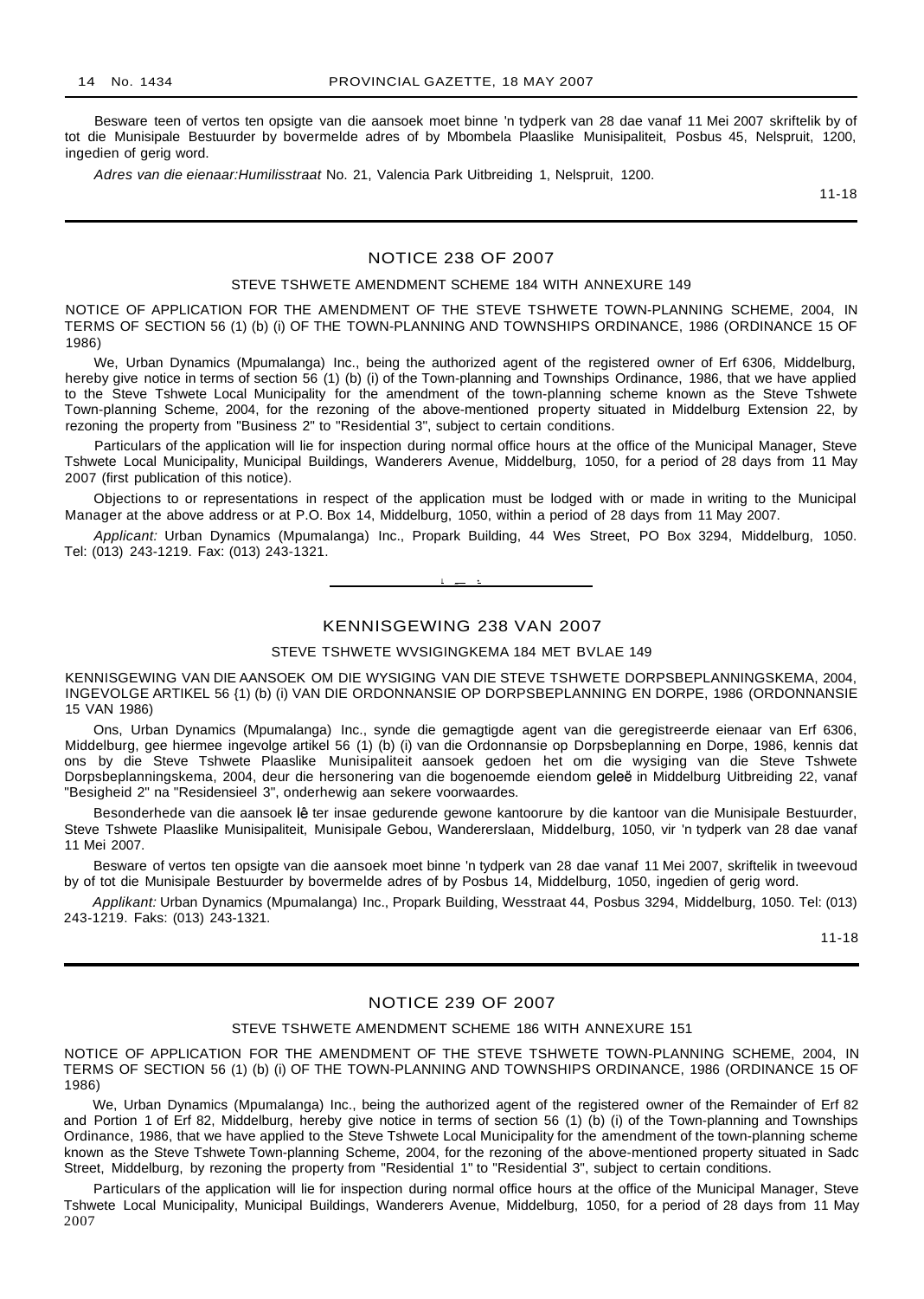Besware teen of vertos ten opsigte van die aansoek moet binne 'n tydperk van 28 dae vanaf 11 Mei 2007 skriftelik by of tot die Munisipale Bestuurder by bovermelde adres of by Mbombela Plaaslike Munisipaliteit, Posbus 45, Nelspruit, 1200, ingedien of gerig word.

Adres van die eienaar:Humilisstraat No. 21, Valencia Park Uitbreiding 1, Nelspruit, 1200.

11-18

## NOTICE 238 OF 2007

#### STEVE TSHWETE AMENDMENT SCHEME 184 WITH ANNEXURE 149

NOTICE OF APPLICATION FOR THE AMENDMENT OF THE STEVE TSHWETE TOWN-PLANNING SCHEME, 2004, IN TERMS OF SECTION 56 (1) (b) (i) OF THE TOWN-PLANNING AND TOWNSHIPS ORDINANCE, 1986 (ORDINANCE 15 OF 1986)

We, Urban Dynamics (Mpumalanga) Inc., being the authorized agent of the registered owner of Erf 6306, Middelburg, hereby give notice in terms of section 56 (1) (b) (i) of the Town-planning and Townships Ordinance, 1986, that we have applied to the Steve Tshwete Local Municipality for the amendment of the town-planning scheme known as the Steve Tshwete Town-planning Scheme, 2004, for the rezoning of the above-mentioned property situated in Middelburg Extension 22, by rezoning the property from "Business 2" to "Residential 3", subject to certain conditions.

Particulars of the application will lie for inspection during normal office hours at the office of the Municipal Manager, Steve Tshwete Local Municipality, Municipal Buildings, Wanderers Avenue, Middelburg, 1050, for a period of 28 days from 11 May 2007 (first publication of this notice).

Objections to or representations in respect of the application must be lodged with or made in writing to the Municipal Manager at the above address or at P.O. Box 14, Middelburg, 1050, within a period of 28 days from 11 May 2007.

Applicant: Urban Dynamics (Mpumalanga) Inc., Propark Building, 44 Wes Street, PO Box 3294, Middelburg, 1050. Tel: (013) 243-1219. Fax: (013) 243-1321.

 $\cdot$ 

## KENNISGEWING 238 VAN 2007

STEVE TSHWETE WVSIGINGKEMA 184 MET BVLAE 149

KENNISGEWING VAN DIE AANSOEK OM DIE WYSIGING VAN DIE STEVE TSHWETE DORPSBEPLANNINGSKEMA, 2004, INGEVOLGE ARTIKEL 56 {1) (b) (i) VAN DIE ORDONNANSIE OP DORPSBEPLANNING EN DORPE, 1986 (ORDONNANSIE 15 VAN 1986)

Ons, Urban Dynamics (Mpumalanga) Inc., synde die gemagtigde agent van die geregistreerde eienaar van Erf 6306, Middelburg, gee hiermee ingevolge artikel 56 (1) (b) (i) van die Ordonnansie op Dorpsbeplanning en Dorpe, 1986, kennis dat ons by die Steve Tshwete Plaaslike Munisipaliteit aansoek gedoen het om die wysiging van die Steve Tshwete Dorpsbeplanningskema, 2004, deur die hersonering van die bogenoemde eiendom geles in Middelburg Uitbreiding 22, vanaf "Besigheid 2" na "Residensieel 3", onderhewig aan sekere voorwaardes.

Besonderhede van die aansoek lê ter insae gedurende gewone kantoorure by die kantoor van die Munisipale Bestuurder, Steve Tshwete Plaaslike Munisipaliteit, Munisipale Gebou, Wandererslaan, Middelburg, 1050, vir 'n tydperk van 28 dae vanaf 11 Mei 2007.

Besware of vertos ten opsigte van die aansoek moet binne 'n tydperk van 28 dae vanaf 11 Mei 2007, skriftelik in tweevoud by of tot die Munisipale Bestuurder by bovermelde adres of by Posbus 14, Middelburg, 1050, ingedien of gerig word.

Applikant: Urban Dynamics (Mpumalanga) Inc., Propark Building, Wesstraat 44, Posbus 3294, Middelburg, 1050. Tel: (013) 243-1219. Faks: (013) 243-1321.

11-18

## NOTICE 239 OF 2007

#### STEVE TSHWETE AMENDMENT SCHEME 186 WITH ANNEXURE 151

NOTICE OF APPLICATION FOR THE AMENDMENT OF THE STEVE TSHWETE TOWN-PLANNING SCHEME, 2004, IN TERMS OF SECTION 56 (1) (b) (i) OF THE TOWN-PLANNING AND TOWNSHIPS ORDINANCE, 1986 (ORDINANCE 15 OF 1986)

We, Urban Dynamics (Mpumalanga) Inc., being the authorized agent of the registered owner of the Remainder of Erf 82 and Portion 1 of Erf 82, Middelburg, hereby give notice in terms of section 56 (1) (b) (i) of the Town-planning and Townships Ordinance, 1986, that we have applied to the Steve Tshwete Local Municipality for the amendment of the town-planning scheme known as the Steve Tshwete Town-planning Scheme, 2004, for the rezoning of the above-mentioned property situated in Sadc Street, Middelburg, by rezoning the property from "Residential 1" to "Residential 3", subject to certain conditions.

Particulars of the application will lie for inspection during normal office hours at the office of the Municipal Manager, Steve Tshwete Local Municipality, Municipal Buildings, Wanderers Avenue, Middelburg, 1050, for a period of 28 days from 11 May 2007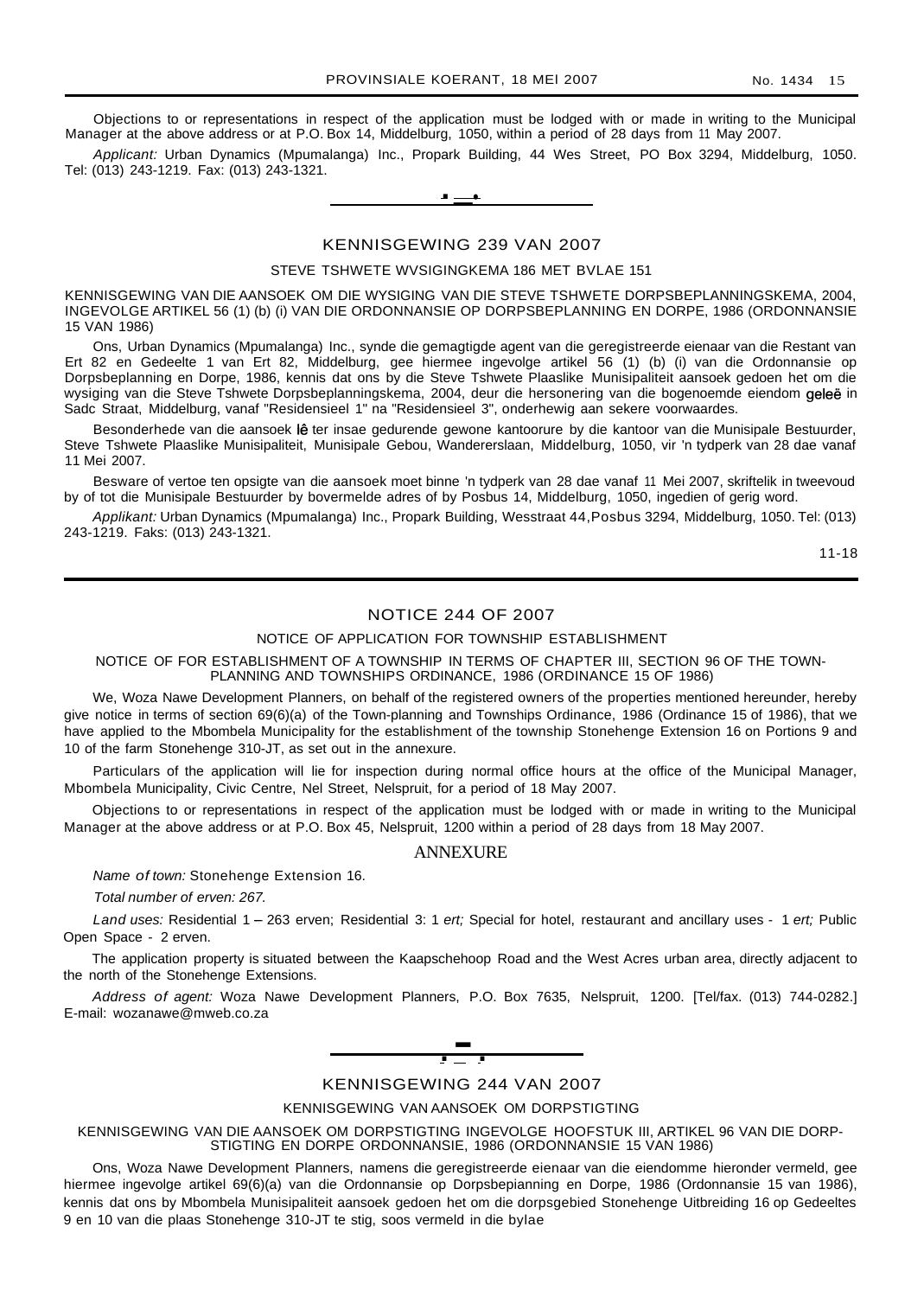Objections to or representations in respect of the application must be lodged with or made in writing to the Municipal Manager at the above address or at P.O. Box 14, Middelburg, 1050, within a period of 28 days from 11 May 2007.

Applicant: Urban Dynamics (Mpumalanga) Inc., Propark Building, 44 Wes Street, PO Box 3294, Middelburg, 1050. Tel: (013) 243-1219. Fax: (013) 243-1321.



#### KENNISGEWING 239 VAN 2007

#### STEVE TSHWETE WVSIGINGKEMA 186 MET BVLAE 151

KENNISGEWING VAN DIE AANSOEK OM DIE WYSIGING VAN DIE STEVE TSHWETE DORPSBEPLANNINGSKEMA, 2004, INGEVOLGE ARTIKEL 56 (1) (b) (i) VAN DIE ORDONNANSIE OP DORPSBEPLANNING EN DORPE, 1986 (ORDONNANSIE 15 VAN 1986)

Ons, Urban Dynamics (Mpumalanga) Inc., synde die gemagtigde agent van die geregistreerde eienaar van die Restant van Ert 82 en Gedeelte 1 van Ert 82, Middelburg, gee hiermee ingevolge artikel 56 (1) (b) (i) van die Ordonnansie op Dorpsbeplanning en Dorpe, 1986, kennis dat ons by die Steve Tshwete Plaaslike Munisipaliteit aansoek gedoen het om die wysiging van die Steve Tshwete Dorpsbeplanningskema, 2004, deur die hersonering van die bogenoemde eiendom geleë in Sadc Straat, Middelburg, vanaf "Residensieel 1" na "Residensieel 3", onderhewig aan sekere voorwaardes.

Besonderhede van die aansoek lê ter insae gedurende gewone kantoorure by die kantoor van die Munisipale Bestuurder, Steve Tshwete Plaaslike Munisipaliteit, Munisipale Gebou, Wandererslaan, Middelburg, 1050, vir 'n tydperk van 28 dae vanaf 11 Mei 2007.

Besware of vertoe ten opsigte van die aansoek moet binne 'n tydperk van 28 dae vanaf 11 Mei 2007, skriftelik in tweevoud by of tot die Munisipale Bestuurder by bovermelde adres of by Posbus 14, Middelburg, 1050, ingedien of gerig word.

Applikant: Urban Dynamics (Mpumalanga) Inc., Propark Building, Wesstraat 44,Posbus 3294, Middelburg, 1050. Tel: (013) 243-1219. Faks: (013) 243-1321.

11-18

## NOTICE 244 OF 2007

#### NOTICE OF APPLICATION FOR TOWNSHIP ESTABLISHMENT

NOTICE OF FOR ESTABLISHMENT OF A TOWNSHIP IN TERMS OF CHAPTER III, SECTION 96 OF THE TOWN-PLANNING AND TOWNSHIPS ORDINANCE, 1986 (ORDINANCE 15 OF 1986)

We, Woza Nawe Development Planners, on behalf of the registered owners of the properties mentioned hereunder, hereby give notice in terms of section 69(6)(a) of the Town-planning and Townships Ordinance, 1986 (Ordinance 15 of 1986), that we have applied to the Mbombela Municipality for the establishment of the township Stonehenge Extension 16 on Portions 9 and 10 of the farm Stonehenge 310-JT, as set out in the annexure.

Particulars of the application will lie for inspection during normal office hours at the office of the Municipal Manager, Mbombela Municipality, Civic Centre, Nel Street, Nelspruit, for a period of 18 May 2007.

Objections to or representations in respect of the application must be lodged with or made in writing to the Municipal Manager at the above address or at P.O. Box 45, Nelspruit, 1200 within a period of 28 days from 18 May 2007.

#### **ANNEXURE**

Name of town: Stonehenge Extension 16.

Total number of erven: 267.

Land uses: Residential 1 - 263 erven; Residential 3: 1 ert; Special for hotel, restaurant and ancillary uses - 1 ert; Public Open Space - 2 erven.

The application property is situated between the Kaapschehoop Road and the West Acres urban area, directly adjacent to the north of the Stonehenge Extensions.

Address of agent: Woza Nawe Development Planners, P.O. Box 7635, Nelspruit, 1200. [Tel/fax. (013) 744-0282.] E-mail: wozanawe@mweb.co.za



KENNISGEWING 244 VAN 2007

KENNISGEWING VAN AANSOEK OM DORPSTIGTING

KENNISGEWING VAN DIE AANSOEK OM DORPSTIGTING INGEVOLGE HOOFSTUK III, ARTIKEL 96 VAN DIE DORP-STIGTING EN DORPE ORDONNANSIE, 1986 (ORDONNANSIE 15 VAN 1986)

Ons, Woza Nawe Development Planners, namens die geregistreerde eienaar van die eiendomme hieronder vermeld, gee hiermee ingevolge artikel 69(6)(a) van die Ordonnansie op Dorpsbepianning en Dorpe, 1986 (Ordonnansie 15 van 1986), kennis dat ons by Mbombela Munisipaliteit aansoek gedoen het om die dorpsgebied Stonehenge Uitbreiding 16 op Gedeeltes 9 en 10 van die plaas Stonehenge 310-JT te stig, soos vermeld in die bylae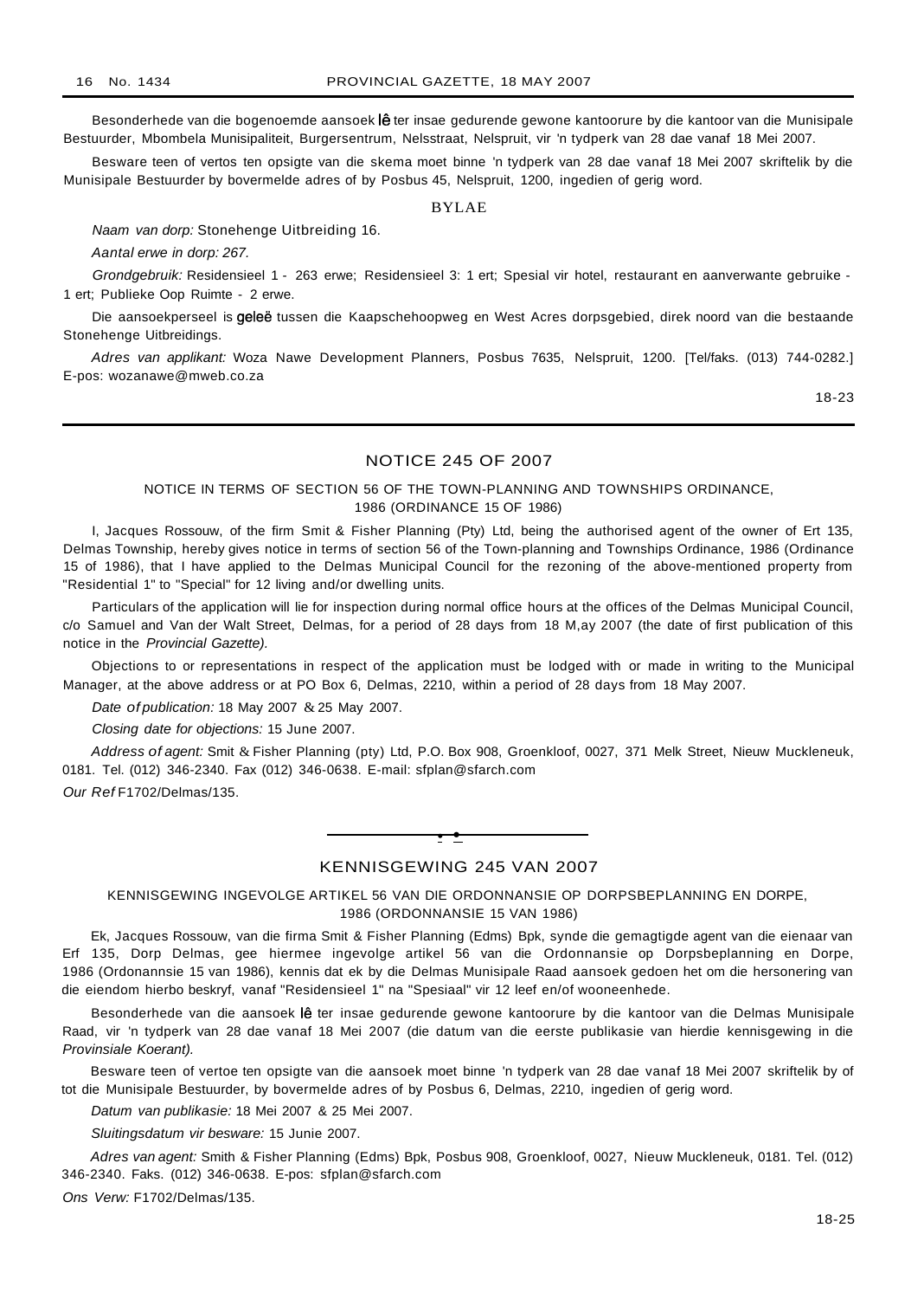Besonderhede van die bogenoemde aansoek lê ter insae gedurende gewone kantoorure by die kantoor van die Munisipale Bestuurder, Mbombela Munisipaliteit, Burgersentrum, Nelsstraat, Nelspruit, vir 'n tydperk van 28 dae vanaf 18 Mei 2007.

Besware teen of vertos ten opsigte van die skema moet binne 'n tydperk van 28 dae vanaf 18 Mei 2007 skriftelik by die Munisipale Bestuurder by bovermelde adres of by Posbus 45, Nelspruit, 1200, ingedien of gerig word.

#### BYLAE

Naam van dorp: Stonehenge Uitbreiding 16.

Aantal erwe in dorp: 267.

Grondgebruik: Residensieel 1 - 263 erwe; Residensieel 3: 1 ert; Spesial vir hotel, restaurant en aanverwante gebruike - 1 ert; Publieke Oop Ruimte - 2 erwe.

Die aansoekperseel is geleë tussen die Kaapschehoopweg en West Acres dorpsgebied, direk noord van die bestaande Stonehenge Uitbreidings.

Adres van applikant: Woza Nawe Development Planners, Posbus 7635, Nelspruit, 1200. [Tel/faks. (013) 744-0282.] E-pos: wozanawe@mweb.co.za

18-23

## NOTICE 245 OF 2007

#### NOTICE IN TERMS OF SECTION 56 OF THE TOWN-PLANNING AND TOWNSHIPS ORDINANCE, 1986 (ORDINANCE 15 OF 1986)

I, Jacques Rossouw, of the firm Smit & Fisher Planning (Pty) Ltd, being the authorised agent of the owner of Ert 135, Delmas Township, hereby gives notice in terms of section 56 of the Town-planning and Townships Ordinance, 1986 (Ordinance 15 of 1986), that I have applied to the Delmas Municipal Council for the rezoning of the above-mentioned property from "Residential 1" to "Special" for 12 living and/or dwelling units.

Particulars of the application will lie for inspection during normal office hours at the offices of the Delmas Municipal Council, c/o Samuel and Van der Walt Street, Delmas, for a period of 28 days from 18 M,ay 2007 (the date of first publication of this notice in the Provincial Gazette).

Objections to or representations in respect of the application must be lodged with or made in writing to the Municipal Manager, at the above address or at PO Box 6, Delmas, 2210, within a period of 28 days from 18 May 2007.

Date of publication: 18 May 2007 & 25 May 2007.

Closing date for objections: 15 June 2007.

Address of agent: Smit & Fisher Planning (pty) Ltd, P.O. Box 908, Groenkloof, 0027, 371 Melk Street, Nieuw Muckleneuk, 0181. Tel. (012) 346-2340. Fax (012) 346-0638. E-mail: sfplan@sfarch.com

Our Ref F1702/Delmas/135.

#### KENNISGEWING 245 VAN 2007

**• •**

KENNISGEWING INGEVOLGE ARTIKEL 56 VAN DIE ORDONNANSIE OP DORPSBEPLANNING EN DORPE, 1986 (ORDONNANSIE 15 VAN 1986)

Ek, Jacques Rossouw, van die firma Smit & Fisher Planning (Edms) Bpk, synde die gemagtigde agent van die eienaar van Erf 135, Dorp Delmas, gee hiermee ingevolge artikel 56 van die Ordonnansie op Dorpsbeplanning en Dorpe, 1986 (Ordonannsie 15 van 1986), kennis dat ek by die Delmas Munisipale Raad aansoek gedoen het om die hersonering van die eiendom hierbo beskryf, vanaf "Residensieel 1" na "Spesiaal" vir 12 leef en/of wooneenhede.

Besonderhede van die aansoek lê ter insae gedurende gewone kantoorure by die kantoor van die Delmas Munisipale Raad, vir 'n tydperk van 28 dae vanaf 18 Mei 2007 (die datum van die eerste publikasie van hierdie kennisgewing in die Provinsiale Koerant).

Besware teen of vertoe ten opsigte van die aansoek moet binne 'n tydperk van 28 dae vanaf 18 Mei 2007 skriftelik by of tot die Munisipale Bestuurder, by bovermelde adres of by Posbus 6, Delmas, 2210, ingedien of gerig word.

Datum van publikasie: 18 Mei 2007 & 25 Mei 2007.

Sluitingsdatum vir besware: 15 Junie 2007.

Adres van agent: Smith & Fisher Planning (Edms) Bpk, Posbus 908, Groenkloof, 0027, Nieuw Muckleneuk, 0181. Tel. (012) 346-2340. Faks. (012) 346-0638. E-pos: sfplan@sfarch.com

Ons Verw: F1702/Delmas/135.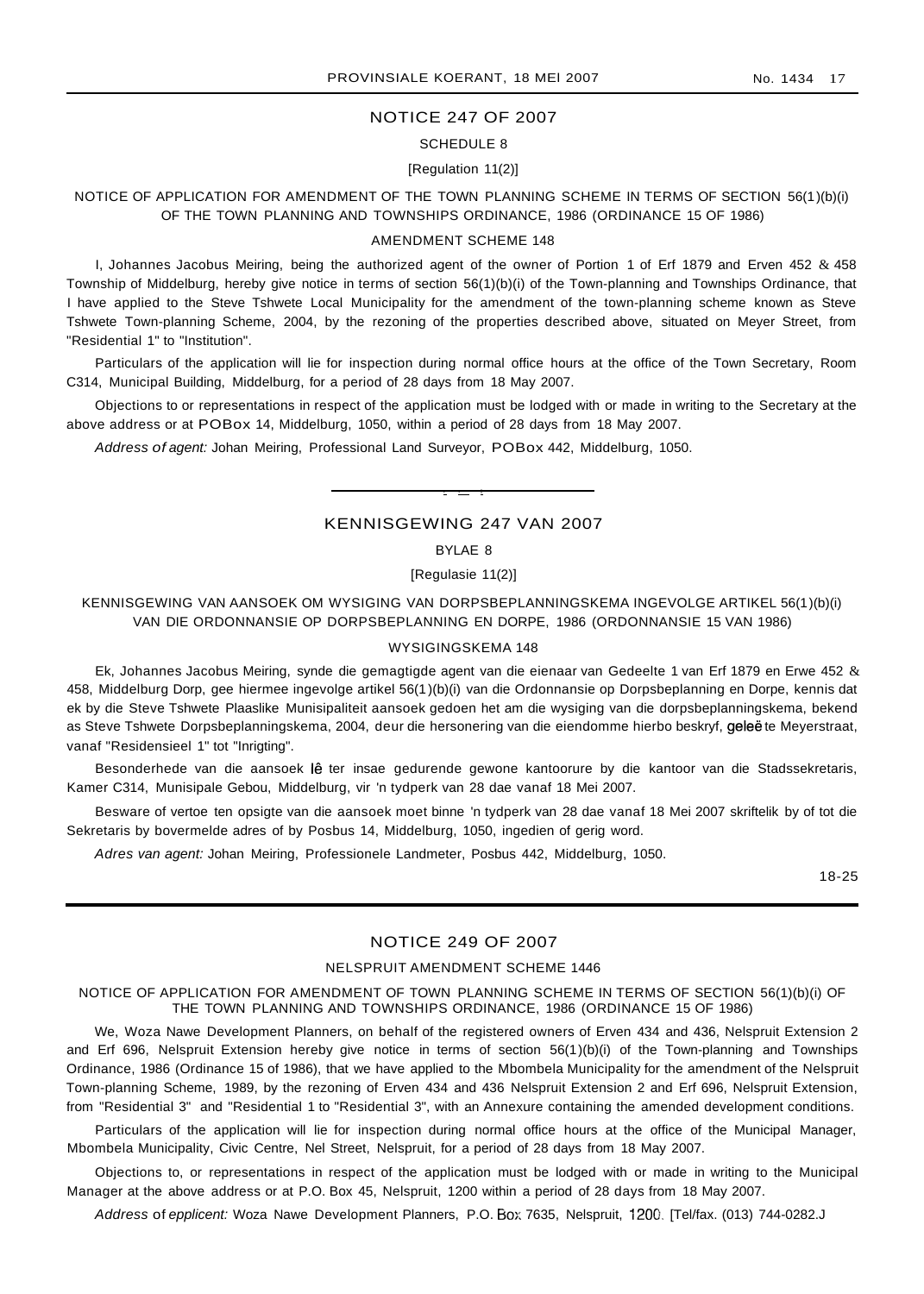## NOTICE 247 OF 2007

#### SCHEDULE 8

#### [Regulation 11(2)]

NOTICE OF APPLICATION FOR AMENDMENT OF THE TOWN PLANNING SCHEME IN TERMS OF SECTION 56(1)(b)(i) OF THE TOWN PLANNING AND TOWNSHIPS ORDINANCE, 1986 (ORDINANCE 15 OF 1986)

#### AMENDMENT SCHEME 148

I, Johannes Jacobus Meiring, being the authorized agent of the owner of Portion 1 of Erf 1879 and Erven 452 & 458 Township of Middelburg, hereby give notice in terms of section 56(1)(b)(i) of the Town-planning and Townships Ordinance, that I have applied to the Steve Tshwete Local Municipality for the amendment of the town-planning scheme known as Steve Tshwete Town-planning Scheme, 2004, by the rezoning of the properties described above, situated on Meyer Street, from "Residential 1" to "Institution".

Particulars of the application will lie for inspection during normal office hours at the office of the Town Secretary, Room C314, Municipal Building, Middelburg, for a period of 28 days from 18 May 2007.

Objections to or representations in respect of the application must be lodged with or made in writing to the Secretary at the above address or at POBox 14, Middelburg, 1050, within a period of 28 days from 18 May 2007.

Address of agent: Johan Meiring, Professional Land Surveyor, POBox 442, Middelburg, 1050.

## KENNISGEWING 247 VAN 2007

• • I

## BYLAE 8

[Regulasie 11(2)]

## KENNISGEWING VAN AANSOEK OM WYSIGING VAN DORPSBEPLANNINGSKEMA INGEVOLGE ARTIKEL 56(1)(b)(i) VAN DIE ORDONNANSIE OP DORPSBEPLANNING EN DORPE, 1986 (ORDONNANSIE 15 VAN 1986)

#### WYSIGINGSKEMA 148

Ek, Johannes Jacobus Meiring, synde die gemagtigde agent van die eienaar van Gedeelte 1 van Erf 1879 en Erwe 452  $\&$ 458, Middelburg Dorp, gee hiermee ingevolge artikel 56(1 )(b)(i) van die Ordonnansie op Dorpsbeplanning en Dorpe, kennis dat ek by die Steve Tshwete Plaaslike Munisipaliteit aansoek gedoen het am die wysiging van die dorpsbeplanningskema, bekend as Steve Tshwete Dorpsbeplanningskema, 2004, deur die hersonering van die eiendomme hierbo beskryf, geleë te Meyerstraat, vanaf "Residensieel 1" tot "Inrigting".

Besonderhede van die aansoek lê ter insae gedurende gewone kantoorure by die kantoor van die Stadssekretaris, Kamer C314, Munisipale Gebou, Middelburg, vir 'n tydperk van 28 dae vanaf 18 Mei 2007.

Besware of vertoe ten opsigte van die aansoek moet binne 'n tydperk van 28 dae vanaf 18 Mei 2007 skriftelik by of tot die Sekretaris by bovermelde adres of by Posbus 14, Middelburg, 1050, ingedien of gerig word.

Adres van agent: Johan Meiring, Professionele Landmeter, Posbus 442, Middelburg, 1050.

18-25

## NOTICE 249 OF 2007

#### NELSPRUIT AMENDMENT SCHEME 1446

NOTICE OF APPLICATION FOR AMENDMENT OF TOWN PLANNING SCHEME IN TERMS OF SECTION 56(1)(b)(i) OF THE TOWN PLANNING AND TOWNSHIPS ORDINANCE, 1986 (ORDINANCE 15 OF 1986)

We, Woza Nawe Development Planners, on behalf of the registered owners of Erven 434 and 436, Nelspruit Extension 2 and Erf 696, Nelspruit Extension hereby give notice in terms of section 56(1)(b)(i) of the Town-planning and Townships Ordinance, 1986 (Ordinance 15 of 1986), that we have applied to the Mbombela Municipality for the amendment of the Nelspruit Town-planning Scheme, 1989, by the rezoning of Erven 434 and 436 Nelspruit Extension 2 and Erf 696, Nelspruit Extension, from "Residential 3" and "Residential 1 to "Residential 3", with an Annexure containing the amended development conditions.

Particulars of the application will lie for inspection during normal office hours at the office of the Municipal Manager, Mbombela Municipality, Civic Centre, Nel Street, Nelspruit, for a period of 28 days from 18 May 2007.

Objections to, or representations in respect of the application must be lodged with or made in writing to the Municipal Manager at the above address or at P.O. Box 45, Nelspruit, 1200 within a period of 28 days from 18 May 2007.

Address of epplicent: Woza Nawe Development Planners, P.O. Box 7635, Nelspruit, 1200, [Tel/fax. (013) 744-0282.J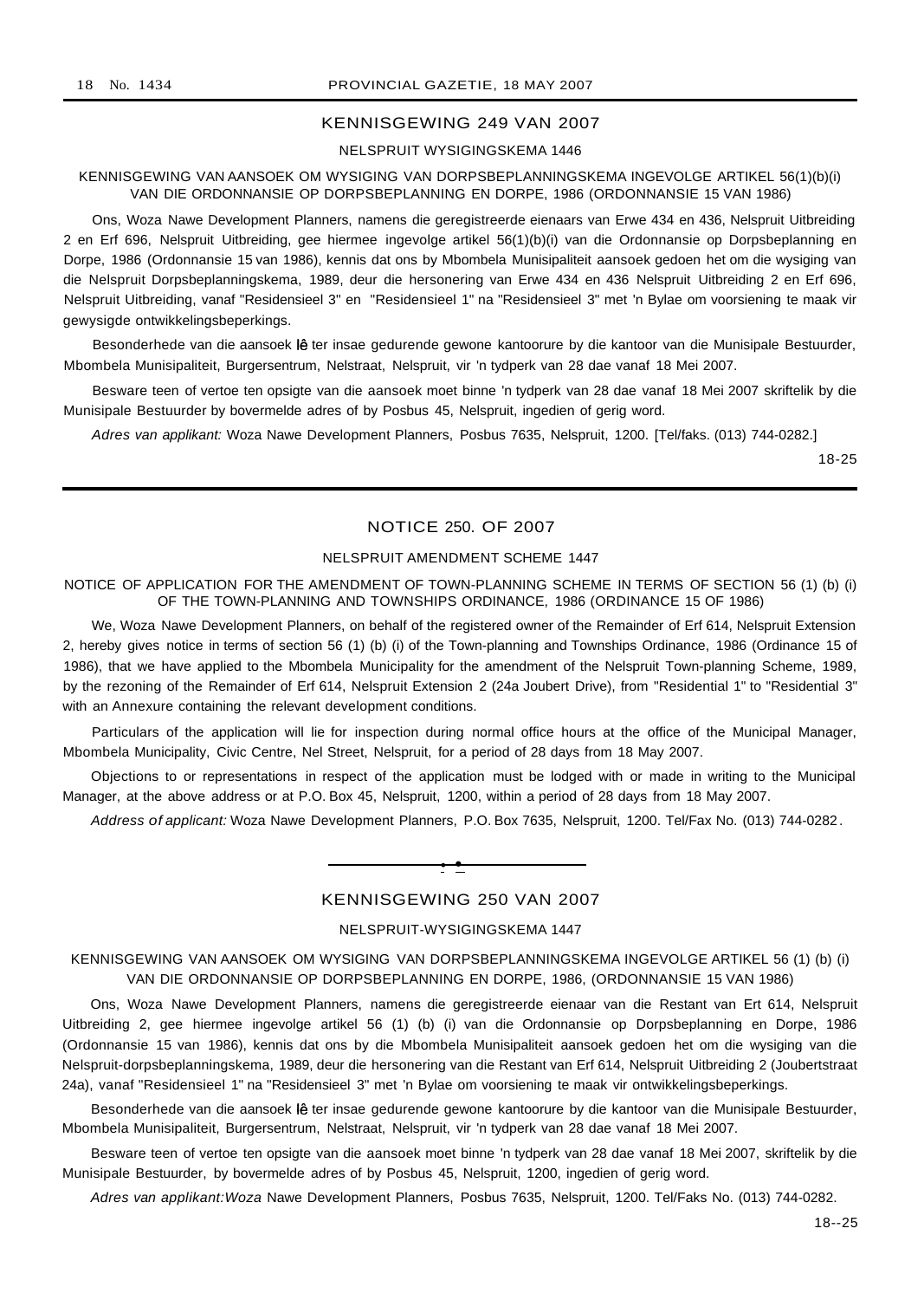## KENNISGEWING 249 VAN 2007

## NELSPRUIT WYSIGINGSKEMA 1446

## KENNISGEWING VAN AANSOEK OM WYSIGING VAN DORPSBEPLANNINGSKEMA INGEVOLGE ARTIKEL 56(1)(b)(i) VAN DIE ORDONNANSIE OP DORPSBEPLANNING EN DORPE, 1986 (ORDONNANSIE 15 VAN 1986)

Ons, Woza Nawe Development Planners, namens die geregistreerde eienaars van Erwe 434 en 436, Nelspruit Uitbreiding 2 en Erf 696, Nelspruit Uitbreiding, gee hiermee ingevolge artikel 56(1)(b)(i) van die Ordonnansie op Dorpsbeplanning en Dorpe, 1986 (Ordonnansie 15 van 1986), kennis dat ons by Mbombela Munisipaliteit aansoek gedoen het om die wysiging van die Nelspruit Dorpsbeplanningskema, 1989, deur die hersonering van Erwe 434 en 436 Nelspruit Uitbreiding 2 en Erf 696, Nelspruit Uitbreiding, vanaf "Residensieel 3" en "Residensieel 1" na "Residensieel 3" met 'n Bylae om voorsiening te maak vir gewysigde ontwikkelingsbeperkings.

Besonderhede van die aansoek lê ter insae gedurende gewone kantoorure by die kantoor van die Munisipale Bestuurder, Mbombela Munisipaliteit, Burgersentrum, Nelstraat, Nelspruit, vir 'n tydperk van 28 dae vanaf 18 Mei 2007.

Besware teen of vertoe ten opsigte van die aansoek moet binne 'n tydperk van 28 dae vanaf 18 Mei 2007 skriftelik by die Munisipale Bestuurder by bovermelde adres of by Posbus 45, Nelspruit, ingedien of gerig word.

Adres van applikant: Woza Nawe Development Planners, Posbus 7635, Nelspruit, 1200. [Tel/faks. (013) 744-0282.]

18-25

## NOTICE 250. OF 2007

## NELSPRUIT AMENDMENT SCHEME 1447

#### NOTICE OF APPLICATION FOR THE AMENDMENT OF TOWN-PLANNING SCHEME IN TERMS OF SECTION 56 (1) (b) (i) OF THE TOWN-PLANNING AND TOWNSHIPS ORDINANCE, 1986 (ORDINANCE 15 OF 1986)

We, Woza Nawe Development Planners, on behalf of the registered owner of the Remainder of Erf 614, Nelspruit Extension 2, hereby gives notice in terms of section 56 (1) (b) (i) of the Town-planning and Townships Ordinance, 1986 (Ordinance 15 of 1986), that we have applied to the Mbombela Municipality for the amendment of the Nelspruit Town-planning Scheme, 1989, by the rezoning of the Remainder of Erf 614, Nelspruit Extension 2 (24a Joubert Drive), from "Residential 1" to "Residential 3" with an Annexure containing the relevant development conditions.

Particulars of the application will lie for inspection during normal office hours at the office of the Municipal Manager, Mbombela Municipality, Civic Centre, Nel Street, Nelspruit, for a period of 28 days from 18 May 2007.

Objections to or representations in respect of the application must be lodged with or made in writing to the Municipal Manager, at the above address or at P.O. Box 45, Nelspruit, 1200, within a period of 28 days from 18 May 2007.

Address of applicant: Woza Nawe Development Planners, P.O. Box 7635, Nelspruit, 1200. Tel/Fax No. (013) 744-0282 .

#### KENNISGEWING 250 VAN 2007

**• •**

## NELSPRUIT-WYSIGINGSKEMA 1447

## KENNISGEWING VAN AANSOEK OM WYSIGING VAN DORPSBEPLANNINGSKEMA INGEVOLGE ARTIKEL 56 (1) (b) (i) VAN DIE ORDONNANSIE OP DORPSBEPLANNING EN DORPE, 1986, (ORDONNANSIE 15 VAN 1986)

Ons, Woza Nawe Development Planners, namens die geregistreerde eienaar van die Restant van Ert 614, Nelspruit Uitbreiding 2, gee hiermee ingevolge artikel 56 (1) (b) (i) van die Ordonnansie op Dorpsbeplanning en Dorpe, 1986 (Ordonnansie 15 van 1986), kennis dat ons by die Mbombela Munisipaliteit aansoek gedoen het om die wysiging van die Nelspruit-dorpsbeplanningskema, 1989, deur die hersonering van die Restant van Erf 614, Nelspruit Uitbreiding 2 (Joubertstraat 24a), vanaf "Residensieel 1" na "Residensieel 3" met 'n Bylae om voorsiening te maak vir ontwikkelingsbeperkings.

Besonderhede van die aansoek lê ter insae gedurende gewone kantoorure by die kantoor van die Munisipale Bestuurder, Mbombela Munisipaliteit, Burgersentrum, Nelstraat, Nelspruit, vir 'n tydperk van 28 dae vanaf 18 Mei 2007.

Besware teen of vertoe ten opsigte van die aansoek moet binne 'n tydperk van 28 dae vanaf 18 Mei 2007, skriftelik by die Munisipale Bestuurder, by bovermelde adres of by Posbus 45, Nelspruit, 1200, ingedien of gerig word.

Adres van applikant:Woza Nawe Development Planners, Posbus 7635, Nelspruit, 1200. Tel/Faks No. (013) 744-0282.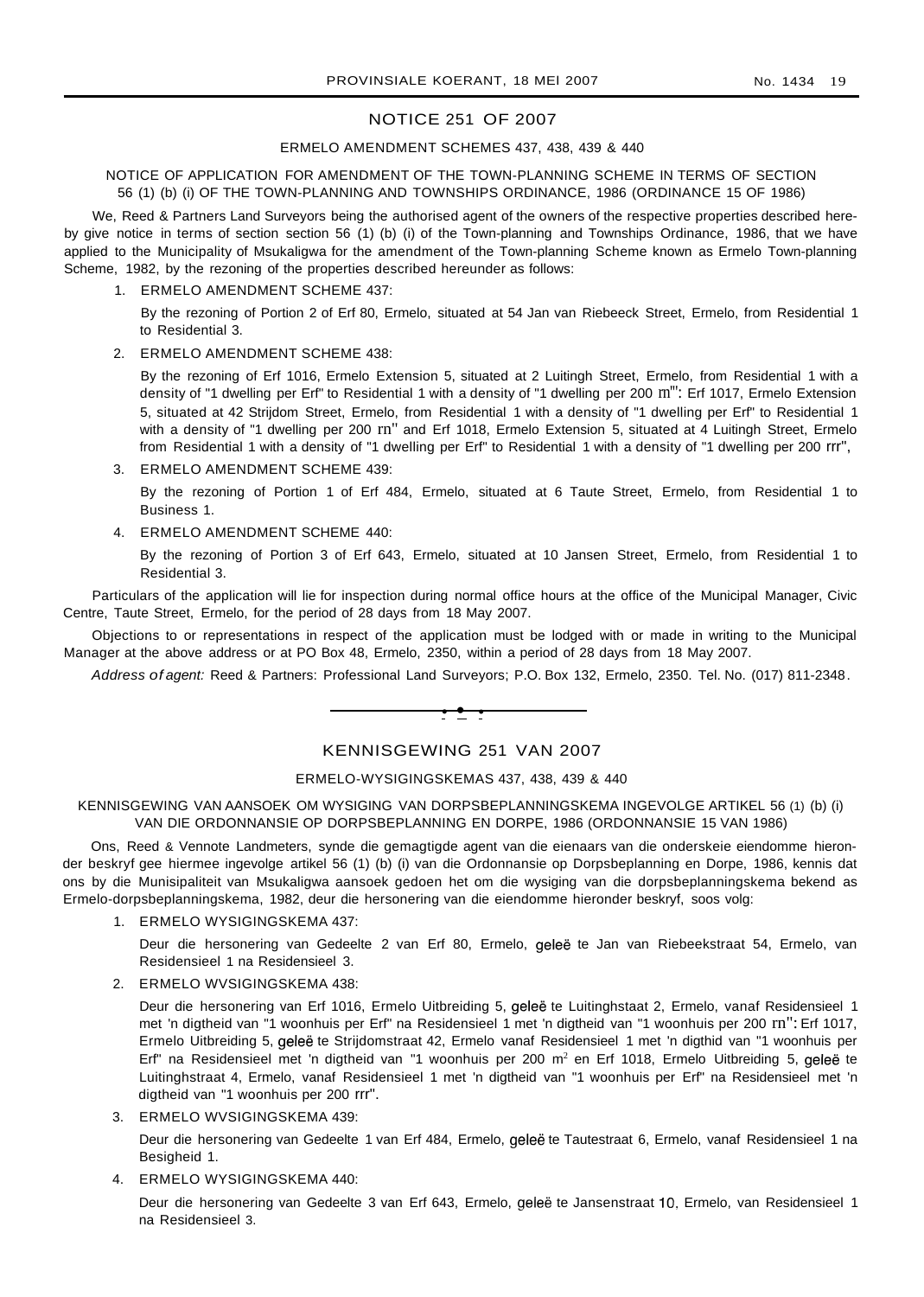## NOTICE 251 OF 2007

#### ERMELO AMENDMENT SCHEMES 437, 438, 439 & 440

#### NOTICE OF APPLICATION FOR AMENDMENT OF THE TOWN-PLANNING SCHEME IN TERMS OF SECTION 56 (1) (b) (i) OF THE TOWN-PLANNING AND TOWNSHIPS ORDINANCE, 1986 (ORDINANCE 15 OF 1986)

We, Reed & Partners Land Surveyors being the authorised agent of the owners of the respective properties described hereby give notice in terms of section section 56 (1) (b) (i) of the Town-planning and Townships Ordinance, 1986, that we have applied to the Municipality of Msukaligwa for the amendment of the Town-planning Scheme known as Ermelo Town-planning Scheme, 1982, by the rezoning of the properties described hereunder as follows:

1. ERMELO AMENDMENT SCHEME 437:

By the rezoning of Portion 2 of Erf 80, Ermelo, situated at 54 Jan van Riebeeck Street, Ermelo, from Residential 1 to Residential 3.

#### 2. ERMELO AMENDMENT SCHEME 438:

By the rezoning of Erf 1016, Ermelo Extension 5, situated at 2 Luitingh Street, Ermelo, from Residential 1 with a density of "1 dwelling per Erf" to Residential 1 with a density of "1 dwelling per 200 m"": Erf 1017, Ermelo Extension 5, situated at 42 Strijdom Street, Ermelo, from Residential 1 with a density of "1 dwelling per Erf" to Residential 1 with a density of "1 dwelling per 200 rn" and Erf 1018, Ermelo Extension 5, situated at 4 Luitingh Street, Ermelo from Residential 1 with a density of "1 dwelling per Erf" to Residential 1 with a density of "1 dwelling per 200 rrr",

3. ERMELO AMENDMENT SCHEME 439:

By the rezoning of Portion 1 of Erf 484, Ermelo, situated at 6 Taute Street, Ermelo, from Residential 1 to Business 1.

4. ERMELO AMENDMENT SCHEME 440:

By the rezoning of Portion 3 of Erf 643, Ermelo, situated at 10 Jansen Street, Ermelo, from Residential 1 to Residential 3.

Particulars of the application will lie for inspection during normal office hours at the office of the Municipal Manager, Civic Centre, Taute Street, Ermelo, for the period of 28 days from 18 May 2007.

Objections to or representations in respect of the application must be lodged with or made in writing to the Municipal Manager at the above address or at PO Box 48, Ermelo, 2350, within a period of 28 days from 18 May 2007.

Address of agent: Reed & Partners: Professional Land Surveyors; P.O. Box 132, Ermelo, 2350. Tel. No. (017) 811-2348.



## KENNISGEWING 251 VAN 2007

#### ERMELO-WYSIGINGSKEMAS 437, 438, 439 & 440

#### KENNISGEWING VAN AANSOEK OM WYSIGING VAN DORPSBEPLANNINGSKEMA INGEVOLGE ARTIKEL 56 (1) (b) (i) VAN DIE ORDONNANSIE OP DORPSBEPLANNING EN DORPE, 1986 (ORDONNANSIE 15 VAN 1986)

Ons, Reed & Vennote Landmeters, synde die gemagtigde agent van die eienaars van die onderskeie eiendomme hieronder beskryf gee hiermee ingevolge artikel 56 (1) (b) (i) van die Ordonnansie op Dorpsbeplanning en Dorpe, 1986, kennis dat ons by die Munisipaliteit van Msukaligwa aansoek gedoen het om die wysiging van die dorpsbeplanningskema bekend as Ermelo-dorpsbeplanningskema, 1982, deur die hersonering van die eiendomme hieronder beskryf, soos volg:

1. ERMELO WYSIGINGSKEMA 437:

Deur die hersonering van Gedeelte 2 van Erf 80, Ermelo, geleë te Jan van Riebeekstraat 54, Ermelo, van Residensieel 1 na Residensieel 3.

2. ERMELO WVSIGINGSKEMA 438:

Deur die hersonering van Erf 1016, Ermelo Uitbreiding 5, geleë te Luitinghstaat 2, Ermelo, vanaf Residensieel 1 met 'n digtheid van "1 woonhuis per Erf" na Residensieel 1 met 'n digtheid van "1 woonhuis per 200 rn": Erf 1017, Ermelo Uitbreiding 5, gelee te Strijdomstraat 42, Ermelo vanaf Residensieel 1 met 'n digthid van "1 woonhuis per Erf" na Residensieel met 'n digtheid van "1 woonhuis per 200 m<sup>2</sup> en Erf 1018, Ermelo Uitbreiding 5, geleë te Luitinghstraat 4, Ermelo, vanaf Residensieel 1 met 'n digtheid van "1 woonhuis per Erf" na Residensieel met 'n digtheid van "1 woonhuis per 200 rrr".

3. ERMELO WVSIGINGSKEMA 439:

Deur die hersonering van Gedeelte 1 van Erf 484, Ermelo, geleë te Tautestraat 6, Ermelo, vanaf Residensieel 1 na Besigheid 1.

4. ERMELO WYSIGINGSKEMA 440:

Deur die hersonering van Gedeelte 3 van Erf 643, Ermelo, gelee te Jansenstraat 10, Ermelo, van Residensieel 1 na Residensieel 3.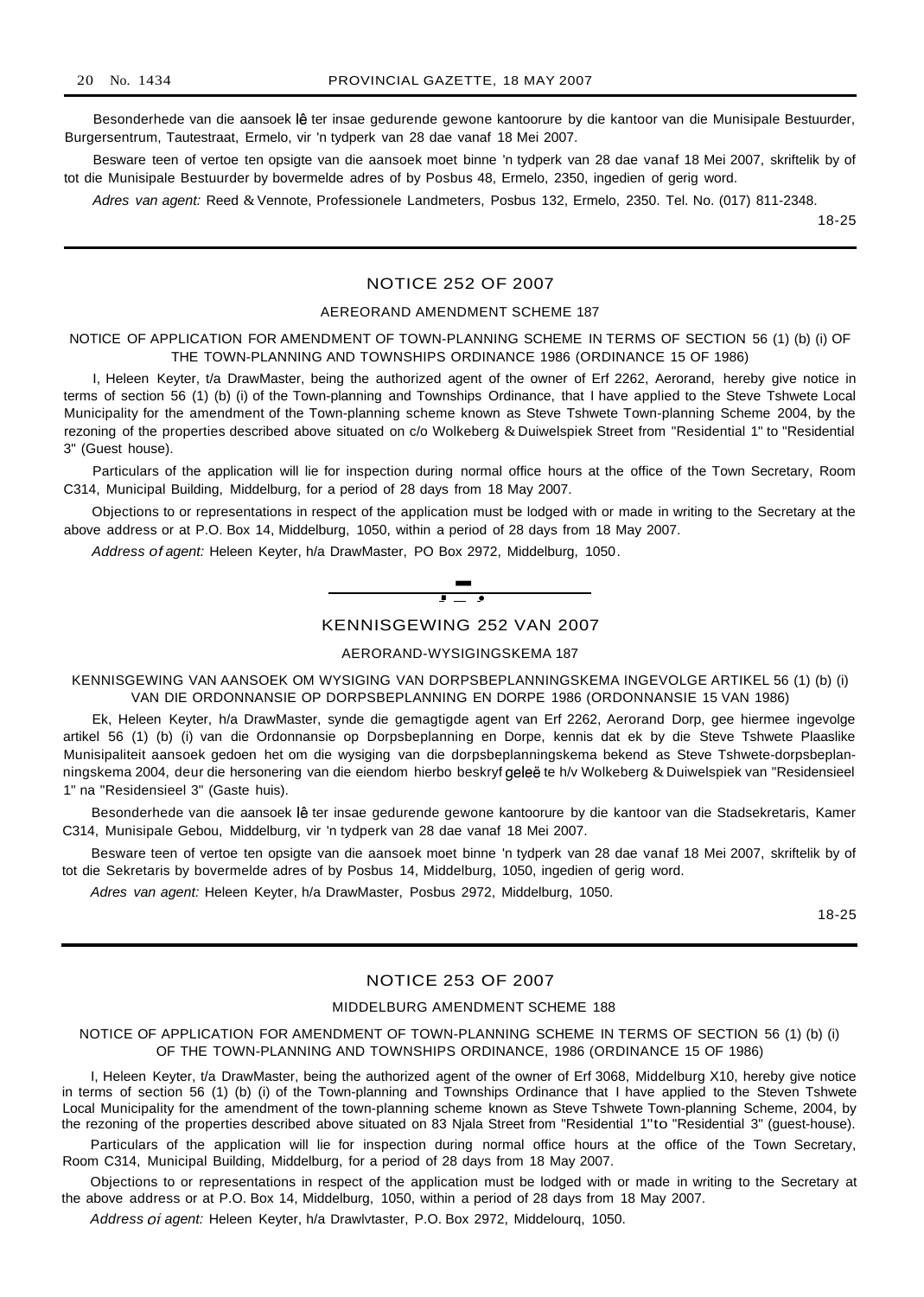Besonderhede van die aansoek lê ter insae gedurende gewone kantoorure by die kantoor van die Munisipale Bestuurder, Burgersentrum, Tautestraat, Ermelo, vir 'n tydperk van 28 dae vanaf 18 Mei 2007.

Besware teen of vertoe ten opsigte van die aansoek moet binne 'n tydperk van 28 dae vanaf 18 Mei 2007, skriftelik by of tot die Munisipale Bestuurder by bovermelde adres of by Posbus 48, Ermelo, 2350, ingedien of gerig word.

Adres van agent: Reed & Vennote, Professionele Landmeters, Posbus 132, Ermelo, 2350. Tel. No. (017) 811-2348.

18-25

## NOTICE 252 OF 2007

#### AEREORAND AMENDMENT SCHEME 187

## NOTICE OF APPLICATION FOR AMENDMENT OF TOWN-PLANNING SCHEME IN TERMS OF SECTION 56 (1) (b) (i) OF THE TOWN-PLANNING AND TOWNSHIPS ORDINANCE 1986 (ORDINANCE 15 OF 1986)

I, Heleen Keyter, t/a DrawMaster, being the authorized agent of the owner of Erf 2262, Aerorand, hereby give notice in terms of section 56 (1) (b) (i) of the Town-planning and Townships Ordinance, that I have applied to the Steve Tshwete Local Municipality for the amendment of the Town-planning scheme known as Steve Tshwete Town-planning Scheme 2004, by the rezoning of the properties described above situated on c/o Wolkeberg & Duiwelspiek Street from "Residential 1" to "Residential 3" (Guest house).

Particulars of the application will lie for inspection during normal office hours at the office of the Town Secretary, Room C314, Municipal Building, Middelburg, for a period of 28 days from 18 May 2007.

Objections to or representations in respect of the application must be lodged with or made in writing to the Secretary at the above address or at P.O. Box 14, Middelburg, 1050, within a period of 28 days from 18 May 2007.

Address of agent: Heleen Keyter, h/a DrawMaster, PO Box 2972, Middelburg, 1050.



#### KENNISGEWING 252 VAN 2007

#### AERORAND-WYSIGINGSKEMA 187

KENNISGEWING VAN AANSOEK OM WYSIGING VAN DORPSBEPLANNINGSKEMA INGEVOLGE ARTIKEL 56 (1) (b) (i) VAN DIE ORDONNANSIE OP DORPSBEPLANNING EN DORPE 1986 (ORDONNANSIE 15 VAN 1986)

Ek, Heleen Keyter, h/a DrawMaster, synde die gemagtigde agent van Erf 2262, Aerorand Dorp, gee hiermee ingevolge artikel 56 (1) (b) (i) van die Ordonnansie op Dorpsbeplanning en Dorpe, kennis dat ek by die Steve Tshwete Plaaslike Munisipaliteit aansoek gedoen het om die wysiging van die dorpsbeplanningskema bekend as Steve Tshwete-dorpsbeplanningskema 2004, deur die hersonering van die eiendom hierbo beskryf geleë te h/v Wolkeberg & Duiwelspiek van "Residensieel 1" na "Residensieel 3" (Gaste huis).

Besonderhede van die aansoek lê ter insae gedurende gewone kantoorure by die kantoor van die Stadsekretaris, Kamer C314, Munisipale Gebou, Middelburg, vir 'n tydperk van 28 dae vanaf 18 Mei 2007.

Besware teen of vertoe ten opsigte van die aansoek moet binne 'n tydperk van 28 dae vanaf 18 Mei 2007, skriftelik by of tot die Sekretaris by bovermelde adres of by Posbus 14, Middelburg, 1050, ingedien of gerig word.

Adres van agent: Heleen Keyter, h/a DrawMaster, Posbus 2972, Middelburg, 1050.

18-25

## NOTICE 253 OF 2007

#### MIDDELBURG AMENDMENT SCHEME 188

NOTICE OF APPLICATION FOR AMENDMENT OF TOWN-PLANNING SCHEME IN TERMS OF SECTION 56 (1) (b) (i) OF THE TOWN-PLANNING AND TOWNSHIPS ORDINANCE, 1986 (ORDINANCE 15 OF 1986)

I, Heleen Keyter, t/a DrawMaster, being the authorized agent of the owner of Erf 3068, Middelburg X10, hereby give notice in terms of section 56 (1) (b) (i) of the Town-planning and Townships Ordinance that I have applied to the Steven Tshwete Local Municipality for the amendment of the town-planning scheme known as Steve Tshwete Town-planning Scheme, 2004, by the rezoning of the properties described above situated on 83 Njala Street from "Residential 1"to "Residential 3" (guest-house).

Particulars of the application will lie for inspection during normal office hours at the office of the Town Secretary, Room C314, Municipal Building, Middelburg, for a period of 28 days from 18 May 2007.

Objections to or representations in respect of the application must be lodged with or made in writing to the Secretary at the above address or at P.O. Box 14, Middelburg, 1050, within a period of 28 days from 18 May 2007.

Address of' agent: Heleen Keyter, h/a Drawlvtaster, P.O. Box 2972, Middelourq, 1050.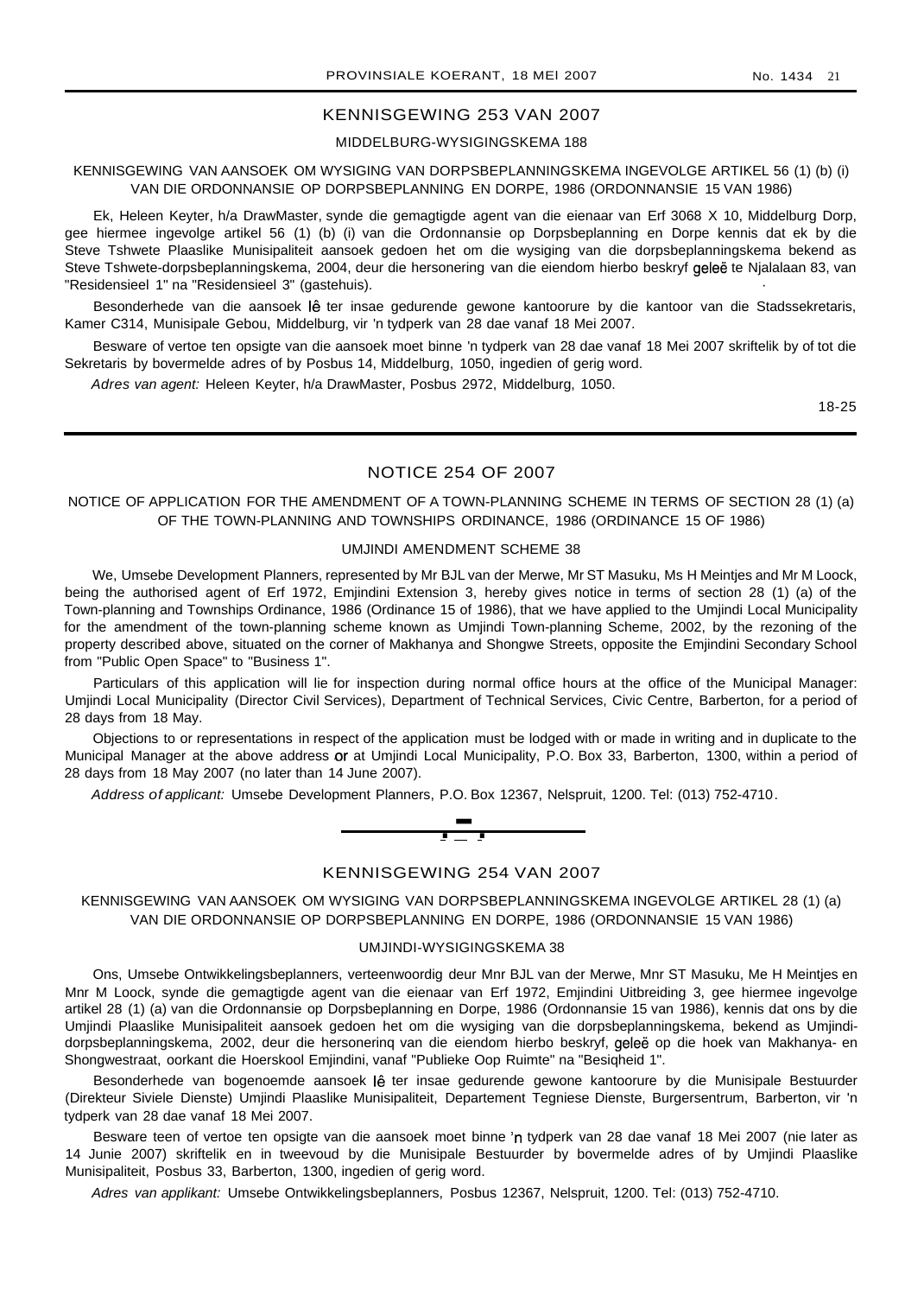#### KENNISGEWING 253 VAN 2007

## MIDDELBURG-WYSIGINGSKEMA 188

## KENNISGEWING VAN AANSOEK OM WYSIGING VAN DORPSBEPLANNINGSKEMA INGEVOLGE ARTIKEL 56 (1) (b) (i) VAN DIE ORDONNANSIE OP DORPSBEPLANNING EN DORPE, 1986 (ORDONNANSIE 15 VAN 1986)

Ek, Heleen Keyter, h/a DrawMaster, synde die gemagtigde agent van die eienaar van Erf 3068 X 10, Middelburg Dorp, gee hiermee ingevolge artikel 56 (1) (b) (i) van die Ordonnansie op Dorpsbeplanning en Dorpe kennis dat ek by die Steve Tshwete Plaaslike Munisipaliteit aansoek gedoen het om die wysiging van die dorpsbeplanningskema bekend as Steve Tshwete-dorpsbeplanningskema, 2004, deur die hersonering van die eiendom hierbo beskryf geleë te Njalalaan 83, van "Residensieel 1" na "Residensieel 3" (gastehuis).

Besonderhede van die aansoek lê ter insae gedurende gewone kantoorure by die kantoor van die Stadssekretaris, Kamer C314, Munisipale Gebou, Middelburg, vir 'n tydperk van 28 dae vanaf 18 Mei 2007.

Besware of vertoe ten opsigte van die aansoek moet binne 'n tydperk van 28 dae vanaf 18 Mei 2007 skriftelik by of tot die Sekretaris by bovermelde adres of by Posbus 14, Middelburg, 1050, ingedien of gerig word.

Adres van agent: Heleen Keyter, h/a DrawMaster, Posbus 2972, Middelburg, 1050.

18-25

## NOTICE 254 OF 2007

### NOTICE OF APPLICATION FOR THE AMENDMENT OF A TOWN-PLANNING SCHEME IN TERMS OF SECTION 28 (1) (a) OF THE TOWN-PLANNING AND TOWNSHIPS ORDINANCE, 1986 (ORDINANCE 15 OF 1986)

#### UMJINDI AMENDMENT SCHEME 38

We, Umsebe Development Planners, represented by Mr BJL van der Merwe, Mr ST Masuku, Ms H Meintjes and Mr M Loock, being the authorised agent of Erf 1972, Emjindini Extension 3, hereby gives notice in terms of section 28 (1) (a) of the Town-planning and Townships Ordinance, 1986 (Ordinance 15 of 1986), that we have applied to the Umjindi Local Municipality for the amendment of the town-planning scheme known as Umjindi Town-planning Scheme, 2002, by the rezoning of the property described above, situated on the corner of Makhanya and Shongwe Streets, opposite the Emjindini Secondary School from "Public Open Space" to "Business 1".

Particulars of this application will lie for inspection during normal office hours at the office of the Municipal Manager: Umjindi Local Municipality (Director Civil Services), Department of Technical Services, Civic Centre, Barberton, for a period of 28 days from 18 May.

Objections to or representations in respect of the application must be lodged with or made in writing and in duplicate to the Municipal Manager at the above address or at Umjindi Local Municipality, P.O. Box 33, Barberton, 1300, within a period of 28 days from 18 May 2007 (no later than 14 June 2007).



#### KENNISGEWING 254 VAN 2007

KENNISGEWING VAN AANSOEK OM WYSIGING VAN DORPSBEPLANNINGSKEMA INGEVOLGE ARTIKEL 28 (1) (a) VAN DIE ORDONNANSIE OP DORPSBEPLANNING EN DORPE, 1986 (ORDONNANSIE 15 VAN 1986)

#### UMJINDI-WYSIGINGSKEMA 38

Ons, Umsebe Ontwikkelingsbeplanners, verteenwoordig deur Mnr BJL van der Merwe, Mnr ST Masuku, Me H Meintjes en Mnr M Loock, synde die gemagtigde agent van die eienaar van Erf 1972, Emjindini Uitbreiding 3, gee hiermee ingevolge artikel 28 (1) (a) van die Ordonnansie op Dorpsbeplanning en Dorpe, 1986 (Ordonnansie 15 van 1986), kennis dat ons by die Umjindi Plaaslike Munisipaliteit aansoek gedoen het om die wysiging van die dorpsbeplanningskema, bekend as Umjindidorpsbeplanningskema, 2002, deur die hersonerinq van die eiendom hierbo beskryf, gelee op die hoek van Makhanya- en Shongwestraat, oorkant die Hoerskool Emjindini, vanaf "Publieke Oop Ruimte" na "Besiqheid 1".

Besonderhede van bogenoemde aansoek lê ter insae gedurende gewone kantoorure by die Munisipale Bestuurder (Direkteur Siviele Dienste) Umjindi Plaaslike Munisipaliteit, Departement Tegniese Dienste, Burgersentrum, Barberton, vir 'n tydperk van 28 dae vanaf 18 Mei 2007.

Besware teen of vertoe ten opsigte van die aansoek moet binne 'n tydperk van 28 dae vanaf 18 Mei 2007 (nie later as 14 Junie 2007) skriftelik en in tweevoud by die Munisipale Bestuurder by bovermelde adres of by Umjindi Plaaslike Munisipaliteit, Posbus 33, Barberton, 1300, ingedien of gerig word.

Adres van applikant: Umsebe Ontwikkelingsbeplanners, Posbus 12367, Nelspruit, 1200. Tel: (013) 752-4710.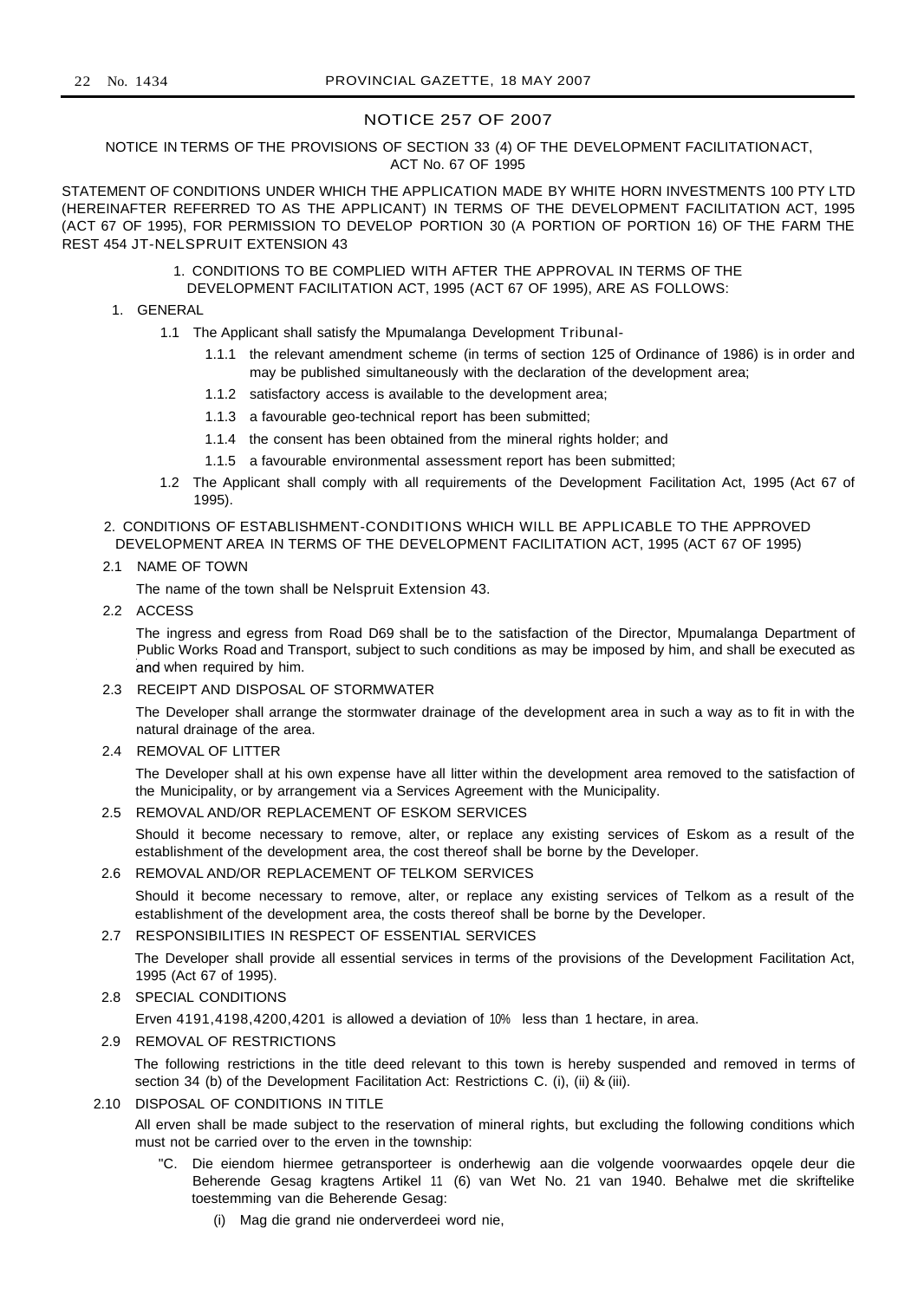## NOTICE 257 OF 2007

#### NOTICE IN TERMS OF THE PROVISIONS OF SECTION 33 (4) OF THE DEVELOPMENT FACILITATIONACT, ACT No. 67 OF 1995

STATEMENT OF CONDITIONS UNDER WHICH THE APPLICATION MADE BY WHITE HORN INVESTMENTS 100 PTY LTD (HEREINAFTER REFERRED TO AS THE APPLICANT) IN TERMS OF THE DEVELOPMENT FACILITATION ACT, 1995 (ACT 67 OF 1995), FOR PERMISSION TO DEVELOP PORTION 30 (A PORTION OF PORTION 16) OF THE FARM THE REST 454 JT-NELSPRUIT EXTENSION 43

- 1. CONDITIONS TO BE COMPLIED WITH AFTER THE APPROVAL IN TERMS OF THE DEVELOPMENT FACILITATION ACT, 1995 (ACT 67 OF 1995), ARE AS FOLLOWS:
- 1. GENERAL
	- 1.1 The Applicant shall satisfy the Mpumalanga Development Tribunal-
		- 1.1.1 the relevant amendment scheme (in terms of section 125 of Ordinance of 1986) is in order and may be published simultaneously with the declaration of the development area;
		- 1.1.2 satisfactory access is available to the development area;
		- 1.1.3 a favourable geo-technical report has been submitted;
		- 1.1.4 the consent has been obtained from the mineral rights holder; and
		- 1.1.5 a favourable environmental assessment report has been submitted;
	- 1.2 The Applicant shall comply with all requirements of the Development Facilitation Act, 1995 (Act 67 of 1995).
- 2. CONDITIONS OF ESTABLISHMENT-CONDITIONS WHICH WILL BE APPLICABLE TO THE APPROVED DEVELOPMENT AREA IN TERMS OF THE DEVELOPMENT FACILITATION ACT, 1995 (ACT 67 OF 1995)

#### 2.1 NAME OF TOWN

The name of the town shall be Nelspruit Extension 43.

2.2 ACCESS

The ingress and egress from Road D69 shall be to the satisfaction of the Director, Mpumalanga Department of Public Works Road and Transport, subject to such conditions as may be imposed by him, and shall be executed as and when required by him.

2.3 RECEIPT AND DISPOSAL OF STORMWATER

The Developer shall arrange the stormwater drainage of the development area in such a way as to fit in with the natural drainage of the area.

2.4 REMOVAL OF LITTER

The Developer shall at his own expense have all litter within the development area removed to the satisfaction of the Municipality, or by arrangement via a Services Agreement with the Municipality.

## 2.5 REMOVAL AND/OR REPLACEMENT OF ESKOM SERVICES

Should it become necessary to remove, alter, or replace any existing services of Eskom as a result of the establishment of the development area, the cost thereof shall be borne by the Developer.

#### 2.6 REMOVAL AND/OR REPLACEMENT OF TELKOM SERVICES

Should it become necessary to remove, alter, or replace any existing services of Telkom as a result of the establishment of the development area, the costs thereof shall be borne by the Developer.

#### 2.7 RESPONSIBILITIES IN RESPECT OF ESSENTIAL SERVICES

The Developer shall provide all essential services in terms of the provisions of the Development Facilitation Act, 1995 (Act 67 of 1995).

## 2.8 SPECIAL CONDITIONS

Erven 4191,4198,4200,4201 is allowed a deviation of 10% less than 1 hectare, in area.

#### 2.9 REMOVAL OF RESTRICTIONS

The following restrictions in the title deed relevant to this town is hereby suspended and removed in terms of section 34 (b) of the Development Facilitation Act: Restrictions C. (i), (ii) & (iii).

#### 2.10 DISPOSAL OF CONDITIONS IN TITLE

All erven shall be made subject to the reservation of mineral rights, but excluding the following conditions which must not be carried over to the erven in the township:

- "C. Die eiendom hiermee getransporteer is onderhewig aan die volgende voorwaardes opqele deur die Beherende Gesag kragtens Artikel 11 (6) van Wet No. 21 van 1940. Behalwe met die skriftelike toestemming van die Beherende Gesag:
	- (i) Mag die grand nie onderverdeei word nie,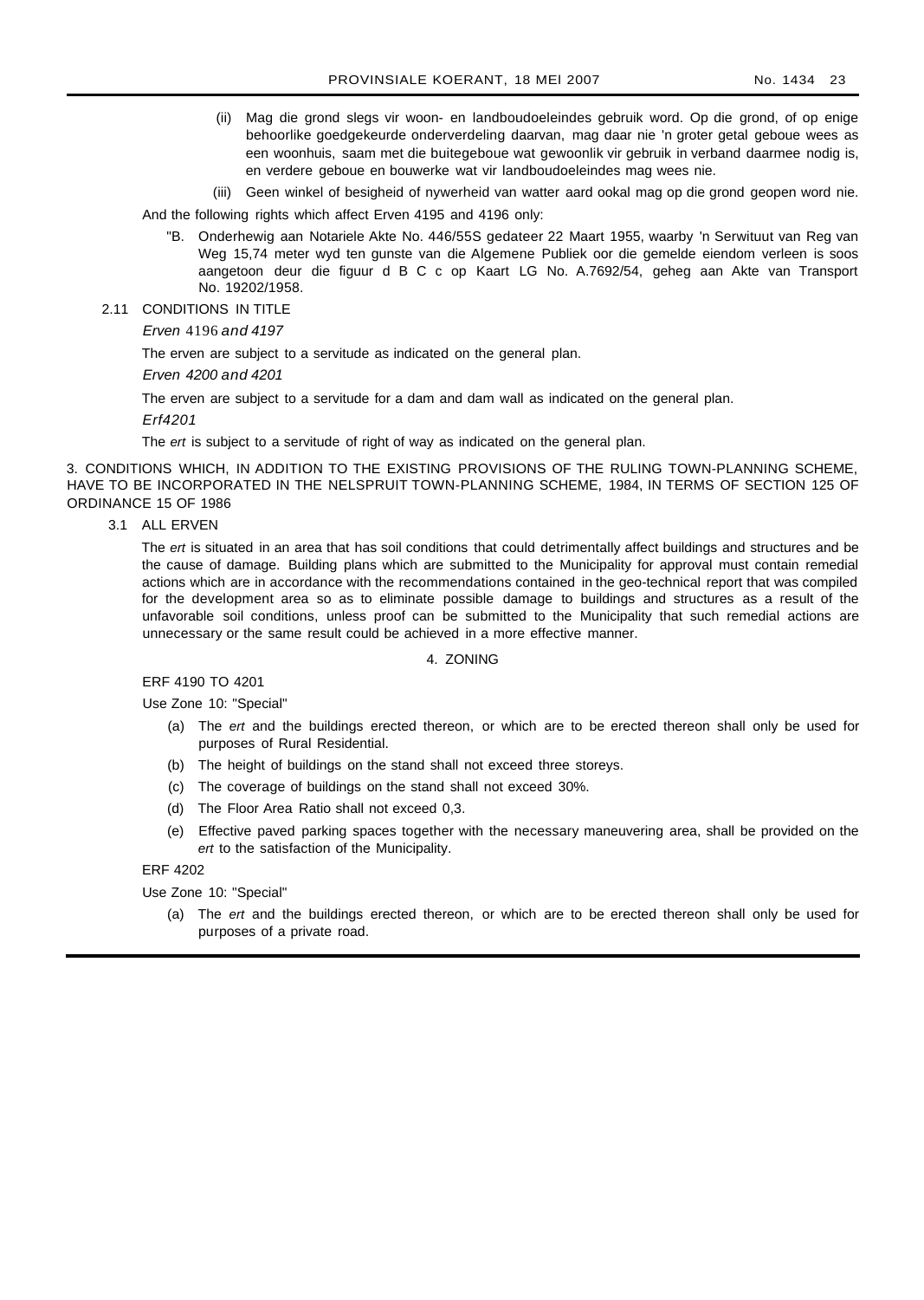(ii) Mag die grond slegs vir woon- en landboudoeleindes gebruik word. Op die grond, of op enige behoorlike goedgekeurde onderverdeling daarvan, mag daar nie 'n groter getal geboue wees as een woonhuis, saam met die buitegeboue wat gewoonlik vir gebruik in verband daarmee nodig is, en verdere geboue en bouwerke wat vir landboudoeleindes mag wees nie.

(iii) Geen winkel of besigheid of nywerheid van watter aard ookal mag op die grond geopen word nie.

And the following rights which affect Erven 4195 and 4196 only:

- "B. Onderhewig aan Notariele Akte No. 446/55S gedateer 22 Maart 1955, waarby 'n Serwituut van Reg van Weg 15,74 meter wyd ten gunste van die Algemene Publiek oor die gemelde eiendom verleen is soos aangetoon deur die figuur d B C c op Kaart LG No. A.7692/54, geheg aan Akte van Transport No. 19202/1958.
- 2.11 CONDITIONS IN TITLE

Erven 4196 and 4197

The erven are subject to a servitude as indicated on the general plan.

Erven 4200 and 4201

The erven are subject to a servitude for a dam and dam wall as indicated on the general plan.

Erf4201

The ert is subject to a servitude of right of way as indicated on the general plan.

3. CONDITIONS WHICH, IN ADDITION TO THE EXISTING PROVISIONS OF THE RULING TOWN-PLANNING SCHEME, HAVE TO BE INCORPORATED IN THE NELSPRUIT TOWN-PLANNING SCHEME, 1984, IN TERMS OF SECTION 125 OF ORDINANCE 15 OF 1986

3.1 ALL ERVEN

The ert is situated in an area that has soil conditions that could detrimentally affect buildings and structures and be the cause of damage. Building plans which are submitted to the Municipality for approval must contain remedial actions which are in accordance with the recommendations contained in the geo-technical report that was compiled for the development area so as to eliminate possible damage to buildings and structures as a result of the unfavorable soil conditions, unless proof can be submitted to the Municipality that such remedial actions are unnecessary or the same result could be achieved in a more effective manner.

#### 4. ZONING

ERF 4190 TO 4201

Use Zone 10: "Special"

- (a) The ert and the buildings erected thereon, or which are to be erected thereon shall only be used for purposes of Rural Residential.
- (b) The height of buildings on the stand shall not exceed three storeys.
- (c) The coverage of buildings on the stand shall not exceed 30%.
- (d) The Floor Area Ratio shall not exceed 0,3.
- (e) Effective paved parking spaces together with the necessary maneuvering area, shall be provided on the ert to the satisfaction of the Municipality.

ERF 4202

Use Zone 10: "Special"

(a) The ert and the buildings erected thereon, or which are to be erected thereon shall only be used for purposes of a private road.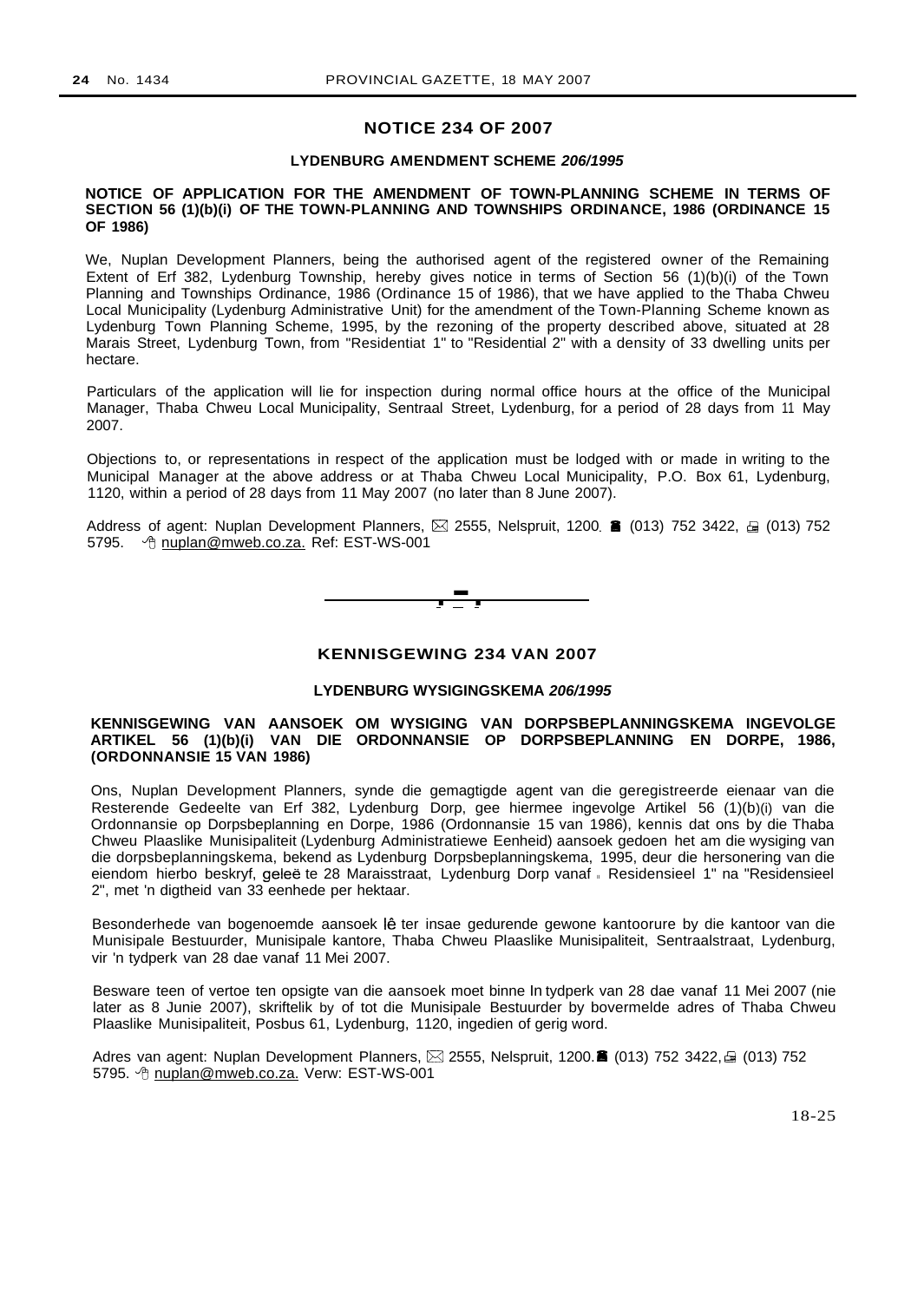## **NOTICE 234 OF 2007**

#### **LYDENBURG AMENDMENT SCHEME 206/1995**

#### **NOTICE OF APPLICATION FOR THE AMENDMENT OF TOWN-PLANNING SCHEME IN TERMS OF SECTION 56 (1)(b)(i) OF THE TOWN-PLANNING AND TOWNSHIPS ORDINANCE, 1986 (ORDINANCE 15 OF 1986)**

We, Nuplan Development Planners, being the authorised agent of the registered owner of the Remaining Extent of Erf 382, Lydenburg Township, hereby gives notice in terms of Section 56 (1)(b)(i) of the Town Planning and Townships Ordinance, 1986 (Ordinance 15 of 1986), that we have applied to the Thaba Chweu Local Municipality (Lydenburg Administrative Unit) for the amendment of the Town-Planning Scheme known as Lydenburg Town Planning Scheme, 1995, by the rezoning of the property described above, situated at 28 Marais Street, Lydenburg Town, from "Residentiat 1" to "Residential 2" with a density of 33 dwelling units per hectare.

Particulars of the application will lie for inspection during normal office hours at the office of the Municipal Manager, Thaba Chweu Local Municipality, Sentraal Street, Lydenburg, for a period of 28 days from 11 May 2007.

Objections to, or representations in respect of the application must be lodged with or made in writing to the Municipal Manager at the above address or at Thaba Chweu Local Municipality, P.O. Box 61, Lydenburg, 1120, within a period of 28 days from 11 May 2007 (no later than 8 June 2007).

Address of agent: Nuplan Development Planners,  $\boxtimes$  2555, Nelspruit, 1200. **6** (013) 752 3422,  $\oplus$  (013) 752 5795. <sup>^</sup> nuplan@mweb.co.za. Ref: EST-WS-001



#### **KENNISGEWING 234 VAN 2007**

## **LYDENBURG WYSIGINGSKEMA 206/1995**

#### **KENNISGEWING VAN AANSOEK OM WYSIGING VAN DORPSBEPLANNINGSKEMA INGEVOLGE ARTIKEL 56 (1)(b)(i) VAN DIE ORDONNANSIE OP DORPSBEPLANNING EN DORPE, 1986, (ORDONNANSIE 15 VAN 1986)**

Ons, Nuplan Development Planners, synde die gemagtigde agent van die geregistreerde eienaar van die Resterende Gedeelte van Erf 382, Lydenburg Dorp, gee hiermee ingevolge Artikel 56 (1)(b)(i) van die Ordonnansie op Dorpsbeplanning en Dorpe, 1986 (Ordonnansie 15 van 1986), kennis dat ons by die Thaba Chweu Plaaslike Munisipaliteit (Lydenburg Administratiewe Eenheid) aansoek gedoen het am die wysiging van die dorpsbeplanningskema, bekend as Lydenburg Dorpsbeplanningskema, 1995, deur die hersonering van die eiendom hierbo beskryf, geleë te 28 Maraisstraat, Lydenburg Dorp vanaf Residensieel 1" na "Residensieel 2", met 'n digtheid van 33 eenhede per hektaar.

Besonderhede van bogenoemde aansoek lê ter insae gedurende gewone kantoorure by die kantoor van die Munisipale Bestuurder, Munisipale kantore, Thaba Chweu Plaaslike Munisipaliteit, Sentraalstraat, Lydenburg, vir 'n tydperk van 28 dae vanaf 11 Mei 2007.

Besware teen of vertoe ten opsigte van die aansoek moet binne In tydperk van 28 dae vanaf 11 Mei 2007 (nie later as 8 Junie 2007), skriftelik by of tot die Munisipale Bestuurder by bovermelde adres of Thaba Chweu Plaaslike Munisipaliteit, Posbus 61, Lydenburg, 1120, ingedien of gerig word.

Adres van agent: Nuplan Development Planners,  $\boxtimes$  2555, Nelspruit, 1200.8 (013) 752 3422,  $\oplus$  (013) 752 5795. *T* nuplan@mweb.co.za. Verw: EST-WS-001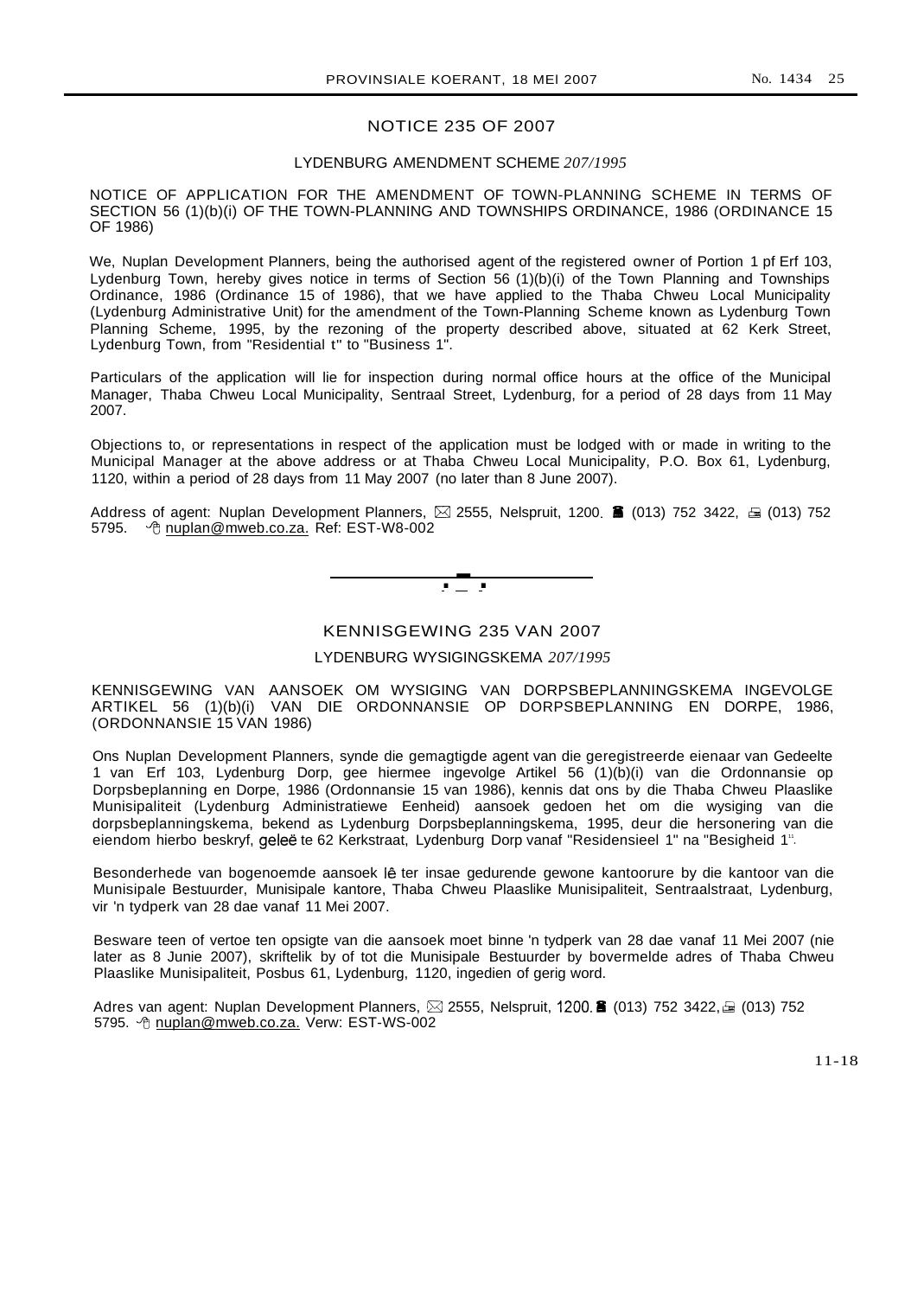## NOTICE 235 OF 2007

#### LYDENBURG AMENDMENT SCHEME *207/1995*

NOTICE OF APPLICATION FOR THE AMENDMENT OF TOWN-PLANNING SCHEME IN TERMS OF SECTION 56 (1)(b)(i) OF THE TOWN-PLANNING AND TOWNSHIPS ORDINANCE, 1986 (ORDINANCE 15 OF 1986)

We, Nuplan Development Planners, being the authorised agent of the registered owner of Portion 1 pf Erf 103, Lydenburg Town, hereby gives notice in terms of Section 56 (1)(b)(i) of the Town Planning and Townships Ordinance, 1986 (Ordinance 15 of 1986), that we have applied to the Thaba Chweu Local Municipality (Lydenburg Administrative Unit) for the amendment of the Town-Planning Scheme known as Lydenburg Town Planning Scheme, 1995, by the rezoning of the property described above, situated at 62 Kerk Street, Lydenburg Town, from "Residential t" to "Business 1".

Particulars of the application will lie for inspection during normal office hours at the office of the Municipal Manager, Thaba Chweu Local Municipality, Sentraal Street, Lydenburg, for a period of 28 days from 11 May 2007.

Objections to, or representations in respect of the application must be lodged with or made in writing to the Municipal Manager at the above address or at Thaba Chweu Local Municipality, P.O. Box 61, Lydenburg, 1120, within a period of 28 days from 11 May 2007 (no later than 8 June 2007).

Address of agent: Nuplan Development Planners,  $\boxtimes$  2555, Nelspruit, 1200. **6** (013) 752 3422,  $\oplus$  (013) 752 5795. + b nuplan@mweb.co.za. Ref: EST-W8-002

 $\mathbf{r} = \mathbf{r}$ 

### KENNISGEWING 235 VAN 2007

## LYDENBURG WYSIGINGSKEMA *207/1995*

KENNISGEWING VAN AANSOEK OM WYSIGING VAN DORPSBEPLANNINGSKEMA INGEVOLGE ARTIKEL 56 (1)(b)(i) VAN DIE ORDONNANSIE OP DORPSBEPLANNING EN DORPE, 1986, (ORDONNANSIE 15 VAN 1986)

Ons Nuplan Development Planners, synde die gemagtigde agent van die geregistreerde eienaar van Gedeelte 1 van Erf 103, Lydenburg Dorp, gee hiermee ingevolge Artikel 56 (1)(b)(i) van die Ordonnansie op Dorpsbeplanning en Dorpe, 1986 (Ordonnansie 15 van 1986), kennis dat ons by die Thaba Chweu Plaaslike Munisipaliteit (Lydenburg Administratiewe Eenheid) aansoek gedoen het om die wysiging van die dorpsbeplanningskema, bekend as Lydenburg Dorpsbeplanningskema, 1995, deur die hersonering van die eiendom hierbo beskryf, geleë te 62 Kerkstraat, Lydenburg Dorp vanaf "Residensieel 1" na "Besigheid 1".

Besonderhede van bogenoemde aansoek lê ter insae gedurende gewone kantoorure by die kantoor van die Munisipale Bestuurder, Munisipale kantore, Thaba Chweu Plaaslike Munisipaliteit, Sentraalstraat, Lydenburg, vir 'n tydperk van 28 dae vanaf 11 Mei 2007.

Besware teen of vertoe ten opsigte van die aansoek moet binne 'n tydperk van 28 dae vanaf 11 Mei 2007 (nie later as 8 Junie 2007), skriftelik by of tot die Munisipale Bestuurder by bovermelde adres of Thaba Chweu Plaaslike Munisipaliteit, Posbus 61, Lydenburg, 1120, ingedien of gerig word.

Adres van agent: Nuplan Development Planners,  $\boxtimes$  2555, Nelspruit, 1200. $\blacksquare$  (013) 752 3422,  $\textcircled{1}$  (013) 752 5795. <sup> $\theta$ </sup> nuplan@mweb.co.za. Verw: EST-WS-002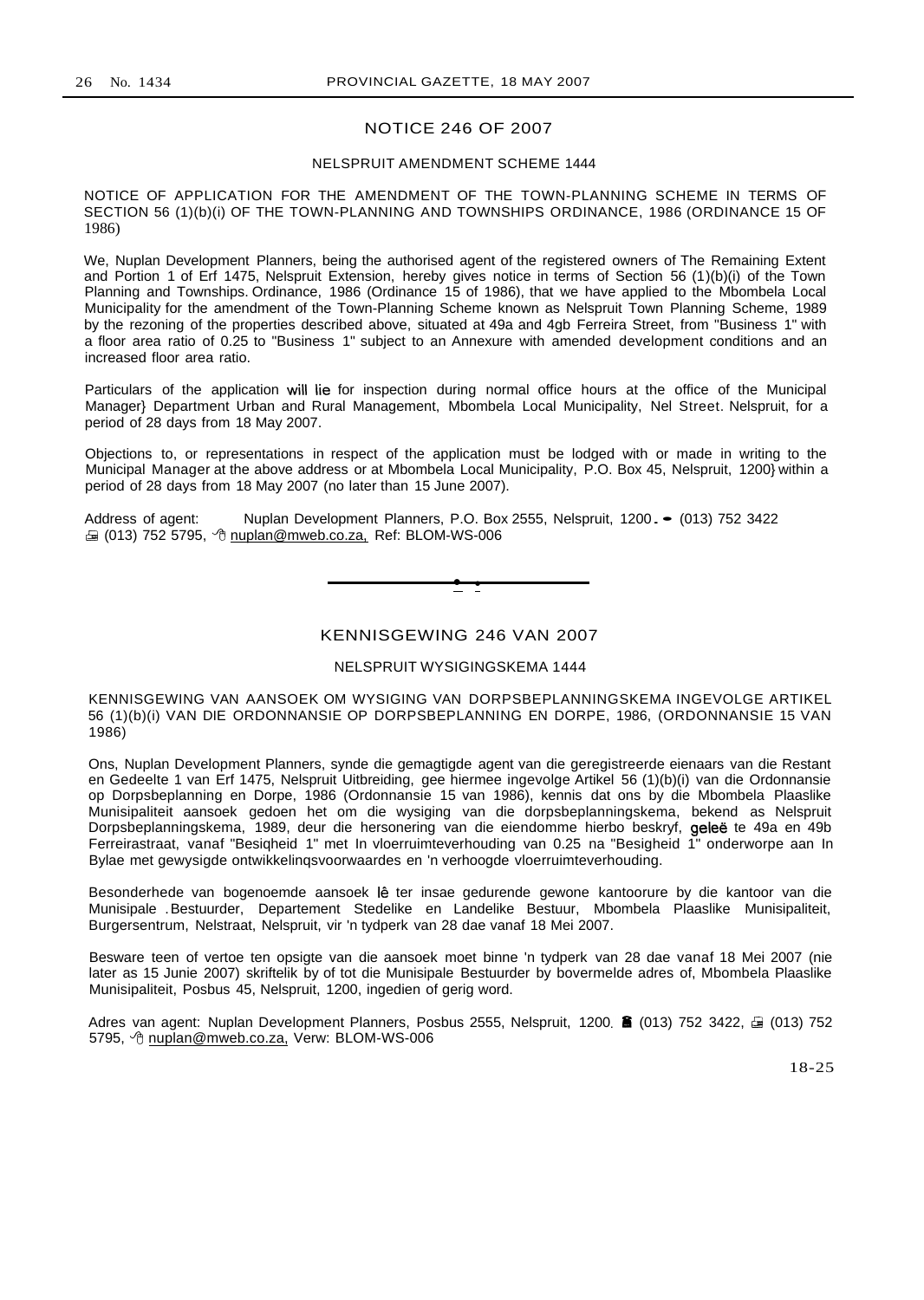## NOTICE 246 OF 2007

#### NELSPRUIT AMENDMENT SCHEME 1444

NOTICE OF APPLICATION FOR THE AMENDMENT OF THE TOWN-PLANNING SCHEME IN TERMS OF SECTION 56 (1)(b)(i) OF THE TOWN-PLANNING AND TOWNSHIPS ORDINANCE, 1986 (ORDINANCE 15 OF 1986)

We, Nuplan Development Planners, being the authorised agent of the registered owners of The Remaining Extent and Portion 1 of Erf 1475, Nelspruit Extension, hereby gives notice in terms of Section 56 (1)(b)(i) of the Town Planning and Townships. Ordinance, 1986 (Ordinance 15 of 1986), that we have applied to the Mbombela Local Municipality for the amendment of the Town-Planning Scheme known as Nelspruit Town Planning Scheme, 1989 by the rezoning of the properties described above, situated at 49a and 4gb Ferreira Street, from "Business 1" with a floor area ratio of 0.25 to "Business 1" subject to an Annexure with amended development conditions and an increased floor area ratio.

Particulars of the application will lie for inspection during normal office hours at the office of the Municipal Manager} Department Urban and Rural Management, Mbombela Local Municipality, Nel Street. Nelspruit, for a period of 28 days from 18 May 2007.

Objections to, or representations in respect of the application must be lodged with or made in writing to the Municipal Manager at the above address or at Mbombela Local Municipality, P.O. Box 45, Nelspruit, 1200} within a period of 28 days from 18 May 2007 (no later than 15 June 2007).

Address of agent: Nuplan Development Planners, P.O. Box 2555, Nelspruit, 1200.• (013) 752 3422  $\triangleq$  (013) 752 5795,  $\triangleq$  nuplan@mweb.co.za, Ref: BLOM-WS-006

 $\bullet$ 

## KENNISGEWING 246 VAN 2007

#### NELSPRUIT WYSIGINGSKEMA 1444

KENNISGEWING VAN AANSOEK OM WYSIGING VAN DORPSBEPLANNINGSKEMA INGEVOLGE ARTIKEL 56 (1)(b)(i) VAN DIE ORDONNANSIE OP DORPSBEPLANNING EN DORPE, 1986, (ORDONNANSIE 15 VAN 1986)

Ons, Nuplan Development Planners, synde die gemagtigde agent van die geregistreerde eienaars van die Restant en Gedeelte 1 van Erf 1475, Nelspruit Uitbreiding, gee hiermee ingevolge Artikel 56 (1)(b)(i) van die Ordonnansie op Dorpsbeplanning en Dorpe, 1986 (Ordonnansie 15 van 1986), kennis dat ons by die Mbombela Plaaslike Munisipaliteit aansoek gedoen het om die wysiging van die dorpsbeplanningskema, bekend as Nelspruit Dorpsbeplanningskema, 1989, deur die hersonering van die eiendomme hierbo beskryf, geleë te 49a en 49b Ferreirastraat, vanaf "Besiqheid 1" met In vloerruimteverhouding van 0.25 na "Besigheid 1" onderworpe aan In Bylae met gewysigde ontwikkelinqsvoorwaardes en 'n verhoogde vloerruimteverhouding.

Besonderhede van bogenoemde aansoek lê ter insae gedurende gewone kantoorure by die kantoor van die Munisipale .Bestuurder, Departement Stedelike en Landelike Bestuur, Mbombela Plaaslike Munisipaliteit, Burgersentrum, Nelstraat, Nelspruit, vir 'n tydperk van 28 dae vanaf 18 Mei 2007.

Besware teen of vertoe ten opsigte van die aansoek moet binne 'n tydperk van 28 dae vanaf 18 Mei 2007 (nie later as 15 Junie 2007) skriftelik by of tot die Munisipale Bestuurder by bovermelde adres of, Mbombela Plaaslike Munisipaliteit, Posbus 45, Nelspruit, 1200, ingedien of gerig word.

Adres van agent: Nuplan Development Planners, Posbus 2555, Nelspruit, 1200. **6** (013) 752 3422,  $\equiv$  (013) 752 5795, <sup>@</sup> nuplan@mweb.co.za, Verw: BLOM-WS-006

18-25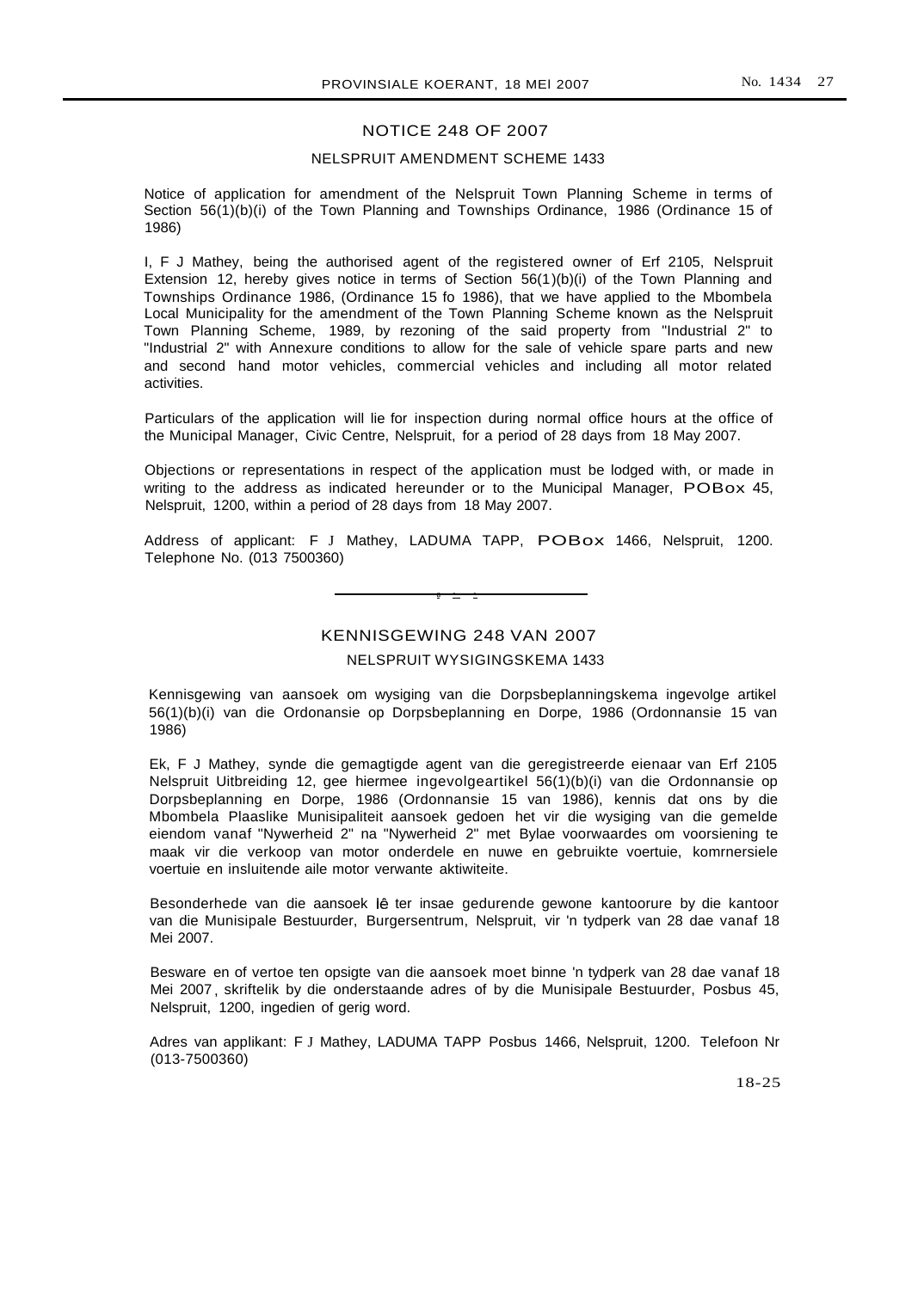## NOTICE 248 OF 2007

#### NELSPRUIT AMENDMENT SCHEME 1433

Notice of application for amendment of the Nelspruit Town Planning Scheme in terms of Section 56(1)(b)(i) of the Town Planning and Townships Ordinance, 1986 (Ordinance 15 of 1986)

I, F J Mathey, being the authorised agent of the registered owner of Erf 2105, Nelspruit Extension 12, hereby gives notice in terms of Section  $56(1)(b)(i)$  of the Town Planning and Townships Ordinance 1986, (Ordinance 15 fo 1986), that we have applied to the Mbombela Local Municipality for the amendment of the Town Planning Scheme known as the Nelspruit Town Planning Scheme, 1989, by rezoning of the said property from "Industrial 2" to "Industrial 2" with Annexure conditions to allow for the sale of vehicle spare parts and new and second hand motor vehicles, commercial vehicles and including all motor related activities.

Particulars of the application will lie for inspection during normal office hours at the office of the Municipal Manager, Civic Centre, Nelspruit, for a period of 28 days from 18 May 2007.

Objections or representations in respect of the application must be lodged with, or made in writing to the address as indicated hereunder or to the Municipal Manager, POBox 45, Nelspruit, 1200, within a period of 28 days from 18 May 2007.

Address of applicant: F J Mathey, LADUMA TAPP, POBox 1466, Nelspruit, 1200. Telephone No. (013 7500360)

a • •

KENNISGEWING 248 VAN 2007

#### NELSPRUIT WYSIGINGSKEMA 1433

Kennisgewing van aansoek om wysiging van die Dorpsbeplanningskema ingevolge artikel 56(1)(b)(i) van die Ordonansie op Dorpsbeplanning en Dorpe, 1986 (Ordonnansie 15 van 1986)

Ek, F J Mathey, synde die gemagtigde agent van die geregistreerde eienaar van Erf 2105 Nelspruit Uitbreiding 12, gee hiermee ingevolgeartikel 56(1)(b)(i) van die Ordonnansie op Dorpsbeplanning en Dorpe, 1986 (Ordonnansie 15 van 1986), kennis dat ons by die Mbombela Plaaslike Munisipaliteit aansoek gedoen het vir die wysiging van die gemelde eiendom vanaf "Nywerheid 2" na "Nywerheid 2" met Bylae voorwaardes om voorsiening te maak vir die verkoop van motor onderdele en nuwe en gebruikte voertuie, komrnersiele voertuie en insluitende aile motor verwante aktiwiteite.

Besonderhede van die aansoek lê ter insae gedurende gewone kantoorure by die kantoor van die Munisipale Bestuurder, Burgersentrum, Nelspruit, vir 'n tydperk van 28 dae vanaf 18 Mei 2007.

Besware en of vertoe ten opsigte van die aansoek moet binne 'n tydperk van 28 dae vanaf 18 Mei 2007 , skriftelik by die onderstaande adres of by die Munisipale Bestuurder, Posbus 45, Nelspruit, 1200, ingedien of gerig word.

Adres van applikant: F J Mathey, LADUMA TAPP Posbus 1466, Nelspruit, 1200. Telefoon Nr (013-7500360)

18-25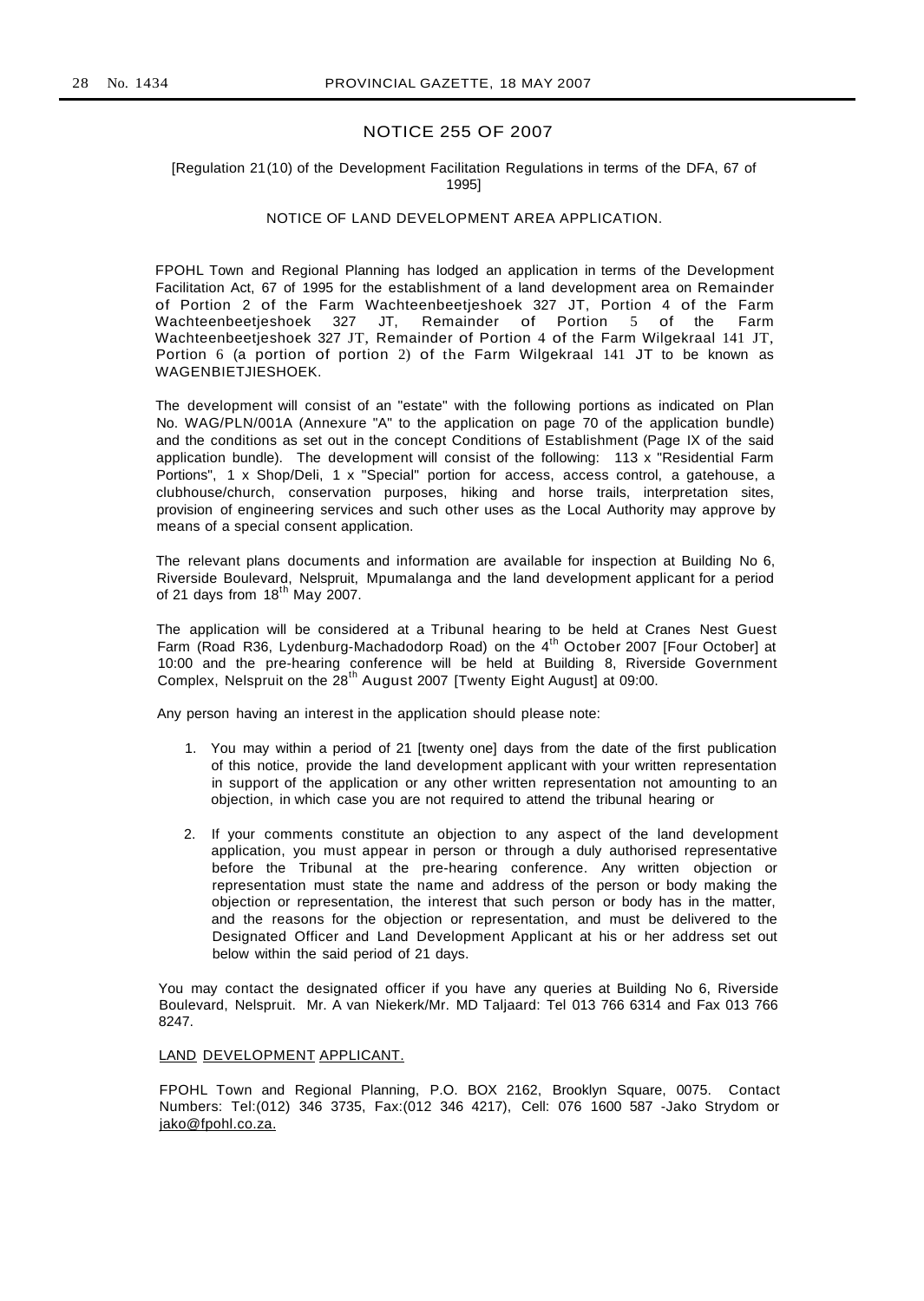## NOTICE 255 OF 2007

#### [Regulation 21(10) of the Development Facilitation Regulations in terms of the DFA, 67 of 1995]

#### NOTICE OF LAND DEVELOPMENT AREA APPLICATION.

FPOHL Town and Regional Planning has lodged an application in terms of the Development Facilitation Act, 67 of 1995 for the establishment of a land development area on Remainder of Portion 2 of the Farm Wachteenbeetjeshoek 327 JT, Portion 4 of the Farm<br>Wachteenbeetjeshoek 327 JT, Remainder of Portion 5 of the Farm Remainder of Portion  $5$  of the Farm Wachteenbeetjeshoek 327 JT, Remainder of Portion 4 of the Farm Wilgekraal 141 JT, Portion 6 (a portion of portion 2) of the Farm Wilgekraal 141 JT to be known as WAGENBIETJIESHOEK.

The development will consist of an "estate" with the following portions as indicated on Plan No. WAG/PLN/001A (Annexure "A" to the application on page 70 of the application bundle) and the conditions as set out in the concept Conditions of Establishment (Page IX of the said application bundle). The development will consist of the following: 113 x "Residential Farm Portions", 1 x Shop/Deli, 1 x "Special" portion for access, access control, a gatehouse, a clubhouse/church, conservation purposes, hiking and horse trails, interpretation sites, provision of engineering services and such other uses as the Local Authority may approve by means of a special consent application.

The relevant plans documents and information are available for inspection at Building No 6, Riverside Boulevard, Nelspruit, Mpumalanga and the land development applicant for a period of 21 days from  $18<sup>th</sup>$  May 2007.

The application will be considered at a Tribunal hearing to be held at Cranes Nest Guest Farm (Road R36, Lydenburg-Machadodorp Road) on the 4<sup>th</sup> October 2007 [Four October] at 10:00 and the pre-hearing conference will be held at Building 8, Riverside Government Complex, Nelspruit on the 28<sup>th</sup> August 2007 [Twenty Eight August] at 09:00.

Any person having an interest in the application should please note:

- 1. You may within a period of 21 [twenty one] days from the date of the first publication of this notice, provide the land development applicant with your written representation in support of the application or any other written representation not amounting to an objection, in which case you are not required to attend the tribunal hearing or
- 2. If your comments constitute an objection to any aspect of the land development application, you must appear in person or through a duly authorised representative before the Tribunal at the pre-hearing conference. Any written objection or representation must state the name and address of the person or body making the objection or representation, the interest that such person or body has in the matter, and the reasons for the objection or representation, and must be delivered to the Designated Officer and Land Development Applicant at his or her address set out below within the said period of 21 days.

You may contact the designated officer if you have any queries at Building No 6, Riverside Boulevard, Nelspruit. Mr. A van Niekerk/Mr. MD Taljaard: Tel 013 766 6314 and Fax 013 766 8247.

#### LAND DEVELOPMENT APPLICANT.

FPOHL Town and Regional Planning, P.O. BOX 2162, Brooklyn Square, 0075. Contact Numbers: Tel:(012) 346 3735, Fax:(012 346 4217), Cell: 076 1600 587 -Jako Strydom or jako@fpohl.co.za.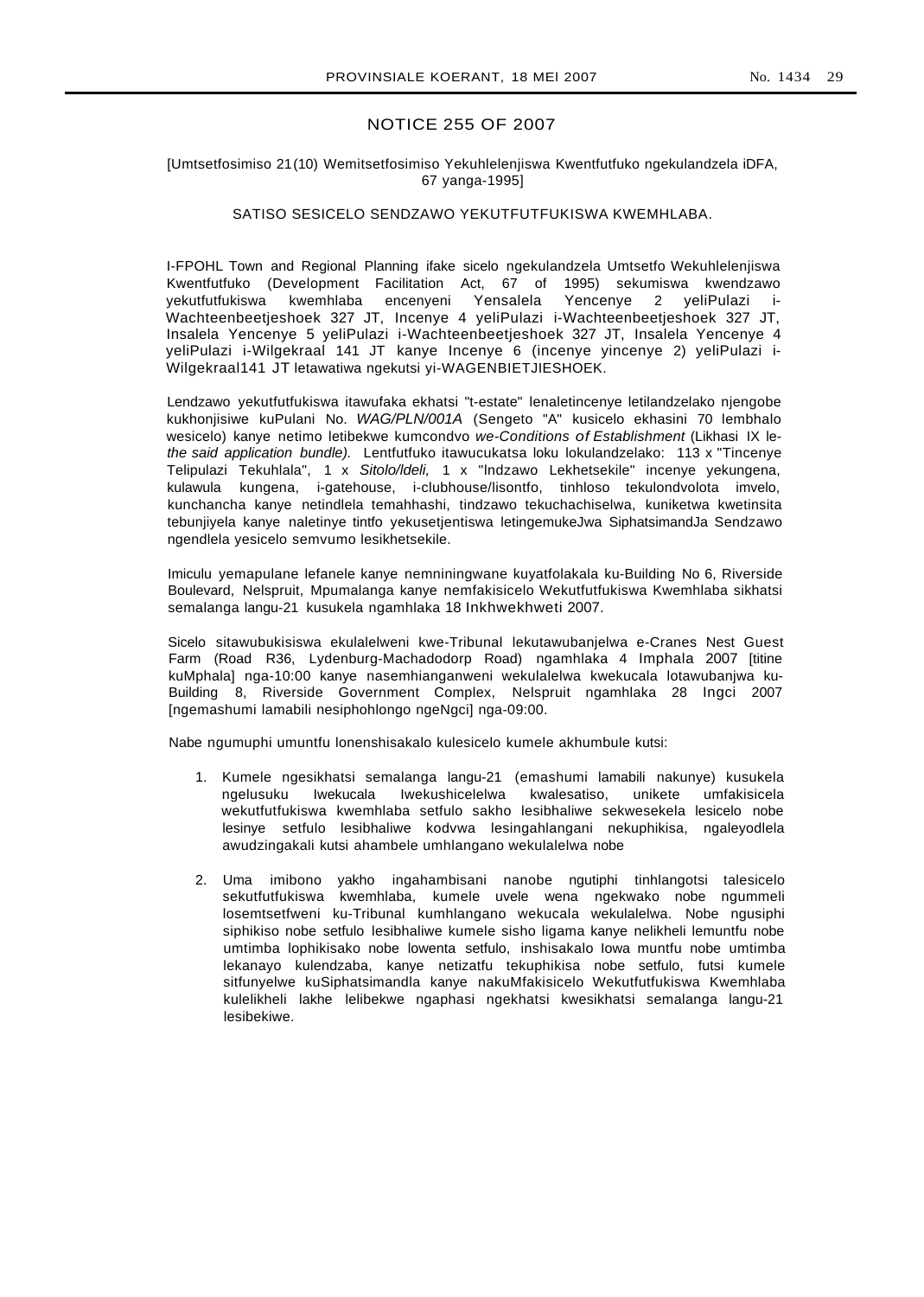#### No. 1434 29

## NOTICE 255 OF 2007

#### [Umtsetfosimiso 21(10) Wemitsetfosimiso Yekuhlelenjiswa Kwentfutfuko ngekulandzela iDFA, 67 yanga-1995]

## SATISO SESICELO SENDZAWO YEKUTFUTFUKISWA KWEMHLABA.

I-FPOHL Town and Regional Planning ifake sicelo ngekulandzela Umtsetfo Wekuhlelenjiswa Kwentfutfuko (Development Facilitation Act, 67 of 1995) sekumiswa kwendzawo yekutfutfukiswa kwemhlaba encenyeni Yensalela Yencenye 2 yeliPulazi i-Wachteenbeetjeshoek 327 JT, Incenye 4 yeliPulazi i-Wachteenbeetjeshoek 327 JT, Insalela Yencenye 5 yeliPulazi i-Wachteenbeetjeshoek 327 JT, Insalela Yencenye 4 yeliPulazi i-Wilgekraal 141 JT kanye Incenye 6 (incenye yincenye 2) yeliPulazi i-Wilgekraal141 JT letawatiwa ngekutsi yi-WAGENBIETJIESHOEK.

Lendzawo yekutfutfukiswa itawufaka ekhatsi "t-estate" lenaletincenye letilandzelako njengobe kukhonjisiwe kuPulani No. WAG/PLN/001A (Sengeto "A" kusicelo ekhasini 70 lembhalo wesicelo) kanye netimo letibekwe kumcondvo we-Conditions of Establishment (Likhasi IX lethe said application bundle). Lentfutfuko itawucukatsa loku lokulandzelako: 113 x "Tincenye Telipulazi Tekuhlala", 1 x Sitolo/ldeli, 1 x "lndzawo Lekhetsekile" incenye yekungena, kulawula kungena, i-gatehouse, i-clubhouse/lisontfo, tinhloso tekulondvolota imvelo, kunchancha kanye netindlela temahhashi, tindzawo tekuchachiselwa, kuniketwa kwetinsita tebunjiyela kanye naletinye tintfo yekusetjentiswa letingemukeJwa SiphatsimandJa Sendzawo ngendlela yesicelo semvumo lesikhetsekile.

Imiculu yemapulane lefanele kanye nemniningwane kuyatfolakala ku-Building No 6, Riverside Boulevard, Nelspruit, Mpumalanga kanye nemfakisicelo Wekutfutfukiswa Kwemhlaba sikhatsi semalanga langu-21 kusukela ngamhlaka 18 Inkhwekhweti 2007.

Sicelo sitawubukisiswa ekulalelweni kwe-Tribunal lekutawubanjelwa e-Cranes Nest Guest Farm (Road R36, Lydenburg-Machadodorp Road) ngamhlaka 4 Imphala 2007 [titine kuMphala] nga-10:00 kanye nasemhianganweni wekulalelwa kwekucala lotawubanjwa ku-Building 8, Riverside Government Complex, Nelspruit ngamhlaka 28 Ingci 2007 [ngemashumi lamabili nesiphohlongo ngeNgci] nga-09:00.

Nabe ngumuphi umuntfu lonenshisakalo kulesicelo kumele akhumbule kutsi:

- 1. Kumele ngesikhatsi semalanga langu-21 (emashumi lamabili nakunye) kusukela ngelusuku Iwekucala Iwekushicelelwa kwalesatiso, unikete umfakisicela wekutfutfukiswa kwemhlaba setfulo sakho lesibhaliwe sekwesekela lesicelo nobe lesinye setfulo lesibhaliwe kodvwa lesingahlangani nekuphikisa, ngaleyodlela awudzingakali kutsi ahambele umhlangano wekulalelwa nobe
- 2. Uma imibono yakho ingahambisani nanobe ngutiphi tinhlangotsi talesicelo sekutfutfukiswa kwemhlaba, kumele uvele wena ngekwako nobe ngummeli losemtsetfweni ku-Tribunal kumhlangano wekucala wekulalelwa. Nobe ngusiphi siphikiso nobe setfulo lesibhaliwe kumele sisho ligama kanye nelikheli lemuntfu nobe umtimba lophikisako nobe lowenta setfulo, inshisakalo Iowa muntfu nobe umtimba lekanayo kulendzaba, kanye netizatfu tekuphikisa nobe setfulo, futsi kumele sitfunyelwe kuSiphatsimandla kanye nakuMfakisicelo Wekutfutfukiswa Kwemhlaba kulelikheli lakhe lelibekwe ngaphasi ngekhatsi kwesikhatsi semalanga langu-21 lesibekiwe.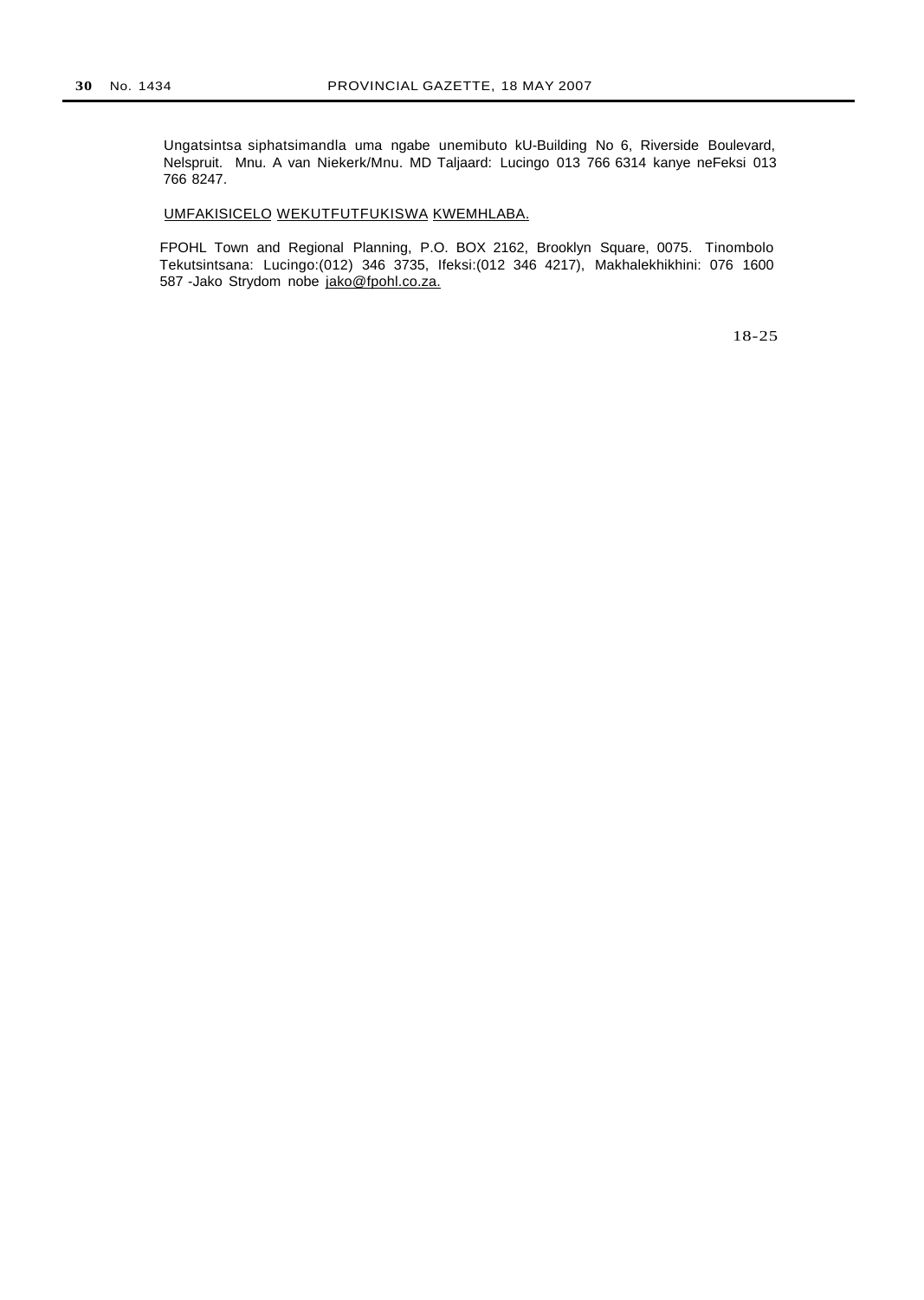Ungatsintsa siphatsimandla uma ngabe unemibuto kU-Building No 6, Riverside Boulevard, Nelspruit. Mnu. A van Niekerk/Mnu. MD Taljaard: Lucingo 013 766 6314 kanye neFeksi 013 766 8247.

## UMFAKISICELO WEKUTFUTFUKISWA KWEMHLABA.

FPOHL Town and Regional Planning, P.O. BOX 2162, Brooklyn Square, 0075. Tinombolo Tekutsintsana: Lucingo:(012) 346 3735, Ifeksi:(012 346 4217), Makhalekhikhini: 076 1600 587 -Jako Strydom nobe jako@fpohl.co.za.

18-25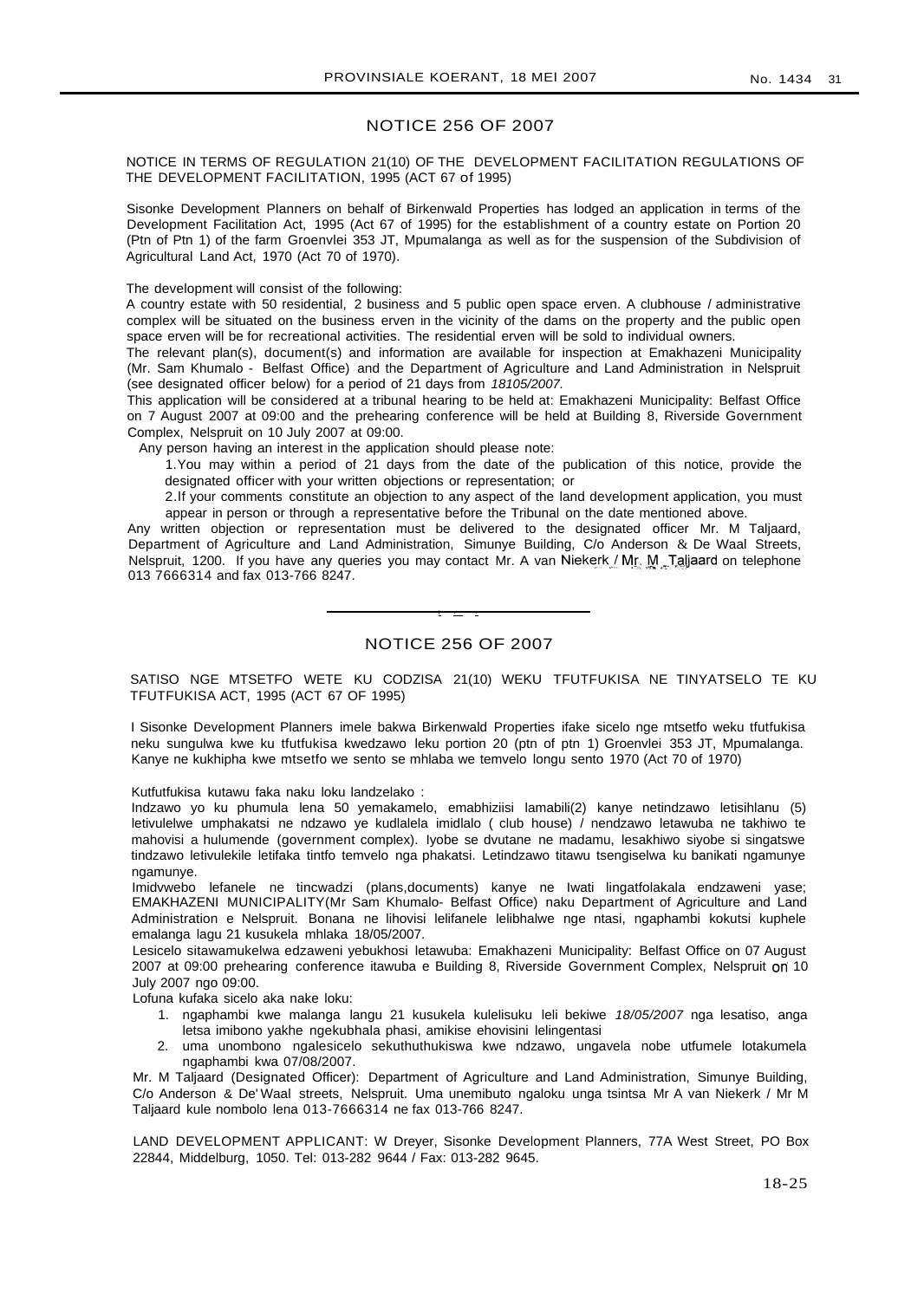#### NOTICE 256 OF 2007

NOTICE IN TERMS OF REGULATION 21(10) OF THE DEVELOPMENT FACILITATION REGULATIONS OF THE DEVELOPMENT FACILITATION, 1995 (ACT 67 of 1995)

Sisonke Development Planners on behalf of Birkenwald Properties has lodged an application in terms of the Development Facilitation Act, 1995 (Act 67 of 1995) for the establishment of a country estate on Portion 20 (Ptn of Ptn 1) of the farm Groenvlei 353 JT, Mpumalanga as well as for the suspension of the Subdivision of Agricultural Land Act, 1970 (Act 70 of 1970).

The development will consist of the following:

A country estate with 50 residential, 2 business and 5 public open space erven. A clubhouse / administrative complex will be situated on the business erven in the vicinity of the dams on the property and the public open space erven will be for recreational activities. The residential erven will be sold to individual owners.

The relevant plan(s), document(s) and information are available for inspection at Emakhazeni Municipality (Mr. Sam Khumalo - Belfast Office) and the Department of Agriculture and Land Administration in Nelspruit (see designated officer below) for a period of 21 days from 18105/2007.

This application will be considered at a tribunal hearing to be held at: Emakhazeni Municipality: Belfast Office on 7 August 2007 at 09:00 and the prehearing conference will be held at Building 8, Riverside Government Complex, Nelspruit on 10 July 2007 at 09:00.

Any person having an interest in the application should please note:

1.You may within a period of 21 days from the date of the publication of this notice, provide the designated officer with your written objections or representation; or

2.lf your comments constitute an objection to any aspect of the land development application, you must appear in person or through a representative before the Tribunal on the date mentioned above.

Any written objection or representation must be delivered to the designated officer Mr. M Taljaard, Department of Agriculture and Land Administration, Simunye Building, C/o Anderson & De Waal Streets, Nelspruit, 1200. If you have any queries you may contact Mr. A van Niekerk / Mr. M. Taljaard on telephone 013 7666314 and fax 013-766 8247.

## NOTICE 256 OF 2007

I • •

SATISO NGE MTSETFO WETE KU CODZISA 21(10) WEKU TFUTFUKISA NE TINYATSELO TE KU TFUTFUKISA ACT, 1995 (ACT 67 OF 1995)

I Sisonke Development Planners imele bakwa Birkenwald Properties ifake sicelo nge mtsetfo weku tfutfukisa neku sungulwa kwe ku tfutfukisa kwedzawo leku portion 20 (ptn of ptn 1) Groenvlei 353 JT, Mpumalanga. Kanye ne kukhipha kwe mtsetfo we sento se mhlaba we temvelo longu sento 1970 (Act 70 of 1970)

Kutfutfukisa kutawu faka naku loku landzelako :

Indzawo yo ku phumula lena 50 yemakamelo, emabhiziisi lamabili(2) kanye netindzawo letisihlanu (5) letivulelwe umphakatsi ne ndzawo ye kudlalela imidlalo ( club house) / nendzawo letawuba ne takhiwo te mahovisi a hulumende (government complex). Iyobe se dvutane ne madamu, lesakhiwo siyobe si singatswe tindzawo letivulekile letifaka tintfo temvelo nga phakatsi. Letindzawo titawu tsengiselwa ku banikati ngamunye ngamunye.

Imidvwebo lefanele ne tincwadzi (plans,documents) kanye ne Iwati lingatfolakala endzaweni yase; EMAKHAZENI MUNICIPALITY(Mr Sam Khumalo- Belfast Office) naku Department of Agriculture and Land Administration e Nelspruit. Bonana ne lihovisi lelifanele lelibhalwe nge ntasi, ngaphambi kokutsi kuphele emalanga lagu 21 kusukela mhlaka 18/05/2007.

Lesicelo sitawamukelwa edzaweni yebukhosi letawuba: Emakhazeni Municipality: Belfast Office on 07 August 2007 at 09:00 prehearing conference itawuba e Building 8, Riverside Government Complex, Nelspruit on 10 July 2007 ngo 09:00.

Lofuna kufaka sicelo aka nake loku:

- 1. ngaphambi kwe malanga langu 21 kusukela kulelisuku leli bekiwe 18/05/2007 nga lesatiso, anga letsa imibono yakhe ngekubhala phasi, amikise ehovisini lelingentasi
- 2. uma unombono ngalesicelo sekuthuthukiswa kwe ndzawo, ungavela nobe utfumele lotakumela ngaphambi kwa 07/08/2007.

Mr. M Taljaard (Designated Officer): Department of Agriculture and Land Administration, Simunye Building, C/o Anderson & De' Waal streets, Nelspruit. Uma unemibuto ngaloku unga tsintsa Mr A van Niekerk / Mr M Taljaard kule nombolo lena 013-7666314 ne fax 013-766 8247.

LAND DEVELOPMENT APPLICANT: W Dreyer, Sisonke Development Planners, 77A West Street, PO Box 22844, Middelburg, 1050. Tel: 013-282 9644 / Fax: 013-282 9645.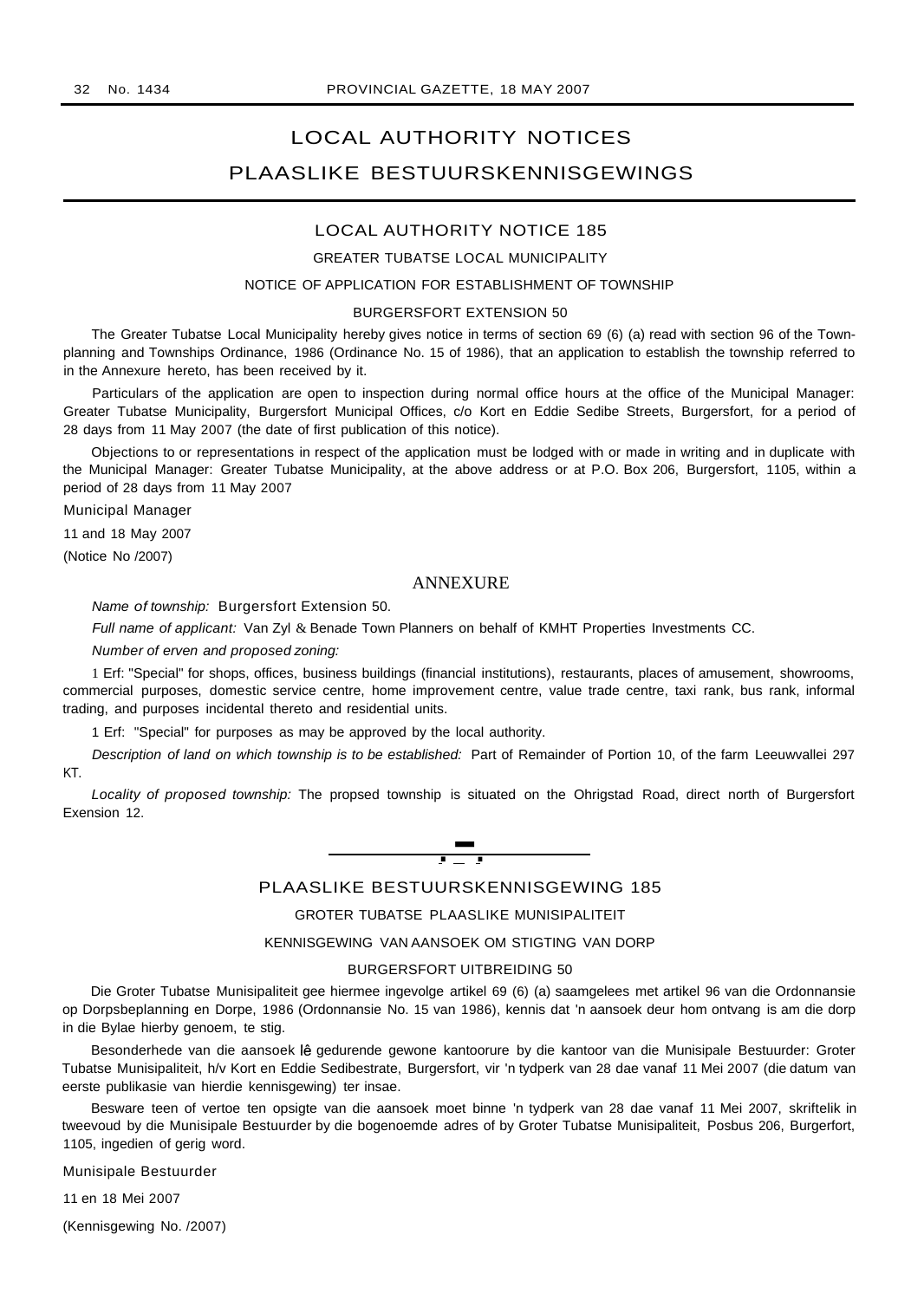# LOCAL AUTHORITY NOTICES PLAASLIKE BESTUURSKENNISGEWINGS

#### LOCAL AUTHORITY NOTICE 185

#### GREATER TUBATSE LOCAL MUNICIPALITY

#### NOTICE OF APPLICATION FOR ESTABLISHMENT OF TOWNSHIP

#### BURGERSFORT EXTENSION 50

The Greater Tubatse Local Municipality hereby gives notice in terms of section 69 (6) (a) read with section 96 of the Townplanning and Townships Ordinance, 1986 (Ordinance No. 15 of 1986), that an application to establish the township referred to in the Annexure hereto, has been received by it.

Particulars of the application are open to inspection during normal office hours at the office of the Municipal Manager: Greater Tubatse Municipality, Burgersfort Municipal Offices, c/o Kort en Eddie Sedibe Streets, Burgersfort, for a period of 28 days from 11 May 2007 (the date of first publication of this notice).

Objections to or representations in respect of the application must be lodged with or made in writing and in duplicate with the Municipal Manager: Greater Tubatse Municipality, at the above address or at P.O. Box 206, Burgersfort, 1105, within a period of 28 days from 11 May 2007

Municipal Manager

11 and 18 May 2007

(Notice No /2007)

## **ANNEXURE**

Name of township: Burgersfort Extension 50.

Full name of applicant: Van Zyl & Benade Town Planners on behalf of KMHT Properties Investments CC.

Number of erven and proposed zoning:

1 Erf: "Special" for shops, offices, business buildings (financial institutions), restaurants, places of amusement, showrooms, commercial purposes, domestic service centre, home improvement centre, value trade centre, taxi rank, bus rank, informal trading, and purposes incidental thereto and residential units.

1 Erf: "Special" for purposes as may be approved by the local authority.

Description of land on which township is to be established: Part of Remainder of Portion 10, of the farm Leeuwvallei 297 KT.

Locality of proposed township: The propsed township is situated on the Ohrigstad Road, direct north of Burgersfort Exension 12.

# .-. PLAASLIKE BESTUURSKENNISGEWING <sup>185</sup>

## GROTER TUBATSE PLAASLIKE MUNISIPALITEIT

KENNISGEWING VAN AANSOEK OM STIGTING VAN DORP

#### BURGERSFORT UITBREIDING 50

Die Groter Tubatse Munisipaliteit gee hiermee ingevolge artikel 69 (6) (a) saamgelees met artikel 96 van die Ordonnansie op Dorpsbeplanning en Dorpe, 1986 (Ordonnansie No. 15 van 1986), kennis dat 'n aansoek deur hom ontvang is am die dorp in die Bylae hierby genoem, te stig.

Besonderhede van die aansoek lê gedurende gewone kantoorure by die kantoor van die Munisipale Bestuurder: Groter Tubatse Munisipaliteit, h/v Kort en Eddie Sedibestrate, Burgersfort, vir 'n tydperk van 28 dae vanaf 11 Mei 2007 (die datum van eerste publikasie van hierdie kennisgewing) ter insae.

Besware teen of vertoe ten opsigte van die aansoek moet binne 'n tydperk van 28 dae vanaf 11 Mei 2007, skriftelik in tweevoud by die Munisipale Bestuurder by die bogenoemde adres of by Groter Tubatse Munisipaliteit, Posbus 206, Burgerfort, 1105, ingedien of gerig word.

Munisipale Bestuurder

11 en 18 Mei 2007

(Kennisgewing No. /2007)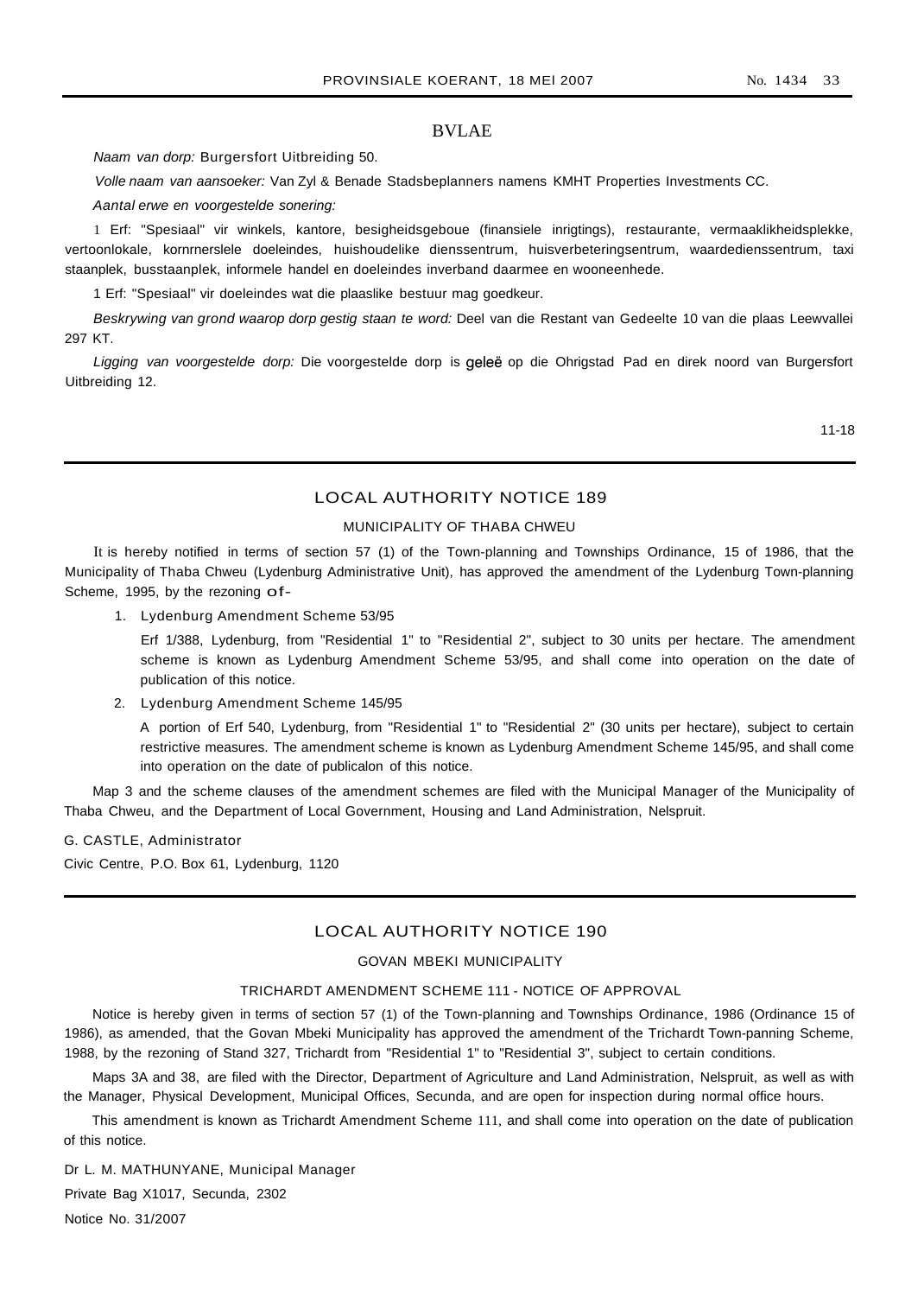## BVLAE

Naam van dorp: Burgersfort Uitbreiding 50.

Volle naam van aansoeker: Van Zyl & Benade Stadsbeplanners namens KMHT Properties Investments CC.

Aantal erwe en voorgestelde sonering:

1 Erf: "Spesiaal" vir winkels, kantore, besigheidsgeboue (finansiele inrigtings), restaurante, vermaaklikheidsplekke, vertoonlokale, kornrnerslele doeleindes, huishoudelike dienssentrum, huisverbeteringsentrum, waardedienssentrum, taxi staanplek, busstaanplek, informele handel en doeleindes inverband daarmee en wooneenhede.

1 Erf: "Spesiaal" vir doeleindes wat die plaaslike bestuur mag goedkeur.

Beskrywing van grond waarop dorp gestig staan te word: Deel van die Restant van Gedeelte 10 van die plaas Leewvallei 297 KT.

Ligging van voorgestelde dorp: Die voorgestelde dorp is geleë op die Ohrigstad Pad en direk noord van Burgersfort Uitbreiding 12.

11-18

## LOCAL AUTHORITY NOTICE 189

#### MUNICIPALITY OF THABA CHWEU

It is hereby notified in terms of section 57 (1) of the Town-planning and Townships Ordinance, 15 of 1986, that the Municipality of Thaba Chweu (Lydenburg Administrative Unit), has approved the amendment of the Lydenburg Town-planning Scheme, 1995, by the rezoning of-

1. Lydenburg Amendment Scheme 53/95

Erf 1/388, Lydenburg, from "Residential 1" to "Residential 2", subject to 30 units per hectare. The amendment scheme is known as Lydenburg Amendment Scheme 53/95, and shall come into operation on the date of publication of this notice.

2. Lydenburg Amendment Scheme 145/95

A portion of Erf 540, Lydenburg, from "Residential 1" to "Residential 2" (30 units per hectare), subject to certain restrictive measures. The amendment scheme is known as Lydenburg Amendment Scheme 145/95, and shall come into operation on the date of publicalon of this notice.

Map 3 and the scheme clauses of the amendment schemes are filed with the Municipal Manager of the Municipality of Thaba Chweu, and the Department of Local Government, Housing and Land Administration, Nelspruit.

G. CASTLE, Administrator Civic Centre, P.O. Box 61, Lydenburg, 1120

#### LOCAL AUTHORITY NOTICE 190

#### GOVAN MBEKI MUNICIPALITY

#### TRICHARDT AMENDMENT SCHEME 111 - NOTICE OF APPROVAL

Notice is hereby given in terms of section 57 (1) of the Town-planning and Townships Ordinance, 1986 (Ordinance 15 of 1986), as amended, that the Govan Mbeki Municipality has approved the amendment of the Trichardt Town-panning Scheme, 1988, by the rezoning of Stand 327, Trichardt from "Residential 1" to "Residential 3", subject to certain conditions.

Maps 3A and 38, are filed with the Director, Department of Agriculture and Land Administration, Nelspruit, as well as with the Manager, Physical Development, Municipal Offices, Secunda, and are open for inspection during normal office hours.

This amendment is known as Trichardt Amendment Scheme 111, and shall come into operation on the date of publication of this notice.

Dr L. M. MATHUNYANE, Municipal Manager Private Bag X1017, Secunda, 2302 Notice No. 31/2007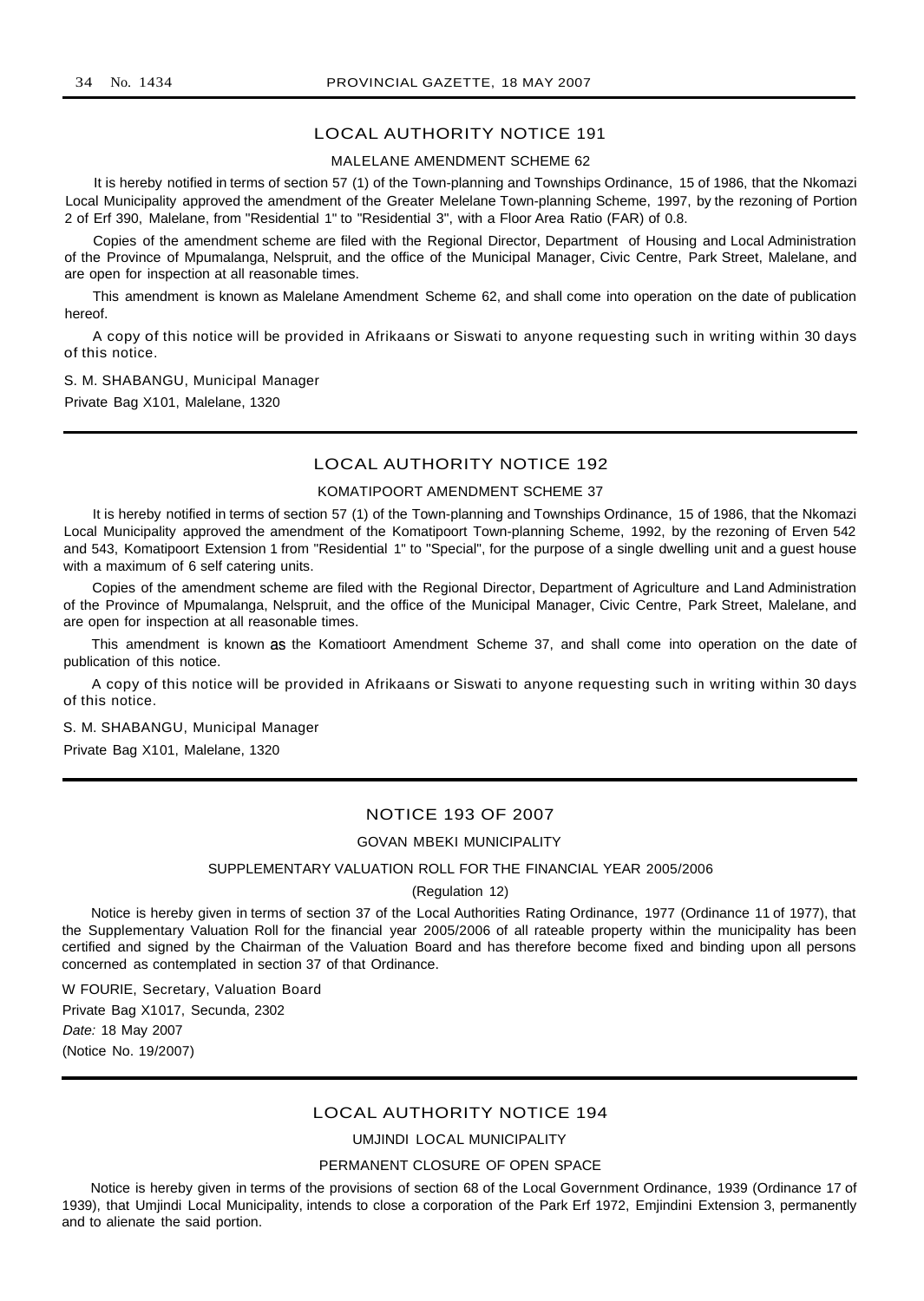#### LOCAL AUTHORITY NOTICE 191

#### MALELANE AMENDMENT SCHEME 62

It is hereby notified in terms of section 57 (1) of the Town-planning and Townships Ordinance, 15 of 1986, that the Nkomazi Local Municipality approved the amendment of the Greater Melelane Town-planning Scheme, 1997, by the rezoning of Portion 2 of Erf 390, Malelane, from "Residential 1" to "Residential 3", with a Floor Area Ratio (FAR) of 0.8.

Copies of the amendment scheme are filed with the Regional Director, Department of Housing and Local Administration of the Province of Mpumalanga, Nelspruit, and the office of the Municipal Manager, Civic Centre, Park Street, Malelane, and are open for inspection at all reasonable times.

This amendment is known as Malelane Amendment Scheme 62, and shall come into operation on the date of publication hereof.

A copy of this notice will be provided in Afrikaans or Siswati to anyone requesting such in writing within 30 days of this notice.

#### S. M. SHABANGU, Municipal Manager

Private Bag X101, Malelane, 1320

## LOCAL AUTHORITY NOTICE 192

#### KOMATIPOORT AMENDMENT SCHEME 37

It is hereby notified in terms of section 57 (1) of the Town-planning and Townships Ordinance, 15 of 1986, that the Nkomazi Local Municipality approved the amendment of the Komatipoort Town-planning Scheme, 1992, by the rezoning of Erven 542 and 543, Komatipoort Extension 1 from "Residential 1" to "Special", for the purpose of a single dwelling unit and a guest house with a maximum of 6 self catering units.

Copies of the amendment scheme are filed with the Regional Director, Department of Agriculture and Land Administration of the Province of Mpumalanga, Nelspruit, and the office of the Municipal Manager, Civic Centre, Park Street, Malelane, and are open for inspection at all reasonable times.

This amendment is known as the Komatioort Amendment Scheme 37, and shall come into operation on the date of publication of this notice.

A copy of this notice will be provided in Afrikaans or Siswati to anyone requesting such in writing within 30 days of this notice.

S. M. SHABANGU, Municipal Manager

Private Bag X101, Malelane, 1320

## NOTICE 193 OF 2007

#### GOVAN MBEKI MUNICIPALITY

#### SUPPLEMENTARY VALUATION ROLL FOR THE FINANCIAL YEAR 2005/2006

#### (Regulation 12)

Notice is hereby given in terms of section 37 of the Local Authorities Rating Ordinance, 1977 (Ordinance 11 of 1977), that the Supplementary Valuation Roll for the financial year 2005/2006 of all rateable property within the municipality has been certified and signed by the Chairman of the Valuation Board and has therefore become fixed and binding upon all persons concerned as contemplated in section 37 of that Ordinance.

W FOURIE, Secretary, Valuation Board Private Bag X1017, Secunda, 2302 Date: 18 May 2007 (Notice No. 19/2007)

#### LOCAL AUTHORITY NOTICE 194

#### UMJINDI LOCAL MUNICIPALITY

#### PERMANENT CLOSURE OF OPEN SPACE

Notice is hereby given in terms of the provisions of section 68 of the Local Government Ordinance, 1939 (Ordinance 17 of 1939), that Umjindi Local Municipality, intends to close a corporation of the Park Erf 1972, Emjindini Extension 3, permanently and to alienate the said portion.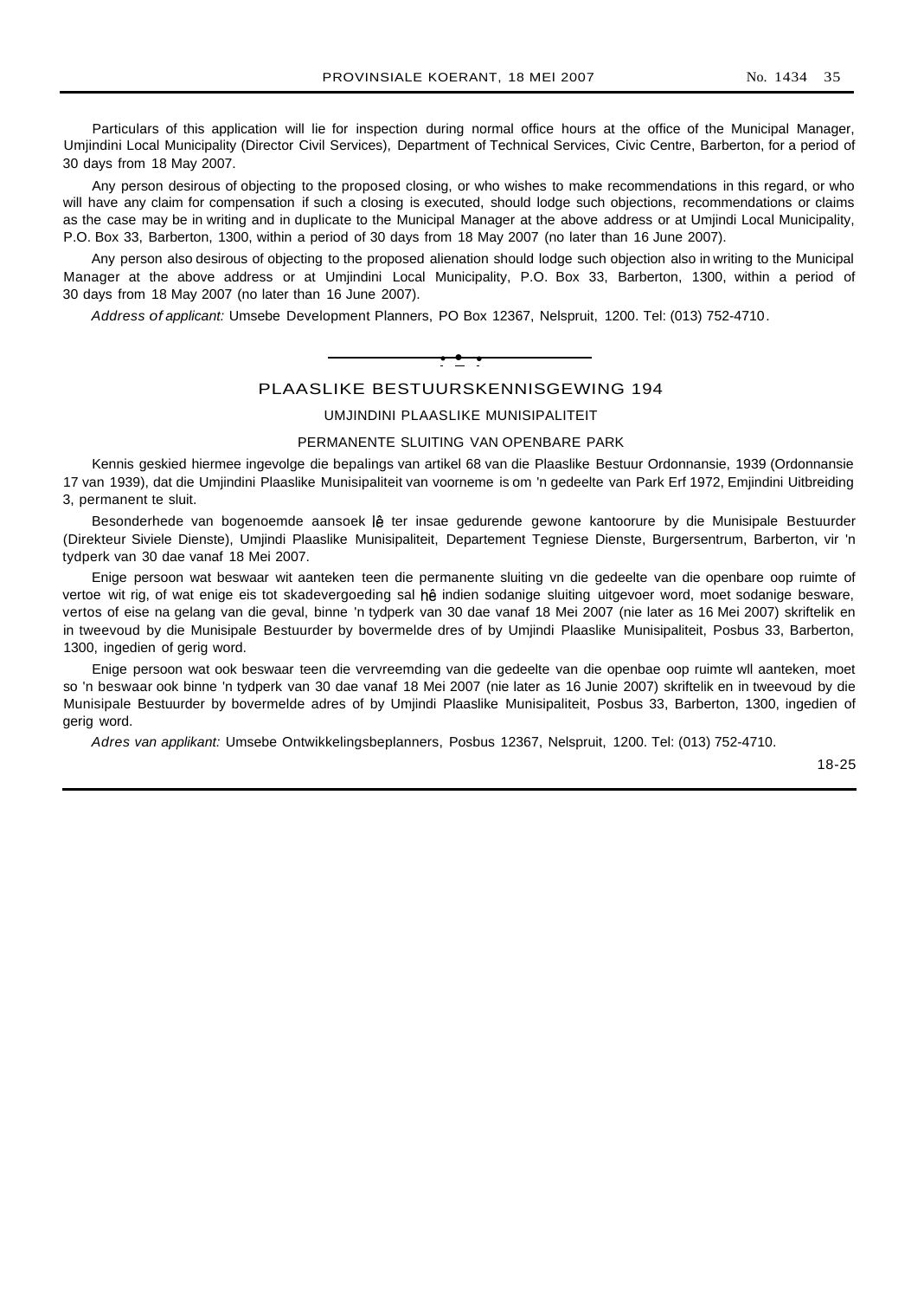Particulars of this application will lie for inspection during normal office hours at the office of the Municipal Manager, Umjindini Local Municipality (Director Civil Services), Department of Technical Services, Civic Centre, Barberton, for a period of 30 days from 18 May 2007.

Any person desirous of objecting to the proposed closing, or who wishes to make recommendations in this regard, or who will have any claim for compensation if such a closing is executed, should lodge such objections, recommendations or claims as the case may be in writing and in duplicate to the Municipal Manager at the above address or at Umjindi Local Municipality, P.O. Box 33, Barberton, 1300, within a period of 30 days from 18 May 2007 (no later than 16 June 2007).

Any person also desirous of objecting to the proposed alienation should lodge such objection also in writing to the Municipal Manager at the above address or at Umjindini Local Municipality, P.O. Box 33, Barberton, 1300, within a period of 30 days from 18 May 2007 (no later than 16 June 2007).

Address of applicant: Umsebe Development Planners, PO Box 12367, Nelspruit, 1200. Tel: (013) 752-4710.



## PLAASLIKE BESTUURSKENNISGEWING 194

#### UMJINDINI PLAASLIKE MUNISIPALITEIT

#### PERMANENTE SLUITING VAN OPENBARE PARK

Kennis geskied hiermee ingevolge die bepalings van artikel 68 van die Plaaslike Bestuur Ordonnansie, 1939 (Ordonnansie 17 van 1939), dat die Umjindini Plaaslike Munisipaliteit van voorneme is om 'n gedeelte van Park Erf 1972, Emjindini Uitbreiding 3, permanent te sluit.

Besonderhede van bogenoemde aansoek lê ter insae gedurende gewone kantoorure by die Munisipale Bestuurder (Direkteur Siviele Dienste), Umjindi Plaaslike Munisipaliteit, Departement Tegniese Dienste, Burgersentrum, Barberton, vir 'n tydperk van 30 dae vanaf 18 Mei 2007.

Enige persoon wat beswaar wit aanteken teen die permanente sluiting vn die gedeelte van die openbare oop ruimte of vertoe wit rig, of wat enige eis tot skadevergoeding sal he indien sodanige sluiting uitgevoer word, moet sodanige besware, vertos of eise na gelang van die geval, binne 'n tydperk van 30 dae vanaf 18 Mei 2007 (nie later as 16 Mei 2007) skriftelik en in tweevoud by die Munisipale Bestuurder by bovermelde dres of by Umjindi Plaaslike Munisipaliteit, Posbus 33, Barberton, 1300, ingedien of gerig word.

Enige persoon wat ook beswaar teen die vervreemding van die gedeelte van die openbae oop ruimte wll aanteken, moet so 'n beswaar ook binne 'n tydperk van 30 dae vanaf 18 Mei 2007 (nie later as 16 Junie 2007) skriftelik en in tweevoud by die Munisipale Bestuurder by bovermelde adres of by Umjindi Plaaslike Munisipaliteit, Posbus 33, Barberton, 1300, ingedien of gerig word.

Adres van applikant: Umsebe Ontwikkelingsbeplanners, Posbus 12367, Nelspruit, 1200. Tel: (013) 752-4710.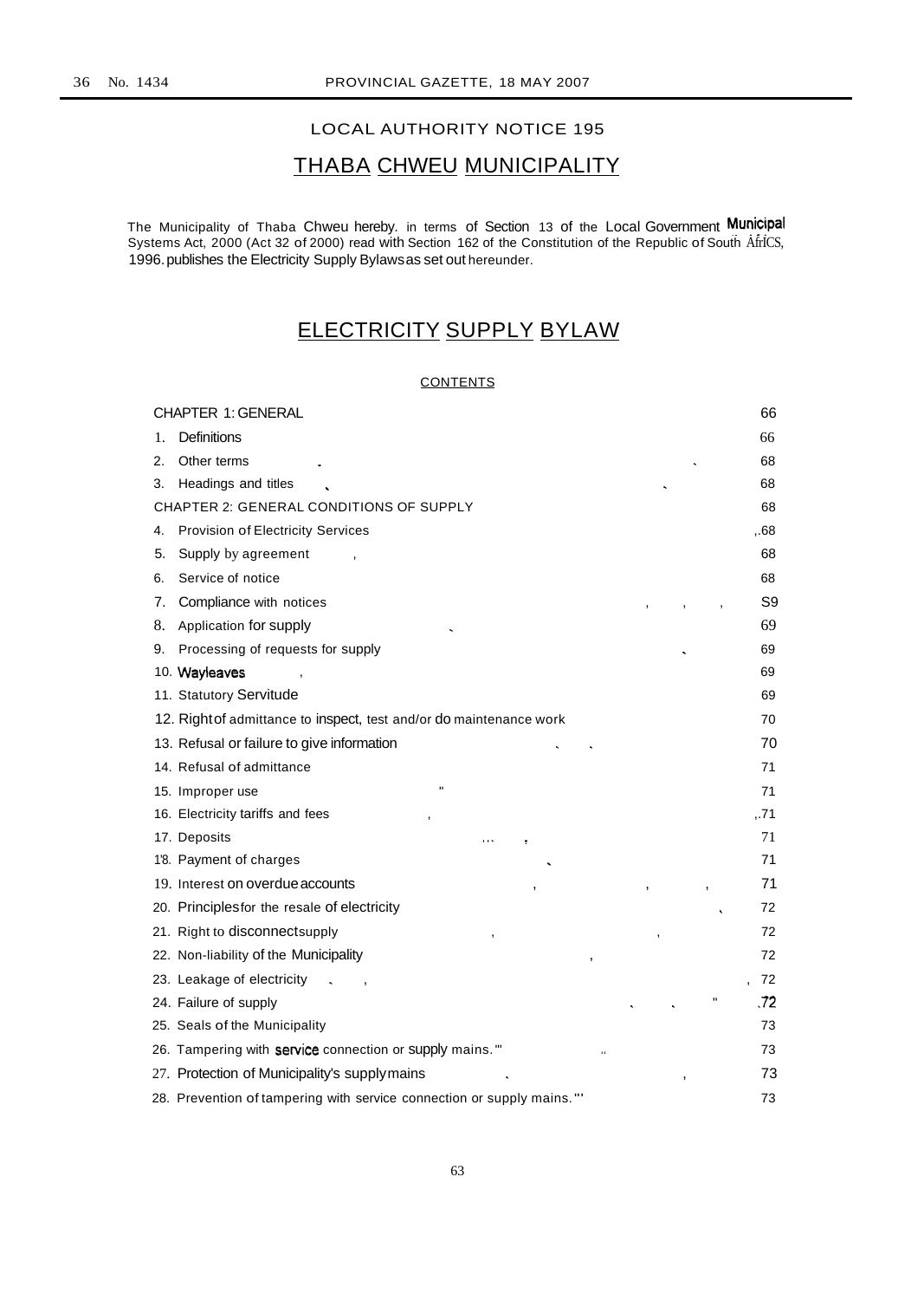## LOCAL AUTHORITY NOTICE 195

# THABA CHWEU MUNICIPALITY

The Municipality of Thaba Chweu hereby. in terms of Section 13 of the Local Government Municipal Systems Act, 2000 (Act 32 of 2000) read with Section 162 of the Constitution of the Republic of South AfrICS, 1996.publishes the Electricity Supply Bylawsas set out hereunder.

# ELECTRICITY SUPPLY BYLAW

## **CONTENTS**

|    | <b>CHAPTER 1: GENERAL</b>                                              | 66   |
|----|------------------------------------------------------------------------|------|
| 1. | Definitions                                                            | 66   |
| 2. | Other terms                                                            | 68   |
| 3. | Headings and titles                                                    | 68   |
|    | <b>CHAPTER 2: GENERAL CONDITIONS OF SUPPLY</b>                         | 68   |
| 4. | Provision of Electricity Services                                      | .68  |
| 5. | Supply by agreement                                                    | 68   |
| 6. | Service of notice                                                      | 68   |
| 7. | Compliance with notices                                                | S9   |
| 8. | Application for supply                                                 | 69   |
| 9. | Processing of requests for supply                                      | 69   |
|    | 10. Wayleaves                                                          | 69   |
|    | 11. Statutory Servitude                                                | 69   |
|    | 12. Right of admittance to inspect, test and/or do maintenance work    | 70   |
|    | 13. Refusal or failure to give information                             | 70   |
|    | 14. Refusal of admittance                                              | 71   |
|    | $\blacksquare$<br>15. Improper use                                     | 71   |
|    | 16. Electricity tariffs and fees                                       | ,.71 |
|    | 17. Deposits<br>$\cdots$                                               | 71   |
|    | 1'8. Payment of charges                                                | 71   |
|    | 19. Interest on overdue accounts                                       | 71   |
|    | 20. Principles for the resale of electricity                           | 72   |
|    | 21. Right to disconnectsupply                                          | 72   |
|    | 22. Non-liability of the Municipality                                  | 72   |
|    | 23. Leakage of electricity                                             | 72   |
|    | 24. Failure of supply                                                  | .72  |
|    | 25. Seals of the Municipality                                          | 73   |
|    | 26. Tampering with service connection or supply mains."                | 73   |
|    | 27. Protection of Municipality's supply mains                          | 73   |
|    | 28. Prevention of tampering with service connection or supply mains."' | 73   |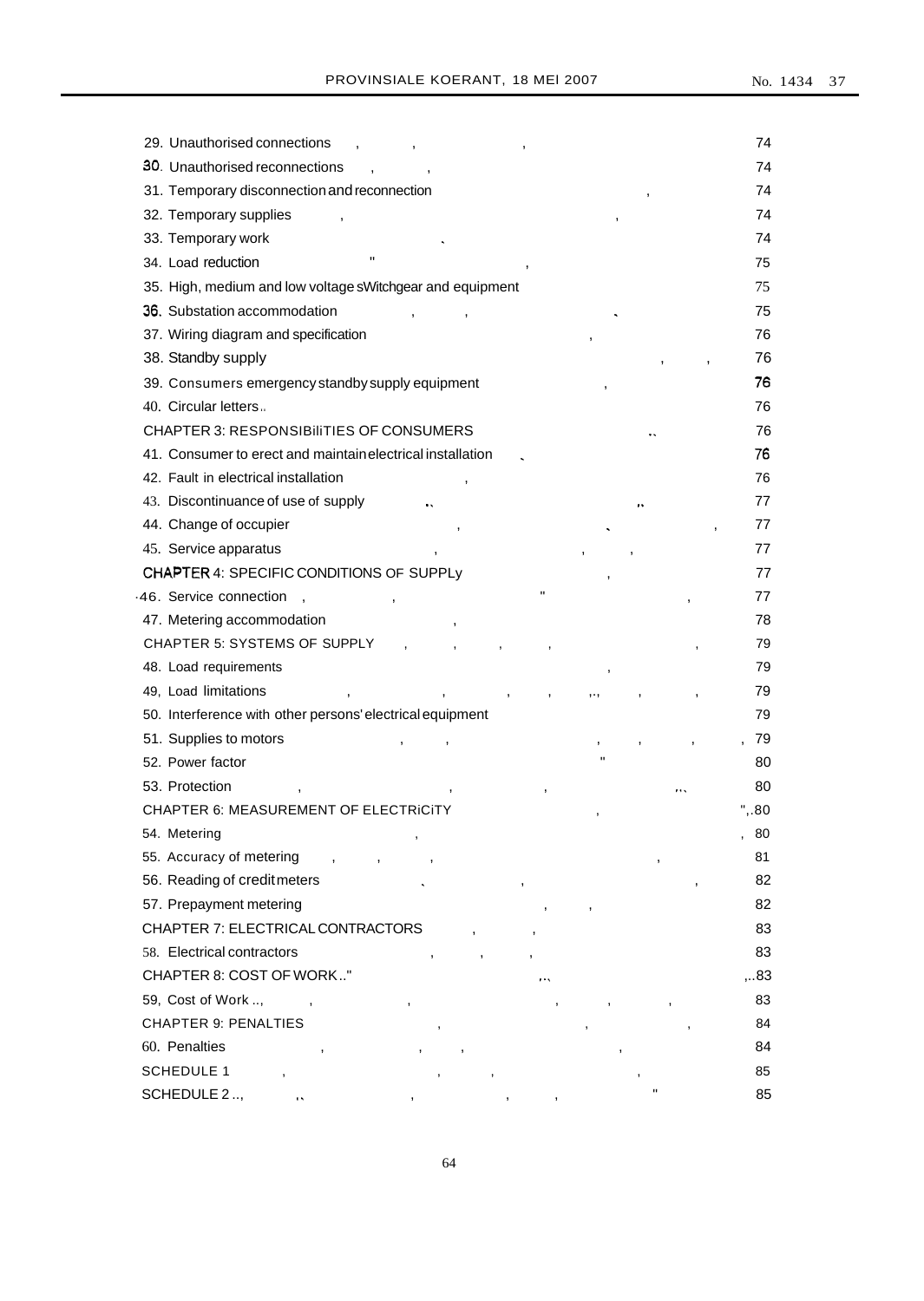| 29. Unauthorised connections                               | 74    |
|------------------------------------------------------------|-------|
| 30. Unauthorised reconnections                             | 74    |
| 31. Temporary disconnection and reconnection               | 74    |
| 32. Temporary supplies                                     | 74    |
| 33. Temporary work                                         | 74    |
| п<br>34. Load reduction                                    | 75    |
| 35. High, medium and low voltage sWitchgear and equipment  | 75    |
| 36. Substation accommodation                               | 75    |
| 37. Wiring diagram and specification                       | 76    |
| 38. Standby supply                                         | 76    |
| 39. Consumers emergency standby supply equipment           | 76    |
| 40. Circular letters                                       | 76    |
| <b>CHAPTER 3: RESPONSIBILITIES OF CONSUMERS</b>            | 76    |
| 41. Consumer to erect and maintain electrical installation | 76    |
| 42. Fault in electrical installation                       | 76    |
| 43. Discontinuance of use of supply                        | 77    |
| 44. Change of occupier                                     | 77    |
| 45. Service apparatus                                      | 77    |
| CHAPTER 4: SPECIFIC CONDITIONS OF SUPPLy                   | 77    |
| Ħ<br>46. Service connection                                | 77    |
| 47. Metering accommodation                                 | 78    |
| CHAPTER 5: SYSTEMS OF SUPPLY                               | 79    |
| 48. Load requirements                                      | 79    |
| 49, Load limitations                                       | 79    |
| 50. Interference with other persons' electrical equipment  | 79    |
| 51. Supplies to motors                                     | 79    |
| $\mathbf{u}$<br>52. Power factor                           | 80    |
| 53. Protection                                             | 80    |
| CHAPTER 6: MEASUREMENT OF ELECTRICITY                      | ", 80 |
| 54. Metering                                               | 80    |
| 55. Accuracy of metering                                   | 81    |
| 56. Reading of creditmeters<br>,                           | 82    |
| 57. Prepayment metering                                    | 82    |
| CHAPTER 7: ELECTRICAL CONTRACTORS                          | 83    |
| 58. Electrical contractors                                 | 83    |
| CHAPTER 8: COST OF WORK"                                   | ,83   |
| 59, Cost of Work ,                                         | 83    |
| <b>CHAPTER 9: PENALTIES</b>                                | 84    |
| 60. Penalties                                              | 84    |
| <b>SCHEDULE 1</b>                                          | 85    |
| Ħ<br>SCHEDULE 2.,<br>ò,                                    | 85    |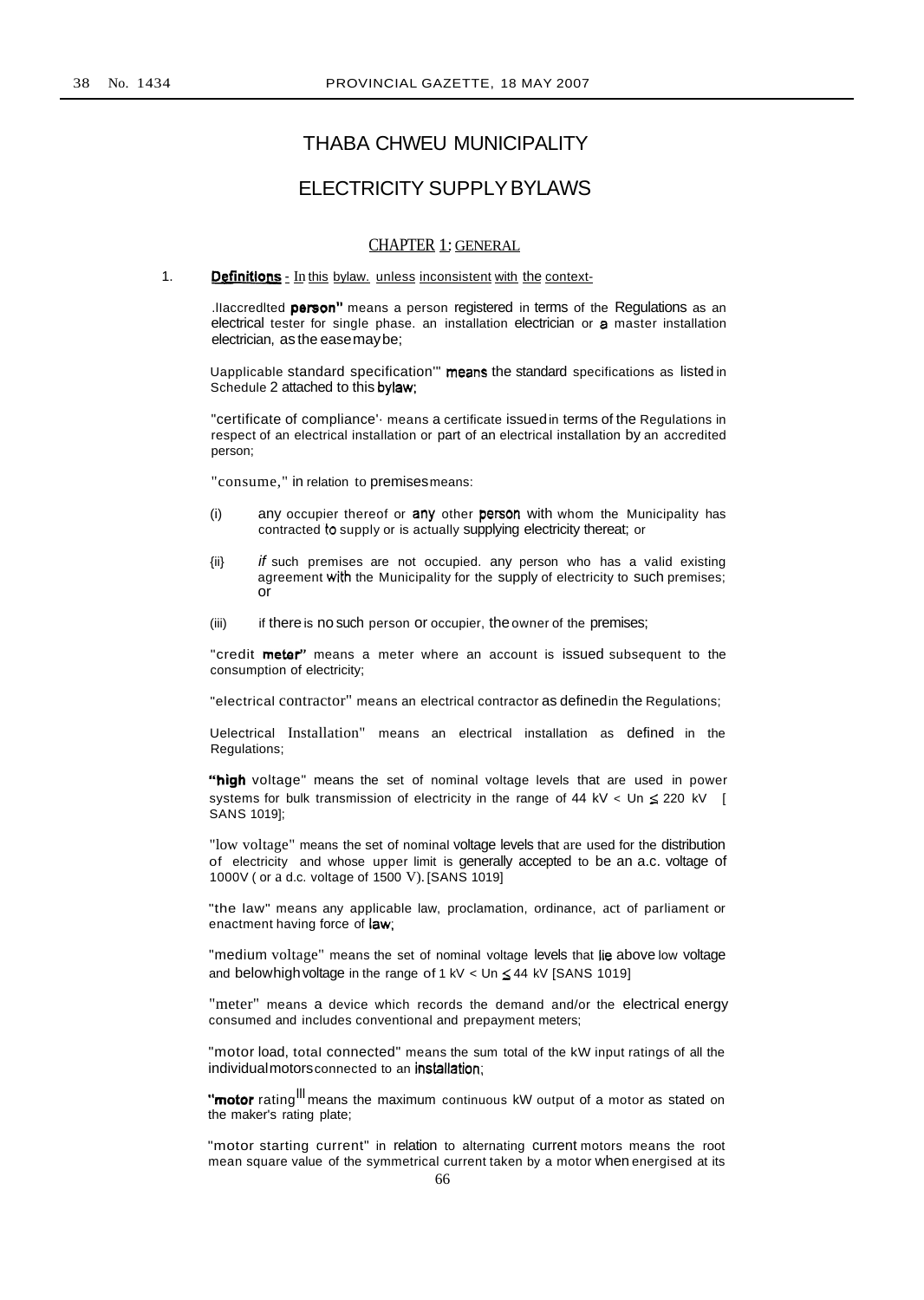# THABA CHWEU MUNICIPALITY

# ELECTRICITY SUPPLYBYLAWS

# CHAPTER 1: GENERAL

1. **Definitions** - In this bylaw. unless inconsistent with the context-

.llaccredited person" means a person registered in terms of the Regulations as an electrical tester for single phase. an installation electrician or a master installation electrician, as the easemaybe;

Uapplicable standard specification'" means the standard specifications as listed in Schedule 2 attached to this bylaw;

"certificate of compliance'· means a certificate issuedin terms of the Regulations in respect of an electrical installation or part of an electrical installation by an accredited person;

"consume," in relation to premisesmeans:

- (i) any occupier thereof or any other person with whom the Municipality has contracted to supply or is actually supplying electricity thereat; or
- $\{iii\}$  if such premises are not occupied. any person who has a valid existing agreement with the Municipality for the supply of electricity to such premises; or
- (iii) if there is no such person or occupier, the owner of the premises;

"credit metar" means a meter where an account is issued subsequent to the consumption of electricity;

"electrical contractor" means an electrical contractor as definedin the Regulations;

Uelectrical Installation" means an electrical installation as defined in the Regulations;

"high voltage" means the set of nominal voltage levels that are used in power systems for bulk transmission of electricity in the range of 44 kV < Un  $\leq$  220 kV [ SANS 1019];

"low voltage" means the set of nominal voltage levels that are used for the distribution of electricity and whose upper limit is generally accepted to be an a.c. voltage of 1000V ( or a d.c. voltage of 1500 V). [SANS 1019]

"the law" means any applicable law, proclamation, ordinance, act of parliament or enactment having force of law;

"medium voltage" means the set of nominal voltage levels that lie above low voltage and belowhigh voltage in the range of 1 kV  $<$  Un  $\leq$  44 kV [SANS 1019]

"meter" means a device which records the demand and/or the electrical energy consumed and includes conventional and prepayment meters;

"motor load, total connected" means the sum total of the kW input ratings of all the individualmotorsconnected to an installation;

"motor rating<sup>III</sup> means the maximum continuous kW output of a motor as stated on the maker's rating plate;

"motor starting current" in relation to alternating current motors means the root mean square value of the symmetrical current taken by a motor when energised at its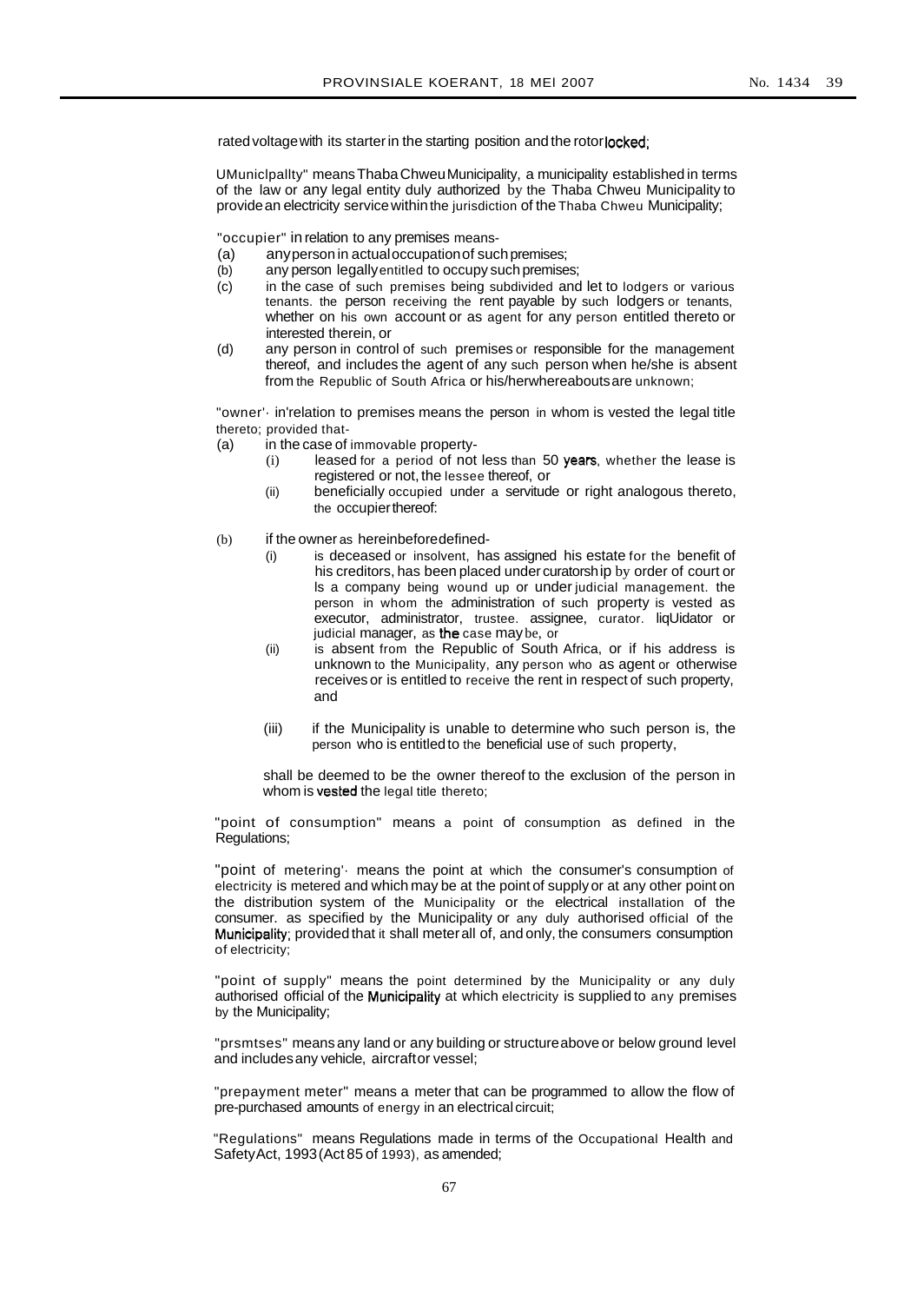rated voltage with its starter in the starting position and the rotorlocked;

UMuniclpallty" meansThabaChweuMunicipality, a municipality established in terms of the law or any legal entity duly authorized by the Thaba Chweu Municipality to provide an electricity service within the jurisdiction of the Thaba Chweu Municipality;

"occupier" in relation to any premises means-

- (a) anyperson in actualoccupationof suchpremises;
- (b) any person legally entitled to occupy such premises;
- (c) in the case of such premises being subdivided and let to lodgers or various tenants. the person receiving the rent payable by such lodgers or tenants, whether on his own account or as agent for any person entitled thereto or interested therein, or
- (d) any person in control of such premises or responsible for the management thereof, and includes the agent of any such person when he/she is absent from the Republic of South Africa or his/herwhereaboutsare unknown;

"owner'· in'relation to premises means the person in whom is vested the legal title thereto; provided that-

- (a) in the case of immovable property-
	- (i) leased for a period of not less than 50 years. whether the lease is registered or not, the lessee thereof, or
	- (ii) beneficially occupied under a servitude or right analogous thereto, the occupierthereof:
- (b) if the owner as hereinbeforedefined-
	- (i) is deceased or insolvent, has assigned his estate for the benefit of his creditors, has been placed under curatorship by order of court or ls a company being wound up or under judicial management. the person in whom the administration of such property is vested as executor, administrator, trustee. assignee, curator. liqUidator or judicial manager, as the case may be, or
	- (ii) is absent from the Republic of South Africa, or if his address is unknown to the Municipality, any person who as agent or otherwise receives or is entitled to receive the rent in respect of such property, and
	- (iii) if the Municipality is unable to determine who such person is, the person who is entitledto the beneficial use of such property,

shall be deemed to be the owner thereof to the exclusion of the person in whom is vested the legal title thereto;

"point of consumption" means a point of consumption as defined in the Regulations;

"point of metering' means the point at which the consumer's consumption of electricity is metered and which may be at the point of supply or at any other point on the distribution system of the Municipality or the electrical installation of the consumer. as specified by the Municipality or any duly authorised official of the Municipality; provided that it shall meterall of, and only, the consumers consumption of electricity;

"point of supply" means the point determined by the Municipality or any duly authorised official of the Municipality at which electricity is supplied to any premises by the Municipality;

"prsmtses" means any land or any building or structureabove or below ground level and includesany vehicle, aircraftor vessel;

"prepayment meter" means a meter that can be programmed to allow the flow of pre-purchased amounts of energy in an electrical circuit;

"Regulations" means Regulations made in terms of the Occupational Health and SafetyAct, 1993(Act 85 of 1993), as amended;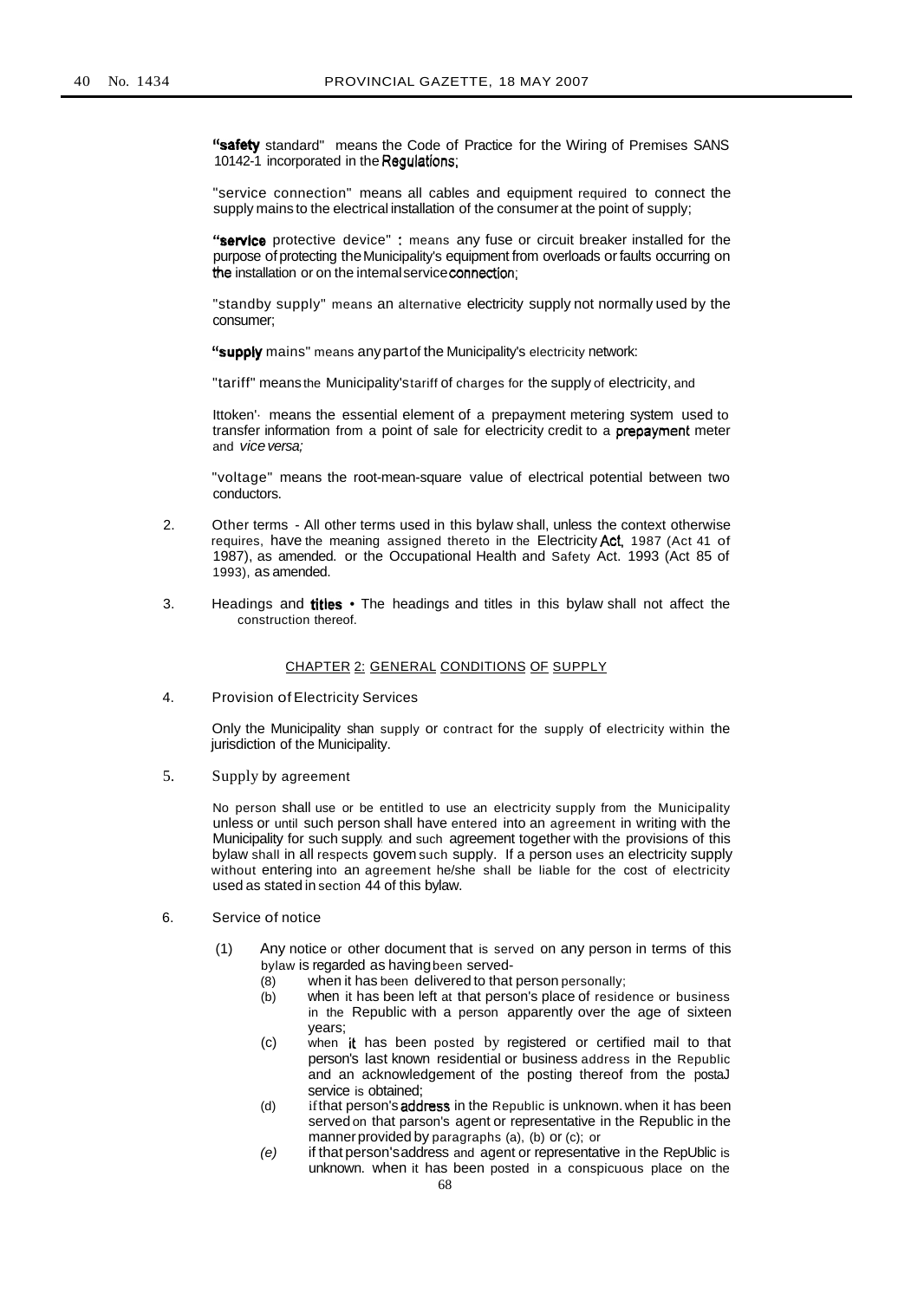"safety standard" means the Code of Practice for the Wiring of Premises SANS 10142-1 incorporated in the Regulations;

"service connection" means all cables and equipment required to connect the supply mains to the electrical installation of the consumer at the point of supply;

"service protective device" : means any fuse or circuit breaker installed for the purpose of protecting the Municipality's equipment from overloads or faults occurring on the installation or on the intemalserviceconnection;

"standby supply" means an alternative electricity supply not normally used by the consumer;

"supply mains" means any part of the Municipality's electricity network:

"tariff" means the Municipality'stariff of charges for the supply of electricity, and

Ittoken'· means the essential element of a prepayment metering system used to transfer information from a point of sale for electricity credit to a prepayment meter and vice versa;

"voltage" means the root-mean-square value of electrical potential between two conductors.

- 2. Other terms All other terms used in this bylaw shall, unless the context otherwise requires, have the meaning assigned thereto in the Electricity Act, 1987 (Act 41 of 1987), as amended. or the Occupational Health and Safety Act. 1993 (Act 85 of 1993), as amended.
- 3. Headings and **titles** The headings and titles in this bylaw shall not affect the construction thereof.

# CHAPTER 2: GENERAL CONDITIONS OF SUPPLY

4. Provision of Electricity Services

Only the Municipality shan supply or contract for the supply of electricity within the jurisdiction of the Municipality.

5. Supply by agreement

No person shall use or be entitled to use an electricity supply from the Municipality unless or until such person shall have entered into an agreement in writing with the Municipality for such supply and such agreement together with the provisions of this bylaw shall in all respects govem such supply. If a person uses an electricity supply without entering into an agreement he/she shall be liable for the cost of electricity used as stated in section 44 of this bylaw.

- 6. Service of notice
	- (1) Any notice or other document that is served on any person in terms of this bylaw is regarded as havingbeen served-
		- (8) when it has been delivered to that person personally;
		- (b) when it has been left at that person's place of residence or business in the Republic with a person apparently over the age of sixteen years;
		- (c) when it has been posted by registered or certified mail to that person's last known residential or business address in the Republic and an acknowledgement of the posting thereof from the postaJ service is obtained;
		- (d) if that person's address in the Republic is unknown. when it has been served on that parson's agent or representative in the Republic in the mannerprovided by paragraphs (a), (b) or (c); or
		- (e) if that person'saddress and agent or representative in the RepUblic is unknown. when it has been posted in a conspicuous place on the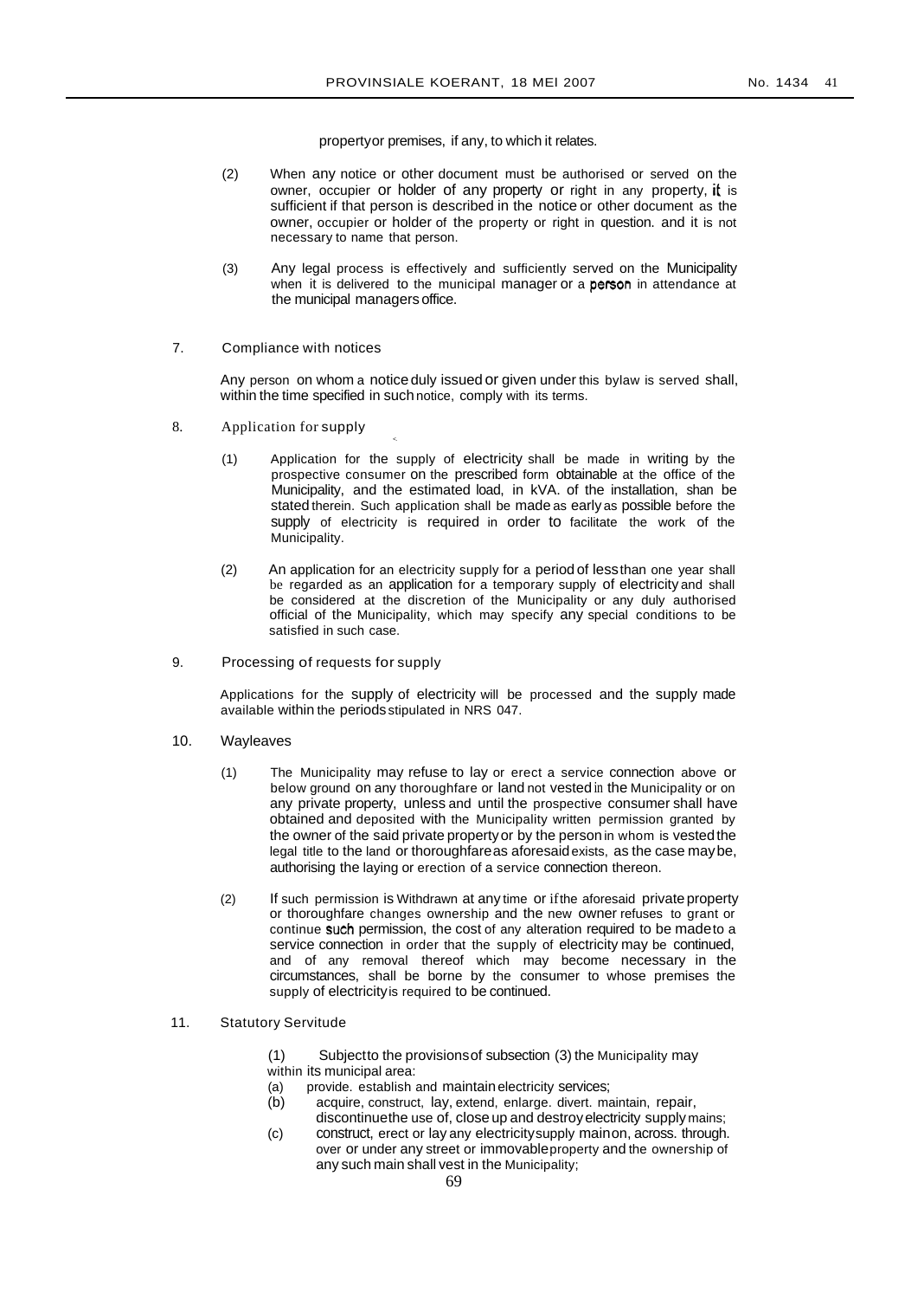propertyor premises, if any, to which it relates.

- (2) When any notice or other document must be authorised or served on the owner, occupier or holder of any property or right in any property, it is sufficient if that person is described in the notice or other document as the owner, occupier or holder of the property or right in question. and it is not necessary to name that person.
- (3) Any legal process is effectively and sufficiently served on the Municipality when it is delivered to the municipal manager or a person in attendance at the municipal managers office.
- 7. Compliance with notices

Any person on whom a notice duly issued or given under this bylaw is served shall, within the time specified in suchnotice, comply with its terms.

 $\prec$ 

- 8. Application for supply
	- (1) Application for the supply of electricity shall be made in writing by the prospective consumer on the prescribed form obtainable at the office of the Municipality, and the estimated load, in kVA. of the installation, shan be stated therein. Such application shall be made as early as possible before the supply of electricity is required in order to facilitate the work of the Municipality.
	- (2) An application for an electricity supply for a period of lessthan one year shall be regarded as an application for a temporary supply of electricity and shall be considered at the discretion of the Municipality or any duly authorised official of the Municipality, which may specify any special conditions to be satisfied in such case.
- 9. Processing of requests for supply

Applications for the supply of electricity will be processed and the supply made available within the periodsstipulated in NRS 047.

- 10. Wayleaves
	- (1) The Municipality may refuse to lay or erect a service connection above or below ground on any thoroughfare or land not vested in the Municipality or on any private property, unless and until the prospective consumer shall have obtained and deposited with the Municipality written permission granted by the owner of the said private propertyor by the person in whom is vestedthe legal title to the land or thoroughfareas aforesaidexists, as the case maybe, authorising the laying or erection of a service connection thereon.
	- (2) If such permission is Withdrawn at any time or ifthe aforesaid private property or thoroughfare changes ownership and the new owner refuses to grant or continue such permission, the cost of any alteration required to be madeto a service connection in order that the supply of electricity may be continued, and of any removal thereof which may become necessary in the circumstances, shall be borne by the consumer to whose premises the supply of electricityis required to be continued.
- 11. Statutory Servitude

(1) Subjectto the provisionsof subsection (3) the Municipality may within its municipal area:

- (a) provide. establish and maintainelectricity services;
- (b) acquire, construct, lay, extend, enlarge. divert. maintain, repair, discontinuethe use of, close up and destroy electricity supply mains;
- (c) construct, erect or lay any electricitysupply mainon, across. through. over or under any street or immovableproperty and the ownership of any such main shall vest in the Municipality;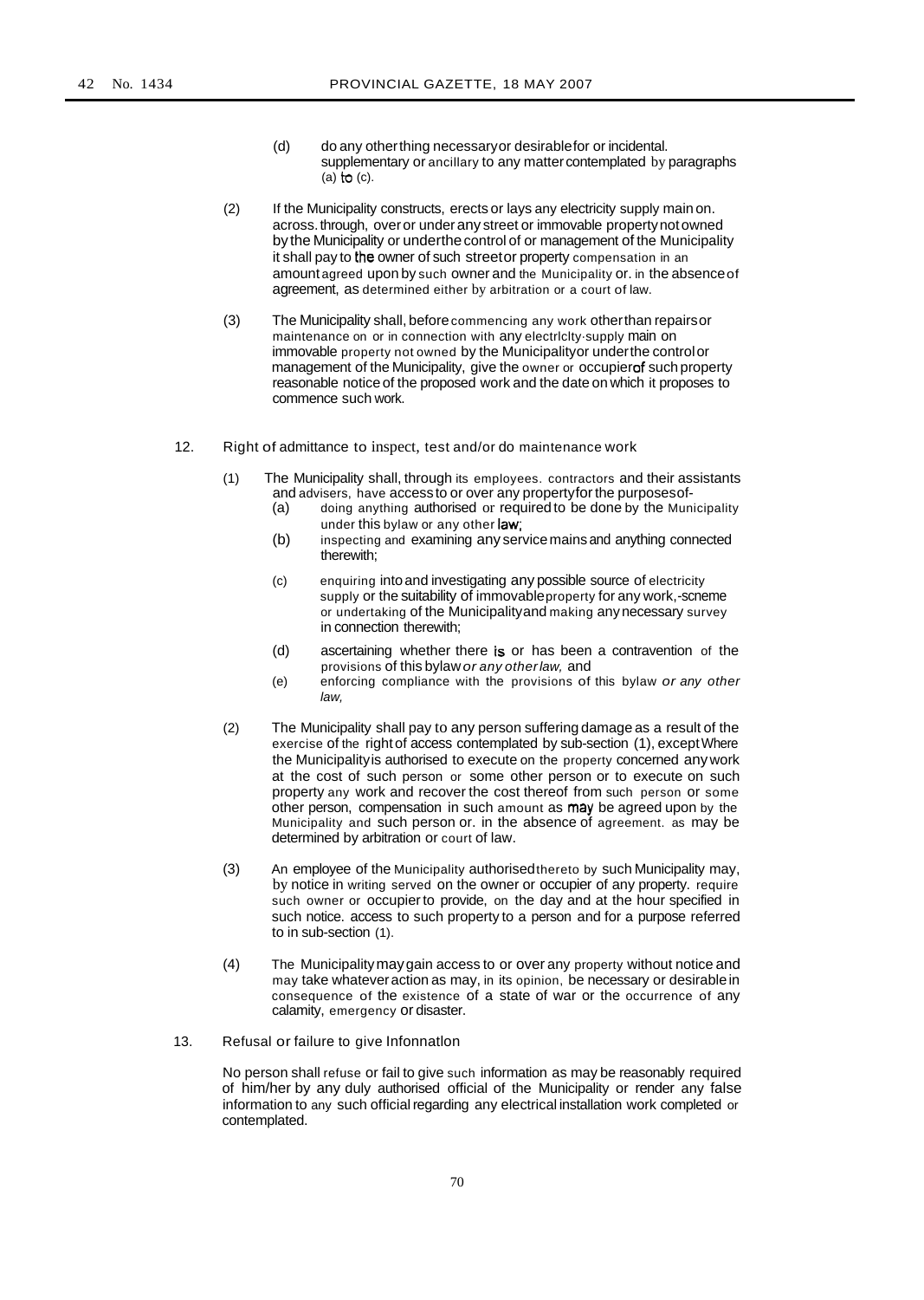- (d) do any otherthing necessaryor desirablefor or incidental. supplementary or ancillary to any matter contemplated by paragraphs (a)  $\uparrow$  (c).
- (2) If the Municipality constructs, erects or lays any electricity supply mainon. across.through, overor underany street or immovable propertynot owned bythe Municipality or underthecontrol of or management of the Municipality it shall pay to the owner of such streetor property compensation in an amount agreed upon by such owner and the Municipality or. in the absenceof agreement, as determined either by arbitration or a court of law.
- (3) The Municipality shall, beforecommencing any work otherthan repairsor maintenance on or in connection with any electrlclty·supply main on immovable property not owned by the Municipalityor underthe controlor management of the Municipality, give the owner or occupierof such property reasonable notice of the proposed work and the date on which it proposes to commence such work.
- 12. Right of admittance to inspect, test and/or do maintenance work
	- (1) The Municipality shall, through its employees. contractors and their assistants and advisers, have accessto or over any propertyforthe purposesof-
		- (a) doing anything authorised or required to be done by the Municipality under this bylaw or any other law;
		- (b) inspecting and examining any servicemains and anything connected therewith;
		- (c) enquiring intoand investigating any possible source of electricity supply or the suitability of immovableproperty for any work,-scneme or undertaking of the Municipalityand making anynecessary survey in connection therewith;
		- (d) ascertaining whether there is or has been a contravention of the provisions of this bylaw or any otherlaw, and
		- (e) enforcing compliance with the provisions of this bylaw or any other law,
	- (2) The Municipality shall pay to any person suffering damage as a result of the exercise of the right of access contemplated by sub-section (1), exceptWhere the Municipalityis authorised to execute on the property concerned anywork at the cost of such person or some other person or to execute on such property any work and recover the cost thereof from such person or some other person, compensation in such amount as may be agreed upon by the Municipality and such person or. in the absence of agreement. as may be determined by arbitration or court of law.
	- (3) An employee of the Municipality authorisedthereto by such Municipality may, by notice in writing served on the owner or occupier of any property. require such owner or occupier to provide, on the day and at the hour specified in such notice. access to such property to a person and for a purpose referred to in sub-section (1).
	- (4) The Municipalitymaygain access to or over any property without notice and may take whateveraction as may, in its opinion, be necessary or desirablein consequence of the existence of a state of war or the occurrence of any calamity, emergency or disaster.
- 13. Refusal or failure to give Infonnatlon

No person shall refuse or fail to give such information as may be reasonably required of him/her by any duly authorised official of the Municipality or render any false information to any such official regarding any electrical installation work completed or contemplated.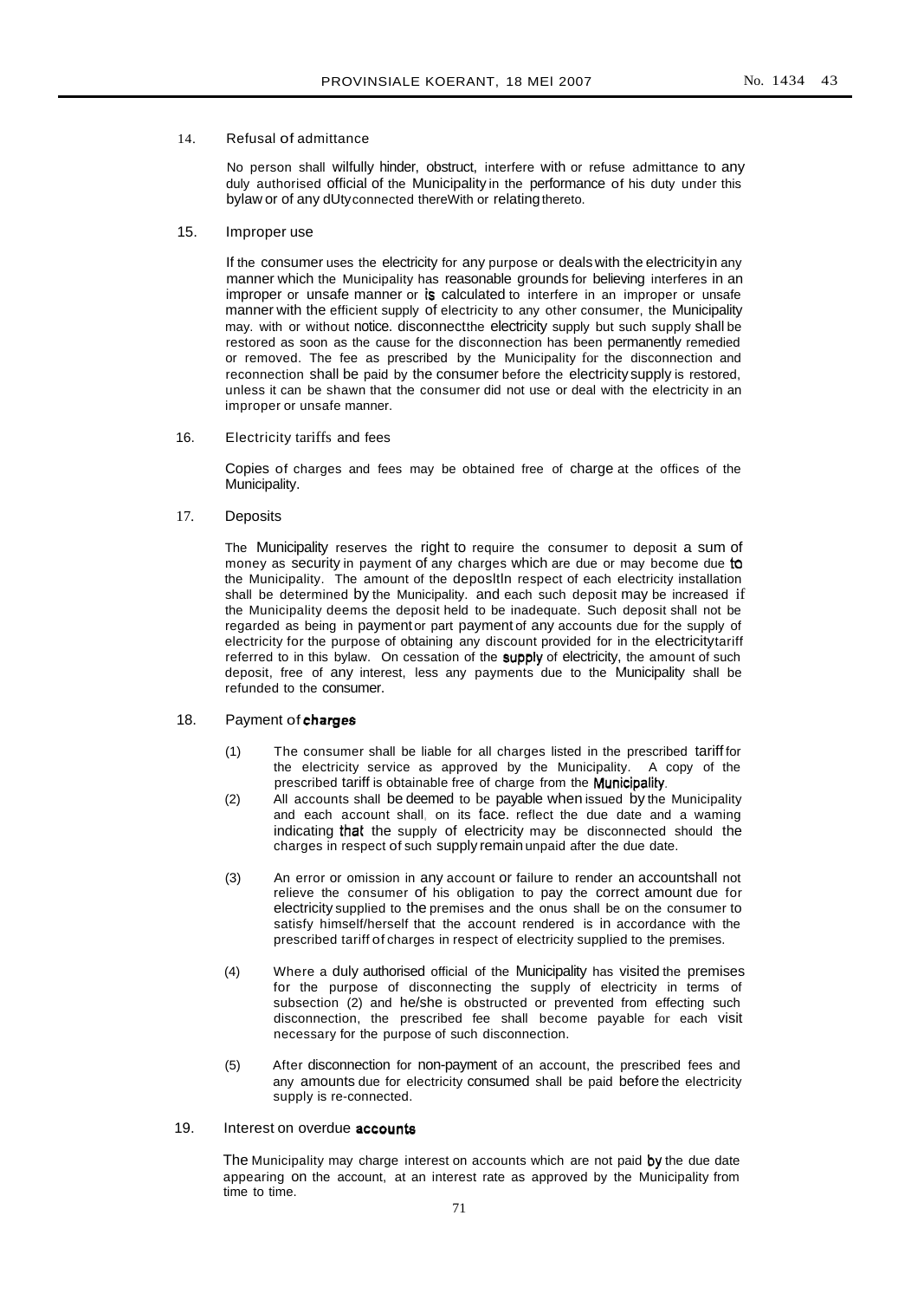# 14. Refusal of admittance

No person shall wilfully hinder, obstruct, interfere with or refuse admittance to any duly authorised official of the Municipality in the performance of his duty under this bylaw or of any dUtyconnected thereWith or relating thereto.

# 15. Improper use

If the consumer uses the electricity for any purpose or deals with the electricityin any manner which the Municipality has reasonable grounds for believing interferes in an improper or unsafe manner or is calculated to interfere in an improper or unsafe manner with the efficient supply of electricity to any other consumer, the Municipality may. with or without notice. disconnectthe electricity supply but such supply shall be restored as soon as the cause for the disconnection has been permanently remedied or removed. The fee as prescribed by the Municipality for the disconnection and reconnection shall be paid by the consumer before the electricity supply is restored, unless it can be shawn that the consumer did not use or deal with the electricity in an improper or unsafe manner.

16. Electricity tariffs and fees

Copies of charges and fees may be obtained free of charge at the offices of the Municipality.

17. Deposits

The Municipality reserves the right to require the consumer to deposit a sum of money as security in payment of any charges which are due or may become due to the Municipality. The amount of the deposltln respect of each electricity installation shall be determined by the Municipality. and each such deposit may be increased if the Municipality deems the deposit held to be inadequate. Such deposit shall not be regarded as being in paymentor part payment of any accounts due for the supply of electricity for the purpose of obtaining any discount provided for in the electricitytariff referred to in this bylaw. On cessation of the supply of electricity, the amount of such deposit, free of any interest, less any payments due to the Municipality shall be refunded to the consumer.

# 18. Payment of charges

- (1) The consumer shall be liable for all charges listed in the prescribed tariff for the electricity service as approved by the Municipality. A copy of the prescribed tariff is obtainable free of charge from the Municipality.
- (2) All accounts shall be deemed to be payable when issued by the Municipality and each account shall, on its face. reflect the due date and a waming indicating that the supply of electricity may be disconnected should the charges in respect of such supply remainunpaid after the due date.
- (3) An error or omission in any account or failure to render an accountshall not relieve the consumer of his obligation to pay the correct amount due for electricity supplied to the premises and the onus shall be on the consumer to satisfy himself/herself that the account rendered is in accordance with the prescribed tariff of charges in respect of electricity supplied to the premises.
- (4) Where a duly authorised official of the Municipality has visited the premises for the purpose of disconnecting the supply of electricity in terms of subsection (2) and he/she is obstructed or prevented from effecting such disconnection, the prescribed fee shall become payable for each visit necessary for the purpose of such disconnection.
- (5) After disconnection for non-payment of an account, the prescribed fees and any amounts due for electricity consumed shall be paid before the electricity supply is re-connected.

# 19. Interest on overdue **accounts**

The Municipality may charge interest on accounts which are not paid by the due date appearing on the account, at an interest rate as approved by the Municipality from time to time.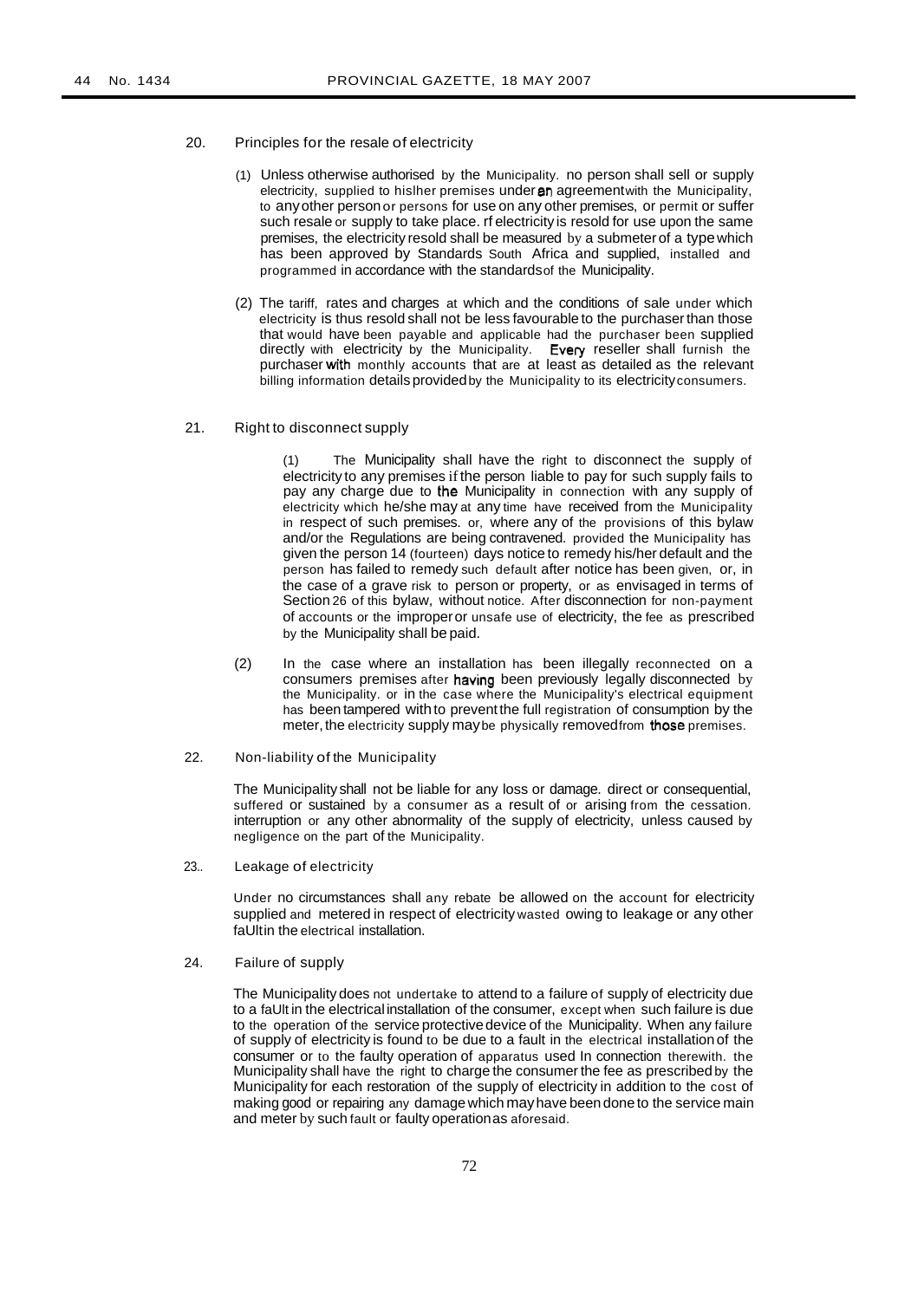- 20. Principles for the resale of electricity
	- (1) Unless otherwise authorised by the Municipality. no person shall sell or supply electricity, supplied to hislher premises under an agreement with the Municipality, to anyother personor persons for use on any other premises, or permit or suffer such resale or supply to take place. rf electricity is resold for use upon the same premises, the electricity resold shall be measured by a submeterof a typewhich has been approved by Standards South Africa and supplied, installed and programmed in accordance with the standardsof the Municipality.
	- (2) The tariff, rates and charges at which and the conditions of sale under which electricity is thus resold shall not be less favourable to the purchaser than those that would have been payable and applicable had the purchaser been supplied directly with electricity by the Municipality. Every reseller shall furnish the purchaser with monthly accounts that are at least as detailed as the relevant billing information details provided by the Municipality to its electricity consumers.
- 21. Right to disconnect supply

(1) The Municipality shall have the right to disconnect the supply of electricity to any premises ifthe person liable to pay for such supply fails to pay any charge due to the Municipality in connection with any supply of electricity which he/she may at any time have received from the Municipality in respect of such premises. or, where any of the provisions of this bylaw and/or the Regulations are being contravened. provided the Municipality has given the person 14 (fourteen) days notice to remedy his/her default and the person has failed to remedy such default after notice has been given, or, in the case of a grave risk to person or property, or as envisaged in terms of Section 26 of this bylaw, without notice. After disconnection for non-payment of accounts or the improperor unsafe use of electricity, the fee as prescribed by the Municipality shall be paid.

- (2) In the case where an installation has been illegally reconnected on a consumers premises after having been previously legally disconnected by the Municipality. or in the case where the Municipality's electrical equipment has been tampered withto preventthe full registration of consumption by the meter, the electricity supply may be physically removed from those premises.
- 22. Non-liability of the Municipality

The Municipality shall not be liable for any loss or damage. direct or consequential, suffered or sustained by a consumer as a result of or arising from the cessation. interruption or any other abnormality of the supply of electricity, unless caused by negligence on the part of the Municipality.

23.. Leakage of electricity

Under no circumstances shall any rebate be allowed on the account for electricity supplied and metered in respect of electricity wasted owing to leakage or any other faUltin the electrical installation.

24. Failure of supply

The Municipality does not undertake to attend to a failure of supply of electricity due to a faUlt in the electrical installation of the consumer, except when such failure is due to the operation of the service protectivedevice of the Municipality. When any failure of supply of electricity is found to be due to a fault in the electrical installation of the consumer or to the faulty operation of apparatus used In connection therewith. the Municipality shall have the right to charge the consumer the fee as prescribed by the Municipality for each restoration of the supply of electricity in addition to the cost of making good or repairing any damage which mayhave been done to the service main and meter by such fault or faulty operationas aforesaid.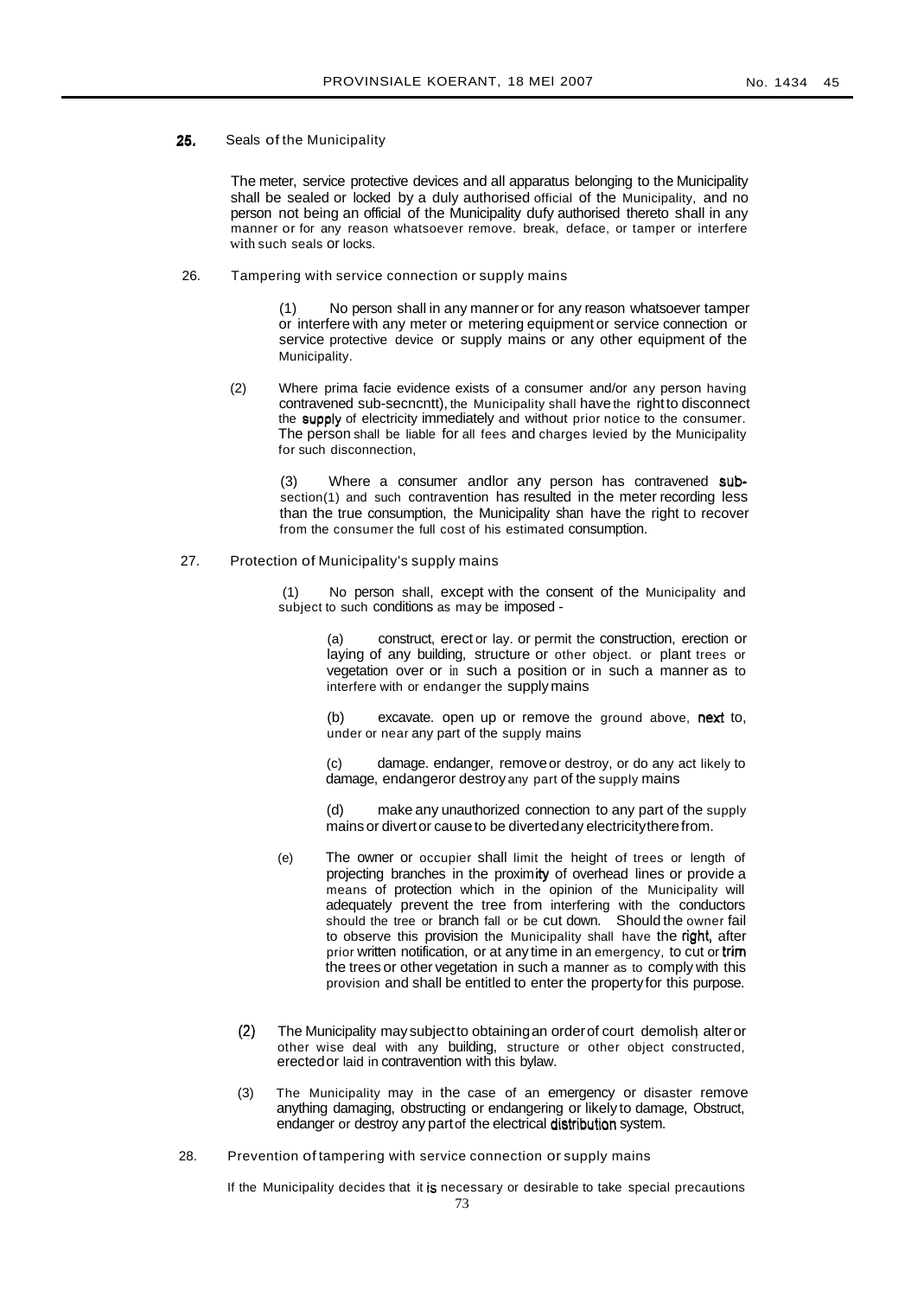# 25. Seals of the Municipality

The meter, service protective devices and all apparatus belonging to the Municipality shall be sealed or locked by a duly authorised official of the Municipality, and no person not being an official of the Municipality dufy authorised thereto shall in any manner or for any reason whatsoever remove. break, deface, or tamper or interfere with such seals or locks.

26. Tampering with service connection or supply mains

(1) No person shall in any manner or for any reason whatsoever tamper or interfere with any meter or metering equipment or service connection or service protective device or supply mains or any other equipment of the Municipality.

(2) Where prima facie evidence exists of a consumer and/or any person having contravened sub-secncntt), the Municipality shall have the rightto disconnect the supply of electricity immediately and without prior notice to the consumer. The person shall be liable for all fees and charges levied by the Municipality for such disconnection,

(3) Where a consumer andlor any person has contravened subsection(1) and such contravention has resulted in the meter recording less than the true consumption, the Municipality shan have the right to recover from the consumer the full cost of his estimated consumption.

27. Protection of Municipality's supply mains

(1) No person shall, except with the consent of the Municipality and subject to such conditions as may be imposed -

> construct, erect or lay. or permit the construction, erection or laying of any building, structure or other object. or plant trees or vegetation over or in such a position or in such a manner as to interfere with or endanger the supply mains

> (b) excavate. open up or remove the ground above, next to, under or near any part of the supply mains

> (c) damage. endanger, removeor destroy, or do any act likely to damage, endangeror destroy any part of the supply mains

> (d) make any unauthorized connection to any part of the supply mains or divertor cause to be divertedany electricitytherefrom.

- (e) The owner or occupier shall limit the height of trees or length of projecting branches in the proximity of overhead lines or provide a means of protection which in the opinion of the Municipality will adequately prevent the tree from interfering with the conductors should the tree or branch fall or be cut down. Should the owner fail to observe this provision the Municipality shall have the right, after prior written notification, or at any time in an emergency, to cut or trim the trees or other vegetation in such a manner as to comply with this provision and shall be entitled to enter the propertyfor this purpose.
- (2) The Municipality may subject to obtaining an order of court demolish alter or other wise deal with any building, structure or other object constructed, erectedor laid in contravention with this bylaw.
- (3) The Municipality may in the case of an emergency or disaster remove anything damaging, obstructing or endangering or likely to damage, Obstruct, endanger or destroy any partof the electrical distribution system.
- 28. Prevention of tampering with service connection or supply mains

If the Municipality decides that it is necessary or desirable to take special precautions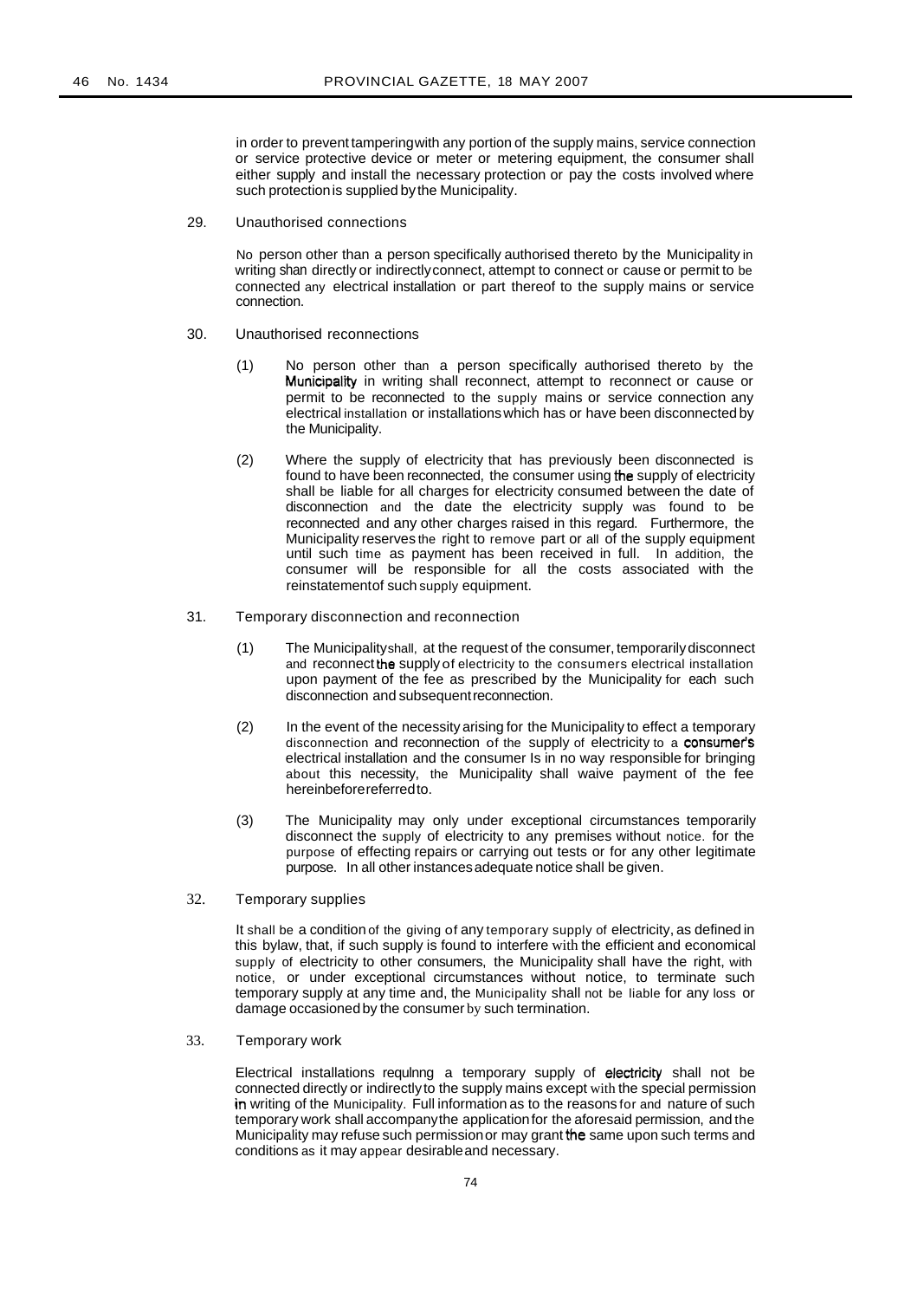in order to prevent tamperingwith any portion of the supply mains, service connection or service protective device or meter or metering equipment, the consumer shall either supply and install the necessary protection or pay the costs involved where such protection is supplied by the Municipality.

29. Unauthorised connections

No person other than a person specifically authorised thereto by the Municipality in writing shan directly or indirectlyconnect, attempt to connect or cause or permit to be connected any electrical installation or part thereof to the supply mains or service connection.

- 30. Unauthorised reconnections
	- (1) No person other than a person specifically authorised thereto by the Municipality in writing shall reconnect, attempt to reconnect or cause or permit to be reconnected to the supply mains or service connection any electrical installation or installationswhich has or have been disconnected by the Municipality.
	- (2) Where the supply of electricity that has previously been disconnected is found to have been reconnected, the consumer using the supply of electricity shall be liable for all charges for electricity consumed between the date of disconnection and the date the electricity supply was found to be reconnected and any other charges raised in this regard. Furthermore, the Municipality reserves the right to remove part or all of the supply equipment until such time as payment has been received in full. In addition, the consumer will be responsible for all the costs associated with the reinstatementof such supply equipment.
- 31. Temporary disconnection and reconnection
	- (1) The Municipalityshall, at the request of the consumer, temporarilydisconnect and reconnect the supply of electricity to the consumers electrical installation upon payment of the fee as prescribed by the Municipality for each such disconnection and subsequentreconnection.
	- (2) In the event of the necessity arising for the Municipality to effect a temporary disconnection and reconnection of the supply of electricity to a consumer's electrical installation and the consumer Is in no way responsible for bringing about this necessity, the Municipality shall waive payment of the fee hereinbeforereferredto.
	- (3) The Municipality may only under exceptional circumstances temporarily disconnect the supply of electricity to any premises without notice. for the purpose of effecting repairs or carrying out tests or for any other legitimate purpose. In all other instancesadequate notice shall be given.
- 32. Temporary supplies

It shall be a condition of the giving of any temporary supply of electricity, as defined in this bylaw, that, if such supply is found to interfere with the efficient and economical supply of electricity to other consumers, the Municipality shall have the right, with notice, or under exceptional circumstances without notice, to terminate such temporary supply at any time and, the Municipality shall not be liable for any loss or damage occasionedby the consumer by such termination.

33. Temporary work

Electrical installations requlnng a temporary supply of electricity shall not be connected directly or indirectlyto the supply mains except with the special permission in writing of the Municipality. Full information as to the reasons for and nature of such temporary work shall accompanythe applicationfor the aforesaid permission, and the Municipality may refuse such permissionor may grant the same upon such terms and conditions as it may appear desirableand necessary.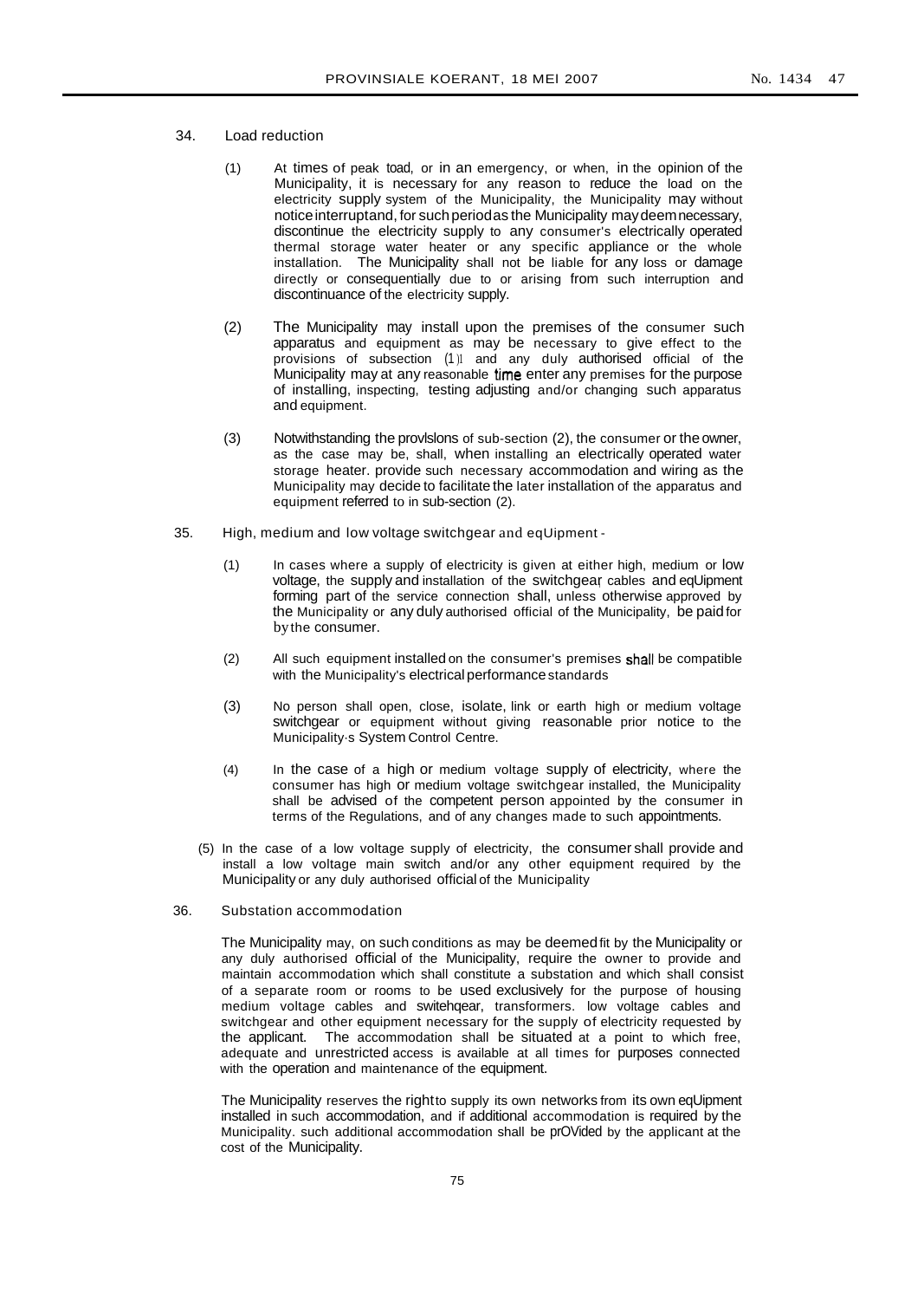- 34. Load reduction
	- (1) At times of peak toad, or in an emergency, or when, in the opinion of the Municipality, it is necessary for any reason to reduce the load on the electricity supply system of the Municipality, the Municipality may without notice interruptand, for such periodas the Municipality may deem necessary, discontinue the electricity supply to any consumer's electrically operated thermal storage water heater or any specific appliance or the whole installation. The Municipality shall not be liable for any loss or damage directly or consequentially due to or arising from such interruption and discontinuance of the electricity supply.
	- (2) The Municipality may install upon the premises of the consumer such apparatus and equipment as may be necessary to give effect to the provisions of subsection (1)1 and any duly authorised official of the Municipality may at any reasonable time enter any premises for the purpose of installing, inspecting, testing adjusting and/or changing such apparatus and equipment.
	- (3) Notwithstanding the provlslons of sub-section (2), the consumer or the owner, as the case may be, shall, when installing an electrically operated water storage heater. provide such necessary accommodation and wiring as the Municipality may decide to facilitate the later installation of the apparatus and equipment referred to in sub-section (2).
- 35. High, medium and low voltage switchgear and eqUipment
	- (1) In cases where a supply of electricity is given at either high, medium or low voltage, the supply and installation of the switchgear cables and eqUipment forming part of the service connection shall, unless otherwise approved by the Municipality or any duly authorised official of the Municipality, be paidfor bythe consumer.
	- (2) All such equipment installed on the consumer's premises shall be compatible with the Municipality's electrical performance standards
	- (3) No person shall open, close, isolate, link or earth high or medium voltage switchgear or equipment without giving reasonable prior notice to the Municipality·s System Control Centre.
	- (4) In the case of a high or medium voltage supply of electricity, where the consumer has high or medium voltage switchgear installed, the Municipality shall be advised of the competent person appointed by the consumer in terms of the Regulations, and of any changes made to such appointments.
	- (5) In the case of a low voltage supply of electricity, the consumer shall provide and install a low voltage main switch and/or any other equipment required by the Municipality or any duly authorised official of the Municipality
- 36. Substation accommodation

The Municipality may, on such conditions as may be deemedfit by the Municipality or any duly authorised official of the Municipality, require the owner to provide and maintain accommodation which shall constitute a substation and which shall consist of a separate room or rooms to be used exclusively for the purpose of housing medium voltage cables and switehqear, transformers. low voltage cables and switchgear and other equipment necessary for the supply of electricity requested by the applicant. The accommodation shall be situated at a point to which free, adequate and unrestricted access is available at all times for purposes connected with the operation and maintenance of the equipment.

The Municipality reserves the rightto supply its own networks from its own eqUipment installed in such accommodation, and if additional accommodation is required by the Municipality. such additional accommodation shall be prOVided by the applicant at the cost of the Municipality.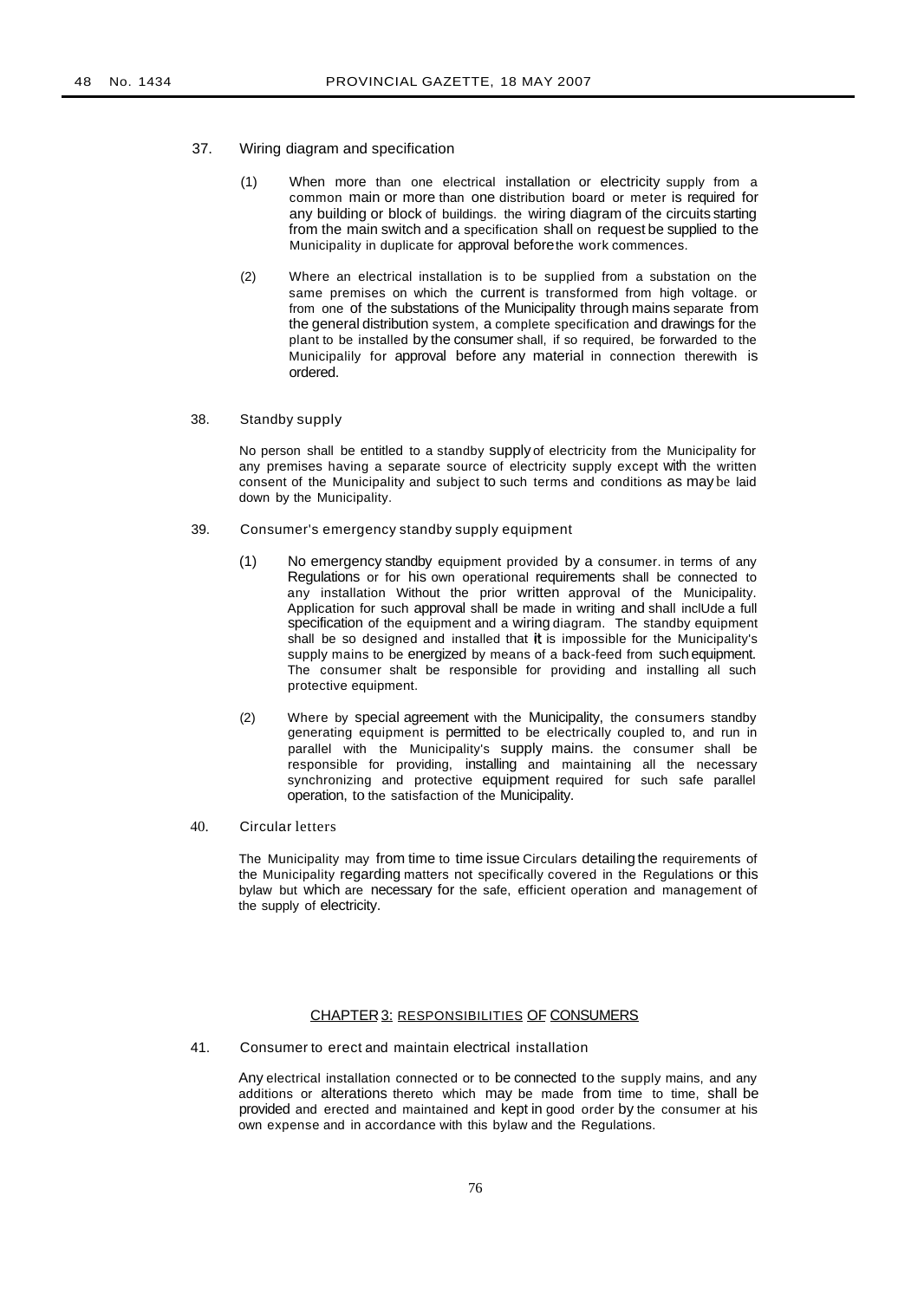- 37. Wiring diagram and specification
	- (1) When more than one electrical installation or electricity supply from a common main or more than one distribution board or meter is required for any building or block of buildings. the wiring diagram of the circuits starting from the main switch and a specification shall on request be supplied to the Municipality in duplicate for approval beforethe work commences.
	- (2) Where an electrical installation is to be supplied from a substation on the same premises on which the current is transformed from high voltage. or from one of the substations of the Municipality through mains separate from the general distribution system, a complete specification and drawings for the plant to be installed by the consumer shall, if so required, be forwarded to the Municipalily for approval before any material in connection therewith is ordered.
- 38. Standby supply

No person shall be entitled to a standby supply of electricity from the Municipality for any premises having a separate source of electricity supply except with the written consent of the Municipality and subject to such terms and conditions as may be laid down by the Municipality.

- 39. Consumer's emergency standby supply equipment
	- (1) No emergency standby equipment provided by a consumer. in terms of any Regulations or for his own operational requirements shall be connected to any installation Without the prior written approval of the Municipality. Application for such approval shall be made in writing and shall inclUde a full specification of the equipment and a wiring diagram. The standby equipment shall be so designed and installed that it is impossible for the Municipality's supply mains to be energized by means of a back-feed from such equipment. The consumer shalt be responsible for providing and installing all such protective equipment.
	- (2) Where by special agreement with the Municipality, the consumers standby generating equipment is permitted to be electrically coupled to, and run in parallel with the Municipality's supply mains. the consumer shall be responsible for providing, installing and maintaining all the necessary synchronizing and protective equipment required for such safe parallel operation, to the satisfaction of the Municipality.
- 40. Circular letters

The Municipality may from time to time issue Circulars detailing the requirements of the Municipality regarding matters not specifically covered in the Regulations or this bylaw but which are necessary for the safe, efficient operation and management of the supply of electricity.

# CHAPTER3: RESPONSIBILITIES OF CONSUMERS

41. Consumer to erect and maintain electrical installation

Any electrical installation connected or to be connected to the supply mains, and any additions or alterations thereto which may be made from time to time, shall be provided and erected and maintained and kept in good order by the consumer at his own expense and in accordance with this bylaw and the Regulations.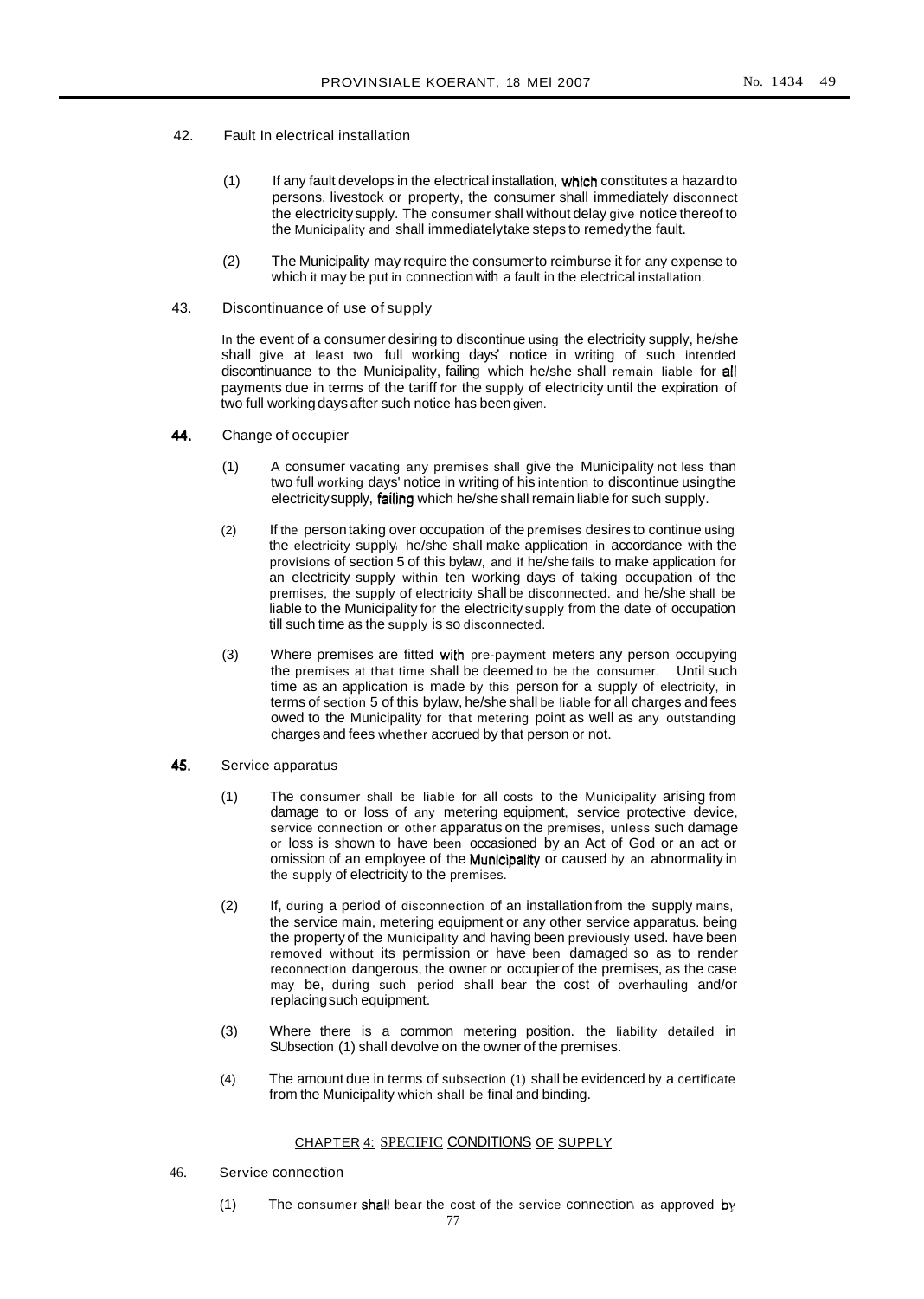- 42. Fault In electrical installation
	- (1) If any fault develops in the electrical installation, which constitutes a hazardto persons. livestock or property, the consumer shall immediately disconnect the electricity supply. The consumer shall without delay give notice thereof to the Municipality and shall immediatelytake steps to remedy the fault.
	- (2) The Municipality may require the consumerto reimburse it for any expense to which it may be put in connection with a fault in the electrical installation.
- 43. Discontinuance of use of supply

In the event of a consumer desiring to discontinue using the electricity supply, he/she shall give at least two full working days' notice in writing of such intended discontinuance to the Municipality, failing which he/she shall remain liable for all payments due in terms of the tariff for the supply of electricity until the expiration of two full workingdays after such notice has been given.

- 44. Change of occupier
	- (1) A consumer vacating any premises shall give the Municipality not less than two full working days' notice in writing of his intention to discontinue usingthe electricity supply, failing which he/she shall remain liable for such supply.
	- (2) If the persontaking over occupation of the premises desires to continue using the electricity supply he/she shall make application in accordance with the provisions of section 5 of this bylaw, and if he/she fails to make application for an electricity supply within ten working days of taking occupation of the premises, the supply of electricity shall be disconnected. and he/she shall be liable to the Municipality for the electricity supply from the date of occupation till such time as the supply is so disconnected.
	- (3) Where premises are fitted with pre-payment meters any person occupying the premises at that time shall be deemed to be the consumer. Until such time as an application is made by this person for a supply of electricity, in terms of section 5 of this bylaw, he/she shall be liable for all charges and fees owed to the Municipality for that metering point as well as any outstanding charges and fees whether accrued by that person or not.
- **45.** Service apparatus
	- (1) The consumer shall be liable for all costs to the Municipality arising from damage to or loss of any metering equipment, service protective device, service connection or other apparatus on the premises, unless such damage or loss is shown to have been occasioned by an Act of God or an act or omission of an employee of the Municipality or caused by an abnormality in the supply of electricity to the premises.
	- (2) If, during a period of disconnection of an installation from the supply mains, the service main, metering equipment or any other service apparatus. being the property of the Municipality and having been previously used. have been removed without its permission or have been damaged so as to render reconnection dangerous, the owner or occupier of the premises, as the case may be, during such period shall bear the cost of overhauling and/or replacingsuch equipment.
	- (3) Where there is a common metering position. the liability detailed in SUbsection (1) shall devolve on the owner of the premises.
	- (4) The amount due in terms of subsection (1) shall be evidenced by a certificate from the Municipality which shall be final and binding.

# CHAPTER 4: SPECIFIC CONDITIONS OF SUPPLY

- 46. Service connection
	- (1) The consumer shall bear the cost of the service connection as approved by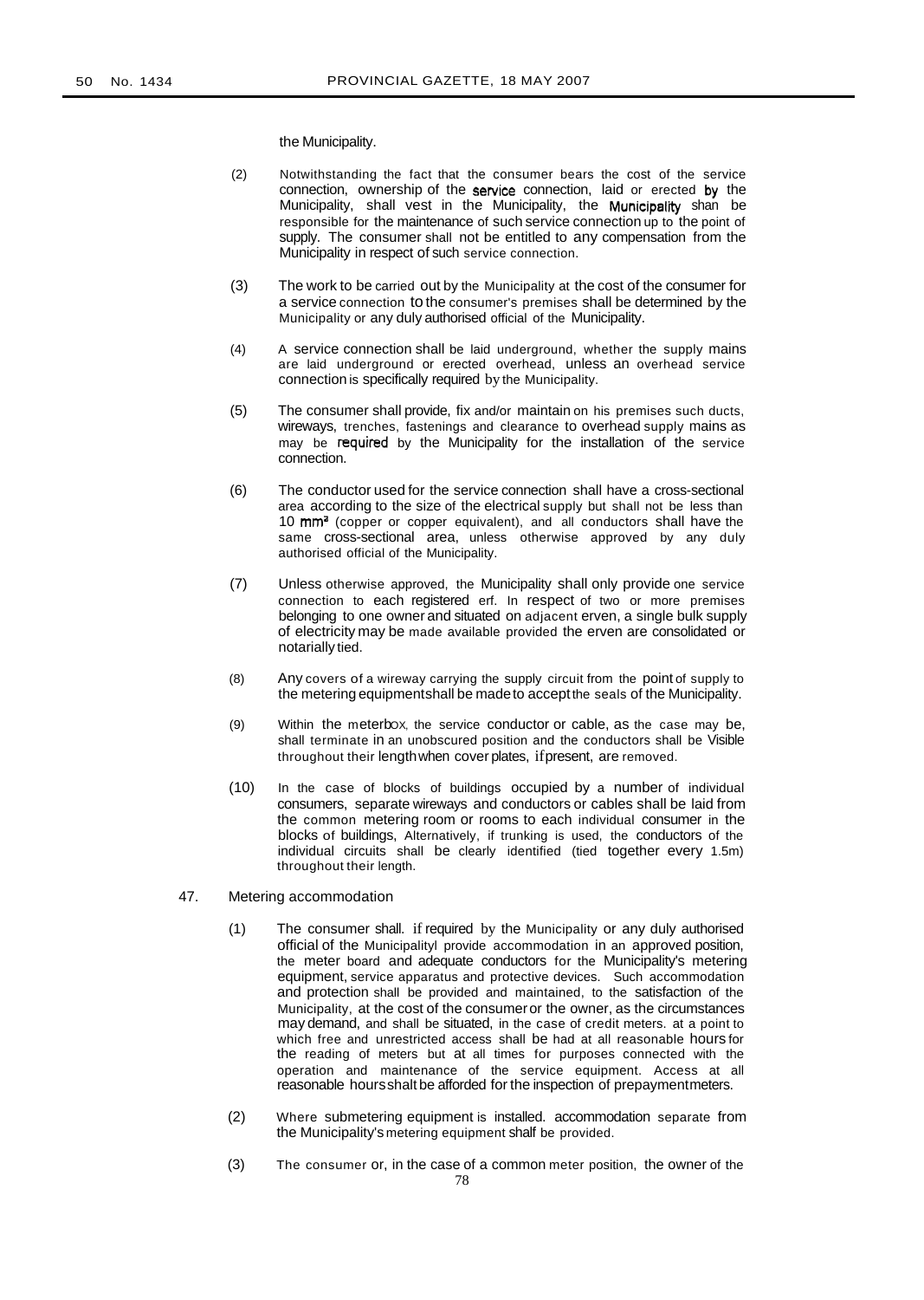the Municipality.

- (2) Notwithstanding the fact that the consumer bears the cost of the service connection, ownership of the service connection, laid or erected by the Municipality, shall vest in the Municipality, the Municipality shan be responsible for the maintenance of such service connection up to the point of supply. The consumer shall not be entitled to any compensation from the Municipality in respect of such service connection.
- (3) The work to be carried out by the Municipality at the cost of the consumer for a service connection to the consumer's premises shall be determined by the Municipality or any duly authorised official of the Municipality.
- (4) A service connection shall be laid underground, whether the supply mains are laid underground or erected overhead, unless an overhead service connection is specifically required by the Municipality.
- (5) The consumer shall provide, fix and/or maintain on his premises such ducts, wireways, trenches, fastenings and clearance to overhead supply mains as may be required by the Municipality for the installation of the service connection.
- (6) The conductor used for the service connection shall have a cross-sectional area according to the size of the electrical supply but shall not be less than  $10 \text{ mm}^3$  (copper or copper equivalent), and all conductors shall have the same cross-sectional area, unless otherwise approved by any duly authorised official of the Municipality.
- (7) Unless otherwise approved, the Municipality shall only provide one service connection to each registered erf. In respect of two or more premises belonging to one owner and situated on adjacent erven, a single bulk supply of electricity may be made available provided the erven are consolidated or notarially tied.
- (8) Any covers of a wireway carrying the supply circuit from the point of supply to the metering equipmentshall be madeto acceptthe seals of the Municipality.
- (9) Within the meterbOX, the service conductor or cable, as the case may be, shall terminate in an unobscured position and the conductors shall be Visible throughout their lengthwhen cover plates, ifpresent, are removed.
- (10) In the case of blocks of buildings occupied by a number of individual consumers, separate wireways and conductors or cables shall be laid from the common metering room or rooms to each individual consumer in the blocks of buildings, Alternatively, if trunking is used, the conductors of the individual circuits shall be clearly identified (tied together every 1.5m) throughout their length.
- 47. Metering accommodation
	- (1) The consumer shall. if required by the Municipality or any duly authorised official of the Municipalityl provide accommodation in an approved position, the meter board and adequate conductors for the Municipality's metering equipment, service apparatus and protective devices. Such accommodation and protection shall be provided and maintained, to the satisfaction of the Municipality, at the cost of the consumeror the owner, as the circumstances may demand, and shall be situated, in the case of credit meters. at a point to which free and unrestricted access shall be had at all reasonable hours for the reading of meters but at all times for purposes connected with the operation and maintenance of the service equipment. Access at all reasonable hoursshalt be afforded for the inspection of prepaymentmeters.
	- (2) Where submetering equipment is installed. accommodation separate from the Municipality's metering equipment shalf be provided.
	- (3) The consumer or, in the case of a common meter position, the owner of the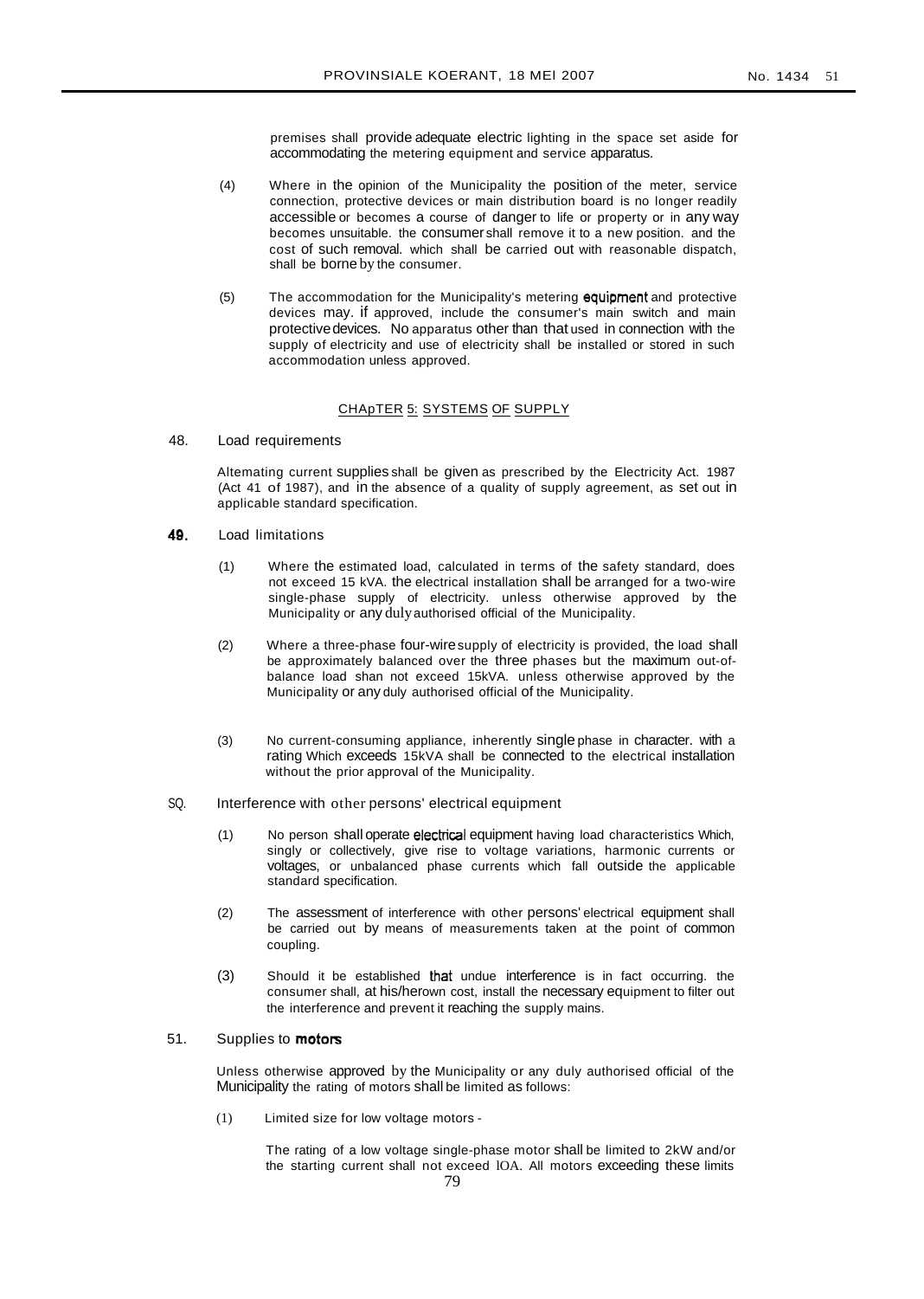premises shall provide adequate electric lighting in the space set aside for accommodating the metering equipment and service apparatus.

- (4) Where in the opinion of the Municipality the position of the meter, service connection, protective devices or main distribution board is no longer readily accessible or becomes a course of danger to life or property or in any way becomes unsuitable. the consumer shall remove it to a new position. and the cost of such removal. which shall be carried out with reasonable dispatch, shall be borne by the consumer.
- (5) The accommodation for the Municipality's metering equipment and protective devices may. if approved, include the consumer's main switch and main protectivedevices. No apparatus other than that used in connection with the supply of electricity and use of electricity shall be installed or stored in such accommodation unless approved.

#### CHApTER 5: SYSTEMS OF SUPPLY

48. Load requirements

Altemating current supplies shall be given as prescribed by the Electricity Act. 1987 (Act 41 of 1987), and in the absence of a quality of supply agreement, as set out in applicable standard specification.

- 49. Load limitations
	- (1) Where the estimated load, calculated in terms of the safety standard, does not exceed 15 kVA. the electrical installation shall be arranged for a two-wire single-phase supply of electricity. unless otherwise approved by the Municipality or any dulyauthorised official of the Municipality.
	- (2) Where a three-phase four-wiresupply of electricity is provided, the load shall be approximately balanced over the three phases but the maximum out-ofbalance load shan not exceed 15kVA. unless otherwise approved by the Municipality or any duly authorised official of the Municipality.
	- (3) No current-consuming appliance, inherently single phase in character. with a rating Which exceeds 15kVA shall be connected to the electrical installation without the prior approval of the Municipality.
- SQ. Interference with other persons' electrical equipment
	- (1) No person shall operate electrical equipment having load characteristics Which, singly or collectively, give rise to voltage variations, harmonic currents or voltages, or unbalanced phase currents which fall outside the applicable standard specification.
	- (2) The assessment of interference with other persons' electrical equipment shall be carried out by means of measurements taken at the point of common coupling.
	- (3) Should it be established that undue interference is in fact occurring. the consumer shall, at his/herown cost, install the necessary equipment to filter out the interference and prevent it reaching the supply mains.

# 51. Supplies to **motors**

Unless otherwise approved by the Municipality or any duly authorised official of the Municipality the rating of motors shall be limited as follows:

(1) Limited size for low voltage motors -

The rating of a low voltage single-phase motor shall be limited to 2kW and/or the starting current shall not exceed lOA. All motors exceeding these limits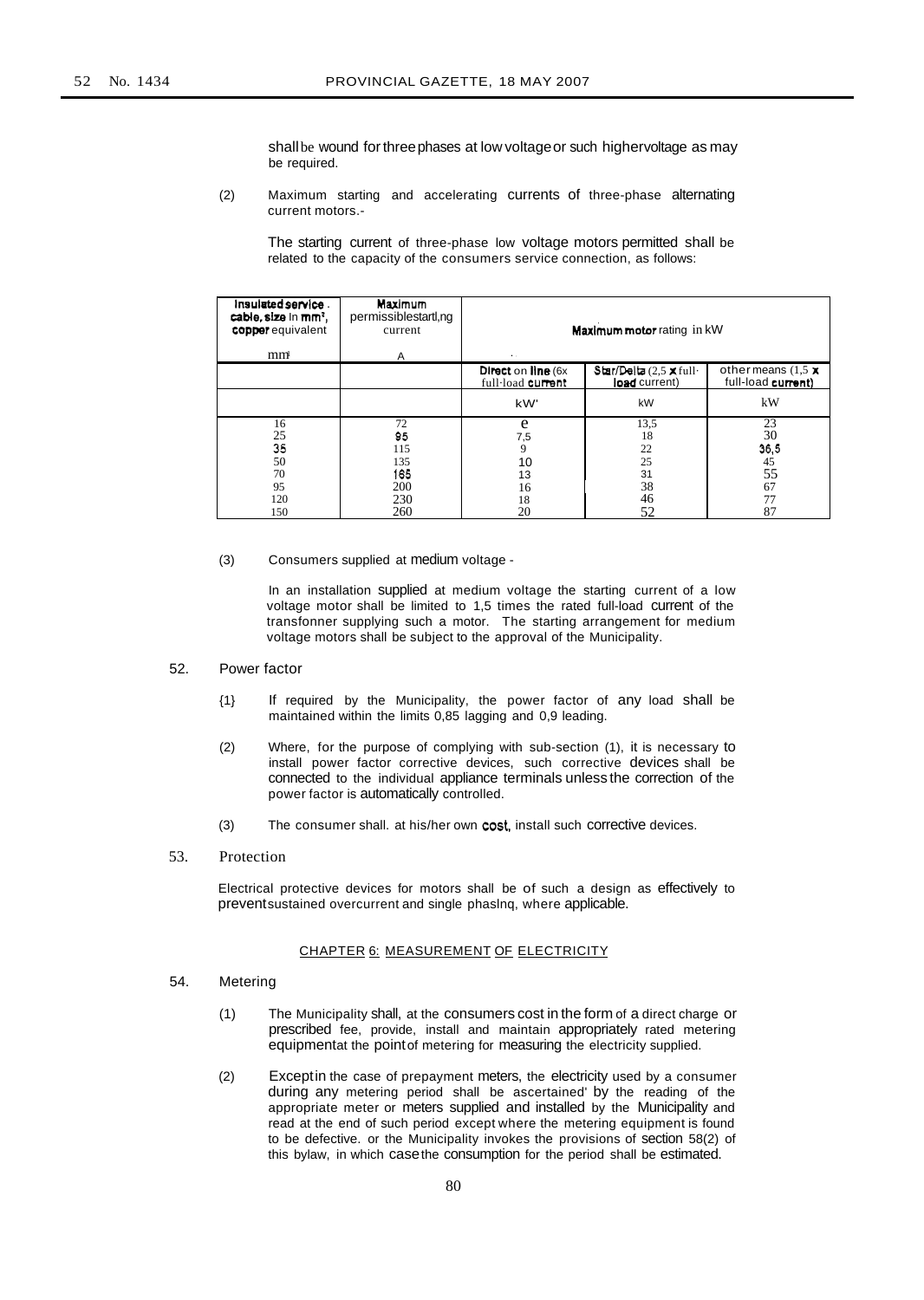shall be wound for three phases at low voltage or such highervoltage as may be required.

(2) Maximum starting and accelerating currents of three-phase alternating current motors.-

The starting current of three-phase low voltage motors permitted shall be related to the capacity of the consumers service connection, as follows:

| Insulated service.<br>cable, size in mm <sup>2</sup> ,<br>copper equivalent<br>mm | Maximum<br>permissiblestartl,ng<br>current<br>A | Maximum motor rating in kW<br>. .       |                                            |                                                 |
|-----------------------------------------------------------------------------------|-------------------------------------------------|-----------------------------------------|--------------------------------------------|-------------------------------------------------|
|                                                                                   |                                                 | Direct on line (6x<br>full-load current | $Star/Delta$ (2,5 X full-<br>load current) | other means (1.5 $\times$<br>full-load current) |
|                                                                                   |                                                 | kW'                                     | kW                                         | kW                                              |
| 16                                                                                | 72                                              | e                                       | 13,5                                       | 23                                              |
| 25                                                                                | 95                                              | 7,5                                     | 18                                         | 30                                              |
| 35                                                                                | 115                                             | 9                                       | 22                                         | 36,5                                            |
| 50                                                                                | 135                                             | 10                                      | 25                                         | 45                                              |
| 70                                                                                | 165                                             | 13                                      | 31                                         | 55                                              |
| 95                                                                                | 200                                             | 16                                      | 38                                         | 67                                              |
| 120                                                                               | 230                                             | 18                                      | 46                                         | 77                                              |
| 150                                                                               | 260                                             | 20                                      | 52                                         | 87                                              |

(3) Consumers supplied at medium voltage -

In an installation supplied at medium voltage the starting current of a low voltage motor shall be limited to 1,5 times the rated full-load current of the transfonner supplying such a motor. The starting arrangement for medium voltage motors shall be subject to the approval of the Municipality.

## 52. Power factor

- {1} If required by the Municipality, the power factor of any load shall be maintained within the limits 0,85 lagging and 0,9 leading.
- (2) Where, for the purpose of complying with sub-section (1), it is necessary to install power factor corrective devices, such corrective devices shall be connected to the individual appliance terminals unless the correction of the power factor is automatically controlled.
- (3) The consumer shall. at his/her own cost, install such corrective devices.
- 53. Protection

Electrical protective devices for motors shall be of such a design as effectively to preventsustained overcurrent and single phaslnq, where applicable.

#### CHAPTER 6: MEASUREMENT OF ELECTRICITY

- 54. Metering
	- (1) The Municipality shall, at the consumers cost in the form of a direct charge or prescribed fee, provide, install and maintain appropriately rated metering equipmentat the pointof metering for measuring the electricity supplied.
	- (2) Exceptin the case of prepayment meters, the electricity used by a consumer during any metering period shall be ascertained' by the reading of the appropriate meter or meters supplied and installed by the Municipality and read at the end of such period except where the metering equipment is found to be defective. or the Municipality invokes the provisions of section 58(2) of this bylaw, in which casethe consumption for the period shall be estimated.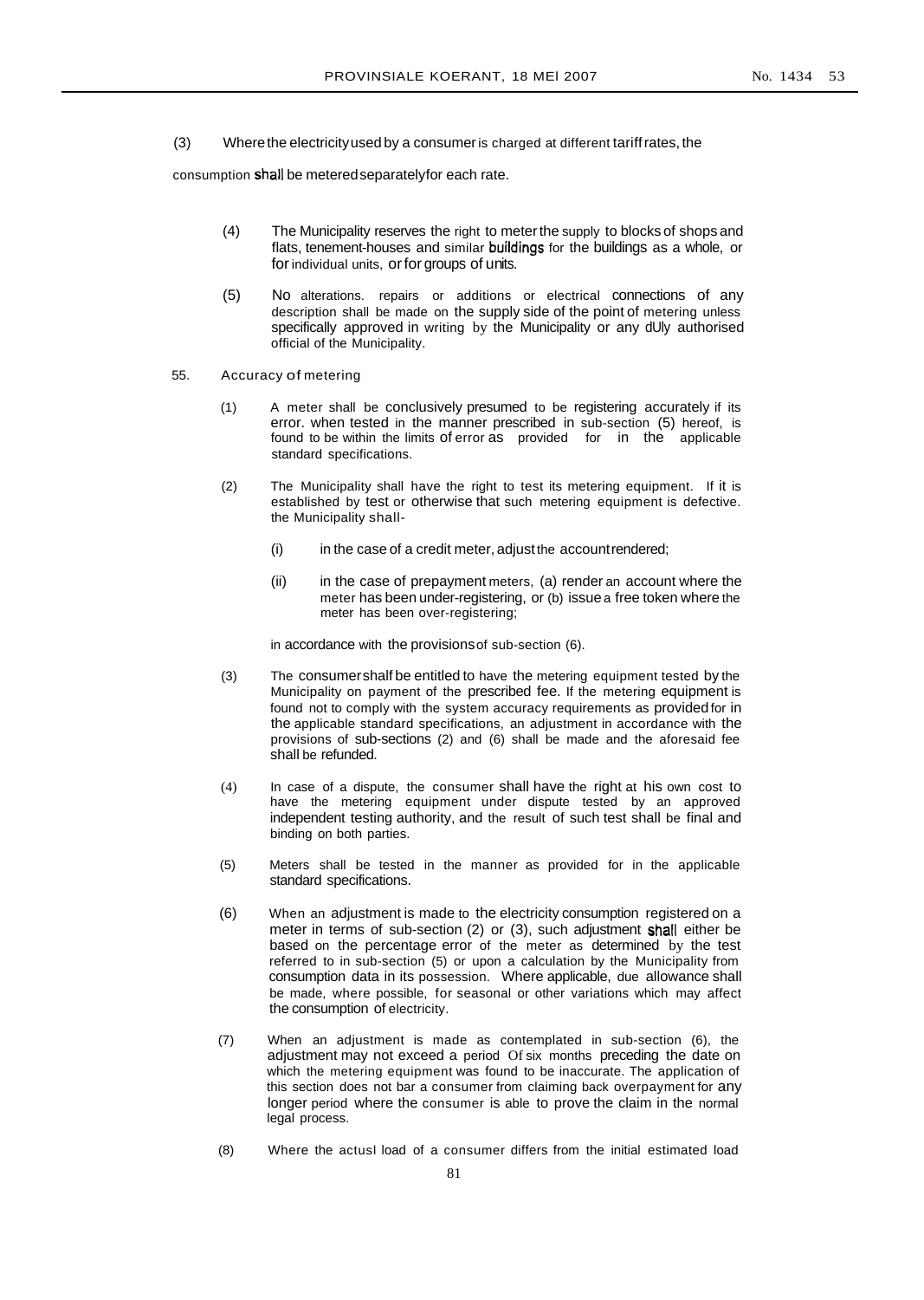(3) Wherethe electricityused by a consumeris charged at different tariffrates, the

consumption shall be meteredseparatelyfor each rate.

- (4) The Municipality reserves the right to meterthe supply to blocks of shops and flats, tenement-houses and similar buildings for the buildings as a whole, or for individual units, or for groups of units.
- (5) No alterations. repairs or additions or electrical connections of any description shall be made on the supply side of the point of metering unless specifically approved in writing by the Municipality or any dUly authorised official of the Municipality.
- 55. Accuracy of metering
	- (1) A meter shall be conclusively presumed to be registering accurately if its error. when tested in the manner prescribed in sub-section (5) hereof, is found to be within the limits of error as provided for in the applicable standard specifications.
	- (2) The Municipality shall have the right to test its metering equipment. If it is established by test or otherwise that such metering equipment is defective. the Municipality shall-
		- (i) in the case of a credit meter, adjust the account rendered;
		- (ii) in the case of prepayment meters, (a) render an account where the meter has been under-registering, or (b) issue a free token where the meter has been over-registering;

in accordance with the provisionsof sub-section (6).

- (3) The consumershalf be entitled to have the metering equipment tested by the Municipality on payment of the prescribed fee. If the metering equipment is found not to comply with the system accuracy requirements as provided for in the applicable standard specifications, an adjustment in accordance with the provisions of sub-sections (2) and (6) shall be made and the aforesaid fee shall be refunded.
- (4) In case of a dispute, the consumer shall have the right at his own cost to have the metering equipment under dispute tested by an approved independent testing authority, and the result of such test shall be final and binding on both parties.
- (5) Meters shall be tested in the manner as provided for in the applicable standard specifications.
- (6) When an adjustment is made to the electricity consumption registered on a meter in terms of sub-section (2) or (3), such adjustment shall either be based on the percentage error of the meter as determined by the test referred to in sub-section (5) or upon a calculation by the Municipality from consumption data in its possession. Where applicable, due allowance shall be made, where possible, for seasonal or other variations which may affect the consumption of electricity.
- (7) When an adjustment is made as contemplated in sub-section (6), the adjustment may not exceed a period Of six months preceding the date on which the metering equipment was found to be inaccurate. The application of this section does not bar a consumer from claiming back overpayment for any longer period where the consumer is able to prove the claim in the normal legal process.
- (8) Where the actusI load of a consumer differs from the initial estimated load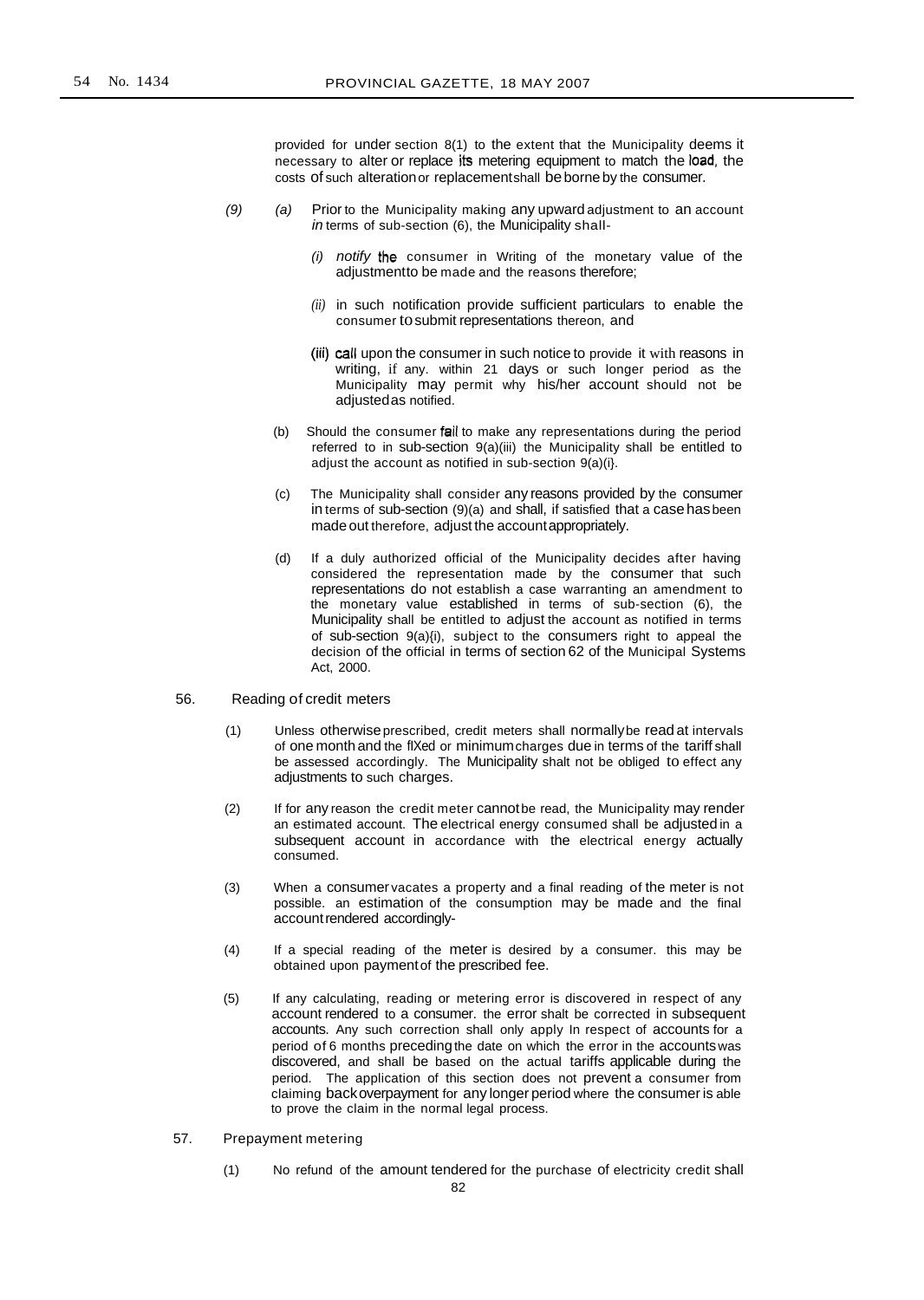provided for under section 8(1) to the extent that the Municipality deems it necessary to alter or replace its metering equipment to match the load, the costs of such alterationor replacementshall beborneby the consumer.

- $(9)$  (a) Prior to the Municipality making any upward adjustment to an account in terms of sub-section (6), the Municipality shall-
	- (i) notify the consumer in Writing of the monetary value of the adjustmentto be made and the reasons therefore;
	- *(ii)* in such notification provide sufficient particulars to enable the consumer tosubmit representations thereon, and
	- (iii) call upon the consumer in such notice to provide it with reasons in writing, if any. within 21 days or such longer period as the Municipality may permit why his/her account should not be adiustedas notified.
	- (b) Should the consumer fail to make any representations during the period referred to in sub-section 9(a)(iii) the Municipality shall be entitled to adjust the account as notified in sub-section 9(a)(i}.
	- (c) The Municipality shall consider any reasons provided by the consumer in terms of sub-section (9)(a) and shall, if satisfied that a casehasbeen made out therefore, adjust the accountappropriately.
	- (d) If a duly authorized official of the Municipality decides after having considered the representation made by the consumer that such representations do not establish a case warranting an amendment to the monetary value established in terms of sub-section (6), the Municipality shall be entitled to adjust the account as notified in terms of sub-section 9(a){i), subject to the consumers right to appeal the decision of the official in terms of section 62 of the Municipal Systems Act, 2000.
- 56. Reading of credit meters
	- (1) Unless otherwiseprescribed, credit meters shall normallybe read at intervals of one monthand the fIXed or minimumcharges due in terms of the tariff shall be assessed accordingly. The Municipality shalt not be obliged to effect any adjustments to such charges.
	- (2) If for any reason the credit meter cannotbe read, the Municipality may render an estimated account. The electrical energy consumed shall be adjusted in a subsequent account in accordance with the electrical energy actually consumed.
	- (3) When a consumer vacates a property and a final reading of the meter is not possible. an estimation of the consumption may be made and the final accountrendered accordingly-
	- (4) If a special reading of the meter is desired by a consumer. this may be obtained upon paymentof the prescribed fee.
	- (5) If any calculating, reading or metering error is discovered in respect of any account rendered to a consumer. the error shalt be corrected in subsequent accounts. Any such correction shall only apply In respect of accounts for a period of 6 months preceding the date on which the error in the accounts was discovered, and shall be based on the actual tariffs applicable during the period. The application of this section does not prevent a consumer from claiming backoverpayment for any longer period where the consumer is able to prove the claim in the normal legal process.
- 57. Prepayment metering
	- (1) No refund of the amount tendered for the purchase of electricity credit shall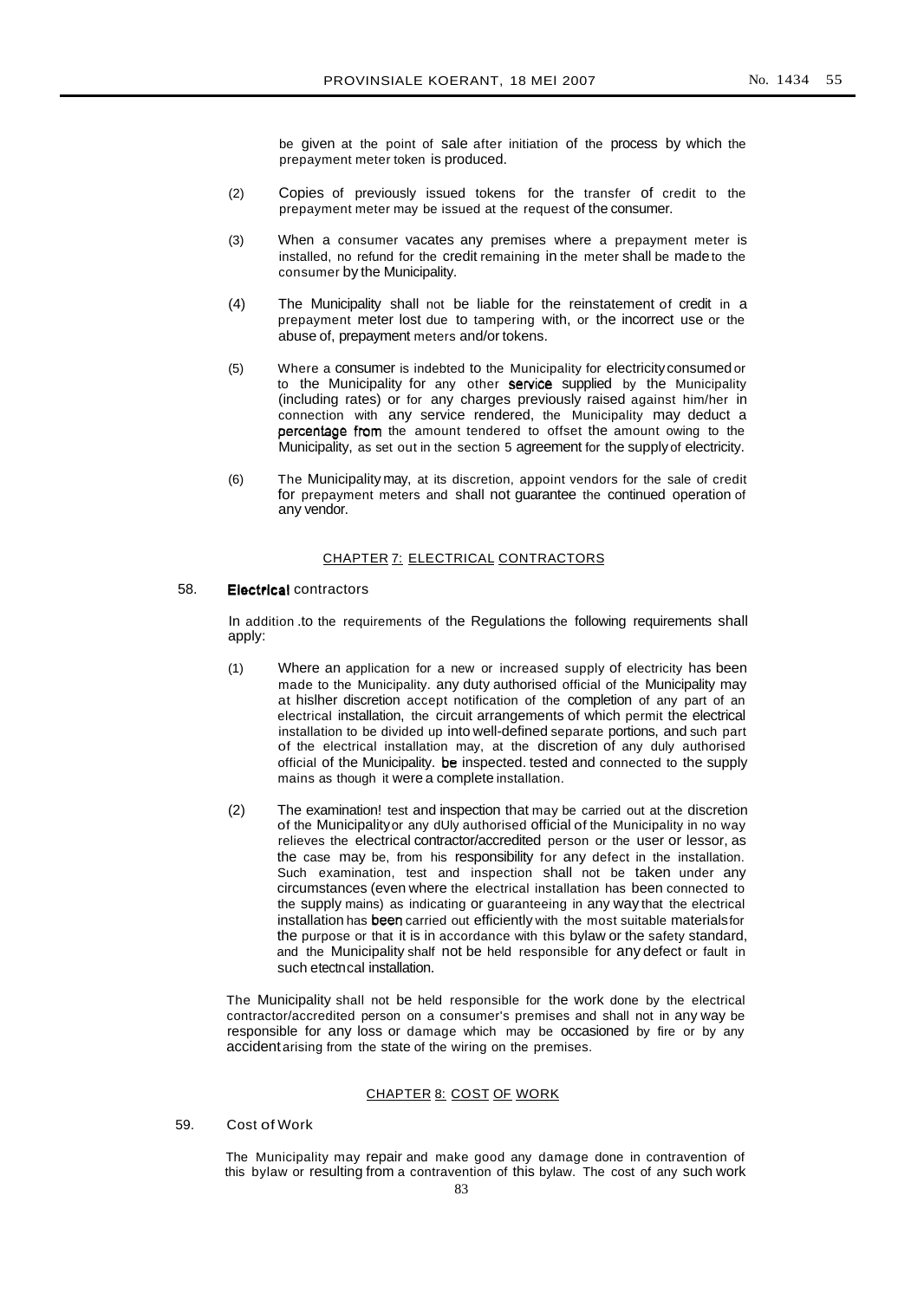be given at the point of sale after initiation of the process by which the prepayment meter token is produced.

- (2) Copies of previously issued tokens for the transfer of credit to the prepayment meter may be issued at the request of the consumer.
- (3) When a consumer vacates any premises where a prepayment meter is installed, no refund for the credit remaining in the meter shall be madeto the consumer by the Municipality.
- (4) The Municipality shall not be liable for the reinstatement of credit in a prepayment meter lost due to tampering with, or the incorrect use or the abuse of, prepayment meters and/or tokens.
- (5) Where a consumer is indebted to the Municipality for electricityconsumed or to the Municipality for any other service supplied by the Municipality (including rates) or for any charges previously raised against him/her in connection with any service rendered, the Municipality may deduct a percentage from the amount tendered to offset the amount owing to the Municipality, as set out in the section 5 agreement for the supply of electricity.
- (6) The Municipality may, at its discretion, appoint vendors for the sale of credit for prepayment meters and shall not guarantee the continued operation of any vendor.

#### CHAPTER 7: ELECTRICAL CONTRACTORS

# 58. Electrical contractors

In addition .to the requirements of the Regulations the following requirements shall apply:

- (1) Where an application for a new or increased supply of electricity has been made to the Municipality. any duty authorised official of the Municipality may at hislher discretion accept notification of the completion of any part of an electrical installation, the circuit arrangements of which permit the electrical installation to be divided up into well-defined separate portions, and such part of the electrical installation may, at the discretion of any duly authorised official of the Municipality. be inspected. tested and connected to the supply mains as though it were a complete installation.
- (2) The examination! test and inspection that may be carried out at the discretion of the Municipalityor any dUly authorised official of the Municipality in no way relieves the electrical contractor/accredited person or the user or lessor, as the case may be, from his responsibility for any defect in the installation. Such examination, test and inspection shall not be taken under any circumstances (even where the electrical installation has been connected to the supply mains) as indicating or guaranteeing in any way that the electrical installation has been carried out efficiently with the most suitable materialsfor the purpose or that it is in accordance with this bylaw or the safety standard, and the Municipality shalf not be held responsible for any defect or fault in such etectncal installation.

The Municipality shall not be held responsible for the work done by the electrical contractor/accredited person on a consumer's premises and shall not in any way be responsible for any loss or damage which may be occasioned by fire or by any accident arising from the state of the wiring on the premises.

# CHAPTER 8: COST OF WORK

# 59. Cost of Work

The Municipality may repair and make good any damage done in contravention of this bylaw or resulting from a contravention of this bylaw. The cost of any such work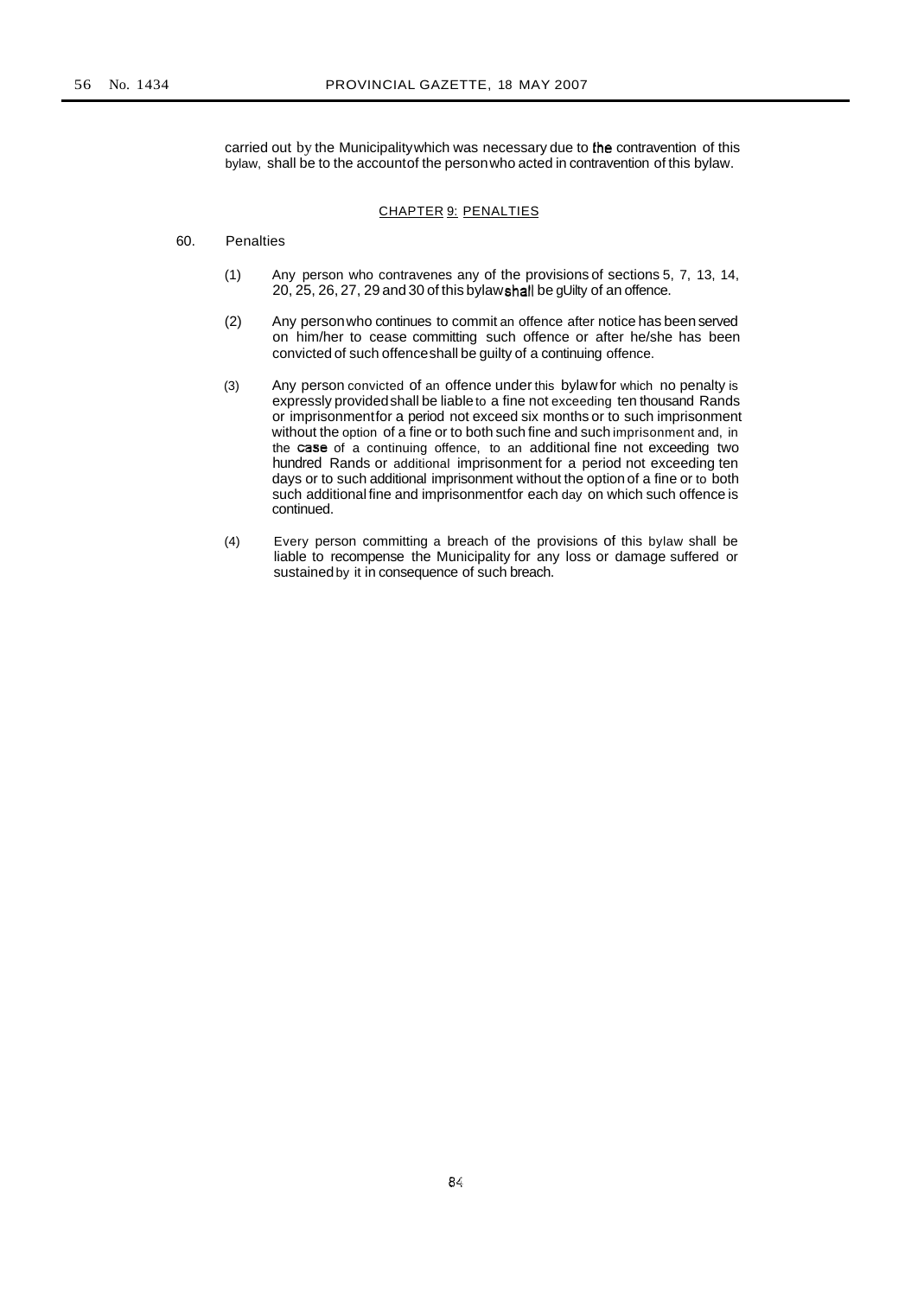carried out by the Municipality which was necessary due to the contravention of this bylaw, shall be to the accountof the personwho acted in contravention of this bylaw.

# CHAPTER 9: PENALTIES

## 60. Penalties

- (1) Any person who contravenes any of the provisions of sections 5, 7, 13, 14,  $20, 25, 26, 27, 29$  and  $30$  of this bylaw shall be gUilty of an offence.
- (2) Any personwho continues to commit an offence after notice has beenserved on him/her to cease committing such offence or after he/she has been convicted of such offenceshall be guilty of a continuing offence.
- (3) Any person convicted of an offence under this bylawfor which no penalty is expressly providedshall be liableto a fine not exceeding ten thousand Rands or imprisonmentfor a period not exceed six months or to such imprisonment without the option of a fine or to both such fine and such imprisonment and, in the case of a continuing offence, to an additional fine not exceeding two hundred Rands or additional imprisonment for a period not exceeding ten days or to such additional imprisonment without the option of a fine or to both such additional fine and imprisonmentfor each day on which such offence is continued.
- (4) Every person committing a breach of the provisions of this bylaw shall be liable to recompense the Municipality for any loss or damage suffered or sustainedby it in consequence of such breach.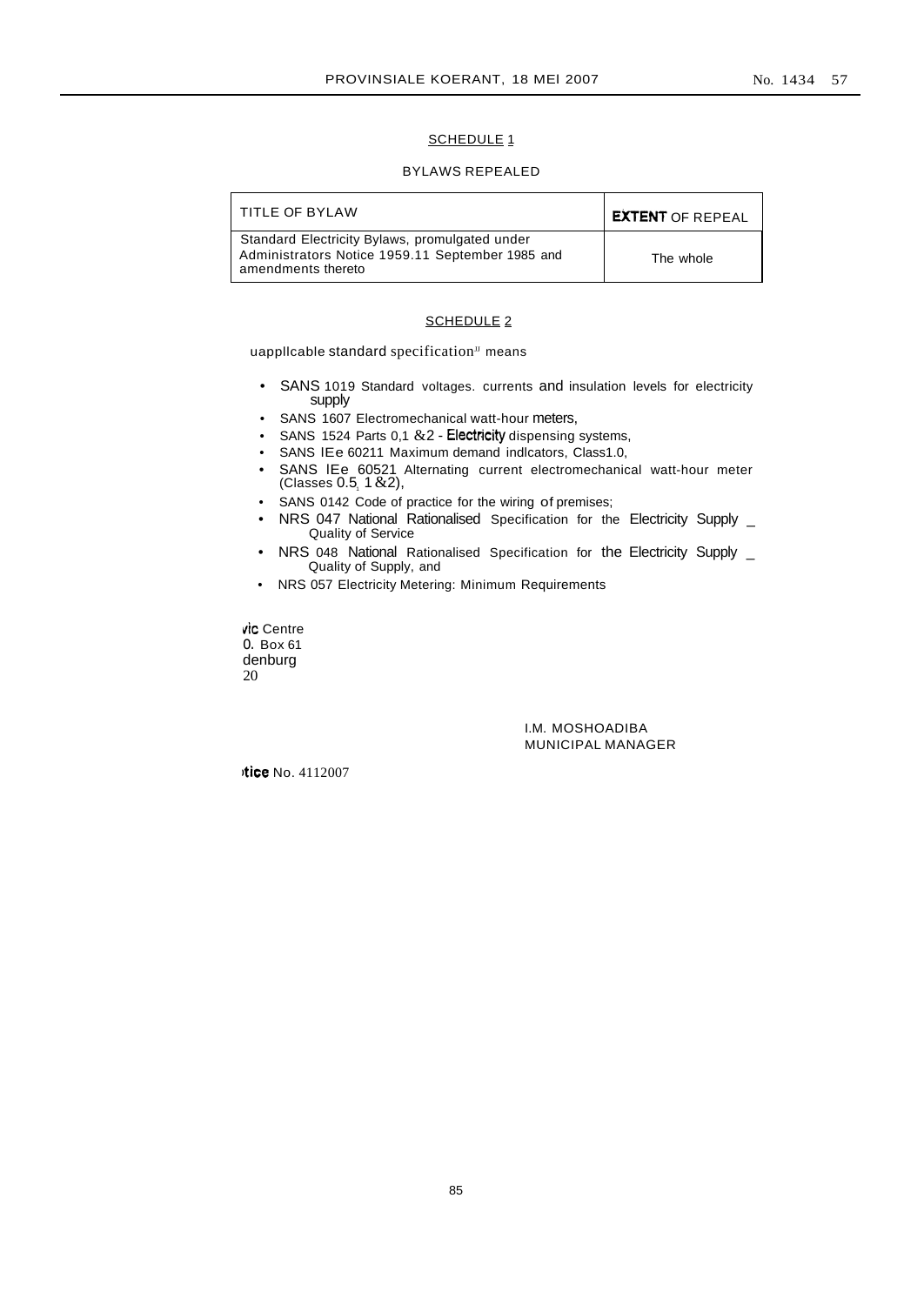# SCHEDULE<sub>1</sub>

# BYLAWS REPEALED

| TITLE OF BYLAW                                                                                                           | <b>EXTENT OF REPEAL</b> |
|--------------------------------------------------------------------------------------------------------------------------|-------------------------|
| Standard Electricity Bylaws, promulgated under<br>Administrators Notice 1959.11 September 1985 and<br>amendments thereto | The whole               |

## SCHEDULE<sub>2</sub>

uapplicable standard specification<sup>JJ</sup> means

- SANS 1019 Standard voltages. currents and insulation levels for electricity supply
- SANS 1607 Electromechanical watt-hour meters,
- SANS 1524 Parts 0,1  $&2$  Electricity dispensing systems,
- SANS lEe 60211 Maximum demand indlcators, Class1.0,
- SANS lEe 60521 Alternating current electromechanical watt-hour meter  $(C$ lasses  $0.5, 1 & 2)$ ,
- SANS 0142 Code of practice for the wiring of premises;
- NRS 047 National Rationalised Specification for the Electricity Supply \_ Quality of Service
- NRS 048 National Rationalised Specification for the Electricity Supply \_ Quality of Supply, and
- NRS 057 Electricity Metering: Minimum Requirements

vic Centre o. Box 61 denburg 20

> I.M. MOSHOADIBA MUNICIPAL MANAGER

-tice No. 4112007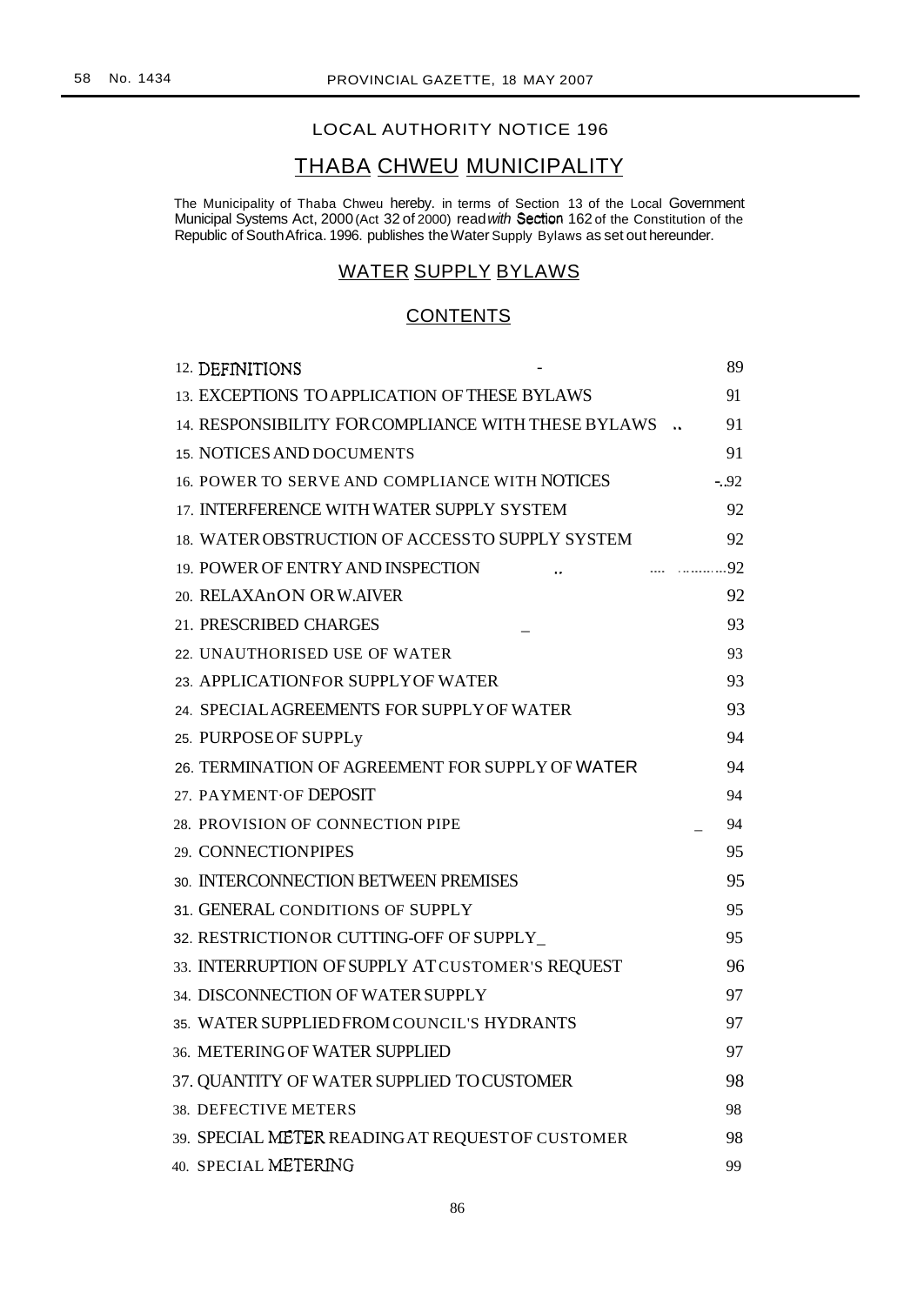# LOCAL AUTHORITY NOTICE 196

# THABA CHWEU MUNICIPALITY

The Municipality of Thaba Chweu hereby. in terms of Section 13 of the Local Government Municipal Systems Act, 2000 (Act 32 of 2000) read with Section 162 of the Constitution of the Republic of SouthAfrica. 1996. publishes theWater Supply Bylaws as set out hereunder.

# WATER SUPPLY BYLAWS

# **CONTENTS**

| 12. DEFINITIONS                                     | 89     |
|-----------------------------------------------------|--------|
| 13. EXCEPTIONS TO APPLICATION OF THESE BYLAWS       | 91     |
| 14. RESPONSIBILITY FOR COMPLIANCE WITH THESE BYLAWS | 91     |
| <b>15. NOTICES AND DOCUMENTS</b>                    | 91     |
| 16. POWER TO SERVE AND COMPLIANCE WITH NOTICES      | $-.92$ |
| 17. INTERFERENCE WITH WATER SUPPLY SYSTEM           | 92     |
| 18. WATER OBSTRUCTION OF ACCESS TO SUPPLY SYSTEM    | 92     |
| 19. POWER OF ENTRY AND INSPECTION                   | 92     |
| 20. RELAXAnON OR W.AIVER                            | 92     |
| 21. PRESCRIBED CHARGES                              | 93     |
| 22. UNAUTHORISED USE OF WATER                       | 93     |
| 23. APPLICATIONFOR SUPPLY OF WATER                  | 93     |
| 24. SPECIAL AGREEMENTS FOR SUPPLY OF WATER          | 93     |
| 25. PURPOSE OF SUPPLy                               | 94     |
| 26. TERMINATION OF AGREEMENT FOR SUPPLY OF WATER    | 94     |
| 27. PAYMENT OF DEPOSIT                              | 94     |
| 28. PROVISION OF CONNECTION PIPE                    | 94     |
| 29. CONNECTIONPIPES                                 | 95     |
| 30. INTERCONNECTION BETWEEN PREMISES                | 95     |
| 31. GENERAL CONDITIONS OF SUPPLY                    | 95     |
| 32. RESTRICTIONOR CUTTING-OFF OF SUPPLY             | 95     |
| 33. INTERRUPTION OF SUPPLY AT CUSTOMER'S REQUEST    | 96     |
| 34. DISCONNECTION OF WATER SUPPLY                   | 97     |
| 35. WATER SUPPLIED FROM COUNCIL'S HYDRANTS          | 97     |
| 36. METERING OF WATER SUPPLIED                      | 97     |
| 37. QUANTITY OF WATER SUPPLIED TOCUSTOMER           | 98     |
| 38. DEFECTIVE METERS                                | 98     |
| 39. SPECIAL METER READING AT REQUEST OF CUSTOMER    | 98     |
| 40. SPECIAL METERING                                | 99     |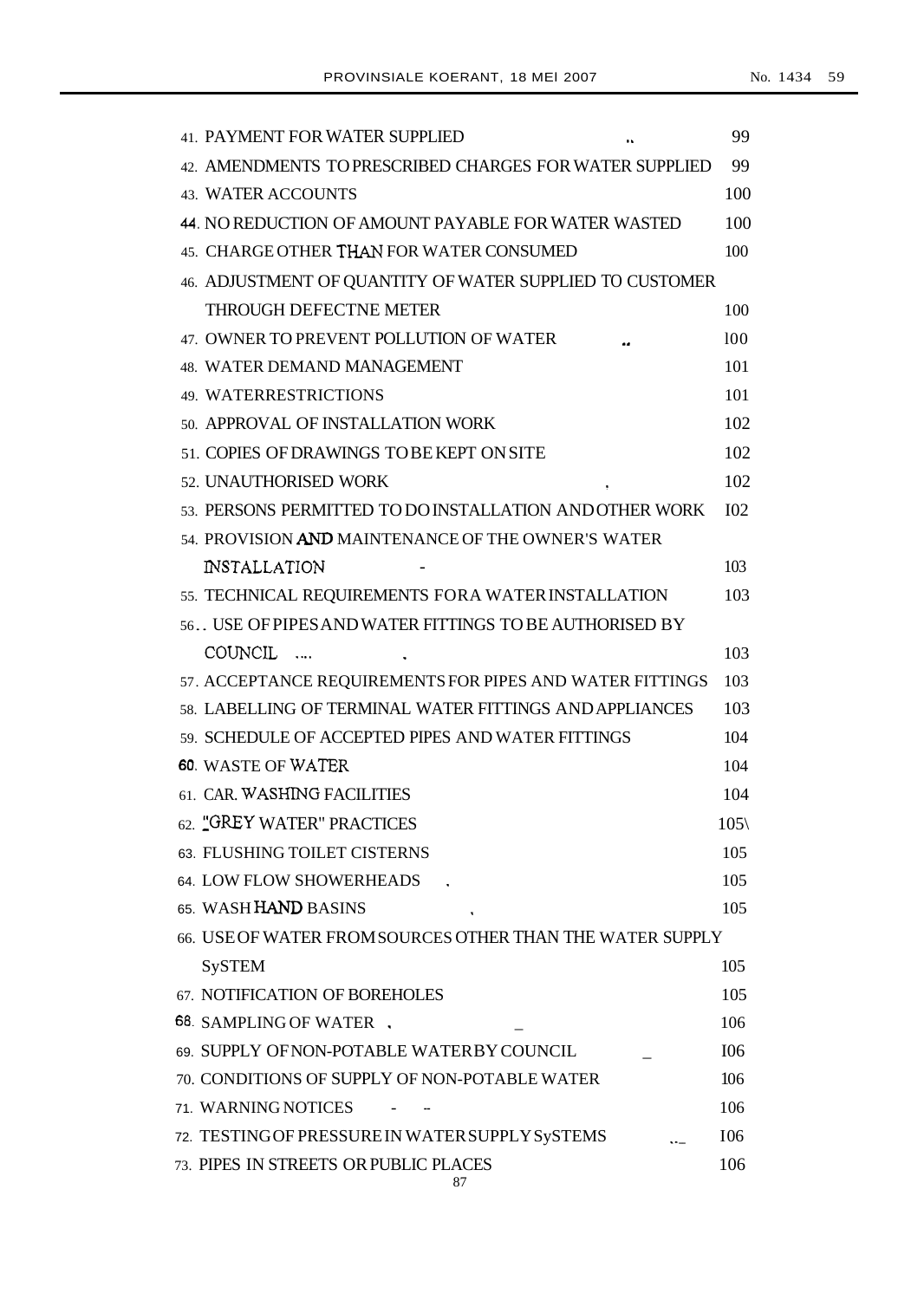| <b>41. PAYMENT FOR WATER SUPPLIED</b>                     | 99              |
|-----------------------------------------------------------|-----------------|
| 42. AMENDMENTS TO PRESCRIBED CHARGES FOR WATER SUPPLIED   | 99              |
| 43. WATER ACCOUNTS                                        | 100             |
| 44. NO REDUCTION OF AMOUNT PAYABLE FOR WATER WASTED       | 100             |
| 45. CHARGE OTHER THAN FOR WATER CONSUMED                  | 100             |
| 46. ADJUSTMENT OF QUANTITY OF WATER SUPPLIED TO CUSTOMER  |                 |
| <b>THROUGH DEFECTNE METER</b>                             | 100             |
| 47. OWNER TO PREVENT POLLUTION OF WATER                   | 100             |
| <b>48. WATER DEMAND MANAGEMENT</b>                        | 101             |
| 49. WATERRESTRICTIONS                                     | 101             |
| 50. APPROVAL OF INSTALLATION WORK                         | 102             |
| 51. COPIES OF DRAWINGS TO BE KEPT ON SITE                 | 102             |
| 52. UNAUTHORISED WORK                                     | 102             |
| 53. PERSONS PERMITTED TO DO INSTALLATION AND OTHER WORK   | I <sub>02</sub> |
| 54. PROVISION AND MAINTENANCE OF THE OWNER'S WATER        |                 |
| <b>INSTALLATION</b>                                       | 103             |
| 55. TECHNICAL REQUIREMENTS FORA WATER INSTALLATION        | 103             |
| 56. USE OF PIPES AND WATER FITTINGS TO BE AUTHORISED BY   |                 |
| COUNCIL                                                   | 103             |
| 57. ACCEPTANCE REQUIREMENTS FOR PIPES AND WATER FITTINGS  | 103             |
| 58. LABELLING OF TERMINAL WATER FITTINGS AND APPLIANCES   | 103             |
| 59. SCHEDULE OF ACCEPTED PIPES AND WATER FITTINGS         | 104             |
| 60. WASTE OF WATER                                        | 104             |
| 61. CAR. WASHING FACILITIES                               | 104             |
| 62. "GREY WATER" PRACTICES                                | $105\%$         |
| 63. FLUSHING TOILET CISTERNS                              | 105             |
| 64. LOW FLOW SHOWERHEADS                                  | 105             |
| 65. WASH HAND BASINS                                      | 105             |
| 66. USE OF WATER FROM SOURCES OTHER THAN THE WATER SUPPLY |                 |
| <b>SySTEM</b>                                             | 105             |
| 67. NOTIFICATION OF BOREHOLES                             | 105             |
| 68. SAMPLING OF WATER                                     | 106             |
| 69. SUPPLY OFNON-POTABLE WATERBY COUNCIL                  | I06             |
| 70. CONDITIONS OF SUPPLY OF NON-POTABLE WATER             | 106             |
| 71. WARNING NOTICES                                       | 106             |
| 72. TESTINGOF PRESSURE IN WATER SUPPLY SySTEMS            | I06             |
| 73. PIPES IN STREETS OR PUBLIC PLACES<br>87               | 106             |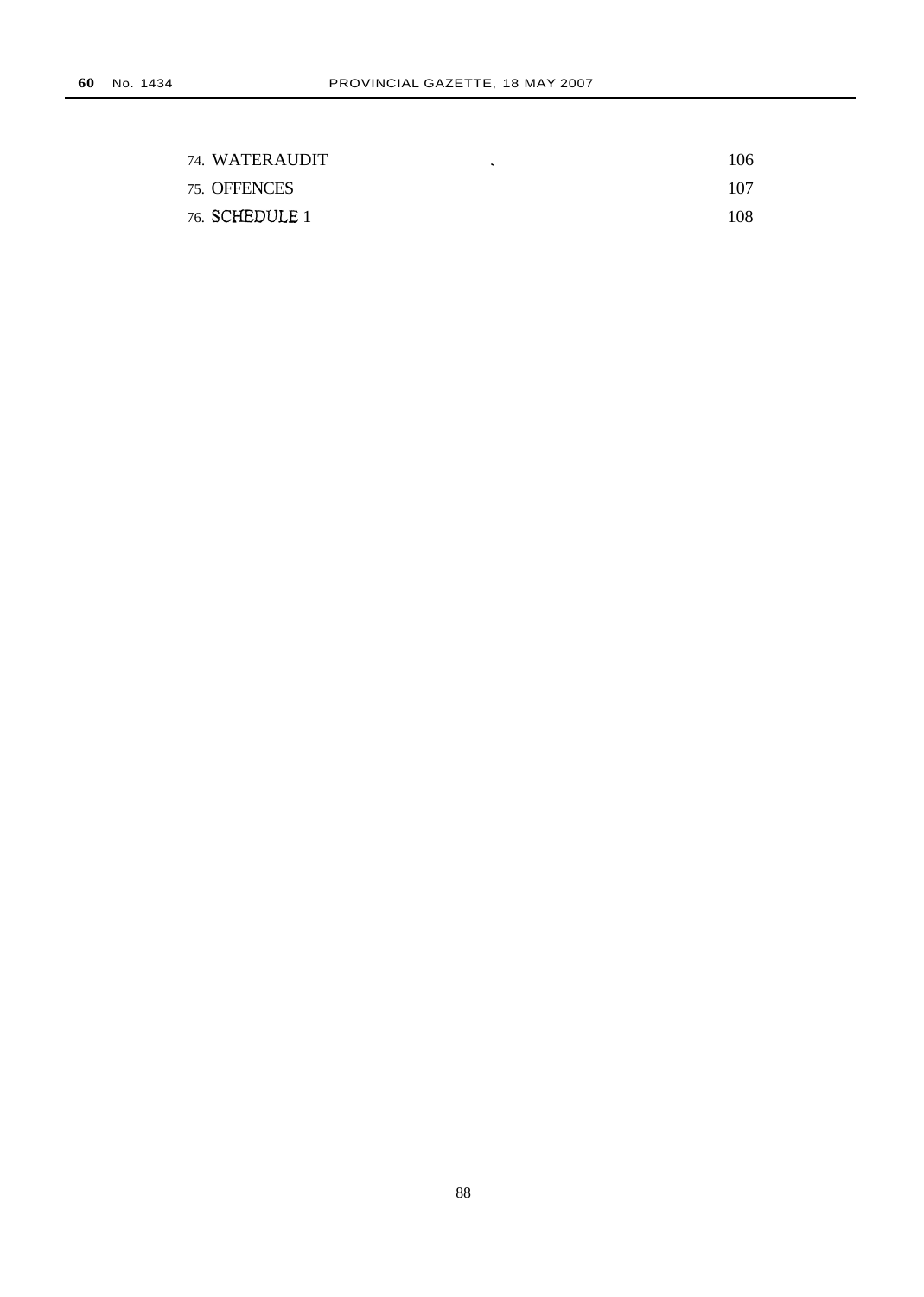| 74. WATERAUDIT | 106 |
|----------------|-----|
| 75. OFFENCES   | 107 |
| 76. SCHEDULE 1 | 108 |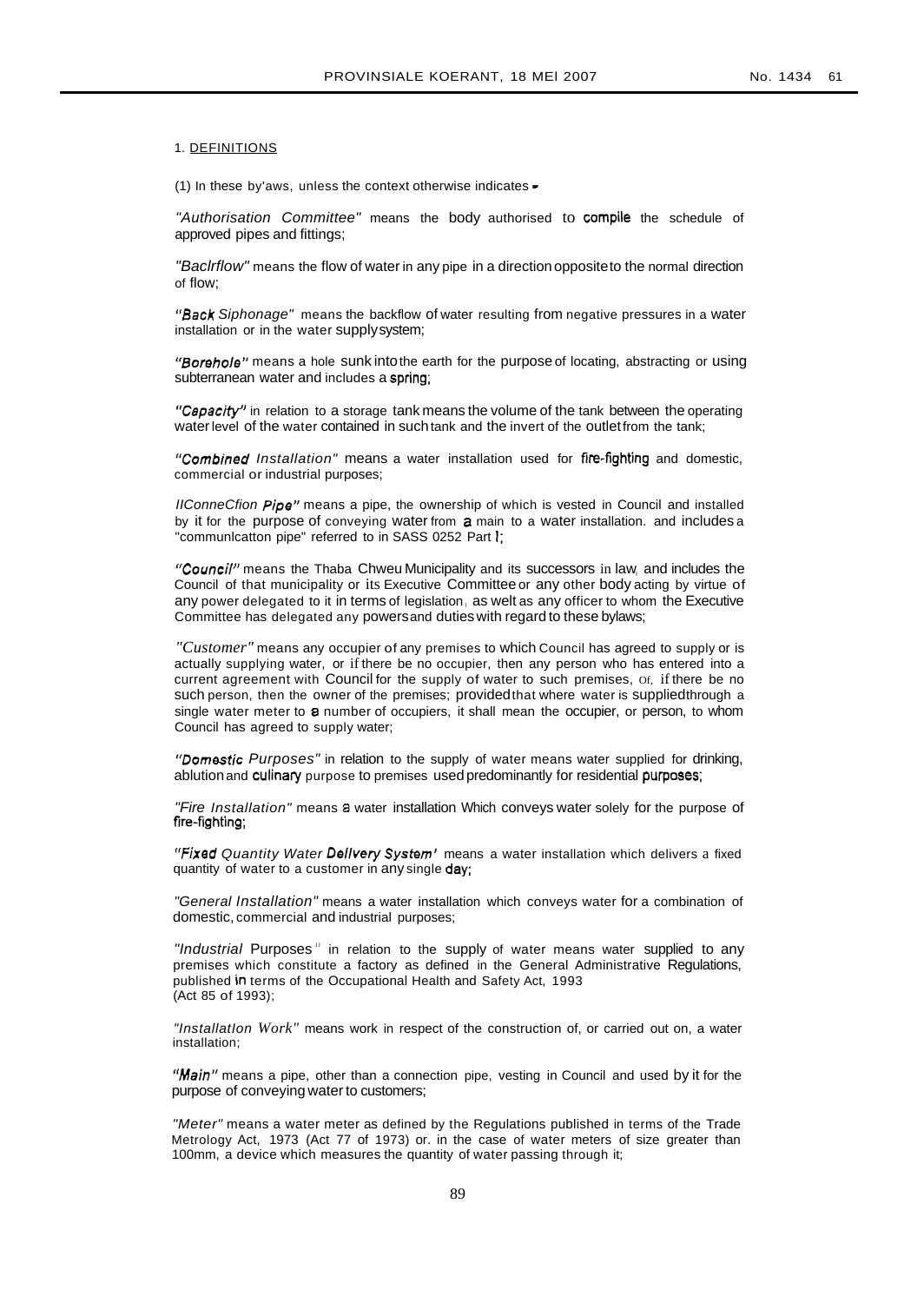#### 1. DEFINITIONS

(1) In these by aws, unless the context otherwise indicates  $\cdot$ 

"Authorisation Committee" means the body authorised to compile the schedule of approved pipes and fittings;

"Baclrflow" means the flow of water in any pipe in a direction oppositeto the normal direction of flow;

"Back Siphonage" means the backflow of water resulting from negative pressures in a water installation or in the water supplysystem;

"Borehole" means a hole sunk into the earth for the purpose of locating, abstracting or using subterranean water and includes a spring;

*·'CapacitY'* in relation to a storage tank means the volume of the tank between the operating water level of the water contained in such tank and the invert of the outlet from the tank;

"Combined Installation" means a water installation used for fire-fighting and domestic, commercial or industrial purposes;

IIConneCfion Pipe" means a pipe, the ownership of which is vested in Council and installed by it for the purpose of conveying water from a main to a water installation. and includes a "communicatton pipe" referred to in SASS 0252 Part I;

"Council" means the Thaba Chweu Municipality and its successors in law, and includes the Council of that municipality or its Executive Committee or any other body acting by virtue of any power delegated to it in terms of legislation, as welt as any officer to whom the Executive Committee has delegated any powersand duties with regard to these bylaws;

*"Customer"* means any occupier of any premises to which Council has agreed to supply or is actually supplying water, or if there be no occupier, then any person who has entered into a current agreement with Council for the supply of water to such premises, Of, if there be no such person, then the owner of the premises; providedthat where water is suppliedthrough a single water meter to a number of occupiers, it shall mean the occupier, or person, to whom Council has agreed to supply water;

"Domestic Purposes" in relation to the supply of water means water supplied for drinking, ablution and culinary purpose to premises used predominantly for residential purposes;

"Fire Installation" means a water installation Which conveys water solely for the purpose of fire-fighting;

"Fixed Quantity Water Delivery System' means a water installation which delivers a fixed quantity of water to a customer in any single day;

"General Installation" means a water installation which conveys water for a combination of domestic, commercial and industrial purposes;

"Industrial Purposes" in relation to the supply of water means water supplied to any premises which constitute a factory as defined in the General Administrative Regulations, published in terms of the Occupational Health and Safety Act, 1993 (Act 85 of 1993);

"InstallatIon *Work"* means work in respect of the construction of, or carried out on, a water installation;

"Main" means a pipe, other than a connection pipe, vesting in Council and used by it for the purpose of conveying water to customers;

"Meter" means a water meter as defined by the Regulations published in terms of the Trade Metrology Act, 1973 (Act 77 of 1973) or. in the case of water meters of size greater than 100mm, a device which measures the quantity of water passing through it;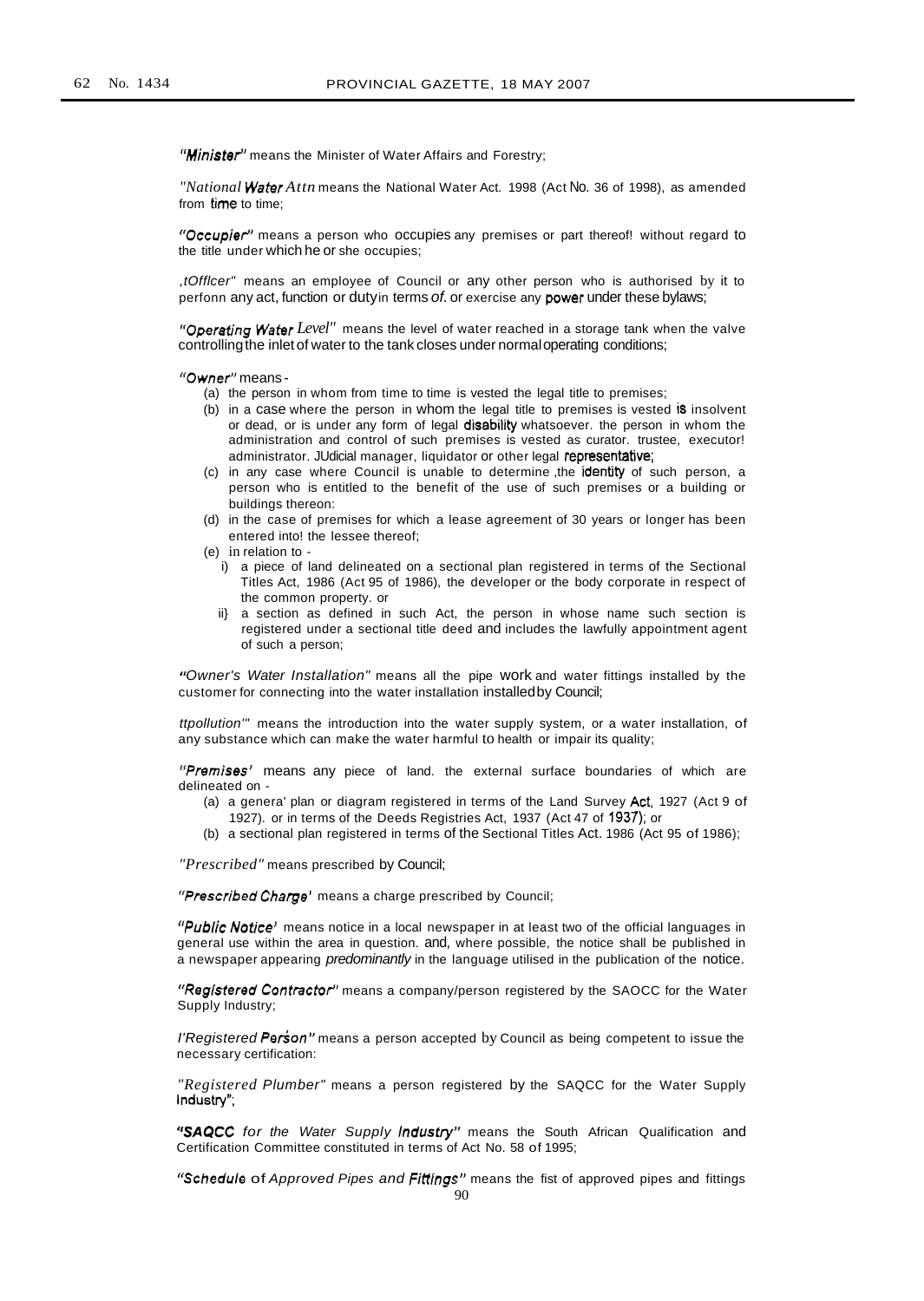"Minister" means the Minister of Water Affairs and Forestry;

*"National Wator Attn* means the National Water Act. 1998 (Act No. 36 of 1998), as amended from time to time;

"Occupier" means a person who occupies any premises or part thereof! without regard to the title under which he or she occupies;

,tOfflcer" means an employee of Council or any other person who is authorised by it to perfonn any act, function or dutyin terms of. or exercise any power under these bylaws;

*6rOperating Water Level"* means the level of water reached in a storage tank when the valve controllingthe inlet of water to the tank closes under normaloperating conditions;

*"Owner'* means-

- (a) the person in whom from time to time is vested the legal title to premises;
- (b) in a case where the person in whom the legal title to premises is vested is insolvent or dead, or is under any form of legal disability whatsoever. the person in whom the administration and control of such premises is vested as curator. trustee, executor! administrator. JUdicial manager, liquidator or other legal representative;
- (c) in any case where Council is unable to determine ,the identity of such person, a person who is entitled to the benefit of the use of such premises or a building or buildings thereon:
- (d) in the case of premises for which a lease agreement of 30 years or longer has been entered into! the lessee thereof;
- (e) in relation to
	- i) a piece of land delineated on a sectional plan registered in terms of the Sectional Titles Act, 1986 (Act 95 of 1986), the developer or the body corporate in respect of the common property. or
	- ii} a section as defined in such Act, the person in whose name such section is registered under a sectional title deed and includes the lawfully appointment agent of such a person;

IfOwner's Water Installation" means all the pipe work and water fittings installed by the customer for connecting into the water installation installedby Council;

ttpollution'" means the introduction into the water supply system, or a water installation, of any substance which can make the water harmful to health or impair its quality;

"Premises' means any piece of land. the external surface boundaries of which are delineated on -

- (a) a genera' plan or diagram registered in terms of the Land Survey Act, 1927 (Act 9 of 1927). or in terms of the Deeds Registries Act, 1937 (Act 47 of 1937); or
- (b) a sectional plan registered in terms of the Sectional Titles Act. 1986 (Act 95 of 1986);

*"Prescribed"* means prescribed by Council;

"Prescribed Charge' means a charge prescribed by Council;

"Public Notice" means notice in a local newspaper in at least two of the official languages in general use within the area in question. and, where possible, the notice shall be published in a newspaper appearing *predominantly* in the language utilised in the publication of the notice.

I'Reglstered *Contractor'* means a company/person registered by the SAOCC for the Water Supply Industry;

I'Registered Person" means a person accepted by Council as being competent to issue the necessary certification:

*"Registered* Plumber" means a person registered by the SAQCC for the Water Supply Industry";

**"SAQCC** for the Water Supply *Industry*" means the South African Qualification and Certification Committee constituted in terms of Act No. 58 of 1995;

"Schedule of Approved Pipes and Fittings" means the fist of approved pipes and fittings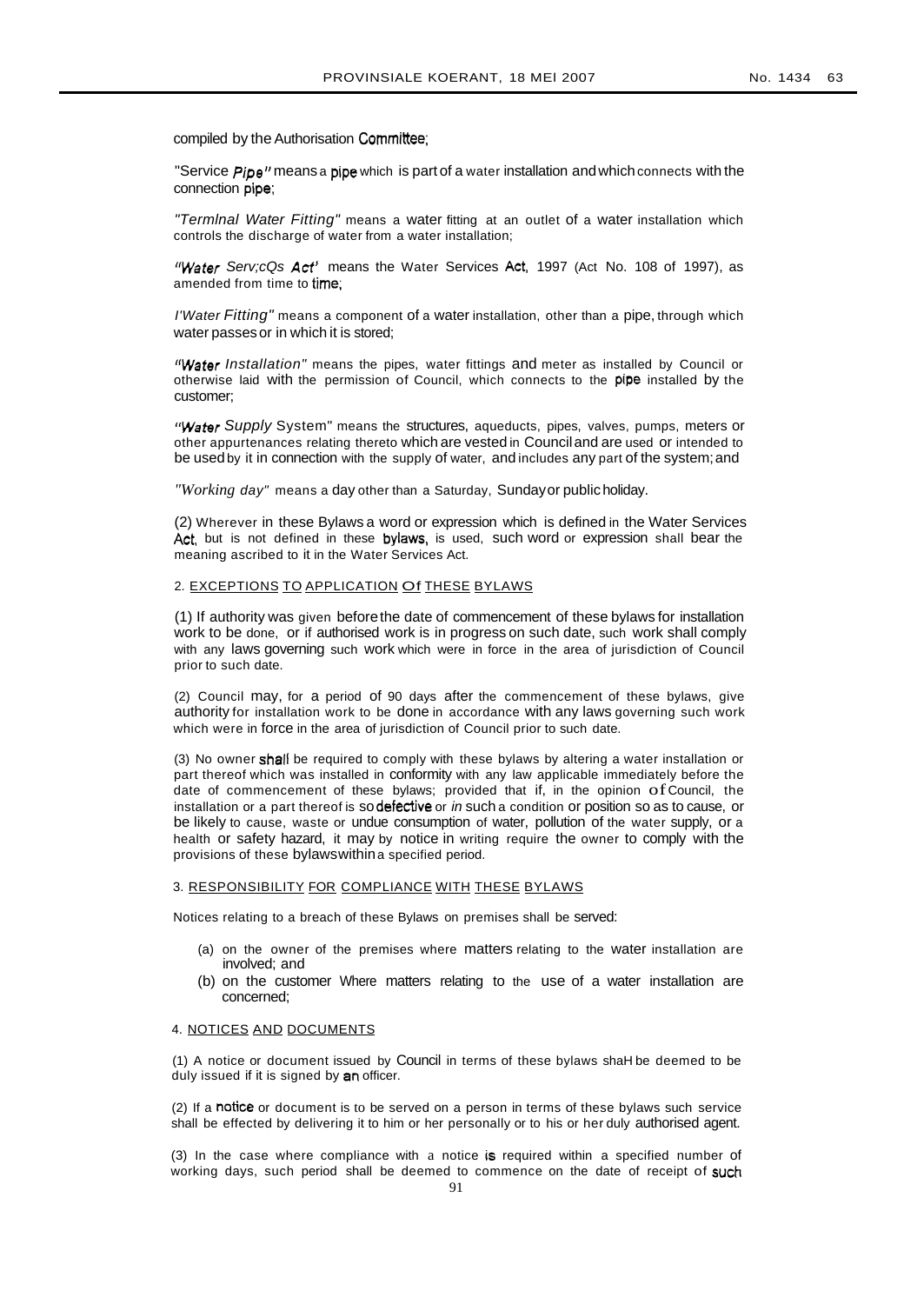compiled by the Authorisation Committee;

"Service *Pipe"* means a pipe which is part of a water installation and which connects with the connection pipe;

"Termlnal Water Fitting" means a water fitting at an outlet of a water installation which controls the discharge of water from a water installation;

*"Water* Serv;cQs Act" means the Water Services Act. 1997 (Act No. 108 of 1997), as amended from time to time;

I'Water Fitting" means a component of a water installation, other than a pipe, through which water passes or in which it is stored;

*t'Water* Installation" means the pipes, water fittings and meter as installed by Council or otherwise laid with the permission of Council, which connects to the pipe installed by the customer;

"Water Supply System" means the structures, aqueducts, pipes, valves, pumps, meters or other appurtenances relating thereto which are vested in Counciland are used or intended to be used by it in connection with the supply of water, and includes any part of the system; and

*"Working* day" means a day other than a Saturday, Sundayor publicholiday.

(2) Wherever in these Bylaws a word or expression which is defined in the Water Services Act, but is not defined in these bylaws, is used, such word or expression shall bear the meaning ascribed to it in the Water Services Act.

# 2. EXCEPTIONS TO APPLICATION Of THESE BYLAWS

(1) If authority was given beforethe date of commencement of these bylaws for installation work to be done, or if authorised work is in progress on such date, such work shall comply with any laws governing such work which were in force in the area of jurisdiction of Council prior to such date.

(2) Council may, for a period of 90 days after the commencement of these bylaws, give authority for installation work to be done in accordance with any laws governing such work which were in force in the area of jurisdiction of Council prior to such date.

(3) No owner shall be required to comply with these bylaws by altering a water installation or part thereof which was installed in conformity with any law applicable immediately before the date of commencement of these bylaws; provided that if, in the opinion ofCouncil, the installation or a part thereof is so defective or in such a condition or position so as to cause, or be likely to cause, waste or undue consumption of water, pollution of the water supply, or a health or safety hazard, it may by notice in writing require the owner to comply with the provisions of these bylawswithina specified period.

# 3. RESPONSIBILITY FOR COMPLIANCE WITH THESE BYLAWS

Notices relating to a breach of these Bylaws on premises shall be served:

- (a) on the owner of the premises where matters relating to the water installation are involved; and
- (b) on the customer Where matters relating to the use of a water installation are concerned;

#### 4. NOTICES AND DOCUMENTS

(1) A notice or document issued by Council in terms of these bylaws shaH be deemed to be duly issued if it is signed by an officer.

(2) If a notice or document is to be served on a person in terms of these bylaws such service shall be effected by delivering it to him or her personally or to his or her duly authorised agent.

(3) In the case where compliance with a notice is required within a specified number of working days, such period shall be deemed to commence on the date of receipt of such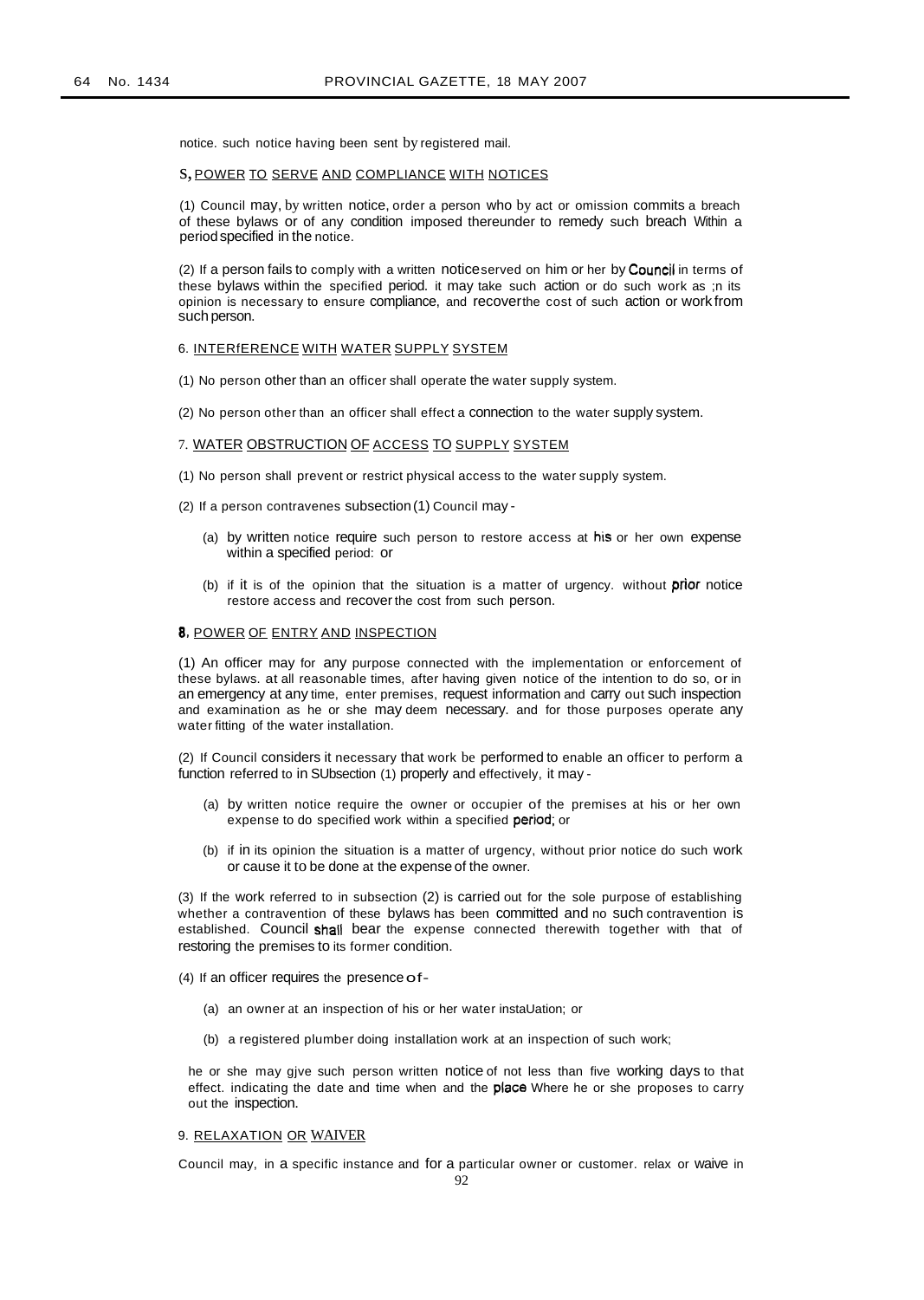notice. such notice having been sent by registered mail.

#### s,POWER TO SERVE AND COMPLIANCE WITH NOTICES

(1) Council may, by written notice, order a person who by act or omission commits a breach of these bylaws or of any condition imposed thereunder to remedy such breach Within a periodspecified in the notice.

(2) If a person fails to comply with a written noticeserved on him or her by Council in terms of these bylaws within the specified period. it may take such action or do such work as ;n its opinion is necessary to ensure compliance, and recoverthe cost of such action or work from such person.

# 6. INTERfERENCE WITH WATER SUPPLY SYSTEM

(1) No person other than an officer shall operate the water supply system.

(2) No person other than an officer shall effect a connection to the water supply system.

#### 7. WATER OBSTRUCTION OF ACCESS TO SUPPLY SYSTEM

- (1) No person shall prevent or restrict physical access to the water supply system.
- (2) If a person contravenes subsection(1) Council may
	- (a) by written notice require such person to restore access at his or her own expense within a specified period: or
	- (b) if it is of the opinion that the situation is a matter of urgency. without prior notice restore access and recover the cost from such person.

# 8, POWER OF ENTRY AND INSPECTION

(1) An officer may for any purpose connected with the implementation or enforcement of these bylaws. at all reasonable times, after having given notice of the intention to do so, or in an emergency at any time, enter premises, request information and carry out such inspection and examination as he or she may deem necessary. and for those purposes operate any water fitting of the water installation.

(2) If Council considers it necessary that work be performed to enable an officer to perform a function referred to in SUbsection (1) properly and effectively, it may -

- (a) by written notice require the owner or occupier of the premises at his or her own expense to do specified work within a specified period; or
- (b) if in its opinion the situation is a matter of urgency, without prior notice do such work or cause it to be done at the expense of the owner.

(3) If the work referred to in subsection (2) is carried out for the sole purpose of establishing whether a contravention of these bylaws has been committed and no such contravention is established. Council shall bear the expense connected therewith together with that of restoring the premises to its former condition.

(4) If an officer requires the presence of-

- (a) an owner at an inspection of his or her water instaUation; or
- (b) a registered plumber doing installation work at an inspection of such work;

he or she may gjve such person written notice of not less than five working days to that effect. indicating the date and time when and the **place** Where he or she proposes to carry out the inspection.

## 9. RELAXATION OR WAIVER

Council may, in a specific instance and for a particular owner or customer. relax or waive in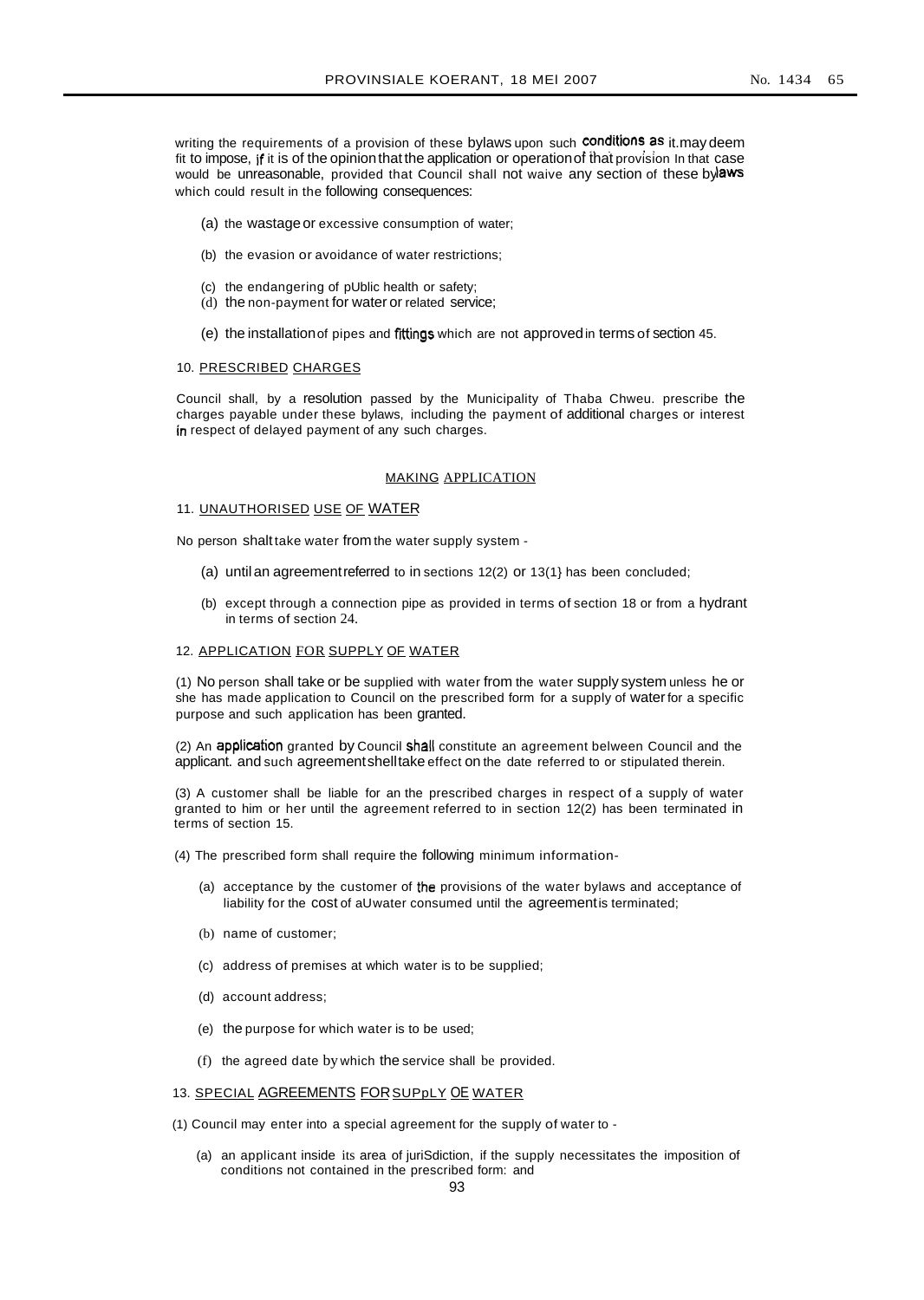writing the requirements of a provision of these bylaws upon such conditions as it.may deem fit to impose, if it is of the opinion that the application or operation of that provision In that case would be unreasonable, provided that Council shall not waive any section of these bylaws which could result in the following consequences:

- (a) the wastageor excessive consumption of water;
- (b) the evasion or avoidance of water restrictions;
- (c) the endangering of pUblic health or safety;
- (d) the non-payment for water or related service;
- (e) the installationof pipes and fittingswhich are not approvedin terms of section 45.

#### 10. PRESCRIBED CHARGES

Council shall, by a resolution passed by the Municipality of Thaba Chweu. prescribe the charges payable under these bylaws, including the payment of additional charges or interest in respect of delayed payment of any such charges.

#### MAKING APPLICATION

#### 11. UNAUTHORISED USE OF WATER

No person shalt take water from the water supply system -

- (a) until an agreementreferred to in sections 12(2) or 13(1} has been concluded;
- (b) except through a connection pipe as provided in terms of section 18 or from a hydrant in terms of section 24.

# 12. APPLICATION FOR SUPPLY OF WATER

(1) No person shall take or be supplied with water from the water supply system unless he or she has made application to Council on the prescribed form for a supply of waterfor a specific purpose and such application has been granted.

(2) An application granted by Council shall constitute an agreement belween Council and the applicant. and such agreementshelltake effect on the date referred to or stipulated therein.

(3) A customer shall be liable for an the prescribed charges in respect of a supply of water granted to him or her until the agreement referred to in section 12(2) has been terminated in terms of section 15.

- (4) The prescribed form shall require the following minimum information-
	- (a) acceptance by the customer of the provisions of the water bylaws and acceptance of liability for the cost of aUwater consumed until the agreementis terminated;
	- (b) name of customer;
	- (c) address of premises at which water is to be supplied;
	- (d) account address;
	- (e) the purpose for which water is to be used;
	- (f) the agreed date by which the service shall be provided.

# 13. SPECIAL AGREEMENTS FOR SUPPLY OE WATER

- (1) Council may enter into a special agreement for the supply of water to
	- (a) an applicant inside its area of juriSdiction, if the supply necessitates the imposition of conditions not contained in the prescribed form: and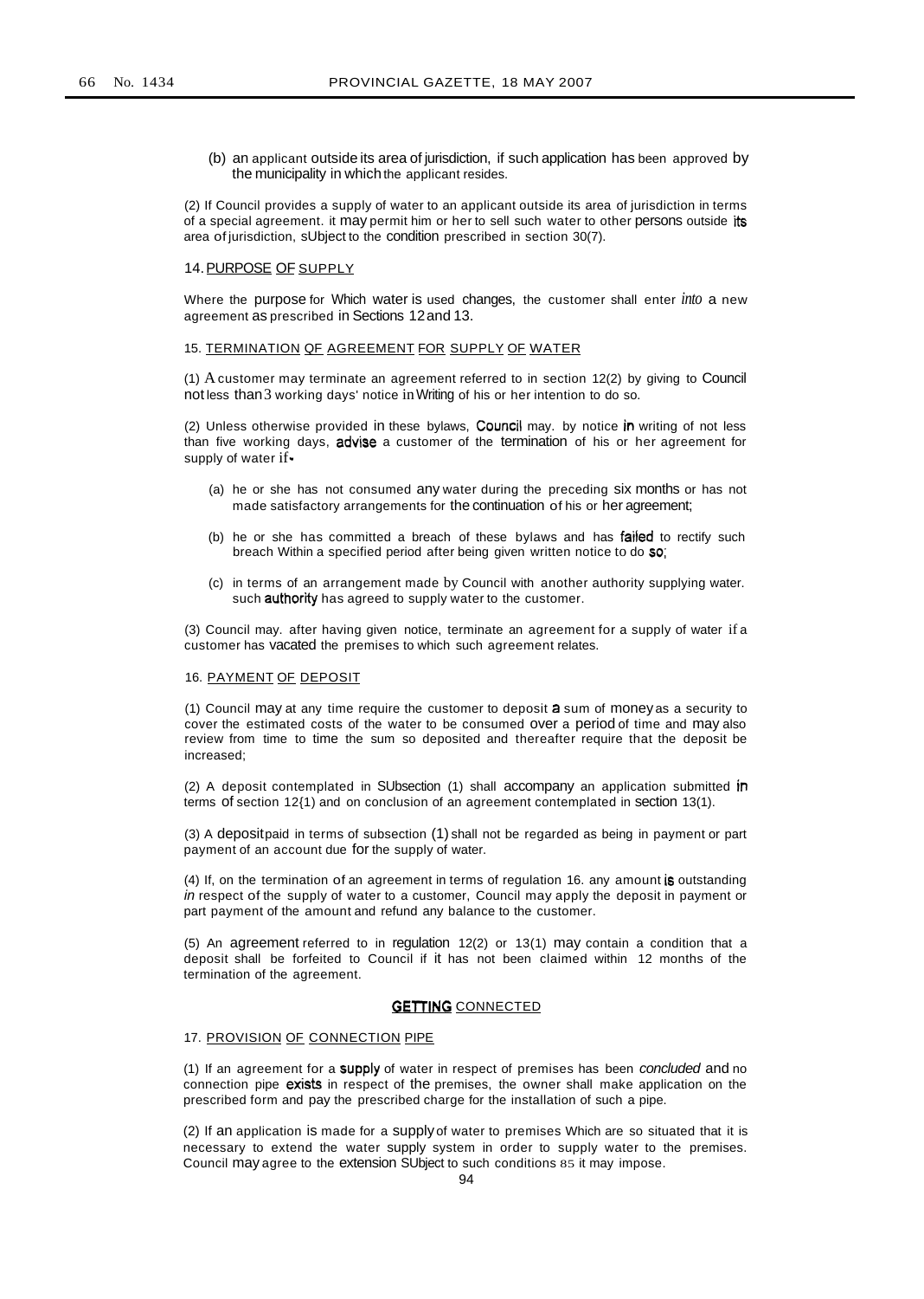(b) an applicant outside its area of jurisdiction, if such application has been approved by the municipality in which the applicant resides.

(2) If Council provides a supply of water to an applicant outside its area of jurisdiction in terms of a special agreement. it may permit him or her to sell such water to other persons outside its area of jurisdiction, sUbject to the condition prescribed in section 30(7).

#### 14.PURPOSE OF SUPPLY

Where the purpose for Which water is used changes, the customer shall enter *into* a new agreement as prescribed in Sections 12and 13.

#### 15. TERMINATION QF AGREEMENT FOR SUPPLY OF WATER

(1) A customer may terminate an agreement referred to in section 12(2) by giving to Council not less than3 working days' notice inWriting of his or her intention to do so.

(2) Unless otherwise provided in these bylaws, Council may. by notice in writing of not less than five working days, advise a customer of the termination of his or her agreement for supply of water if-

- (a) he or she has not consumed any water during the preceding six months or has not made satisfactory arrangements for the continuation of his or her agreement;
- (b) he or she has committed a breach of these bylaws and has failed to rectify such breach Within a specified period after being given written notice to do so;
- (c) in terms of an arrangement made by Council with another authority supplying water. such **authority** has agreed to supply water to the customer.

(3) Council may. after having given notice, terminate an agreement for a supply of water if a customer has vacated the premises to which such agreement relates.

#### 16. PAYMENT OF DEPOSIT

(1) Council may at any time require the customer to deposit a sum of money as a security to cover the estimated costs of the water to be consumed over a period of time and may also review from time to time the sum so deposited and thereafter require that the deposit be increased;

(2) A deposit contemplated in SUbsection (1) shall accompany an application submitted in terms of section 12{1) and on conclusion of an agreement contemplated in section 13(1).

(3) A depositpaid in terms of subsection (1) shall not be regarded as being in payment or part payment of an account due for the supply of water.

(4) If, on the termination of an agreement in terms of regulation 16. any amount is outstanding in respect of the supply of water to a customer, Council may apply the deposit in payment or part payment of the amount and refund any balance to the customer.

(5) An agreement referred to in regulation 12(2) or 13(1) may contain a condition that a deposit shall be forfeited to Council if it has not been claimed within 12 months of the termination of the agreement.

# **GETTING CONNECTED**

#### 17. PROVISION OF CONNECTION PIPE

(1) If an agreement for a supply of water in respect of premises has been concluded and no connection pipe exists in respect of the premises, the owner shall make application on the prescribed form and pay the prescribed charge for the installation of such a pipe.

(2) If an application is made for a supply of water to premises Which are so situated that it is necessary to extend the water supply system in order to supply water to the premises. Council may agree to the extension SUbject to such conditions 85 it may impose.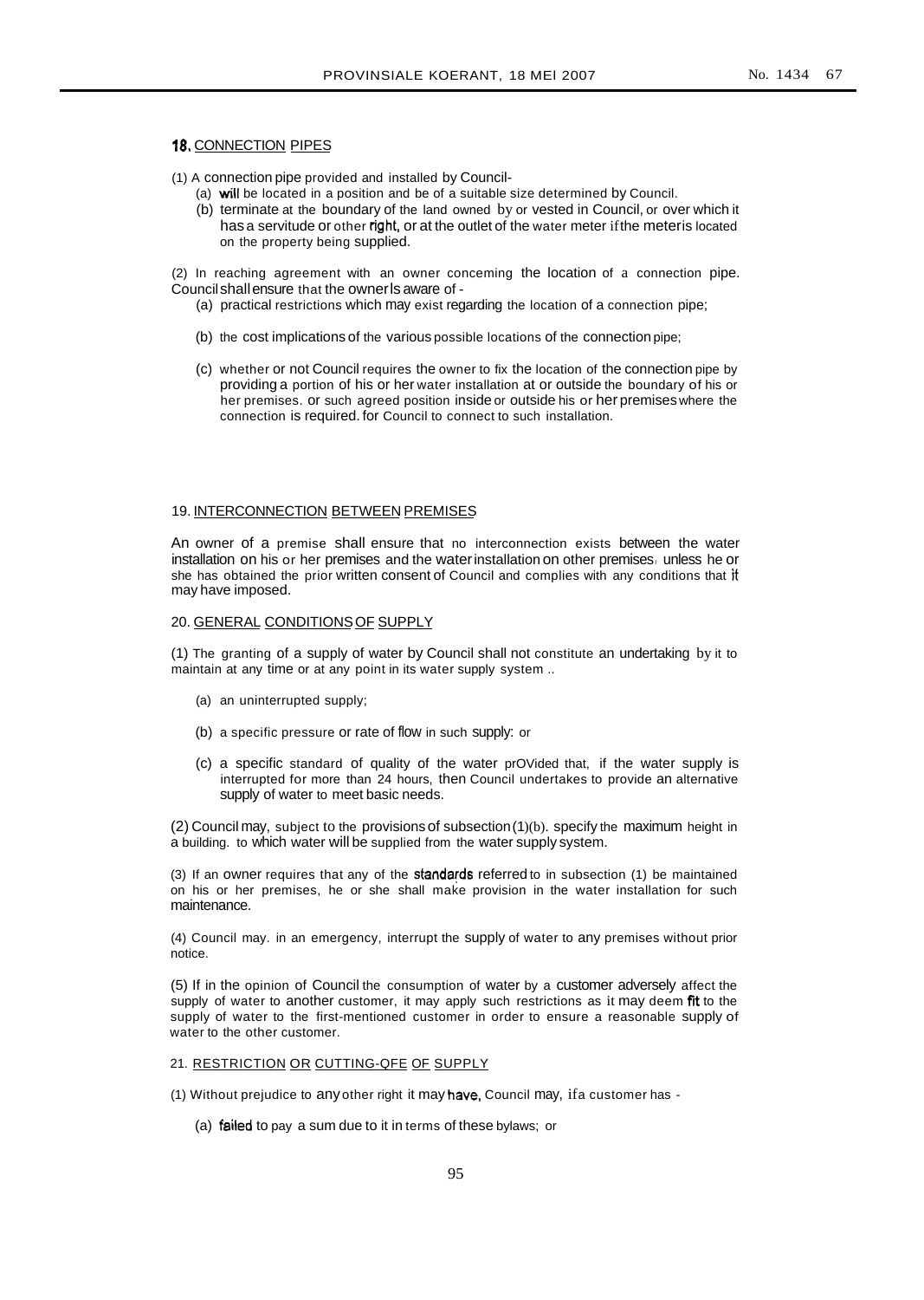# 18. CONNECTION PIPES

(1) A connection pipe provided and installed by Council-

- (a) will be located in a position and be of a suitable size determined by Council.
- (b) terminate at the boundary of the land owned by or vested in Council, or over which it has a servitude or other right, or at the outlet of the water meter ifthe meteris located on the property being supplied.

(2) In reaching agreement with an owner conceming the location of a connection pipe. Councilshallensure that the ownerls aware of -

- (a) practical restrictions which may exist regarding the location of a connection pipe;
- (b) the cost implications of the various possible locations of the connection pipe;
- (c) whether or not Council requires the owner to fix the location of the connection pipe by providing a portion of his or her water installation at or outside the boundary of his or her premises. or such agreed position inside or outside his or her premiseswhere the connection is required. for Council to connect to such installation.

# 19. INTERCONNECTION BETWEEN PREMISES

An owner of a premise shall ensure that no interconnection exists between the water installation on his or her premises and the water installation on other premises, unless he or she has obtained the prior written consent of Council and complies with any conditions that it may have imposed.

# 20. GENERAL CONDITIONS OF SUPPLY

(1) The granting of a supply of water by Council shall not constitute an undertaking by it to maintain at any time or at any point in its water supply system ..

- (a) an uninterrupted supply;
- (b) a specific pressure or rate of flow in such supply: or
- (c) a specific standard of quality of the water prOVided that, if the water supply is interrupted for more than 24 hours, then Council undertakes to provide an alternative supply of water to meet basic needs.

 $(2)$  Council may, subject to the provisions of subsection $(1)(b)$ . specify the maximum height in a building. to which water will be supplied from the water supply system.

(3) If an owner requires that any of the standards referred to in subsection (1) be maintained on his or her premises, he or she shall make provision in the water installation for such maintenance.

(4) Council may. in an emergency, interrupt the supply of water to any premises without prior notice.

(5) If in the opinion of Council the consumption of water by a customer adversely affect the supply of water to another customer, it may apply such restrictions as it may deem fit to the supply of water to the first-mentioned customer in order to ensure a reasonable supply of water to the other customer.

21. RESTRICTION OR CUTTING-QFE OF SUPPLY

(1) Without prejudice to any other right it may have, Council may, ifa customer has -

(a) failed to pay a sum due to it in terms of these bylaws; or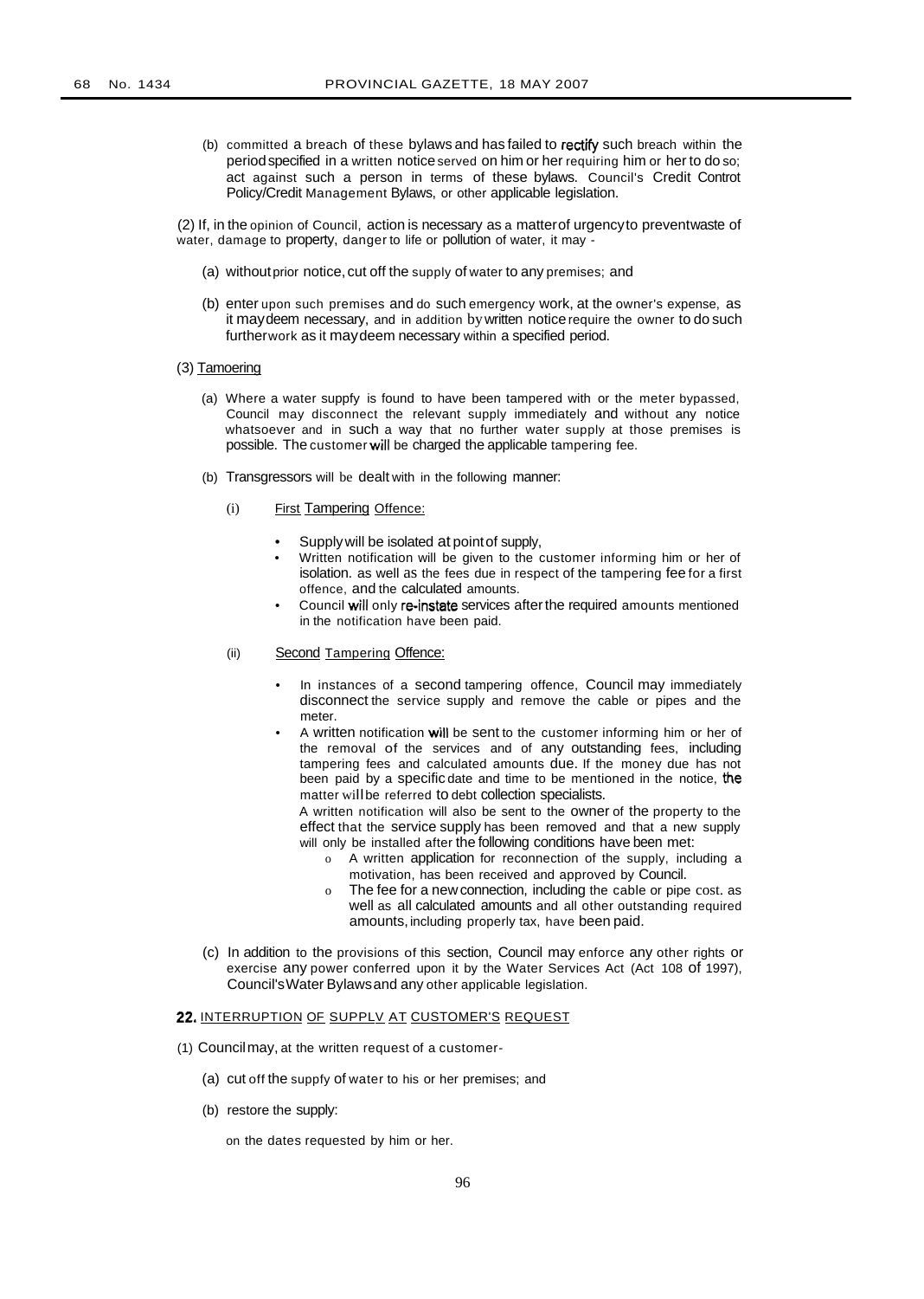(b) committed a breach of these bylaws and has failed to rectify such breach within the period specified in a written notice served on him or her requiring him or her to do so; act against such a person in terms of these bylaws. Council's Credit Controt Policy/Credit Management Bylaws, or other applicable legislation.

(2) If, in the opinion of Council, action is necessary as a matterof urgencyto preventwaste of water, damage to property, danger to life or pollution of water, it may -

- (a) withoutprior notice, cut off the supply of water to any premises; and
- (b) enter upon such premises and do such emergency work, at the owner's expense, as it maydeem necessary, and in addition bywritten noticerequire the owner to do such furtherwork as it maydeem necessary within a specified period.

# (3) Tamoering

- (a) Where a water suppfy is found to have been tampered with or the meter bypassed, Council may disconnect the relevant supply immediately and without any notice whatsoever and in such a way that no further water supply at those premises is possible. The customer will be charged the applicable tampering fee.
- (b) Transgressors will be dealt with in the following manner:
	- (i) First Tampering Offence:
		- Supplywill be isolated at pointof supply,
		- Written notification will be given to the customer informing him or her of isolation. as well as the fees due in respect of the tampering fee for a first offence, and the calculated amounts.
		- Council will only re-instate services after the required amounts mentioned in the notification have been paid.

#### (ii) Second Tampering Offence:

- In instances of a second tampering offence, Council may immediately disconnect the service supply and remove the cable or pipes and the meter.
- A written notification will be sent to the customer informing him or her of the removal of the services and of any outstanding fees, including tampering fees and calculated amounts due. If the money due has not been paid by a specific date and time to be mentioned in the notice, the matter wiIIbe referred to debt collection specialists.

A written notification will also be sent to the owner of the property to the effect that the service supply has been removed and that a new supply will only be installed after the following conditions have been met:

- o A written application for reconnection of the supply, including a motivation, has been received and approved by Council.
- o The fee for a newconnection, including the cable or pipe cost. as well as all calculated amounts and all other outstanding required amounts, including properly tax, have been paid.
- (c) In addition to the provisions of this section, Council may enforce any other rights or exercise any power conferred upon it by the Water Services Act (Act 108 of 1997), Council'sWater Bylawsand any other applicable legislation.

# 22. INTERRUPTION OF SUPPLV AT CUSTOMER'S REQUEST

- (1) Councilmay, at the written request of a customer-
	- (a) cut off the suppfy of water to his or her premises; and
	- (b) restore the supply:

on the dates requested by him or her.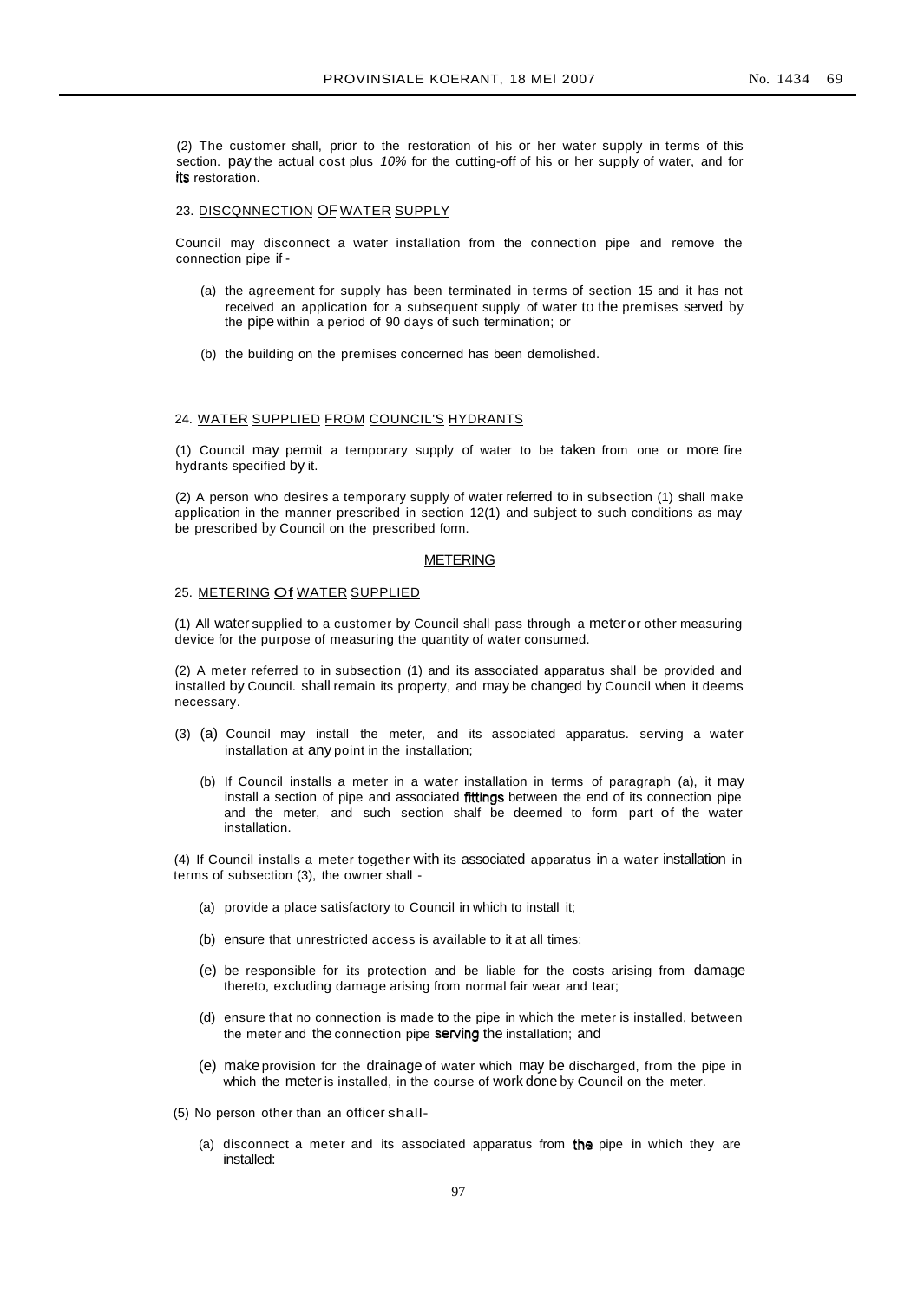(2) The customer shall, prior to the restoration of his or her water supply in terms of this section. pay the actual cost plus 10% for the cutting-off of his or her supply of water, and for its restoration.

#### 23. DISCONNECTION OF WATER SUPPLY

Council may disconnect a water installation from the connection pipe and remove the connection pipe if -

- (a) the agreement for supply has been terminated in terms of section 15 and it has not received an application for a subsequent supply of water to the premises served by the pipe within a period of 90 days of such termination; or
- (b) the building on the premises concerned has been demolished.

#### 24. WATER SUPPLIED FROM COUNCIL'S HYDRANTS

(1) Council may permit a temporary supply of water to be taken from one or more fire hydrants specified by it.

(2) A person who desires a temporary supply of water referred to in subsection (1) shall make application in the manner prescribed in section 12(1) and subject to such conditions as may be prescribed by Council on the prescribed form.

#### METERING

#### 25. METERING Of WATER SUPPLIED

(1) All water supplied to a customer by Council shall pass through a meter or other measuring device for the purpose of measuring the quantity of water consumed.

(2) A meter referred to in subsection (1) and its associated apparatus shall be provided and installed by Council. shall remain its property, and may be changed by Council when it deems necessary.

- (3) (a) Council may install the meter, and its associated apparatus. serving a water installation at any point in the installation;
	- (b) If Council installs a meter in a water installation in terms of paragraph (a), it may install a section of pipe and associated frttings between the end of its connection pipe and the meter, and such section shalf be deemed to form part of the water installation.

(4) If Council installs a meter together with its associated apparatus in a water installation in terms of subsection (3), the owner shall -

- (a) provide a place satisfactory to Council in which to install it;
- (b) ensure that unrestricted access is available to it at all times:
- (e) be responsible for its protection and be liable for the costs arising from damage thereto, excluding damage arising from normal fair wear and tear;
- (d) ensure that no connection is made to the pipe in which the meter is installed, between the meter and the connection pipe serving the installation; and
- (e) make provision for the drainage of water which may be discharged, from the pipe in which the meter is installed, in the course of work done by Council on the meter.
- (5) No person other than an officer shall-
	- (a) disconnect a meter and its associated apparatus from the pipe in which they are installed: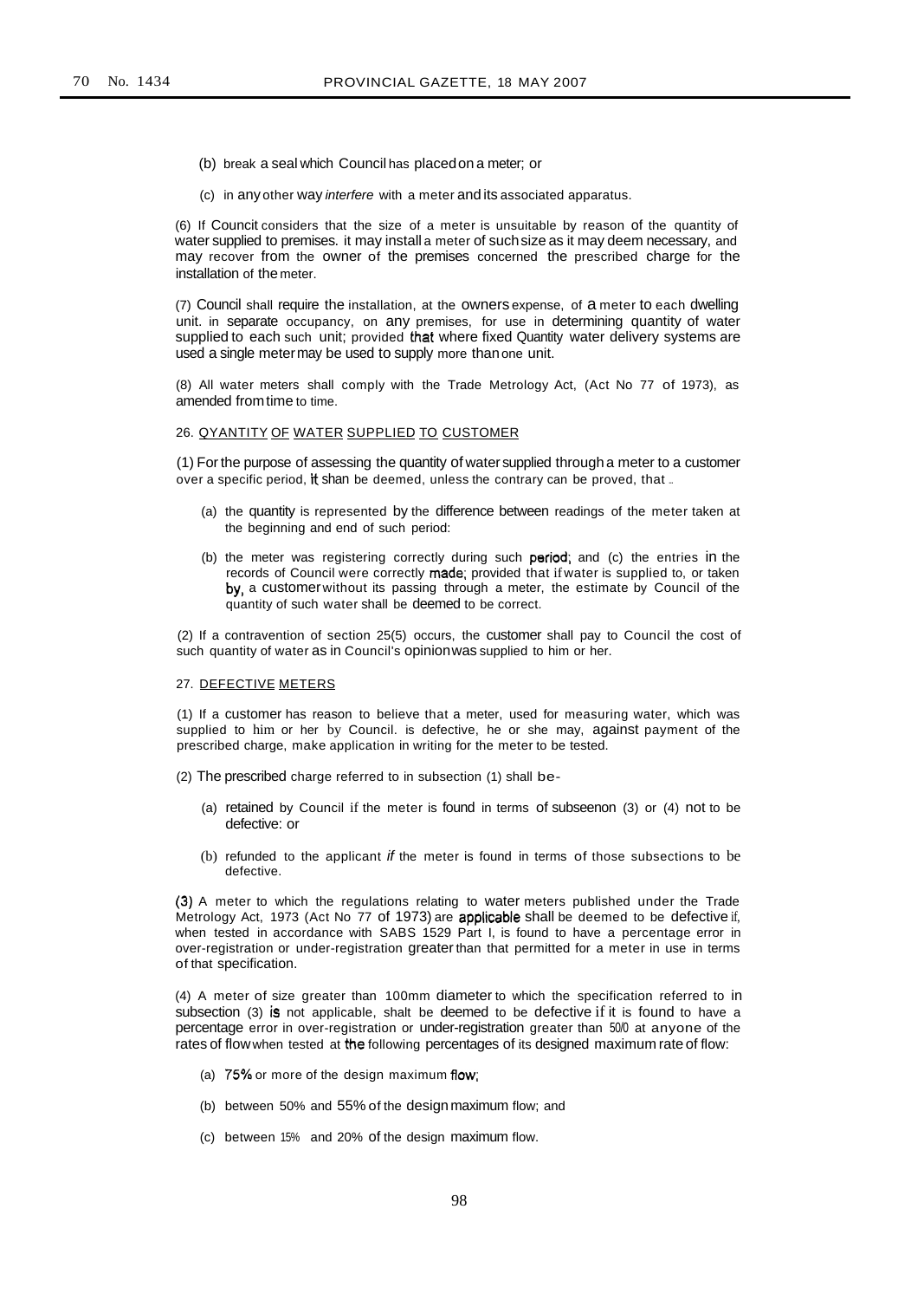- (b) break a seal which Council has placedon a meter; or
- (c) in any other way interfere with a meter and its associated apparatus.

(6) If Councit considers that the size of a meter is unsuitable by reason of the quantity of water supplied to premises. it may install a meter of suchsize as it may deem necessary, and may recover from the owner of the premises concerned the prescribed charge for the installation of the meter.

(7) Council shall require the installation, at the owners expense, of a meter to each dwelling unit. in separate occupancy, on any premises, for use in determining quantity of water supplied to each such unit; provided that where fixed Quantity water delivery systems are used a single metermay be used to supply more thanone unit.

(8) All water meters shall comply with the Trade Metrology Act, (Act No 77 of 1973), as amended fromtime to time.

#### 26. QYANTITY OF WATER SUPPLIED TO CUSTOMER

(1) For the purpose of assessing the quantity of watersupplied through a meter to a customer over a specific period, it shan be deemed, unless the contrary can be proved, that ...

- (a) the quantity is represented by the difference between readings of the meter taken at the beginning and end of such period:
- (b) the meter was registering correctly during such period; and (c) the entries in the records of Council were correctly made; provided that if water is supplied to, or taken by. a customerwithout its passing through a meter, the estimate by Council of the quantity of such water shall be deemed to be correct.

(2) If a contravention of section 25(5) occurs, the customer shall pay to Council the cost of such quantity of water as in Council's opinionwas supplied to him or her.

## 27. DEFECTIVE METERS

(1) If a customer has reason to believe that a meter, used for measuring water, which was supplied to him or her by Council. is defective, he or she may, against payment of the prescribed charge, make application in writing for the meter to be tested.

- (2) The prescribed charge referred to in subsection (1) shall be-
	- (a) retained by Council if the meter is found in terms of subseenon (3) or (4) not to be defective: or
	- (b) refunded to the applicant if the meter is found in terms of those subsections to be defective.

(3) A meter to which the regulations relating to water meters published under the Trade Metrology Act, 1973 (Act No 77 of 1973) are applicable shall be deemed to be defective if, when tested in accordance with SABS 1529 Part I, is found to have a percentage error in over-registration or under-registration greaterthan that permitted for a meter in use in terms of that specification.

(4) A meter of size greater than 100mm diameter to which the specification referred to in subsection (3) is not applicable, shalt be deemed to be defective if it is found to have a percentage error in over-registration or under-registration greater than 50/0 at anyone of the rates of flowwhen tested at the following percentages of its designed maximum rate of flow:

- (a)  $75\%$  or more of the design maximum flow;
- (b) between 50% and 55% of the designmaximum flow; and
- (c) between 15% and 20% of the design maximum flow.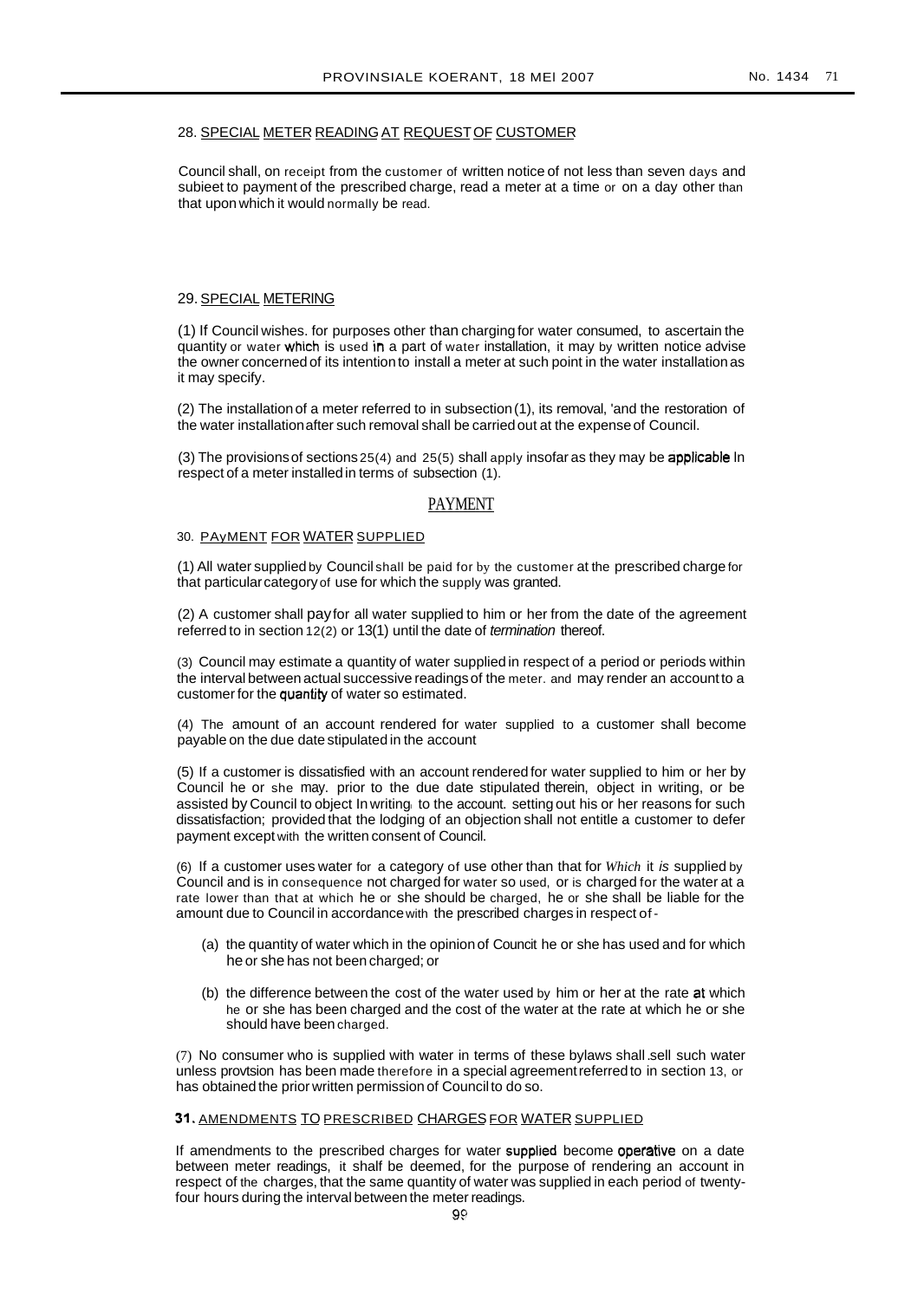# 28. SPECIAL METER READING AT REQUESTOF CUSTOMER

Council shall, on receipt from the customer of written notice of not less than seven days and subieet to payment of the prescribed charge, read a meter at a time or on a day other than that upon which it would normally be read.

# 29. SPECIAL METERING

(1) If Council wishes. for purposes other than charging for water consumed, to ascertain the quantity or water which is used in a part of water installation, it may by written notice advise the owner concerned of its intention to install a meter at such point in the water installation as it may specify.

(2) The installation of a meter referred to in subsection(1), its removal, 'and the restoration of the water installationafter such removal shall be carried out at the expense of Council.

(3) The provisions of sections  $25(4)$  and  $25(5)$  shall apply insofar as they may be applicable In respect of a meter installedin terms of subsection (1).

#### PAYMENT

#### 30. PAyMENT FOR WATER SUPPLIED

(1) All water supplied by Council shall be paid for by the customer at the prescribed charge for that particular category of use for which the supply was granted.

(2) A customer shall payfor all water supplied to him or her from the date of the agreement referred to in section 12(2) or 13(1) until the date of termination thereof.

(3) Council may estimate a quantity of water supplied in respect of a period or periods within the interval between actual successive readings of the meter. and may render an account to a customer for the quantity of water so estimated.

(4) The amount of an account rendered for water supplied to a customer shall become payable on the due date stipulated in the account

(5) If a customer is dissatisfied with an account rendered for water supplied to him or her by Council he or she may. prior to the due date stipulated therein, object in writing, or be assisted by Council to object In writing to the account. setting out his or her reasons for such dissatisfaction; provided that the lodging of an objection shall not entitle a customer to defer payment except with the written consent of Council.

(6) If a customer uses water for a category of use other than that for *Which* it is supplied by Council and is in consequence not charged for water so used, or is charged for the water at a rate lower than that at which he or she should be charged, he or she shall be liable for the amount due to Council in accordancewith the prescribed charges in respect of-

- (a) the quantity of water which in the opinion of Councit he or she has used and for which heor she has not been charged; or
- (b) the difference between the cost of the water used by him or her at the rate at which he or she has been charged and the cost of the water at the rate at which he or she should have been charged.

(7) No consumer who is supplied with water in terms of these bylaws shall.sell such water unless provtsion has been made therefore in a special agreementreferredto in section 13, or has obtained the prior written permission of Councilto do so.

# 31. AMENDMENTS TO PRESCRIBED CHARGES FOR WATER SUPPLIED

If amendments to the prescribed charges for water supplied become operative on a date between meter readings, it shalf be deemed, for the purpose of rendering an account in respect of the charges, that the same quantity of water was supplied in each period of twentyfour hours during the interval between the meter readings.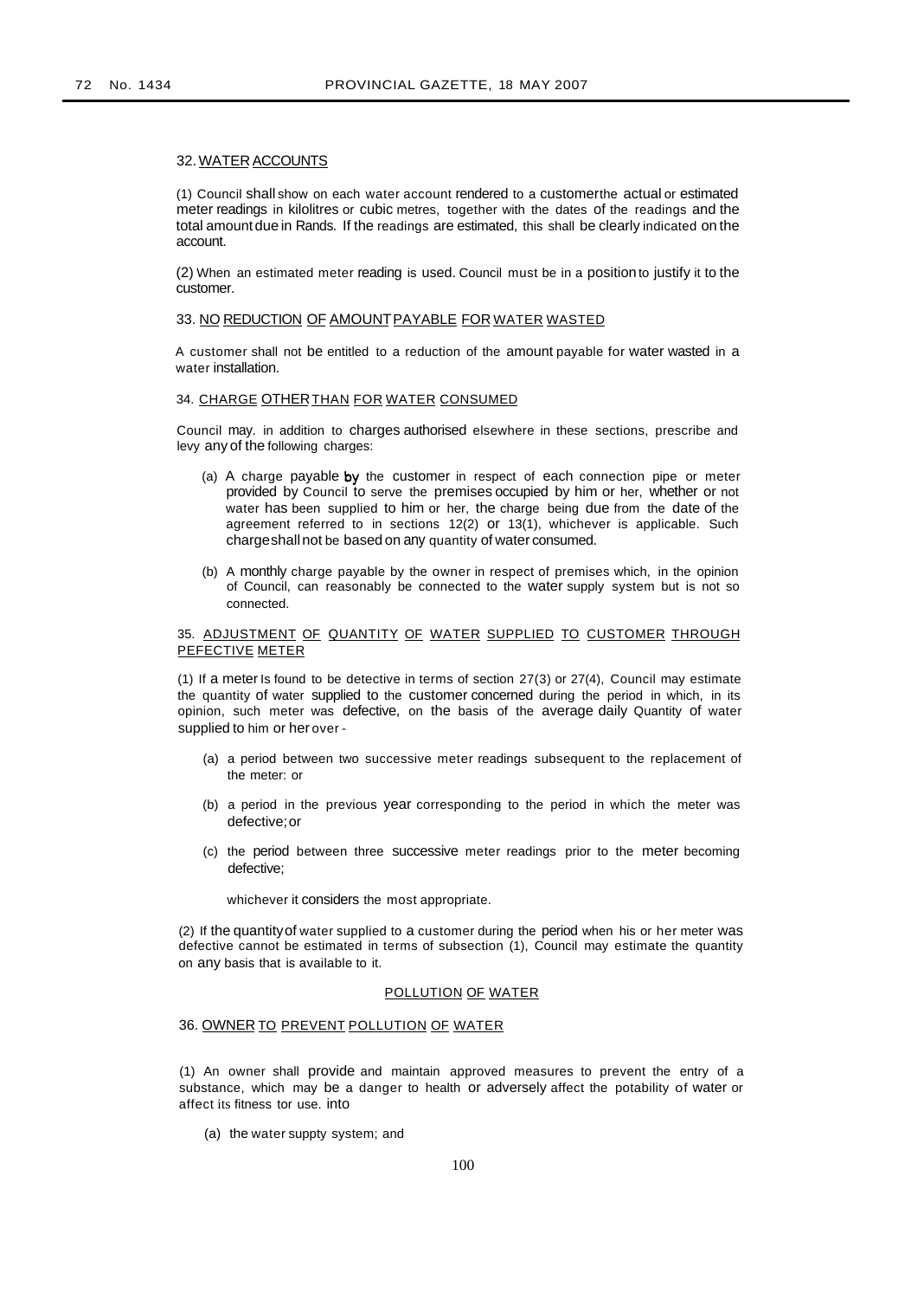# 32. WATER ACCOUNTS

(1) Council shall show on each water account rendered to a customerthe actual or estimated meter readings in kilolitres or cubic metres, together with the dates of the readings and the total amount due in Rands. If the readings are estimated, this shall be clearly indicated on the account.

(2) When an estimated meter reading is used. Council must be in a positionto justify it to the customer.

# 33. NO REDUCTION OF AMOUNTPAYABLE FOR WATER WASTED

A customer shall not be entitled to a reduction of the amount payable for water wasted in a water installation.

# 34. CHARGE OTHER THAN FOR WATER CONSUMED

Council may. in addition to charges authorised elsewhere in these sections, prescribe and levy any of the following charges:

- (a) A charge payable by the customer in respect of each connection pipe or meter provided by Council to serve the premises occupied by him or her, whether or not water has been supplied to him or her, the charge being due from the date of the agreement referred to in sections 12(2) or 13(1), whichever is applicable. Such chargeshallnot be based on any quantity of water consumed.
- (b) A monthly charge payable by the owner in respect of premises which, in the opinion of Council, can reasonably be connected to the water supply system but is not so connected.

# 35. ADJUSTMENT OF QUANTITY OF WATER SUPPLIED TO CUSTOMER THROUGH PEFECTIVE METER

(1) If a meter Is found to be detective in terms of section 27(3) or 27(4), Council may estimate the quantity of water supplied to the customer concerned during the period in which, in its opinion, such meter was defective, on the basis of the average daily Quantity of water supplied to him or her over -

- (a) a period between two successive meter readings subsequent to the replacement of the meter: or
- (b) a period in the previous year corresponding to the period in which the meter was defective;or
- (c) the period between three successive meter readings prior to the meter becoming defective;

whichever it considers the most appropriate.

(2) If the quantityof water supplied to a customer during the period when his or her meter was defective cannot be estimated in terms of subsection (1), Council may estimate the quantity on any basis that is available to it.

#### POLLUTION OF WATER

#### 36. OWNER TO PREVENT POLLUTION OF WATER

(1) An owner shall provide and maintain approved measures to prevent the entry of a substance, which may be a danger to health or adversely affect the potability of water or affect its fitness tor use. into

(a) the water suppty system; and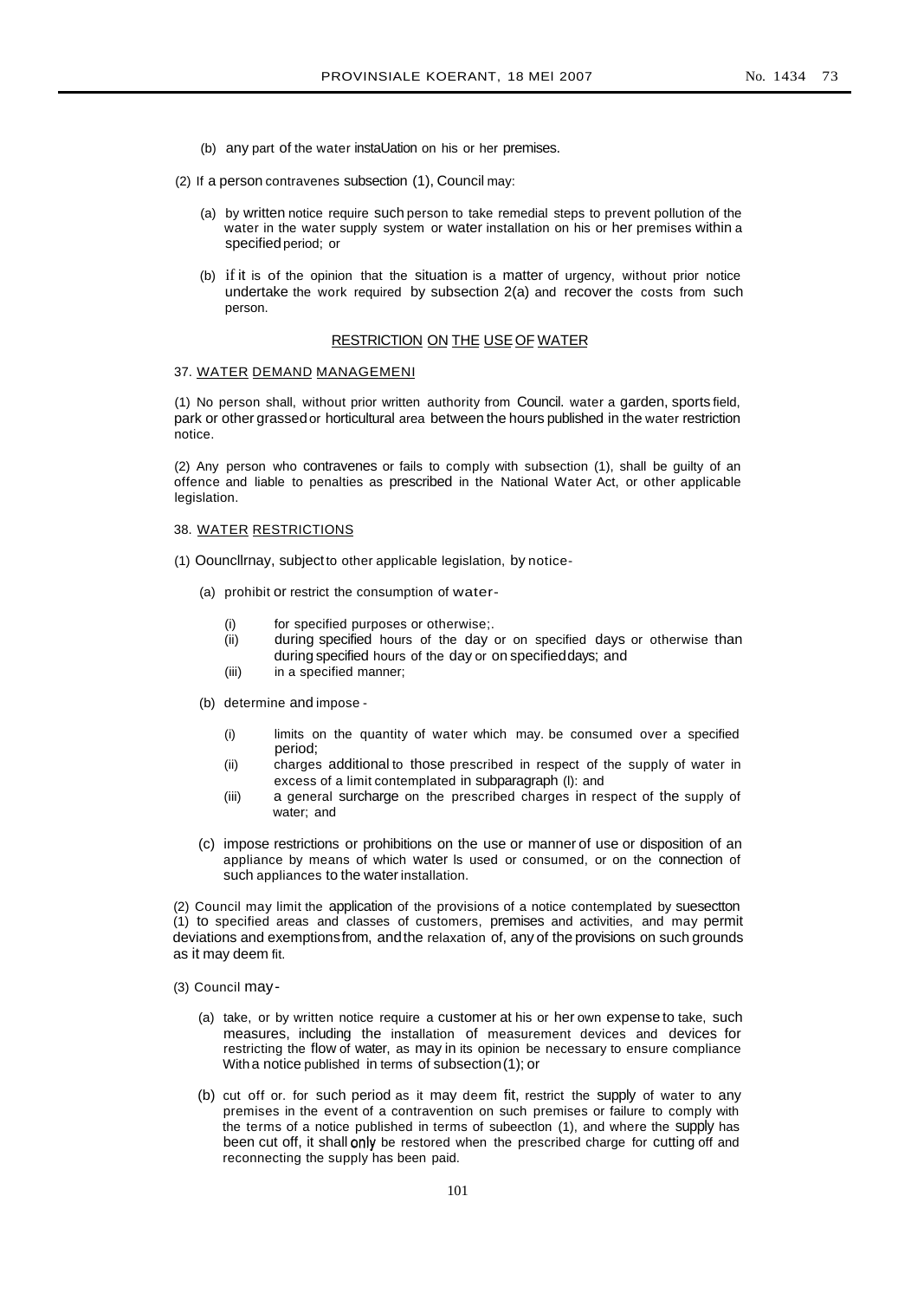- (b) any part of the water instaUation on his or her premises.
- (2) If a person contravenes subsection (1), Council may:
	- (a) by written notice require such person to take remedial steps to prevent pollution of the water in the water supply system or water installation on his or her premises within a specified period; or
	- (b) if it is of the opinion that the situation is a matter of urgency, without prior notice undertake the work required by subsection 2(a) and recover the costs from such person.

# RESTRICTION ON THE USE OF WATER

# 37. WATER DEMAND MANAGEMENI

(1) No person shall, without prior written authority from Council. water a garden, sports field, park or other grassedor horticultural area between the hours published in the water restriction notice.

(2) Any person who contravenes or fails to comply with subsection (1), shall be guilty of an offence and liable to penalties as prescribed in the National Water Act, or other applicable legislation.

# 38. WATER RESTRICTIONS

- (1) Oouncllrnay, subjectto other applicable legislation, by notice-
	- (a) prohibit or restrict the consumption of water-
		- (i) for specified purposes or otherwise;.
		- (ii) during specified hours of the day or on specified days or otherwise than during specified hours of the day or on specifieddays; and
		- (iii) in a specified manner;
	- (b) determine and impose
		- (i) limits on the quantity of water which may. be consumed over a specified period;
		- (ii) charges additional to those prescribed in respect of the supply of water in excess of a limit contemplated in subparagraph (l): and
		- (iii) a general surcharge on the prescribed charges in respect of the supply of water; and
	- (c) impose restrictions or prohibitions on the use or manner of use or disposition of an appliance by means of which water ls used or consumed, or on the connection of such appliances to the water installation.

(2) Council may limit the application of the provisions of a notice contemplated by suesectton (1) to specified areas and classes of customers, premises and activities, and may permit deviations and exemptionsfrom, andthe relaxation of, any of the provisions on such grounds as it may deem fit.

(3) Council may-

- (a) take, or by written notice require a customer at his or her own expense to take, such measures, including the installation of measurement devices and devices for restricting the flow of water, as may in its opinion be necessary to ensure compliance Witha notice published in terms of subsection(1); or
- (b) cut off or. for such period as it may deem fit, restrict the supply of water to any premises in the event of a contravention on such premises or failure to comply with the terms of a notice published in terms of subeectlon (1), and where the supply has been cut off, it shall only be restored when the prescribed charge for cutting off and reconnecting the supply has been paid.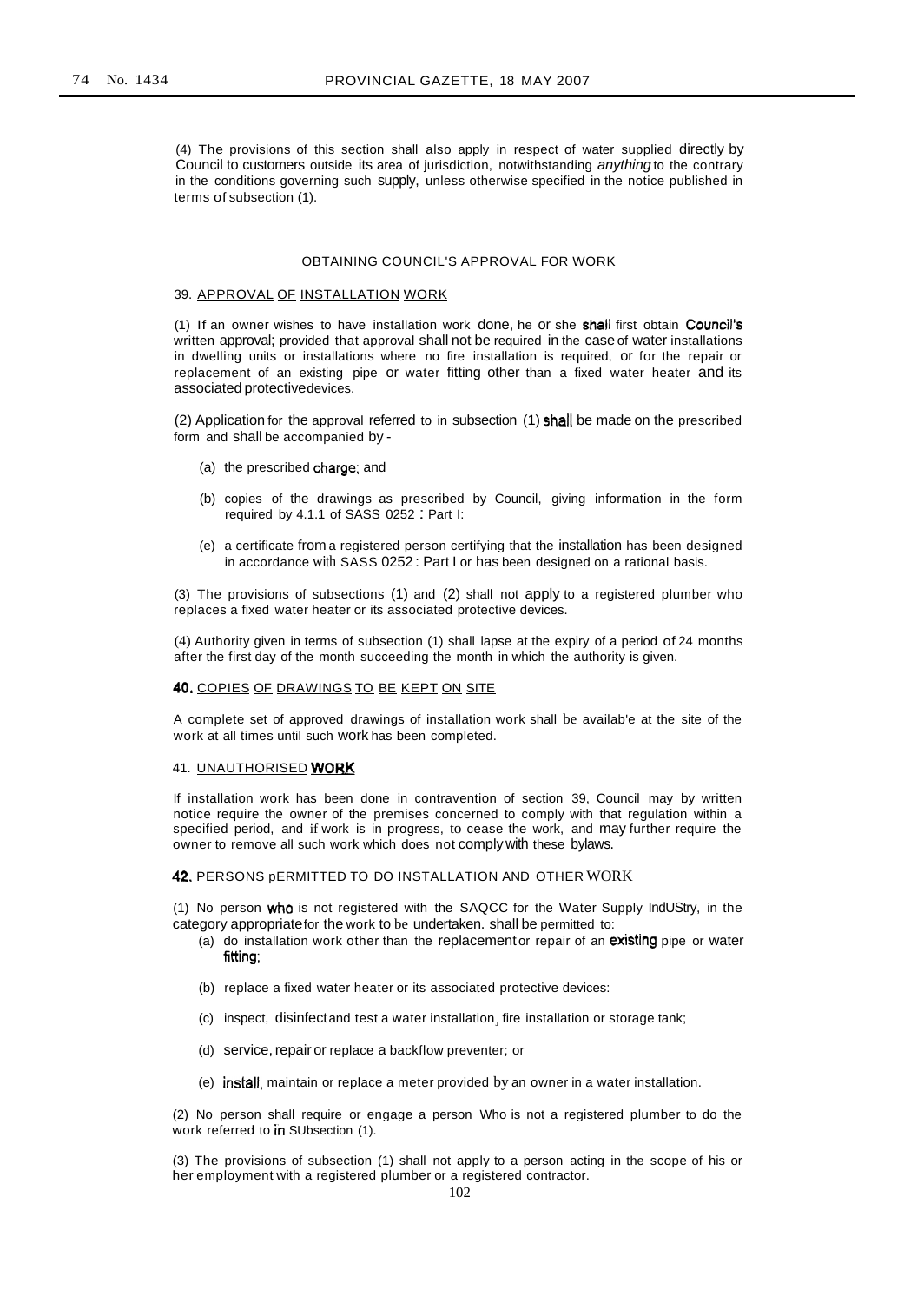(4) The provisions of this section shall also apply in respect of water supplied directly by Council to customers outside its area of jurisdiction, notwithstanding anything to the contrary in the conditions governing such supply, unless otherwise specified in the notice published in terms of subsection (1).

#### OBTAINING COUNCIL'S APPROVAL FOR WORK

#### 39. APPROVAL OF INSTALLATION WORK

(1) If an owner wishes to have installation work done, he or she shall first obtain Council's written approval; provided that approval shall not be required in the case of water installations in dwelling units or installations where no fire installation is required, or for the repair or replacement of an existing pipe or water fitting other than a fixed water heater and its associated protectivedevices.

(2) Application for the approval referred to in subsection (1) shall be made on the prescribed form and shall be accompanied by -

- (a) the prescribed charge; and
- (b) copies of the drawings as prescribed by Council, giving information in the form required by 4.1.1 of SASS 0252 : Part I:
- (e) a certificate from a registered person certifying that the installation has been designed in accordance with SASS 0252 : Part I or has been designed on a rational basis.

(3) The provisions of subsections (1) and (2) shall not apply to a registered plumber who replaces a fixed water heater or its associated protective devices.

(4) Authority given in terms of subsection (1) shall lapse at the expiry of a period of 24 months after the first day of the month succeeding the month in which the authority is given.

# 40. COPIES OF DRAWINGS TO BE KEPT ON SITE

A complete set of approved drawings of installation work shall be availab'e at the site of the work at all times until such work has been completed.

#### 41. UNAUTHORISED WORK

If installation work has been done in contravention of section 39, Council may by written notice require the owner of the premises concerned to comply with that regulation within a specified period, and if work is in progress, to cease the work, and may further require the owner to remove all such work which does not complywith these bylaws.

# 42. PERSONS pERMITTED TO DO INSTALLATION AND OTHER WORK

(1) No person who is not registered with the SAQCC for the Water Supply IndUStry, in the category appropriatefor the work to be undertaken. shall be permitted to:

- (a) do installation work other than the replacement or repair of an existing pipe or water fitting;
- (b) replace a fixed water heater or its associated protective devices:
- (c) inspect, disinfectand test a water installation, fire installation or storage tank;
- (d) service, repair or replace a backflow preventer; or
- (e) install. maintain or replace a meter provided by an owner in a water installation.

(2) No person shall require or engage a person Who is not a registered plumber to do the work referred to in SUbsection (1).

(3) The provisions of subsection (1) shall not apply to a person acting in the scope of his or her employment with a registered plumber or a registered contractor.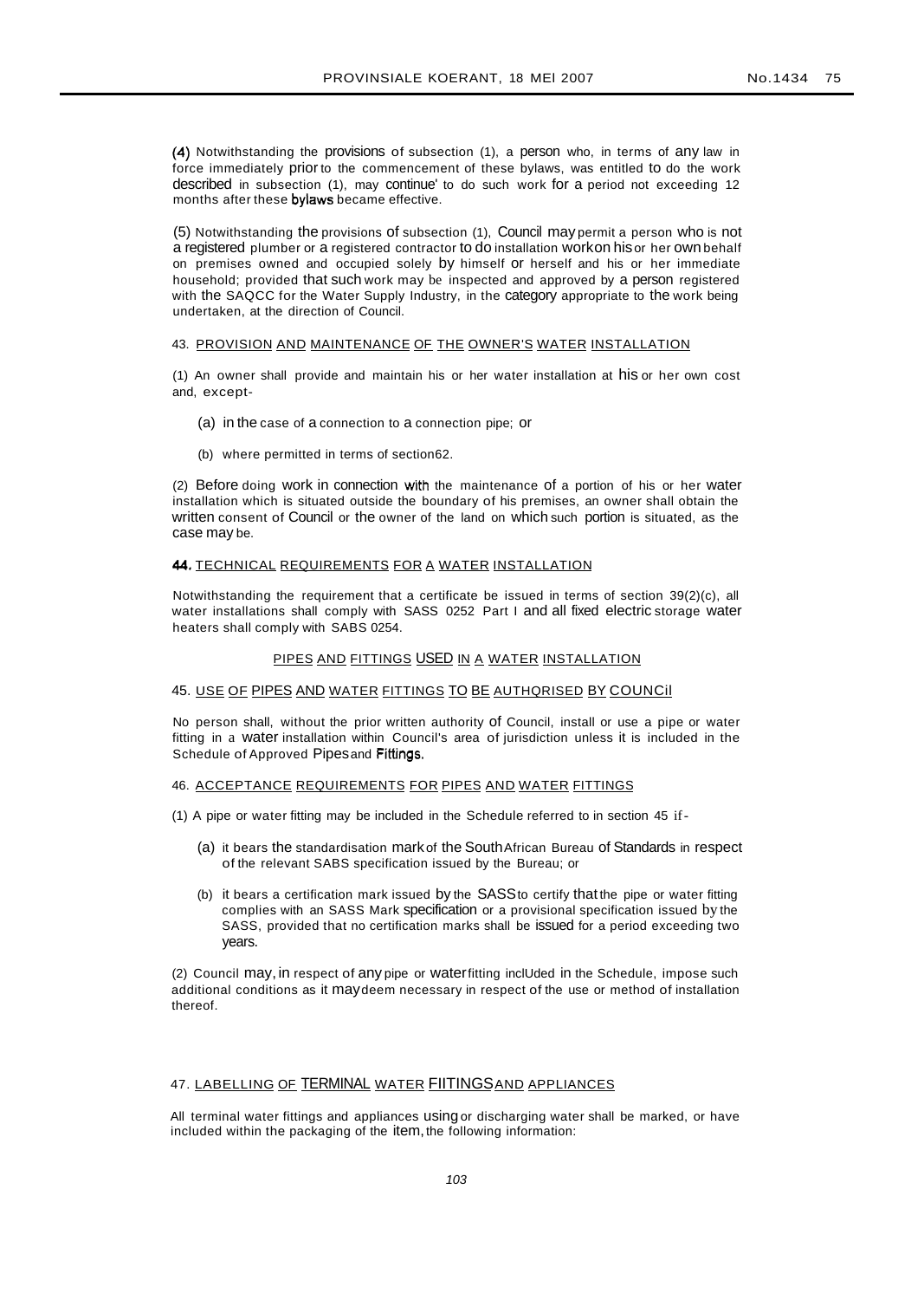(4) Notwithstanding the provisions of subsection (1), a person who, in terms of any law in force immediately prior to the commencement of these bylaws, was entitled to do the work described in subsection (1), may continue' to do such work for a period not exceeding 12 months after these bylaws became effective.

(5) Notwithstanding the provisions of subsection (1), Council may permit a person who is not a registered plumber or a registered contractor to do installation workon hisor her own behalf on premises owned and occupied solely by himself or herself and his or her immediate household; provided that such work may be inspected and approved by a person registered with the SAQCC for the Water Supply Industry, in the category appropriate to the work being undertaken, at the direction of Council.

#### 43. PROVISION AND MAINTENANCE OF THE OWNER'S WATER INSTALLATION

(1) An owner shall provide and maintain his or her water installation at his or her own cost and, except-

- (a) in the case of a connection to a connection pipe; or
- (b) where permitted in terms of section62.

(2) Before doing work in connection with the maintenance of a portion of his or her water installation which is situated outside the boundary of his premises, an owner shall obtain the written consent of Council or the owner of the land on which such portion is situated, as the case may be.

#### 44. TECHNICAL REQUIREMENTS FOR A WATER INSTALLATION

Notwithstanding the requirement that a certificate be issued in terms of section 39(2)(c), all water installations shall comply with SASS 0252 Part I and all fixed electric storage water heaters shall comply with SABS 0254.

# PIPES AND FITTINGS USED IN A WATER INSTALLATION

## 45. USE OF PIPES AND WATER FITTINGS TO BE AUTHQRISED BY COUNCil

No person shall, without the prior written authority of Council, install or use a pipe or water fitting in a water installation within Council's area of jurisdiction unless it is included in the Schedule of Approved Pipesand Fittings.

#### 46. ACCEPTANCE REQUIREMENTS FOR PIPES AND WATER FITTINGS

- (1) A pipe or water fitting may be included in the Schedule referred to in section 45 if
	- (a) it bears the standardisation mark of the SouthAfrican Bureau of Standards in respect of the relevant SABS specification issued by the Bureau; or
	- (b) it bears a certification mark issued by the SASSto certify that the pipe or water fitting complies with an SASS Mark specification or a provisional specification issued by the SASS, provided that no certification marks shall be issued for a period exceeding two years.

(2) Council may, in respect of any pipe or waterfitting inclUded in the Schedule, impose such additional conditions as it maydeem necessary in respect of the use or method of installation thereof.

## 47. LABELLING OF TERMINAL WATER FIITINGSAND APPLIANCES

All terminal water fittings and appliances using or discharging water shall be marked, or have included within the packaging of the item, the following information: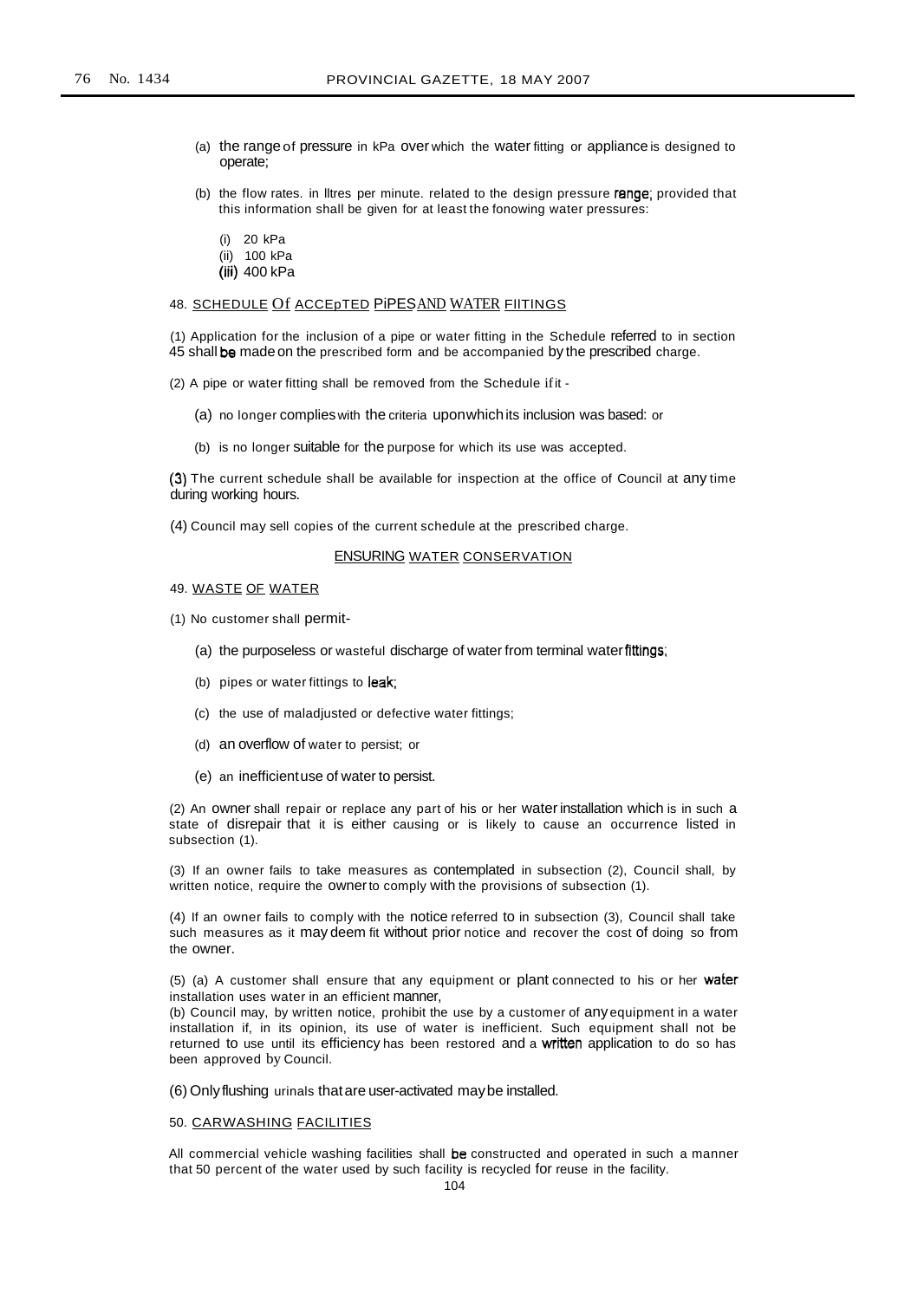- (a) the rangeof pressure in kPa over which the water fitting or appliance is designed to operate;
- (b) the flow rates. in lltres per minute. related to the design pressure range; provided that this information shall be given for at least the fonowing water pressures:
	- (i) 20 kPa
	- (ii) 100 kPa
	- (iii) 400 kPa

## 48. SCHEDULE Of ACCEPTED PIPESAND WATER FIITINGS

(1) Application for the inclusion of a pipe or water fitting in the Schedule referred to in section 45 shall be made on the prescribed form and be accompanied by the prescribed charge.

(2) A pipe or water fitting shall be removed from the Schedule ifit -

- (a) no longer complieswith the criteria uponwhichits inclusion was based: or
- (b) is no longer suitable for the purpose for which its use was accepted.

(3) The current schedule shall be available for inspection at the office of Council at any time during working hours.

(4) Council may sell copies of the current schedule at the prescribed charge.

## ENSURING WATER CONSERVATION

#### 49. WASTE OF WATER

(1) No customer shall permit-

- (a) the purposeless or wasteful discharge of water from terminal waterfittings;
- (b) pipes or water fittings to leak;
- (c) the use of maladjusted or defective water fittings;
- (d) an overflow of water to persist; or
- (e) an inefficientuse of water to persist.

(2) An owner shall repair or replace any part of his or her waterinstallation which is in such a state of disrepair that it is either causing or is likely to cause an occurrence listed in subsection (1).

(3) If an owner fails to take measures as contemplated in subsection (2), Council shall, by written notice, require the ownerto comply with the provisions of subsection (1).

(4) If an owner fails to comply with the notice referred to in subsection (3), Council shall take such measures as it may deem fit without prior notice and recover the cost of doing so from the owner.

(5) (a) A customer shall ensure that any equipment or plant connected to his or her water installation uses water in an efficient manner,

(b) Council may, by written notice, prohibit the use by a customer of anyequipment in a water installation if, in its opinion, its use of water is inefficient. Such equipment shall not be returned to use until its efficiency has been restored and a written application to do so has been approved by Council.

(6) Onlyflushing urinals thatare user-activated maybe installed.

## 50. CARWASHING FACILITIES

All commercial vehicle washing facilities shall be constructed and operated in such a manner that 50 percent of the water used by such facility is recycled for reuse in the facility.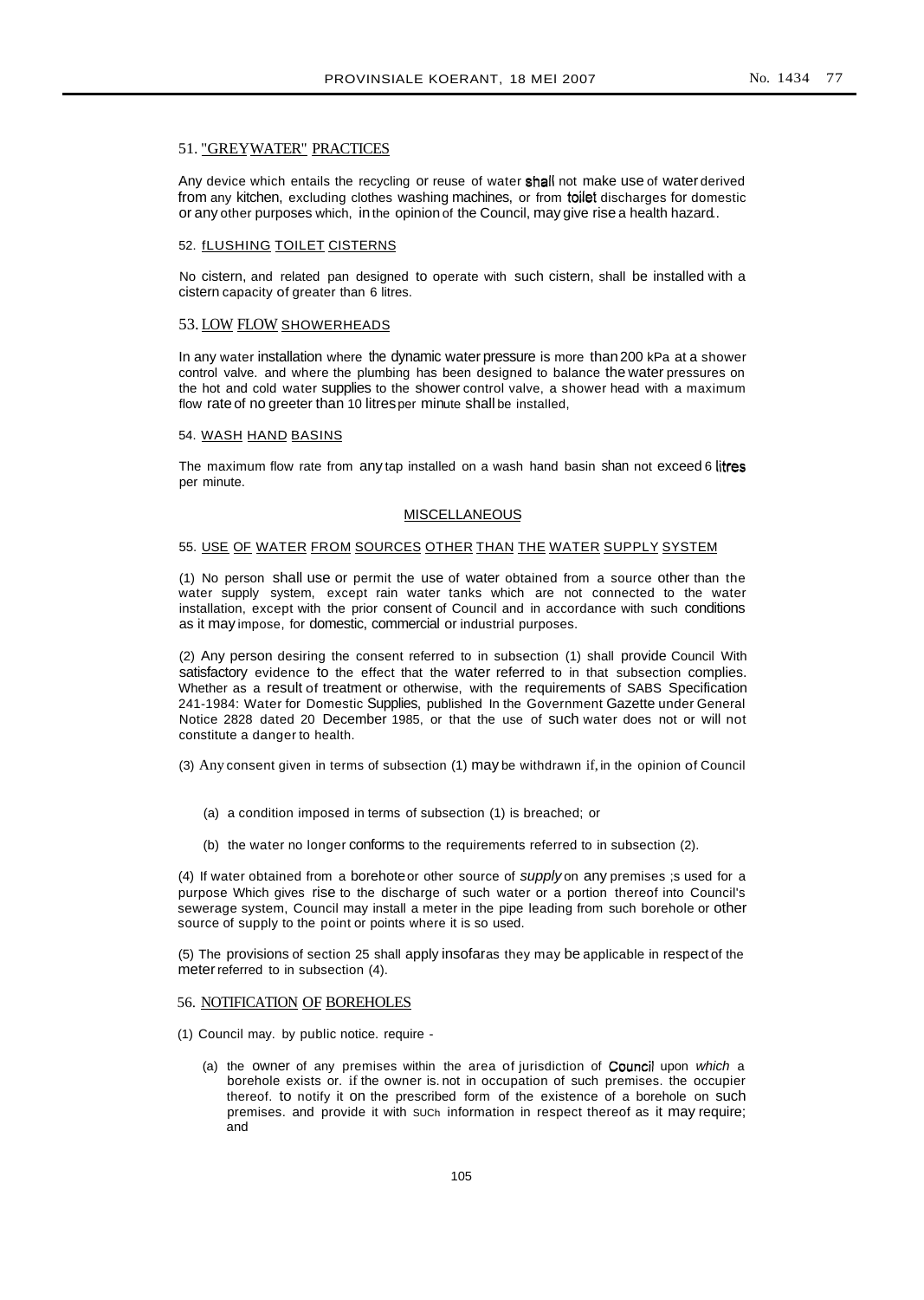# 51. "GREYWATER" PRACTICES

Any device which entails the recycling or reuse of water shall not make use of water derived from any kitchen, excluding clothes washing machines, or from toilet discharges for domestic or any other purposes which, in the opinion of the Council, may give rise a health hazard..

#### 52. fLUSHING TOILET CISTERNS

No cistern, and related pan designed to operate with such cistern, shall be installed with a cistern capacity of greater than 6 litres.

#### 53. LOW FLOW SHOWERHEADS

In any water installation where the dynamic water pressure is more than200 kPa at a shower control valve. and where the plumbing has been designed to balance the water pressures on the hot and cold water supplies to the shower control valve, a shower head with a maximum flow rate of no greeter than 10 litresper minute shall be installed,

#### 54. WASH HAND BASINS

The maximum flow rate from any tap installed on a wash hand basin shan not exceed 6 litres per minute.

#### **MISCELLANEOUS**

# 55. USE OF WATER FROM SOURCES OTHER THAN THE WATER SUPPLY SYSTEM

(1) No person shall use or permit the use of water obtained from a source other than the water supply system, except rain water tanks which are not connected to the water installation, except with the prior consent of Council and in accordance with such conditions as it may impose, for domestic, commercial or industrial purposes.

(2) Any person desiring the consent referred to in subsection (1) shall provide Council With satisfactory evidence to the effect that the water referred to in that subsection complies. Whether as a result of treatment or otherwise, with the requirements of SABS Specification 241-1984: Water for Domestic Supplies, published In the Government Gazette under General Notice 2828 dated 20 December 1985, or that the use of such water does not or will not constitute a danger to health.

(3) Any consent given in terms of subsection (1) may be withdrawn if, in the opinion of Council

- (a) a condition imposed in terms of subsection (1) is breached; or
- (b) the water no longer conforms to the requirements referred to in subsection (2).

(4) If water obtained from a borehote or other source of supply on any premises ;s used for a purpose Which gives rise to the discharge of such water or a portion thereof into Council's sewerage system, Council may install a meter in the pipe leading from such borehole or other source of supply to the point or points where it is so used.

(5) The provisions of section 25 shall apply insofaras they may be applicable in respect of the meter referred to in subsection (4).

#### 56. NOTIFICATION OF BOREHOLES

- (1) Council may. by public notice. require
	- (a) the owner of any premises within the area of jurisdiction of Council upon which a borehole exists or. if the owner is. not in occupation of such premises. the occupier thereof. to notify it on the prescribed form of the existence of a borehole on such premises. and provide it with SUCh information in respect thereof as it may require; and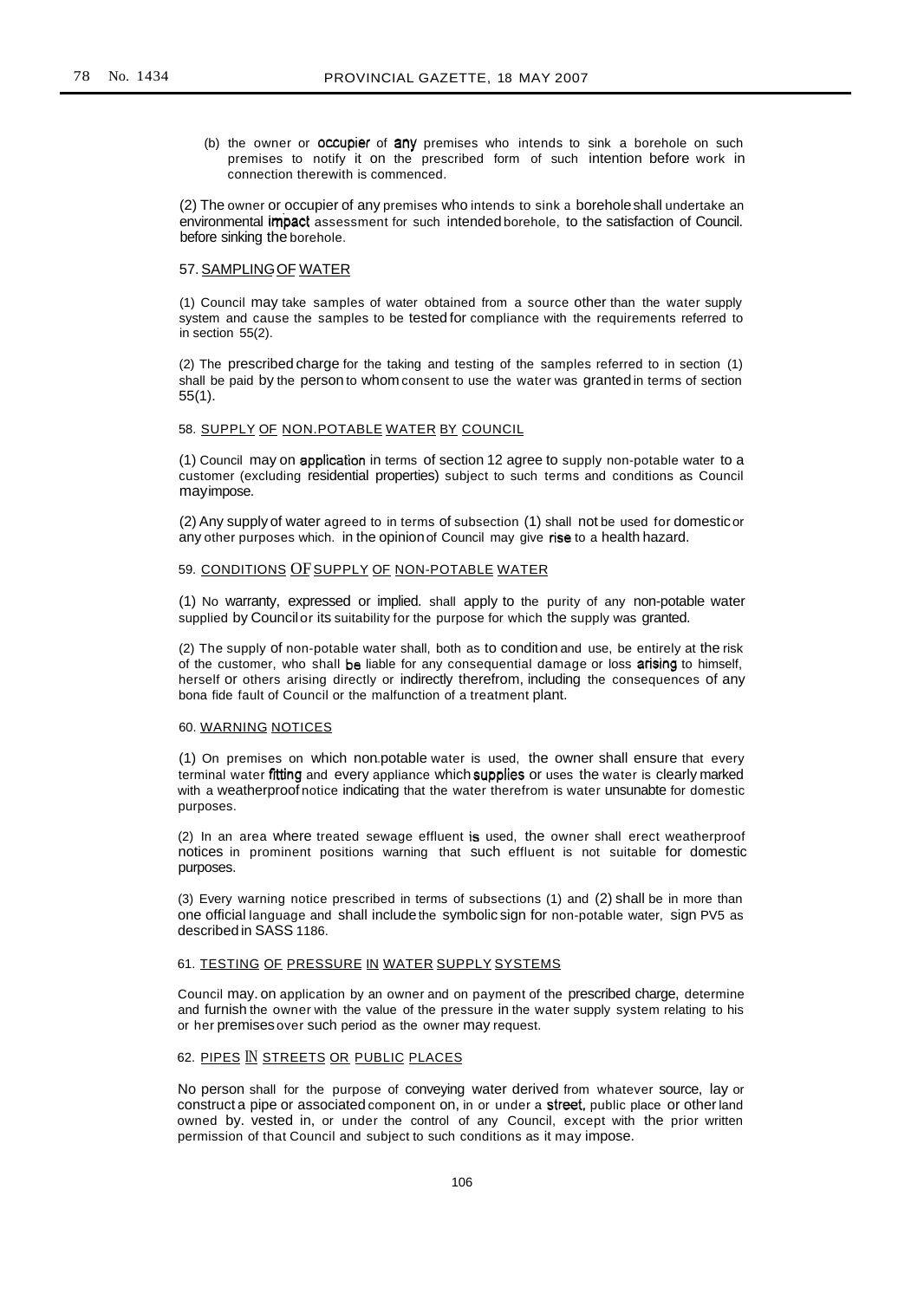(b) the owner or occupier of any premises who intends to sink a borehole on such premises to notify it on the prescribed form of such intention before work in connection therewith is commenced.

(2) The owner or occupier of any premises who intends to sink a boreholeshall undertake an environmental impact assessment for such intended borehole, to the satisfaction of Council. before sinking the borehole.

#### 57. SAMPLING OF WATER

(1) Council may take samples of water obtained from a source other than the water supply system and cause the samples to be tested for compliance with the requirements referred to in section 55(2).

(2) The prescribed charge for the taking and testing of the samples referred to in section (1) shall be paid by the person to whom consent to use the water was granted in terms of section 55(1).

## 58. SUPPLY OF NON.POTABLE WATER BY COUNCIL

(1) Council may on application in terms of section 12 agree to supply non-potable water to a customer (excluding residential properties) subject to such terms and conditions as Council mayimpose.

(2) Any supply of water agreed to in terms of subsection (1) shall not be used for domesticor any other purposes which. in the opinionof Council may give rise to a health hazard.

#### 59. CONDITIONS OF SUPPLY OF NON-POTABLE WATER

(1) No warranty, expressed or implied. shall apply to the purity of any non-potable water supplied by Councilor its suitability for the purpose for which the supply was granted.

(2) The supply of non-potable water shall, both as to condition and use, be entirely at the risk of the customer, who shall be liable for any consequential damage or loss arising to himself, herself or others arising directly or indirectly therefrom, including the consequences of any bona fide fault of Council or the malfunction of a treatment plant.

#### 60. WARNING NOTICES

(1) On premises on which non.potable water is used, the owner shall ensure that every terminal water fitting and every appliance which supplies or uses the water is clearly marked with a weatherproof notice indicating that the water therefrom is water unsunabte for domestic purposes.

(2) In an area where treated sewage effluent is used, the owner shall erect weatherproof notices in prominent positions warning that such effluent is not suitable for domestic purposes.

(3) Every warning notice prescribed in terms of subsections (1) and (2) shall be in more than one official language and shall includethe symbolic sign for non-potable water, sign PV5 as described in SASS 1186.

### 61. TESTING OF PRESSURE IN WATER SUPPLY SYSTEMS

Council may. on application by an owner and on payment of the prescribed charge, determine and furnish the owner with the value of the pressure in the water supply system relating to his or her premisesover such period as the owner may request.

# 62. PIPES IN STREETS OR PUBLIC PLACES

No person shall for the purpose of conveying water derived from whatever source, lay or construct a pipe or associated component on, in or under a street, public place or other land owned by. vested in, or under the control of any Council, except with the prior written permission of that Council and subject to such conditions as it may impose.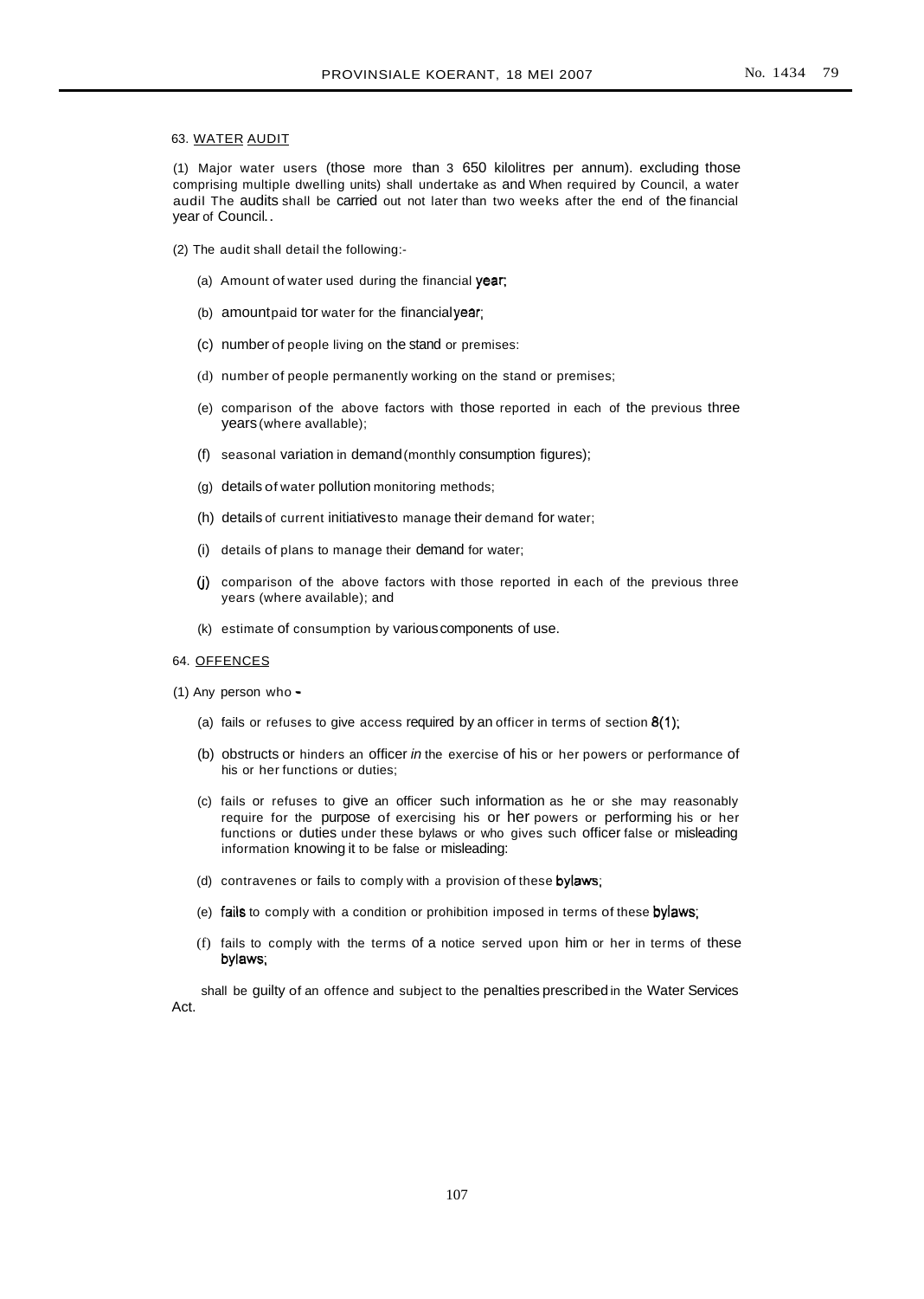#### 63. WATER AUDIT

(1) Major water users (those more than 3 650 kilolitres per annum). excluding those comprising multiple dwelling units) shall undertake as and When required by Council, a water audil The audits shall be carried out not later than two weeks after the end of the financial year of Council..

- (2) The audit shall detail the following:-
	- (a) Amount of water used during the financial  $year$ ;
	- (b) amountpaid tor water for the financialyear;
	- (c) number of people living on the stand or premises:
	- (d) number of people permanently working on the stand or premises;
	- (e) comparison of the above factors with those reported in each of the previous three years (where avallable);
	- (f) seasonal variation in demand(monthly consumption figures);
	- (g) details of water pollution monitoring methods;
	- (h) details of current initiativesto manage their demand for water;
	- (i) details of plans to manage their demand for water;
	- G) comparison of the above factors with those reported in each of the previous three years (where available); and
	- (k) estimate of consumption by variouscomponents of use.

#### 64. OFFENCES

- (1) Any person who
	- (a) fails or refuses to give access required by an officer in terms of section  $8(1)$ ;
	- (b) obstructs or hinders an officer in the exercise of his or her powers or performance of his or her functions or duties;
	- (c) fails or refuses to give an officer such information as he or she may reasonably require for the purpose of exercising his or her powers or performing his or her functions or duties under these bylaws or who gives such officer false or misleading information knowing it to be false or misleading:
	- (d) contravenes or fails to comply with a provision of these bylaws;
	- (e) fails to comply with a condition or prohibition imposed in terms of these bylaws;
	- (f) fails to comply with the terms of a notice served upon him or her in terms of these bylaws;

shall be guilty of an offence and subject to the penalties prescribed in the Water Services Act.